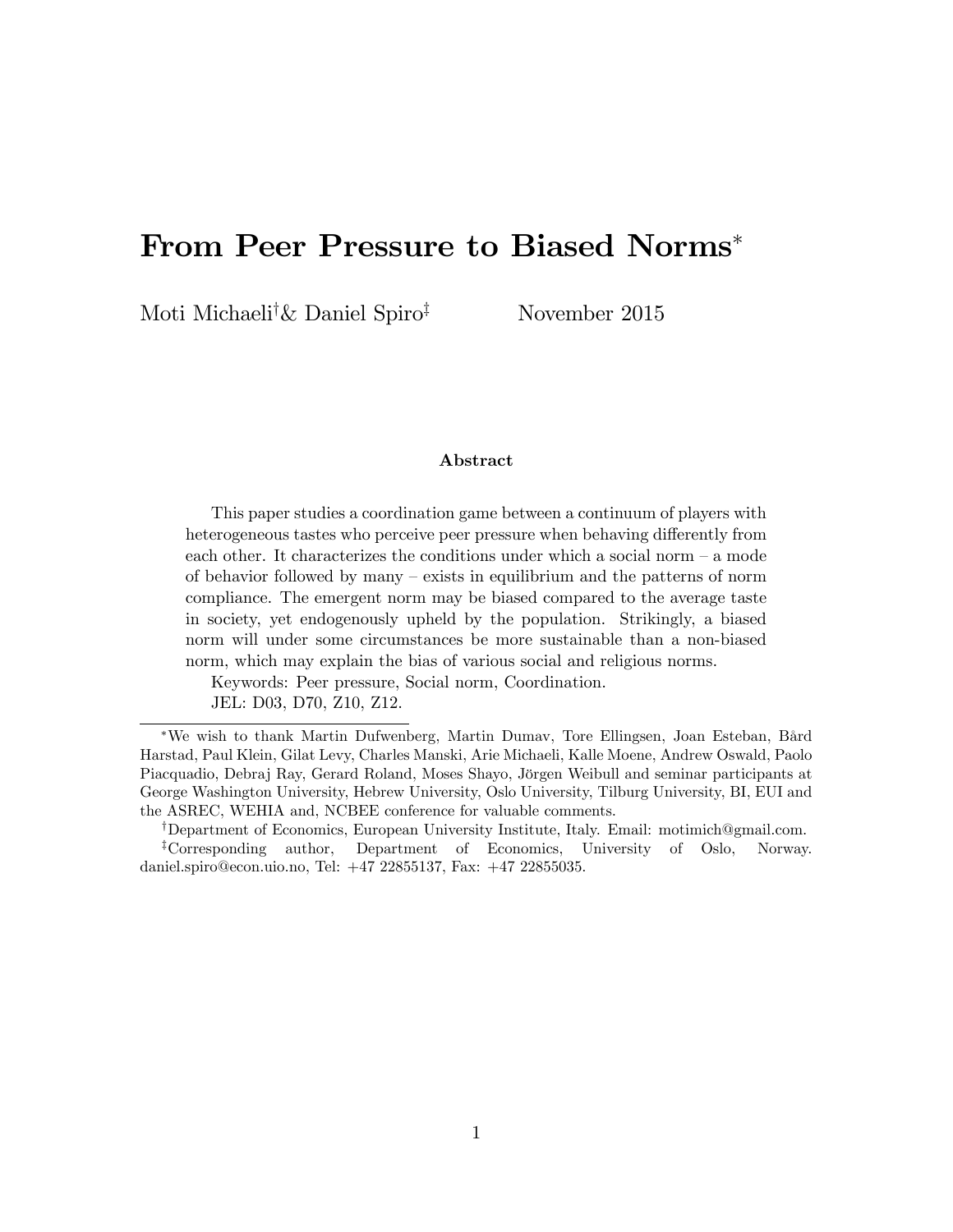# From Peer Pressure to Biased Norms

Moti Michaeli $^{\dagger}$ & Daniel Spiro<sup>‡</sup> November 2015

### Abstract

This paper studies a coordination game between a continuum of players with heterogeneous tastes who perceive peer pressure when behaving differently from each other. It characterizes the conditions under which a social norm  $-$  a mode of behavior followed by many  $-$  exists in equilibrium and the patterns of norm compliance. The emergent norm may be biased compared to the average taste in society, yet endogenously upheld by the population. Strikingly, a biased norm will under some circumstances be more sustainable than a non-biased norm, which may explain the bias of various social and religious norms.

Keywords: Peer pressure, Social norm, Coordination.

JEL: D03, D70, Z10, Z12.

<sup>†</sup>Department of Economics, European University Institute, Italy. Email: motimich@gmail.com.

We wish to thank Martin Dufwenberg, Martin Dumav, Tore Ellingsen, Joan Esteban, BÂrd Harstad, Paul Klein, Gilat Levy, Charles Manski, Arie Michaeli, Kalle Moene, Andrew Oswald, Paolo Piacquadio, Debraj Ray, Gerard Roland, Moses Shayo, Jörgen Weibull and seminar participants at George Washington University, Hebrew University, Oslo University, Tilburg University, BI, EUI and the ASREC, WEHIA and, NCBEE conference for valuable comments.

<sup>z</sup>Corresponding author, Department of Economics, University of Oslo, Norway. daniel.spiro@econ.uio.no, Tel: +47 22855137, Fax: +47 22855035.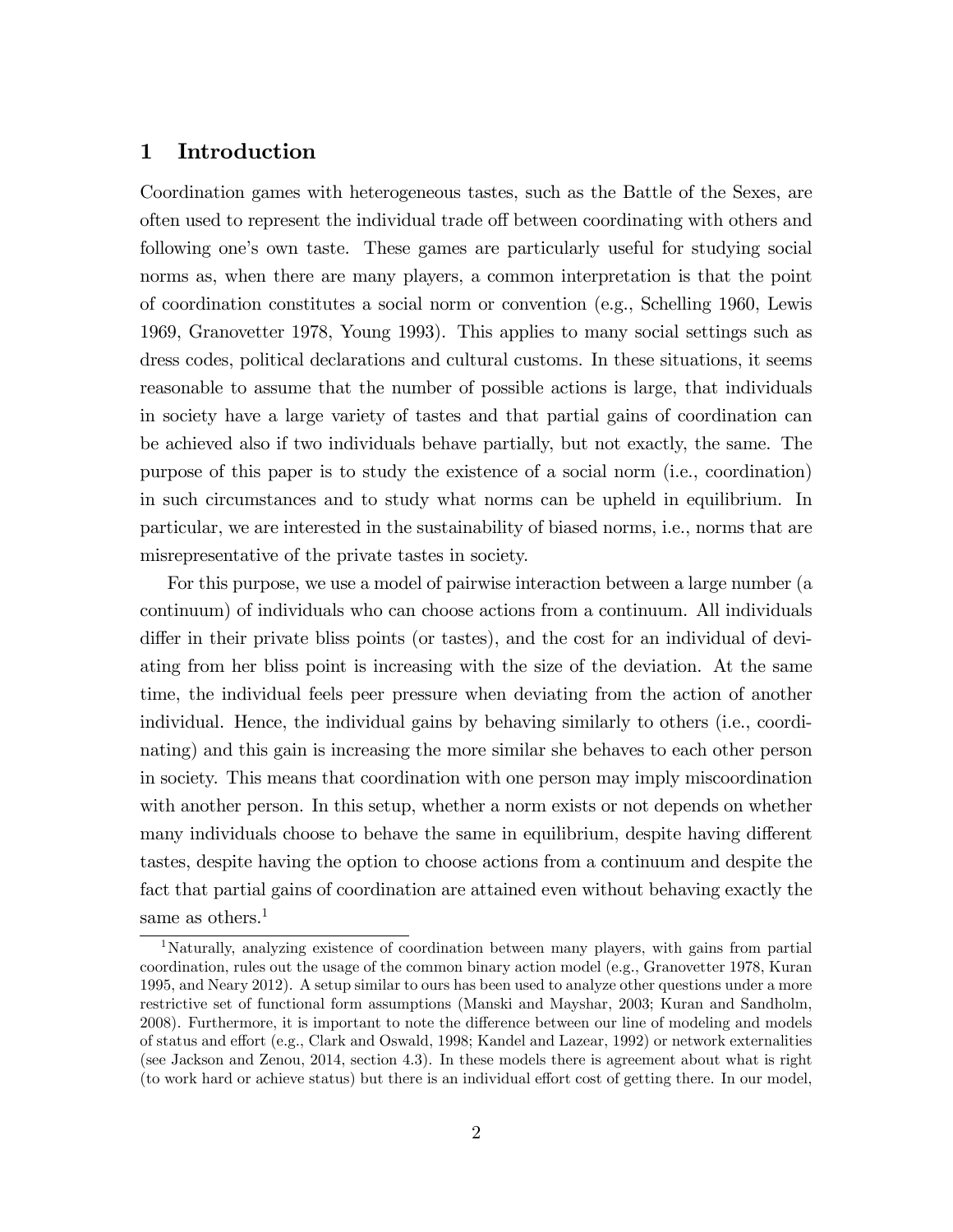# 1 Introduction

Coordination games with heterogeneous tastes, such as the Battle of the Sexes, are often used to represent the individual trade off between coordinating with others and following one's own taste. These games are particularly useful for studying social norms as, when there are many players, a common interpretation is that the point of coordination constitutes a social norm or convention (e.g., Schelling 1960, Lewis 1969, Granovetter 1978, Young 1993). This applies to many social settings such as dress codes, political declarations and cultural customs. In these situations, it seems reasonable to assume that the number of possible actions is large, that individuals in society have a large variety of tastes and that partial gains of coordination can be achieved also if two individuals behave partially, but not exactly, the same. The purpose of this paper is to study the existence of a social norm (i.e., coordination) in such circumstances and to study what norms can be upheld in equilibrium. In particular, we are interested in the sustainability of biased norms, i.e., norms that are misrepresentative of the private tastes in society.

For this purpose, we use a model of pairwise interaction between a large number (a continuum) of individuals who can choose actions from a continuum. All individuals differ in their private bliss points (or tastes), and the cost for an individual of deviating from her bliss point is increasing with the size of the deviation. At the same time, the individual feels peer pressure when deviating from the action of another individual. Hence, the individual gains by behaving similarly to others (i.e., coordinating) and this gain is increasing the more similar she behaves to each other person in society. This means that coordination with one person may imply miscoordination with another person. In this setup, whether a norm exists or not depends on whether many individuals choose to behave the same in equilibrium, despite having different tastes, despite having the option to choose actions from a continuum and despite the fact that partial gains of coordination are attained even without behaving exactly the same as others.<sup>1</sup>

<sup>1</sup>Naturally, analyzing existence of coordination between many players, with gains from partial coordination, rules out the usage of the common binary action model (e.g., Granovetter 1978, Kuran 1995, and Neary 2012). A setup similar to ours has been used to analyze other questions under a more restrictive set of functional form assumptions (Manski and Mayshar, 2003; Kuran and Sandholm, 2008). Furthermore, it is important to note the difference between our line of modeling and models of status and effort (e.g., Clark and Oswald, 1998; Kandel and Lazear, 1992) or network externalities (see Jackson and Zenou, 2014, section 4.3). In these models there is agreement about what is right (to work hard or achieve status) but there is an individual effort cost of getting there. In our model,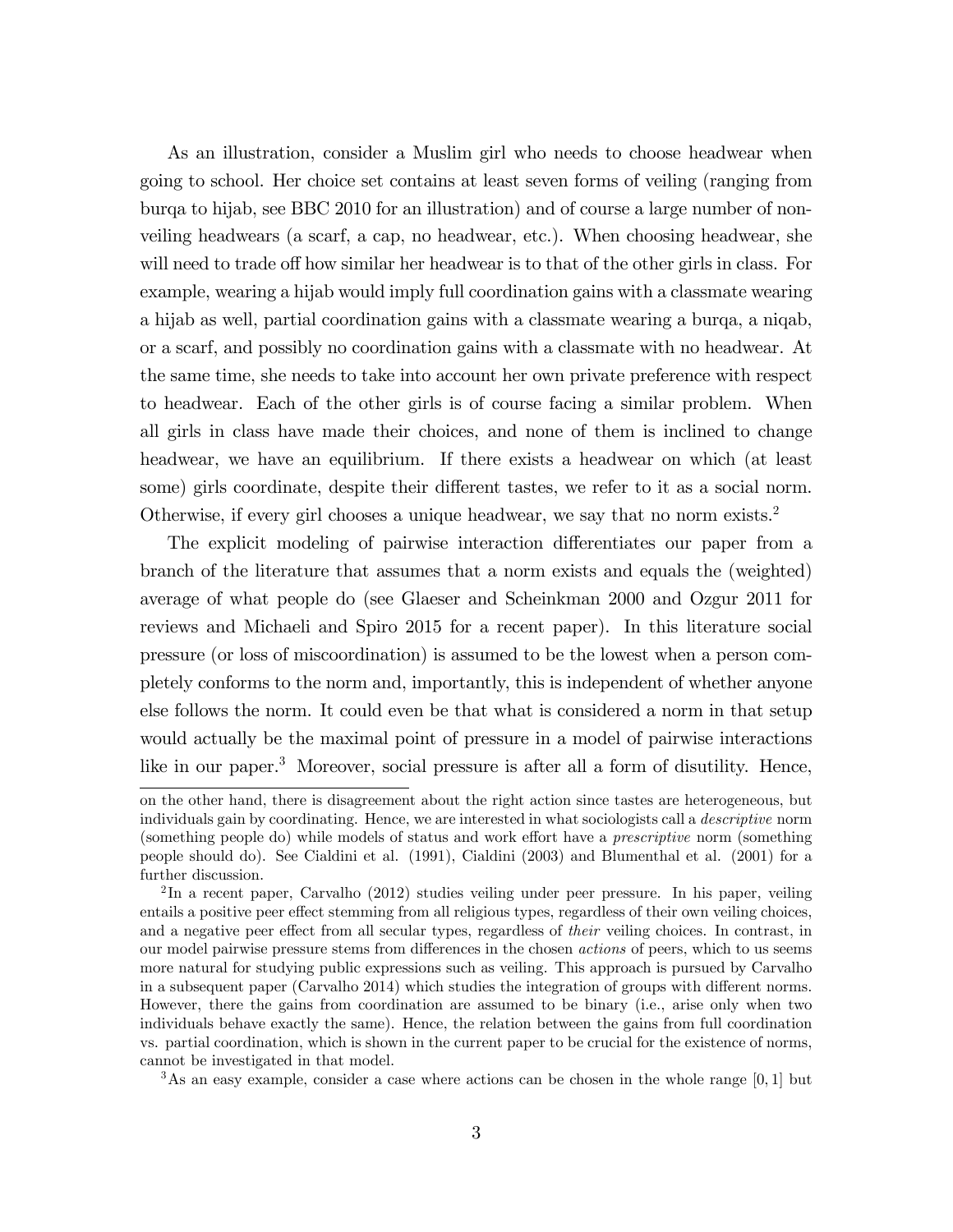As an illustration, consider a Muslim girl who needs to choose headwear when going to school. Her choice set contains at least seven forms of veiling (ranging from burqa to hijab, see BBC 2010 for an illustration) and of course a large number of nonveiling headwears (a scarf, a cap, no headwear, etc.). When choosing headwear, she will need to trade off how similar her headwear is to that of the other girls in class. For example, wearing a hijab would imply full coordination gains with a classmate wearing a hijab as well, partial coordination gains with a classmate wearing a burqa, a niqab, or a scarf, and possibly no coordination gains with a classmate with no headwear. At the same time, she needs to take into account her own private preference with respect to headwear. Each of the other girls is of course facing a similar problem. When all girls in class have made their choices, and none of them is inclined to change headwear, we have an equilibrium. If there exists a headwear on which (at least some) girls coordinate, despite their different tastes, we refer to it as a social norm. Otherwise, if every girl chooses a unique headwear, we say that no norm exists.<sup>2</sup>

The explicit modeling of pairwise interaction differentiates our paper from a branch of the literature that assumes that a norm exists and equals the (weighted) average of what people do (see Glaeser and Scheinkman 2000 and Ozgur 2011 for reviews and Michaeli and Spiro 2015 for a recent paper). In this literature social pressure (or loss of miscoordination) is assumed to be the lowest when a person completely conforms to the norm and, importantly, this is independent of whether anyone else follows the norm. It could even be that what is considered a norm in that setup would actually be the maximal point of pressure in a model of pairwise interactions like in our paper.<sup>3</sup> Moreover, social pressure is after all a form of disutility. Hence,

<sup>3</sup>As an easy example, consider a case where actions can be chosen in the whole range  $[0,1]$  but

on the other hand, there is disagreement about the right action since tastes are heterogeneous, but individuals gain by coordinating. Hence, we are interested in what sociologists call a *descriptive* norm (something people do) while models of status and work effort have a *prescriptive* norm (something people should do). See Cialdini et al. (1991), Cialdini (2003) and Blumenthal et al. (2001) for a further discussion.

<sup>&</sup>lt;sup>2</sup>In a recent paper, Carvalho (2012) studies veiling under peer pressure. In his paper, veiling entails a positive peer effect stemming from all religious types, regardless of their own veiling choices, and a negative peer effect from all secular types, regardless of *their* veiling choices. In contrast, in our model pairwise pressure stems from differences in the chosen *actions* of peers, which to us seems more natural for studying public expressions such as veiling. This approach is pursued by Carvalho in a subsequent paper (Carvalho 2014) which studies the integration of groups with different norms. However, there the gains from coordination are assumed to be binary (i.e., arise only when two individuals behave exactly the same). Hence, the relation between the gains from full coordination vs. partial coordination, which is shown in the current paper to be crucial for the existence of norms, cannot be investigated in that model.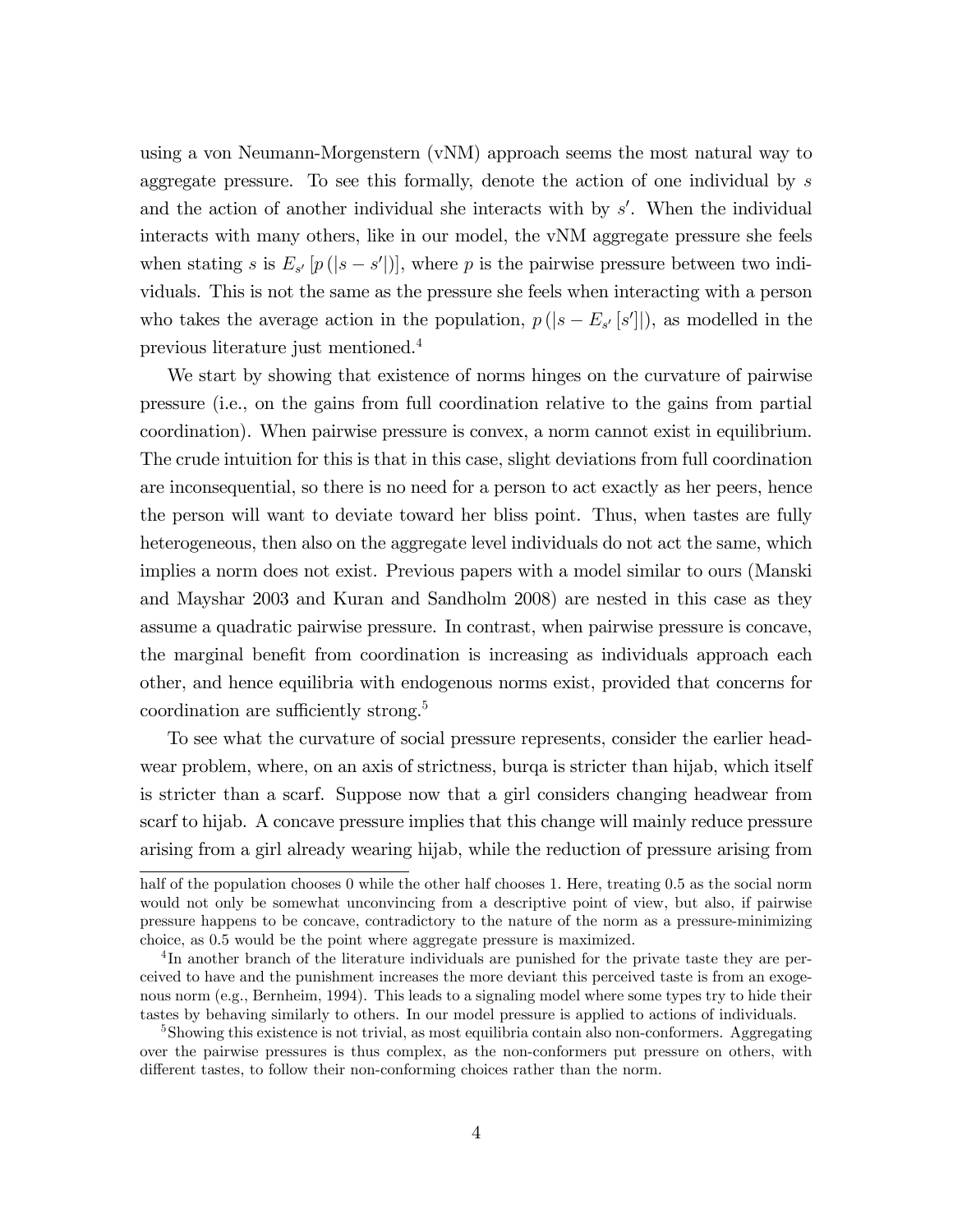using a von Neumann-Morgenstern (vNM) approach seems the most natural way to aggregate pressure. To see this formally, denote the action of one individual by s and the action of another individual she interacts with by  $s'$ . When the individual interacts with many others, like in our model, the vNM aggregate pressure she feels when stating s is  $E_{s'}[p(|s-s'|)]$ , where p is the pairwise pressure between two individuals. This is not the same as the pressure she feels when interacting with a person who takes the average action in the population,  $p(|s - E_{s'}[s']|)$ , as modelled in the previous literature just mentioned.<sup>4</sup>

We start by showing that existence of norms hinges on the curvature of pairwise pressure (i.e., on the gains from full coordination relative to the gains from partial coordination). When pairwise pressure is convex, a norm cannot exist in equilibrium. The crude intuition for this is that in this case, slight deviations from full coordination are inconsequential, so there is no need for a person to act exactly as her peers, hence the person will want to deviate toward her bliss point. Thus, when tastes are fully heterogeneous, then also on the aggregate level individuals do not act the same, which implies a norm does not exist. Previous papers with a model similar to ours (Manski and Mayshar 2003 and Kuran and Sandholm 2008) are nested in this case as they assume a quadratic pairwise pressure. In contrast, when pairwise pressure is concave, the marginal benefit from coordination is increasing as individuals approach each other, and hence equilibria with endogenous norms exist, provided that concerns for coordination are sufficiently strong.<sup>5</sup>

To see what the curvature of social pressure represents, consider the earlier headwear problem, where, on an axis of strictness, burqa is stricter than hijab, which itself is stricter than a scarf. Suppose now that a girl considers changing headwear from scarf to hijab. A concave pressure implies that this change will mainly reduce pressure arising from a girl already wearing hijab, while the reduction of pressure arising from

half of the population chooses 0 while the other half chooses 1. Here, treating 0.5 as the social norm would not only be somewhat unconvincing from a descriptive point of view, but also, if pairwise pressure happens to be concave, contradictory to the nature of the norm as a pressure-minimizing choice, as 0:5 would be the point where aggregate pressure is maximized.

<sup>&</sup>lt;sup>4</sup>In another branch of the literature individuals are punished for the private taste they are perceived to have and the punishment increases the more deviant this perceived taste is from an exogenous norm (e.g., Bernheim, 1994). This leads to a signaling model where some types try to hide their tastes by behaving similarly to others. In our model pressure is applied to actions of individuals.

<sup>&</sup>lt;sup>5</sup>Showing this existence is not trivial, as most equilibria contain also non-conformers. Aggregating over the pairwise pressures is thus complex, as the non-conformers put pressure on others, with different tastes, to follow their non-conforming choices rather than the norm.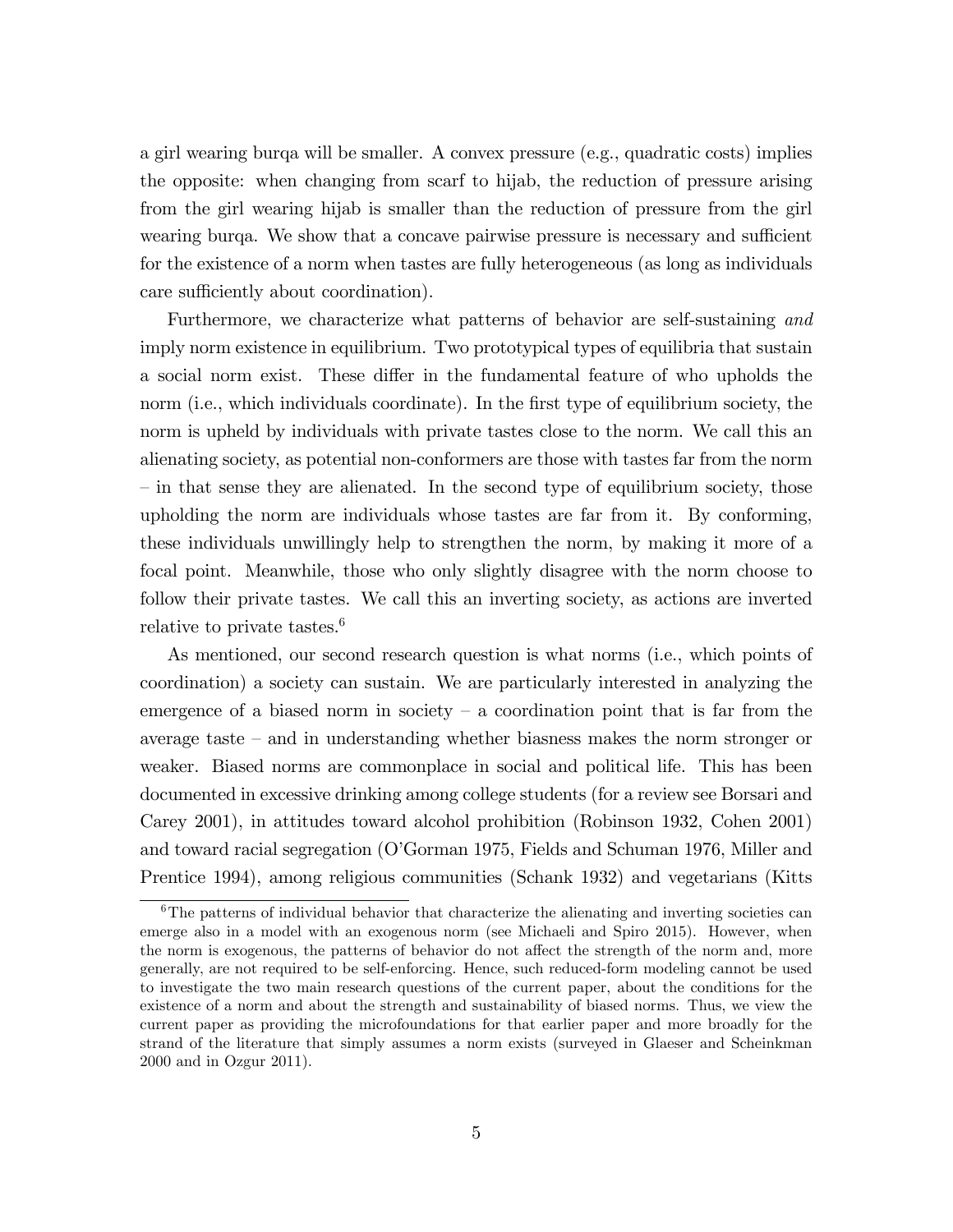a girl wearing burqa will be smaller. A convex pressure (e.g., quadratic costs) implies the opposite: when changing from scarf to hijab, the reduction of pressure arising from the girl wearing hijab is smaller than the reduction of pressure from the girl wearing burqa. We show that a concave pairwise pressure is necessary and sufficient for the existence of a norm when tastes are fully heterogeneous (as long as individuals care sufficiently about coordination).

Furthermore, we characterize what patterns of behavior are self-sustaining and imply norm existence in equilibrium. Two prototypical types of equilibria that sustain a social norm exist. These differ in the fundamental feature of who upholds the norm (i.e., which individuals coordinate). In the first type of equilibrium society, the norm is upheld by individuals with private tastes close to the norm. We call this an alienating society, as potential non-conformers are those with tastes far from the norm  $\overline{\phantom{a}}$  in that sense they are alienated. In the second type of equilibrium society, those upholding the norm are individuals whose tastes are far from it. By conforming, these individuals unwillingly help to strengthen the norm, by making it more of a focal point. Meanwhile, those who only slightly disagree with the norm choose to follow their private tastes. We call this an inverting society, as actions are inverted relative to private tastes.<sup>6</sup>

As mentioned, our second research question is what norms (i.e., which points of coordination) a society can sustain. We are particularly interested in analyzing the emergence of a biased norm in society  $-$  a coordination point that is far from the average taste  $\overline{\phantom{a}}$  and in understanding whether biasness makes the norm stronger or weaker. Biased norms are commonplace in social and political life. This has been documented in excessive drinking among college students (for a review see Borsari and Carey 2001), in attitudes toward alcohol prohibition (Robinson 1932, Cohen 2001) and toward racial segregation (OíGorman 1975, Fields and Schuman 1976, Miller and Prentice 1994), among religious communities (Schank 1932) and vegetarians (Kitts

 ${}^{6}$ The patterns of individual behavior that characterize the alienating and inverting societies can emerge also in a model with an exogenous norm (see Michaeli and Spiro 2015). However, when the norm is exogenous, the patterns of behavior do not affect the strength of the norm and, more generally, are not required to be self-enforcing. Hence, such reduced-form modeling cannot be used to investigate the two main research questions of the current paper, about the conditions for the existence of a norm and about the strength and sustainability of biased norms. Thus, we view the current paper as providing the microfoundations for that earlier paper and more broadly for the strand of the literature that simply assumes a norm exists (surveyed in Glaeser and Scheinkman 2000 and in Ozgur 2011).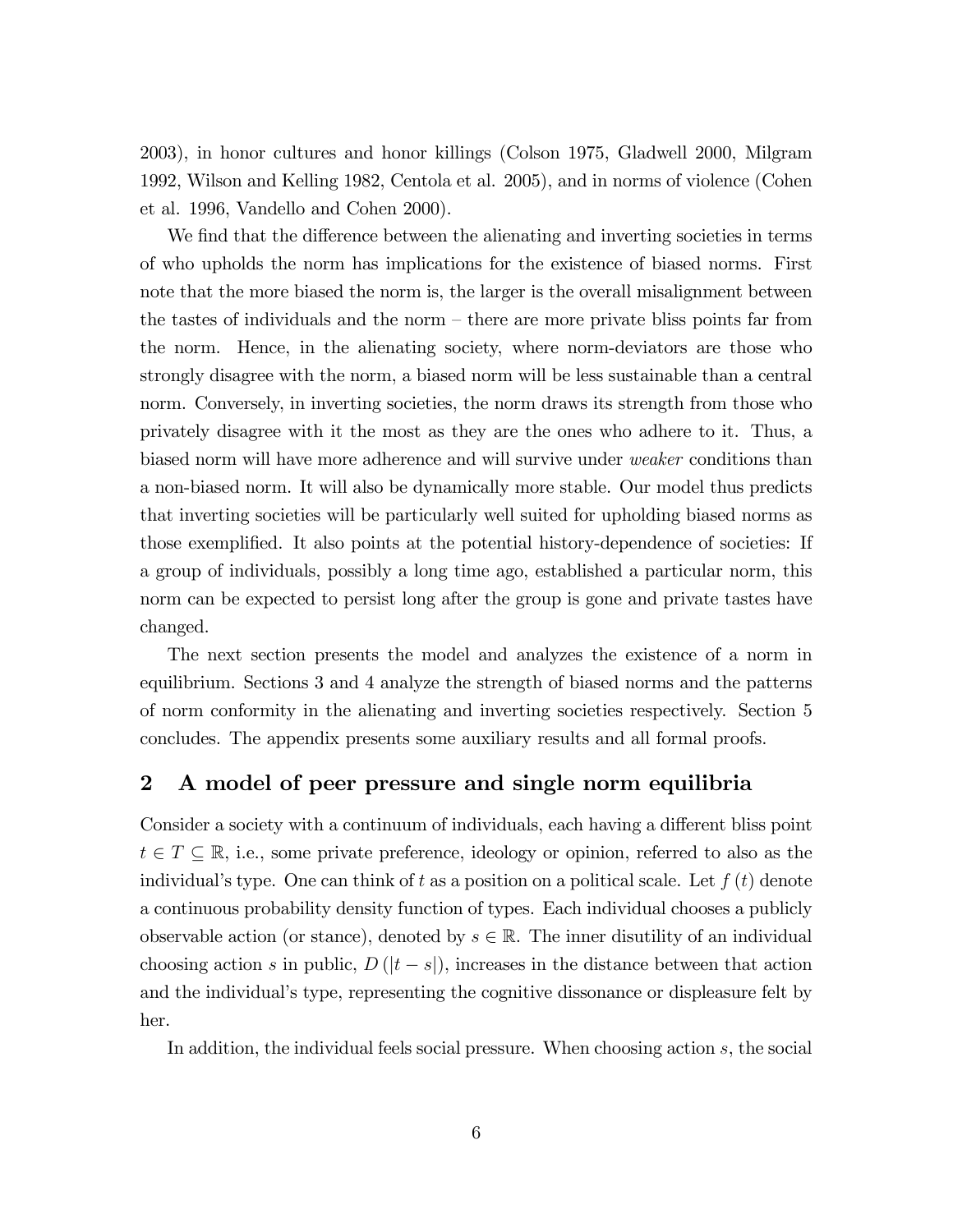2003), in honor cultures and honor killings (Colson 1975, Gladwell 2000, Milgram 1992, Wilson and Kelling 1982, Centola et al. 2005), and in norms of violence (Cohen et al. 1996, Vandello and Cohen 2000).

We find that the difference between the alienating and inverting societies in terms of who upholds the norm has implications for the existence of biased norms. First note that the more biased the norm is, the larger is the overall misalignment between the tastes of individuals and the norm  $-\theta$  there are more private bliss points far from the norm. Hence, in the alienating society, where norm-deviators are those who strongly disagree with the norm, a biased norm will be less sustainable than a central norm. Conversely, in inverting societies, the norm draws its strength from those who privately disagree with it the most as they are the ones who adhere to it. Thus, a biased norm will have more adherence and will survive under weaker conditions than a non-biased norm. It will also be dynamically more stable. Our model thus predicts that inverting societies will be particularly well suited for upholding biased norms as those exemplified. It also points at the potential history-dependence of societies: If a group of individuals, possibly a long time ago, established a particular norm, this norm can be expected to persist long after the group is gone and private tastes have changed.

The next section presents the model and analyzes the existence of a norm in equilibrium. Sections 3 and 4 analyze the strength of biased norms and the patterns of norm conformity in the alienating and inverting societies respectively. Section 5 concludes. The appendix presents some auxiliary results and all formal proofs.

# 2 A model of peer pressure and single norm equilibria

Consider a society with a continuum of individuals, each having a different bliss point  $t \in T \subseteq \mathbb{R}$ , i.e., some private preference, ideology or opinion, referred to also as the individual's type. One can think of t as a position on a political scale. Let  $f(t)$  denote a continuous probability density function of types. Each individual chooses a publicly observable action (or stance), denoted by  $s \in \mathbb{R}$ . The inner disutility of an individual choosing action s in public,  $D(|t-s|)$ , increases in the distance between that action and the individual's type, representing the cognitive dissonance or displeasure felt by her.

In addition, the individual feels social pressure. When choosing action s, the social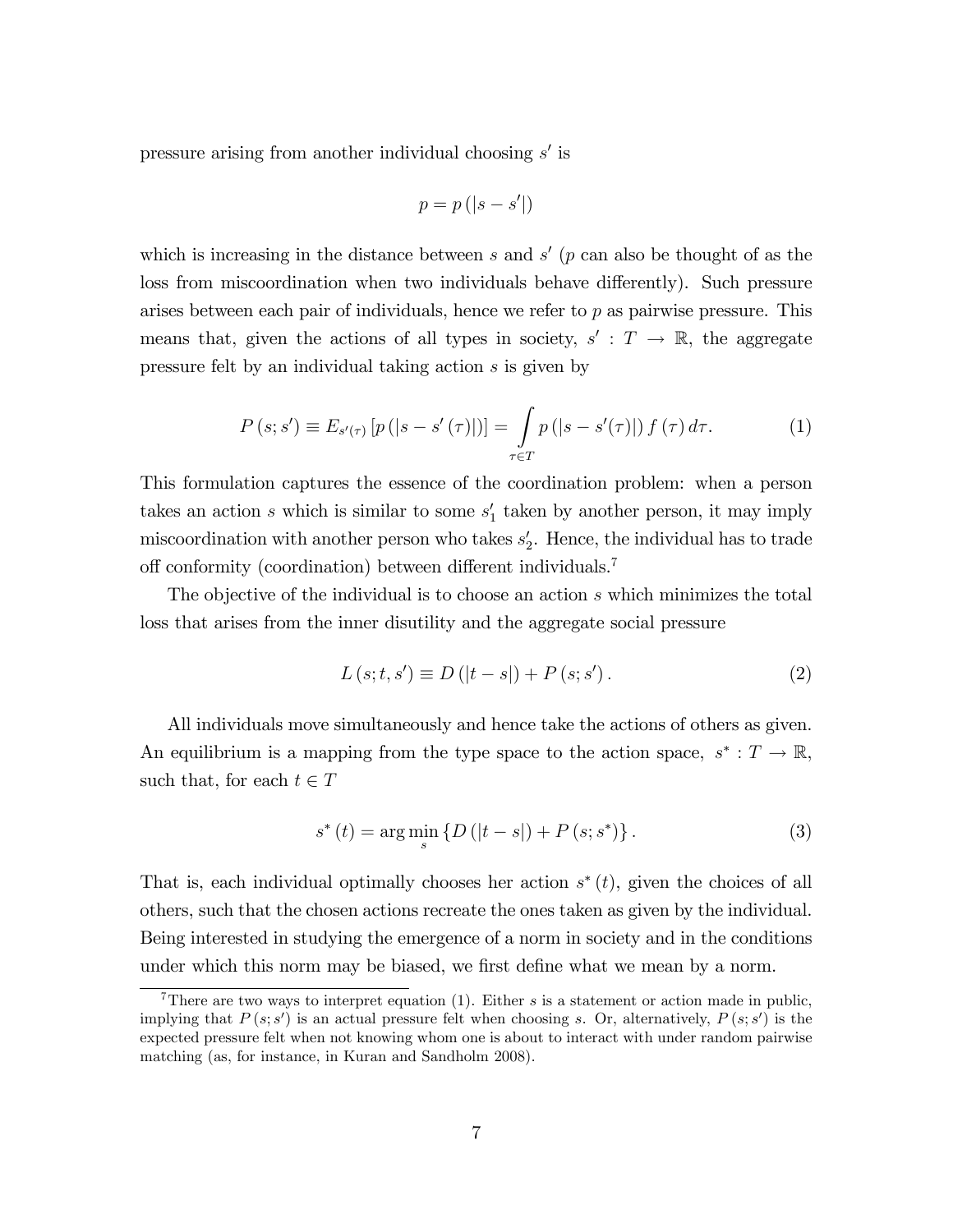pressure arising from another individual choosing  $s'$  is

$$
p = p\left(|s - s'|\right)
$$

which is increasing in the distance between  $s$  and  $s'$  ( $p$  can also be thought of as the loss from miscoordination when two individuals behave differently). Such pressure arises between each pair of individuals, hence we refer to  $p$  as pairwise pressure. This means that, given the actions of all types in society,  $s' : T \to \mathbb{R}$ , the aggregate pressure felt by an individual taking action s is given by

$$
P(s; s') \equiv E_{s'(\tau)} [p (|s - s'(\tau)|)] = \int_{\tau \in T} p (|s - s'(\tau)|) f(\tau) d\tau.
$$
 (1)

This formulation captures the essence of the coordination problem: when a person takes an action s which is similar to some  $s_1'$  taken by another person, it may imply miscoordination with another person who takes  $s_2'$ . Hence, the individual has to trade off conformity (coordination) between different individuals.<sup>7</sup>

The objective of the individual is to choose an action s which minimizes the total loss that arises from the inner disutility and the aggregate social pressure

$$
L(s; t, s') \equiv D(|t - s|) + P(s; s').
$$
\n(2)

All individuals move simultaneously and hence take the actions of others as given. An equilibrium is a mapping from the type space to the action space,  $s^* : T \to \mathbb{R}$ , such that, for each  $t \in T$ 

$$
s^*(t) = \arg\min_{s} \{ D(|t - s|) + P(s; s^*) \}.
$$
 (3)

That is, each individual optimally chooses her action  $s^*(t)$ , given the choices of all others, such that the chosen actions recreate the ones taken as given by the individual. Being interested in studying the emergence of a norm in society and in the conditions under which this norm may be biased, we first define what we mean by a norm.

<sup>&</sup>lt;sup>7</sup>There are two ways to interpret equation (1). Either s is a statement or action made in public, implying that  $P(s; s')$  is an actual pressure felt when choosing s. Or, alternatively,  $P(s; s')$  is the expected pressure felt when not knowing whom one is about to interact with under random pairwise matching (as, for instance, in Kuran and Sandholm 2008).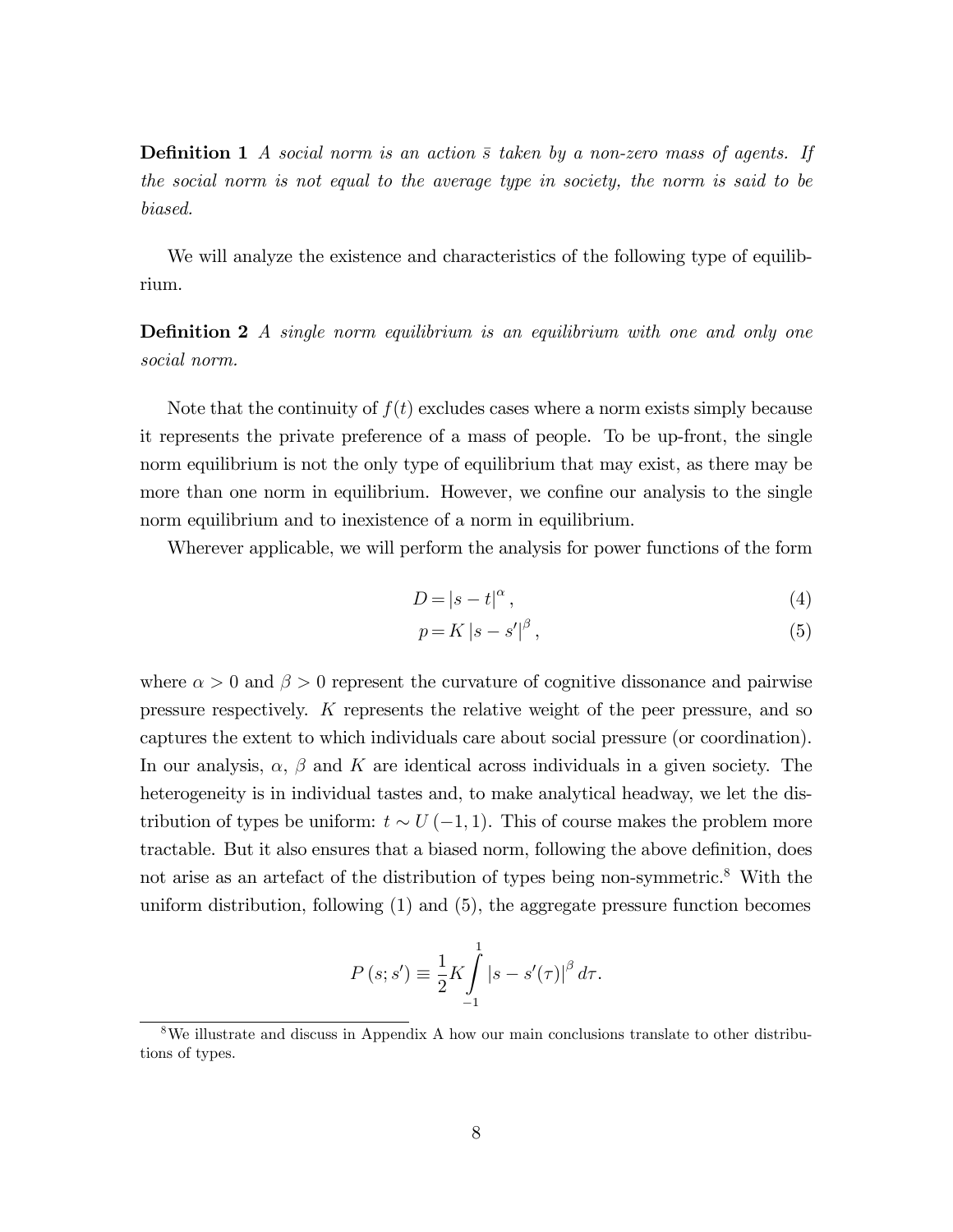**Definition 1** A social norm is an action  $\bar{s}$  taken by a non-zero mass of agents. If the social norm is not equal to the average type in society, the norm is said to be biased.

We will analyze the existence and characteristics of the following type of equilibrium.

**Definition 2** A single norm equilibrium is an equilibrium with one and only one social norm.

Note that the continuity of  $f(t)$  excludes cases where a norm exists simply because it represents the private preference of a mass of people. To be up-front, the single norm equilibrium is not the only type of equilibrium that may exist, as there may be more than one norm in equilibrium. However, we confine our analysis to the single norm equilibrium and to inexistence of a norm in equilibrium.

Wherever applicable, we will perform the analysis for power functions of the form

$$
D = |s - t|^{\alpha}, \tag{4}
$$

$$
p = K \left| s - s' \right|^\beta,\tag{5}
$$

where  $\alpha > 0$  and  $\beta > 0$  represent the curvature of cognitive dissonance and pairwise pressure respectively. K represents the relative weight of the peer pressure, and so captures the extent to which individuals care about social pressure (or coordination). In our analysis,  $\alpha$ ,  $\beta$  and K are identical across individuals in a given society. The heterogeneity is in individual tastes and, to make analytical headway, we let the distribution of types be uniform:  $t \sim U(-1, 1)$ . This of course makes the problem more tractable. But it also ensures that a biased norm, following the above definition, does not arise as an artefact of the distribution of types being non-symmetric.<sup>8</sup> With the uniform distribution, following (1) and (5), the aggregate pressure function becomes

$$
P(s; s') \equiv \frac{1}{2} K \int_{-1}^{1} |s - s'(\tau)|^{\beta} d\tau.
$$

<sup>8</sup>We illustrate and discuss in Appendix A how our main conclusions translate to other distributions of types.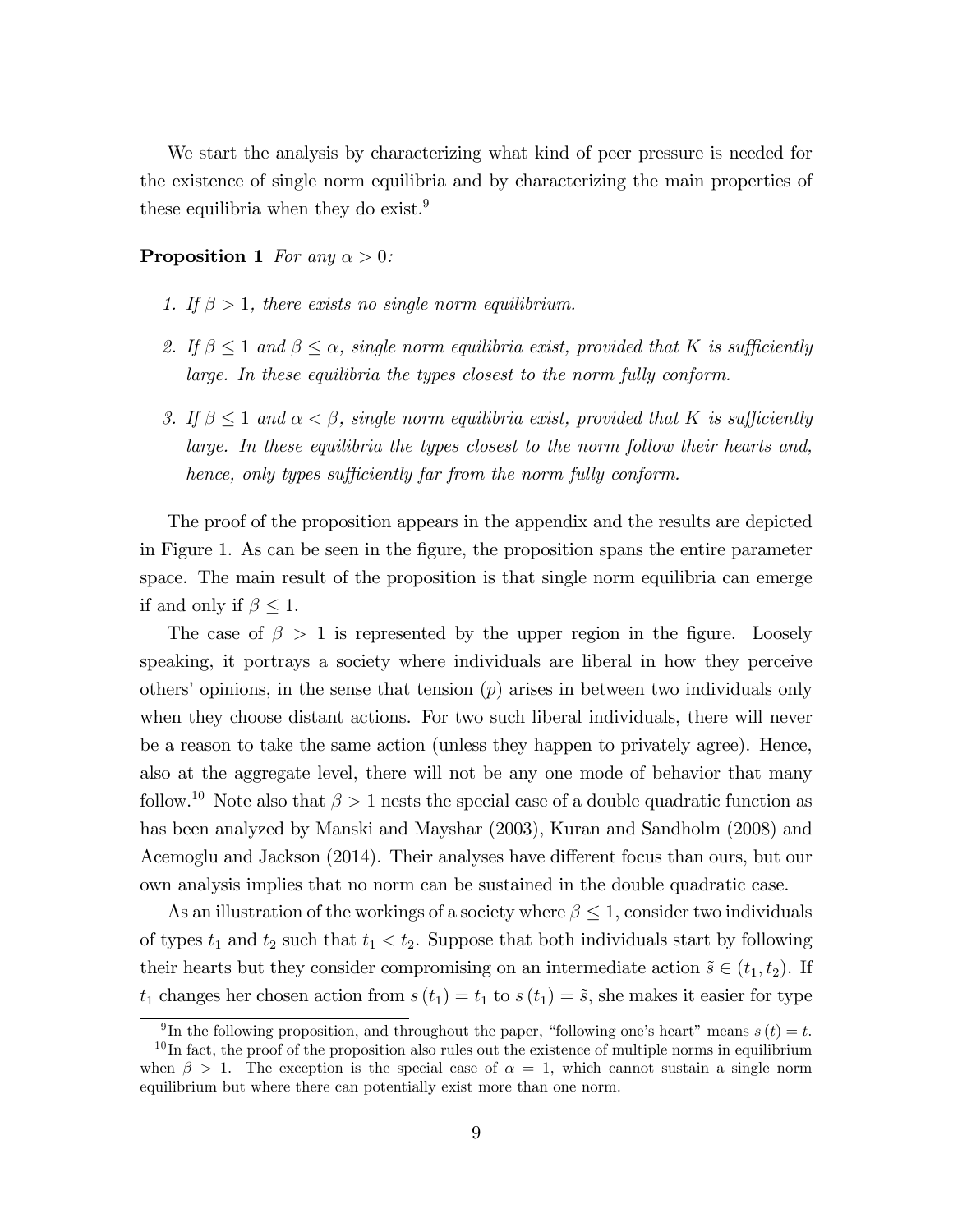We start the analysis by characterizing what kind of peer pressure is needed for the existence of single norm equilibria and by characterizing the main properties of these equilibria when they do exist.<sup>9</sup>

### **Proposition 1** For any  $\alpha > 0$ :

- 1. If  $\beta > 1$ , there exists no single norm equilibrium.
- 2. If  $\beta \leq 1$  and  $\beta \leq \alpha$ , single norm equilibria exist, provided that K is sufficiently large. In these equilibria the types closest to the norm fully conform.
- 3. If  $\beta \leq 1$  and  $\alpha < \beta$ , single norm equilibria exist, provided that K is sufficiently large. In these equilibria the types closest to the norm follow their hearts and, hence, only types sufficiently far from the norm fully conform.

The proof of the proposition appears in the appendix and the results are depicted in Figure 1. As can be seen in the Ögure, the proposition spans the entire parameter space. The main result of the proposition is that single norm equilibria can emerge if and only if  $\beta \leq 1$ .

The case of  $\beta > 1$  is represented by the upper region in the figure. Loosely speaking, it portrays a society where individuals are liberal in how they perceive others' opinions, in the sense that tension  $(p)$  arises in between two individuals only when they choose distant actions. For two such liberal individuals, there will never be a reason to take the same action (unless they happen to privately agree). Hence, also at the aggregate level, there will not be any one mode of behavior that many follow.<sup>10</sup> Note also that  $\beta > 1$  nests the special case of a double quadratic function as has been analyzed by Manski and Mayshar (2003), Kuran and Sandholm (2008) and Acemoglu and Jackson (2014). Their analyses have different focus than ours, but our own analysis implies that no norm can be sustained in the double quadratic case.

As an illustration of the workings of a society where  $\beta \leq 1$ , consider two individuals of types  $t_1$  and  $t_2$  such that  $t_1 < t_2$ . Suppose that both individuals start by following their hearts but they consider compromising on an intermediate action  $\tilde{s} \in (t_1, t_2)$ . If  $t_1$  changes her chosen action from  $s(t_1) = t_1$  to  $s(t_1) = \tilde{s}$ , she makes it easier for type

<sup>&</sup>lt;sup>9</sup>In the following proposition, and throughout the paper, "following one's heart" means  $s(t) = t$ .  $10$  In fact, the proof of the proposition also rules out the existence of multiple norms in equilibrium when  $\beta > 1$ . The exception is the special case of  $\alpha = 1$ , which cannot sustain a single norm equilibrium but where there can potentially exist more than one norm.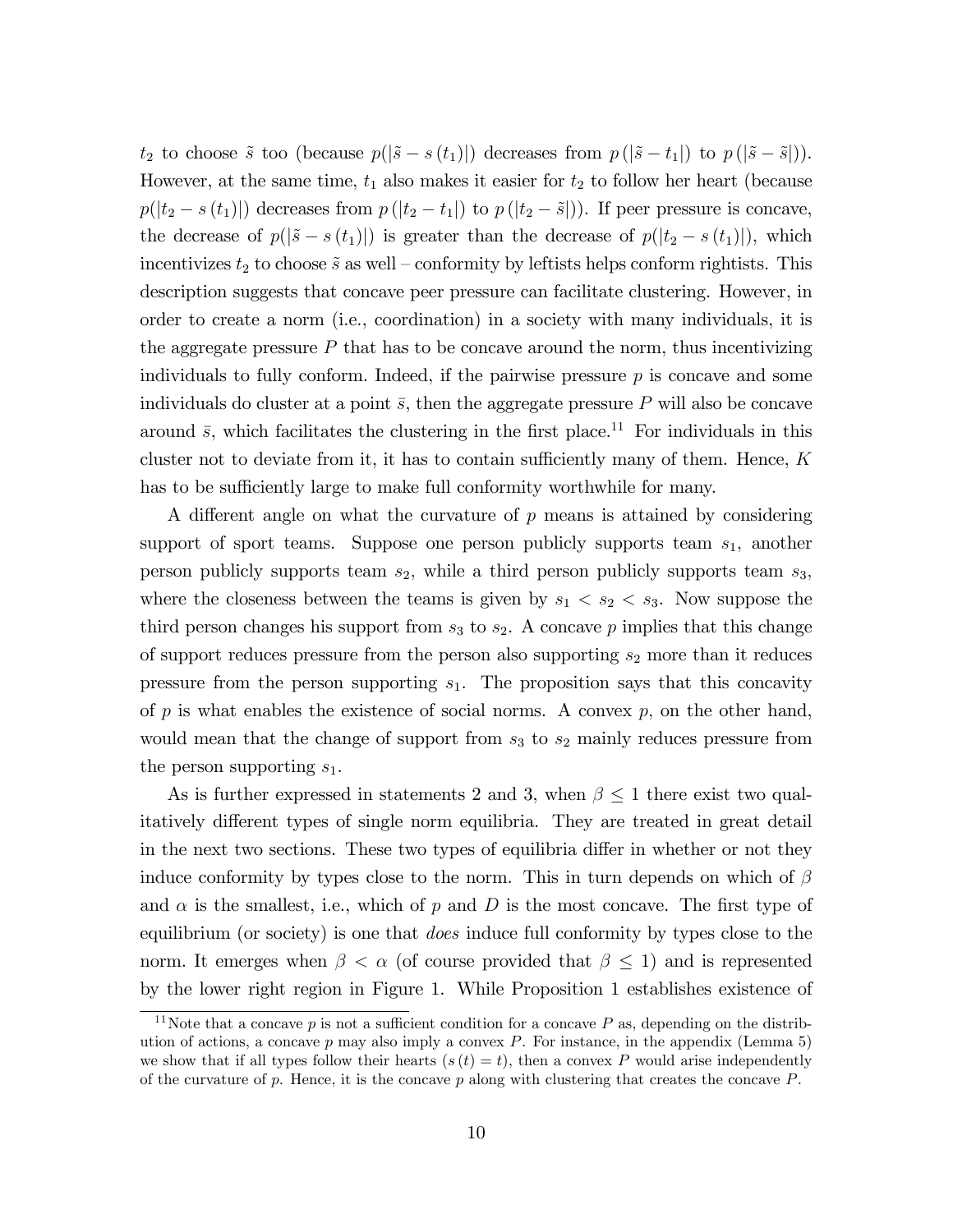$t_2$  to choose  $\tilde{s}$  too (because  $p(|\tilde{s}-s(t_1)|)$  decreases from  $p(|\tilde{s}-t_1|)$  to  $p(|\tilde{s}-\tilde{s}|)$ ). However, at the same time,  $t_1$  also makes it easier for  $t_2$  to follow her heart (because  $p(|t_2 - s(t_1)|)$  decreases from  $p(|t_2 - t_1|)$  to  $p(|t_2 - \tilde{s}|)$ ). If peer pressure is concave, the decrease of  $p(|\tilde{s}-s(t_1)|)$  is greater than the decrease of  $p(|t_2 - s(t_1)|)$ , which incentivizes  $t_2$  to choose  $\tilde{s}$  as well – conformity by leftists helps conform rightists. This description suggests that concave peer pressure can facilitate clustering. However, in order to create a norm (i.e., coordination) in a society with many individuals, it is the aggregate pressure  $P$  that has to be concave around the norm, thus incentivizing individuals to fully conform. Indeed, if the pairwise pressure  $p$  is concave and some individuals do cluster at a point  $\bar{s}$ , then the aggregate pressure P will also be concave around  $\bar{s}$ , which facilitates the clustering in the first place.<sup>11</sup> For individuals in this cluster not to deviate from it, it has to contain sufficiently many of them. Hence,  $K$ has to be sufficiently large to make full conformity worthwhile for many.

A different angle on what the curvature of  $p$  means is attained by considering support of sport teams. Suppose one person publicly supports team  $s_1$ , another person publicly supports team  $s_2$ , while a third person publicly supports team  $s_3$ , where the closeness between the teams is given by  $s_1 < s_2 < s_3$ . Now suppose the third person changes his support from  $s_3$  to  $s_2$ . A concave p implies that this change of support reduces pressure from the person also supporting  $s_2$  more than it reduces pressure from the person supporting  $s<sub>1</sub>$ . The proposition says that this concavity of p is what enables the existence of social norms. A convex  $p$ , on the other hand, would mean that the change of support from  $s_3$  to  $s_2$  mainly reduces pressure from the person supporting  $s_1$ .

As is further expressed in statements 2 and 3, when  $\beta \leq 1$  there exist two qualitatively different types of single norm equilibria. They are treated in great detail in the next two sections. These two types of equilibria differ in whether or not they induce conformity by types close to the norm. This in turn depends on which of  $\beta$ and  $\alpha$  is the smallest, i.e., which of p and D is the most concave. The first type of equilibrium (or society) is one that *does* induce full conformity by types close to the norm. It emerges when  $\beta < \alpha$  (of course provided that  $\beta \leq 1$ ) and is represented by the lower right region in Figure 1. While Proposition 1 establishes existence of

<sup>&</sup>lt;sup>11</sup>Note that a concave p is not a sufficient condition for a concave P as, depending on the distribution of actions, a concave  $p$  may also imply a convex  $P$ . For instance, in the appendix (Lemma 5) we show that if all types follow their hearts  $(s(t) = t)$ , then a convex P would arise independently of the curvature of p. Hence, it is the concave p along with clustering that creates the concave  $P$ .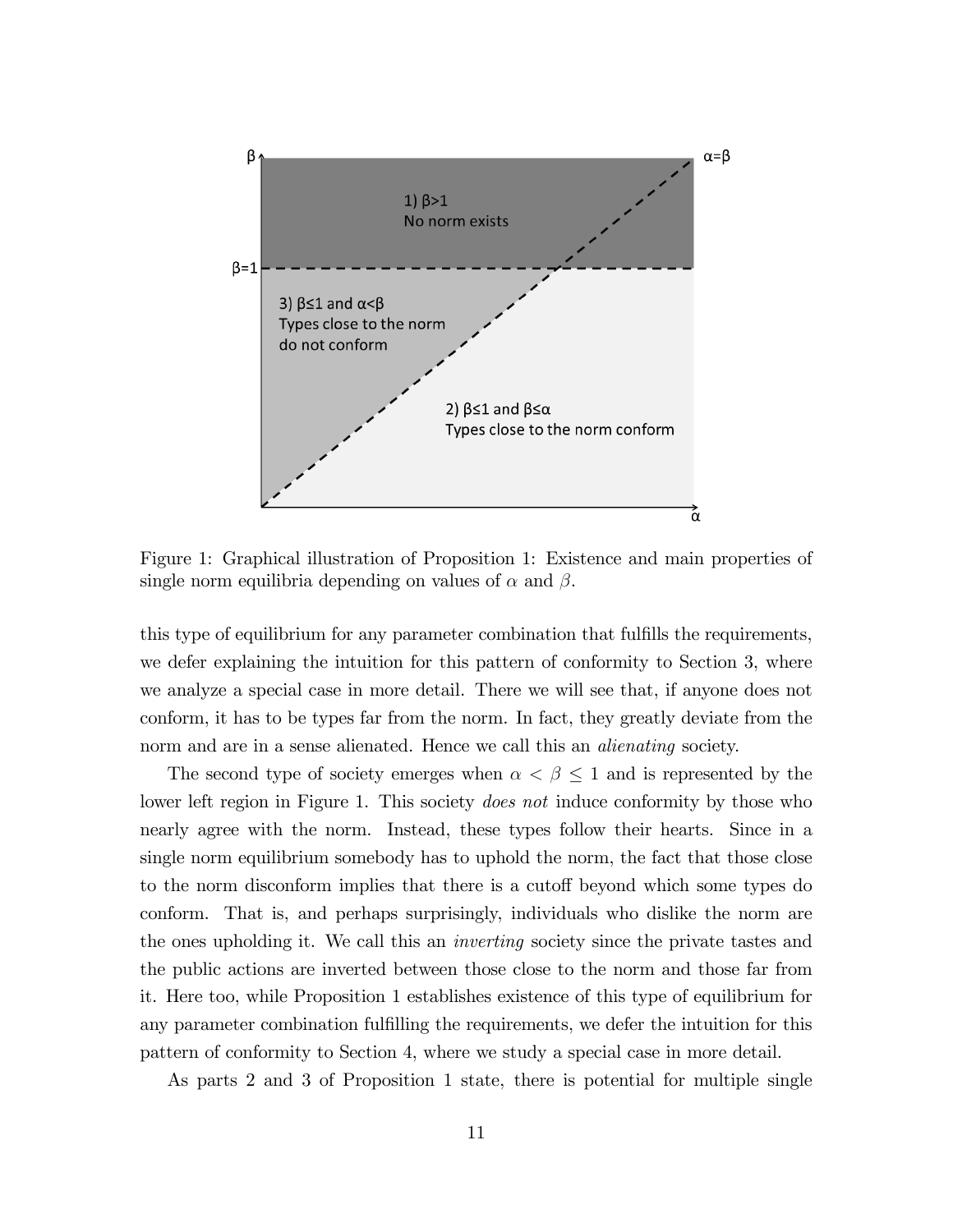

Figure 1: Graphical illustration of Proposition 1: Existence and main properties of single norm equilibria depending on values of  $\alpha$  and  $\beta$ .

this type of equilibrium for any parameter combination that fulfills the requirements, we defer explaining the intuition for this pattern of conformity to Section 3, where we analyze a special case in more detail. There we will see that, if anyone does not conform, it has to be types far from the norm. In fact, they greatly deviate from the norm and are in a sense alienated. Hence we call this an *alienating* society.

The second type of society emerges when  $\alpha < \beta \leq 1$  and is represented by the lower left region in Figure 1. This society *does not* induce conformity by those who nearly agree with the norm. Instead, these types follow their hearts. Since in a single norm equilibrium somebody has to uphold the norm, the fact that those close to the norm disconform implies that there is a cutoff beyond which some types do conform. That is, and perhaps surprisingly, individuals who dislike the norm are the ones upholding it. We call this an inverting society since the private tastes and the public actions are inverted between those close to the norm and those far from it. Here too, while Proposition 1 establishes existence of this type of equilibrium for any parameter combination fulfilling the requirements, we defer the intuition for this pattern of conformity to Section 4, where we study a special case in more detail.

As parts 2 and 3 of Proposition 1 state, there is potential for multiple single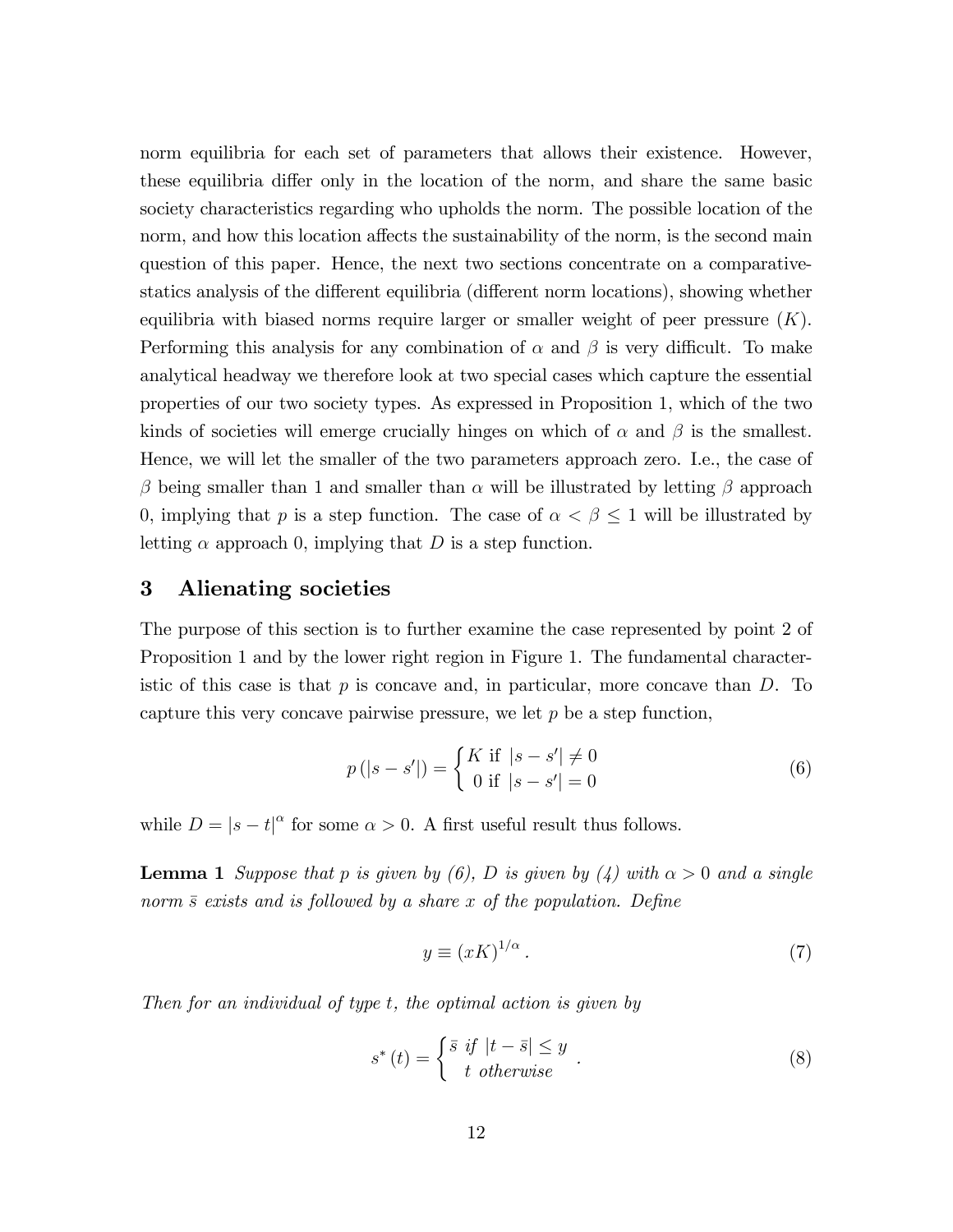norm equilibria for each set of parameters that allows their existence. However, these equilibria differ only in the location of the norm, and share the same basic society characteristics regarding who upholds the norm. The possible location of the norm, and how this location affects the sustainability of the norm, is the second main question of this paper. Hence, the next two sections concentrate on a comparativestatics analysis of the different equilibria (different norm locations), showing whether equilibria with biased norms require larger or smaller weight of peer pressure  $(K)$ . Performing this analysis for any combination of  $\alpha$  and  $\beta$  is very difficult. To make analytical headway we therefore look at two special cases which capture the essential properties of our two society types. As expressed in Proposition 1, which of the two kinds of societies will emerge crucially hinges on which of  $\alpha$  and  $\beta$  is the smallest. Hence, we will let the smaller of the two parameters approach zero. I.e., the case of  $\beta$  being smaller than 1 and smaller than  $\alpha$  will be illustrated by letting  $\beta$  approach 0, implying that p is a step function. The case of  $\alpha < \beta \leq 1$  will be illustrated by letting  $\alpha$  approach 0, implying that D is a step function.

## 3 Alienating societies

The purpose of this section is to further examine the case represented by point 2 of Proposition 1 and by the lower right region in Figure 1. The fundamental characteristic of this case is that  $p$  is concave and, in particular, more concave than  $D$ . To capture this very concave pairwise pressure, we let  $p$  be a step function,

$$
p(|s - s'|) = \begin{cases} K \text{ if } |s - s'| \neq 0\\ 0 \text{ if } |s - s'| = 0 \end{cases}
$$
 (6)

while  $D = |s - t|^{\alpha}$  for some  $\alpha > 0$ . A first useful result thus follows.

**Lemma 1** Suppose that p is given by (6), D is given by (4) with  $\alpha > 0$  and a single norm  $\bar{s}$  exists and is followed by a share x of the population. Define

$$
y \equiv (xK)^{1/\alpha} \,. \tag{7}
$$

Then for an individual of type t, the optimal action is given by

$$
s^*(t) = \begin{cases} \bar{s} & \text{if } |t - \bar{s}| \le y \\ t & \text{otherwise} \end{cases} . \tag{8}
$$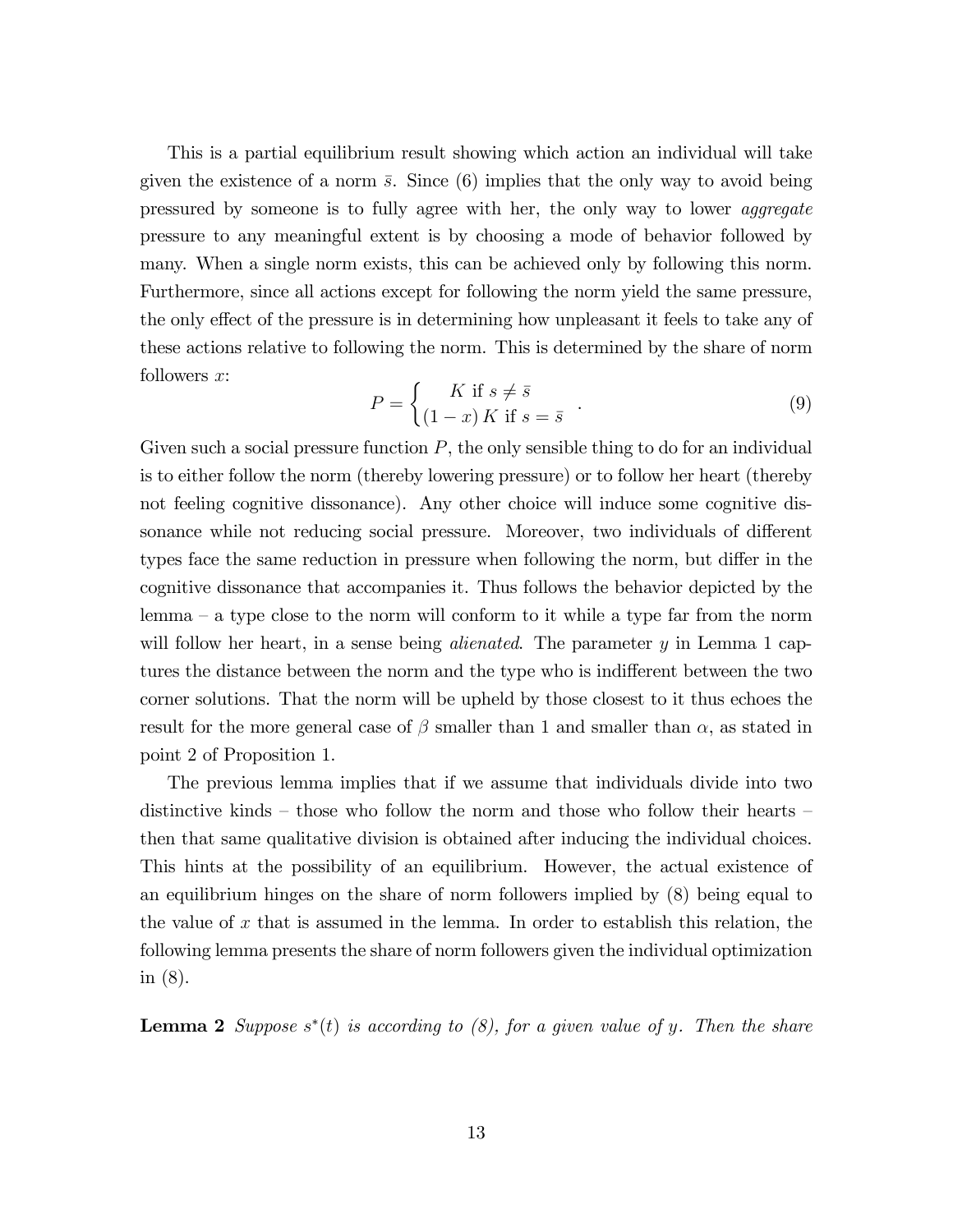This is a partial equilibrium result showing which action an individual will take given the existence of a norm  $\bar{s}$ . Since (6) implies that the only way to avoid being pressured by someone is to fully agree with her, the only way to lower aggregate pressure to any meaningful extent is by choosing a mode of behavior followed by many. When a single norm exists, this can be achieved only by following this norm. Furthermore, since all actions except for following the norm yield the same pressure, the only effect of the pressure is in determining how unpleasant it feels to take any of these actions relative to following the norm. This is determined by the share of norm followers  $x$ :

$$
P = \begin{cases} K \text{ if } s \neq \overline{s} \\ (1-x) K \text{ if } s = \overline{s} \end{cases} . \tag{9}
$$

Given such a social pressure function  $P$ , the only sensible thing to do for an individual is to either follow the norm (thereby lowering pressure) or to follow her heart (thereby not feeling cognitive dissonance). Any other choice will induce some cognitive dissonance while not reducing social pressure. Moreover, two individuals of different types face the same reduction in pressure when following the norm, but differ in the cognitive dissonance that accompanies it. Thus follows the behavior depicted by the lemma  $-$  a type close to the norm will conform to it while a type far from the norm will follow her heart, in a sense being *alienated*. The parameter  $y$  in Lemma 1 captures the distance between the norm and the type who is indifferent between the two corner solutions. That the norm will be upheld by those closest to it thus echoes the result for the more general case of  $\beta$  smaller than 1 and smaller than  $\alpha$ , as stated in point 2 of Proposition 1.

The previous lemma implies that if we assume that individuals divide into two distinctive kinds – those who follow the norm and those who follow their hearts – then that same qualitative division is obtained after inducing the individual choices. This hints at the possibility of an equilibrium. However, the actual existence of an equilibrium hinges on the share of norm followers implied by (8) being equal to the value of  $x$  that is assumed in the lemma. In order to establish this relation, the following lemma presents the share of norm followers given the individual optimization in (8).

**Lemma 2** Suppose  $s^*(t)$  is according to  $(8)$ , for a given value of y. Then the share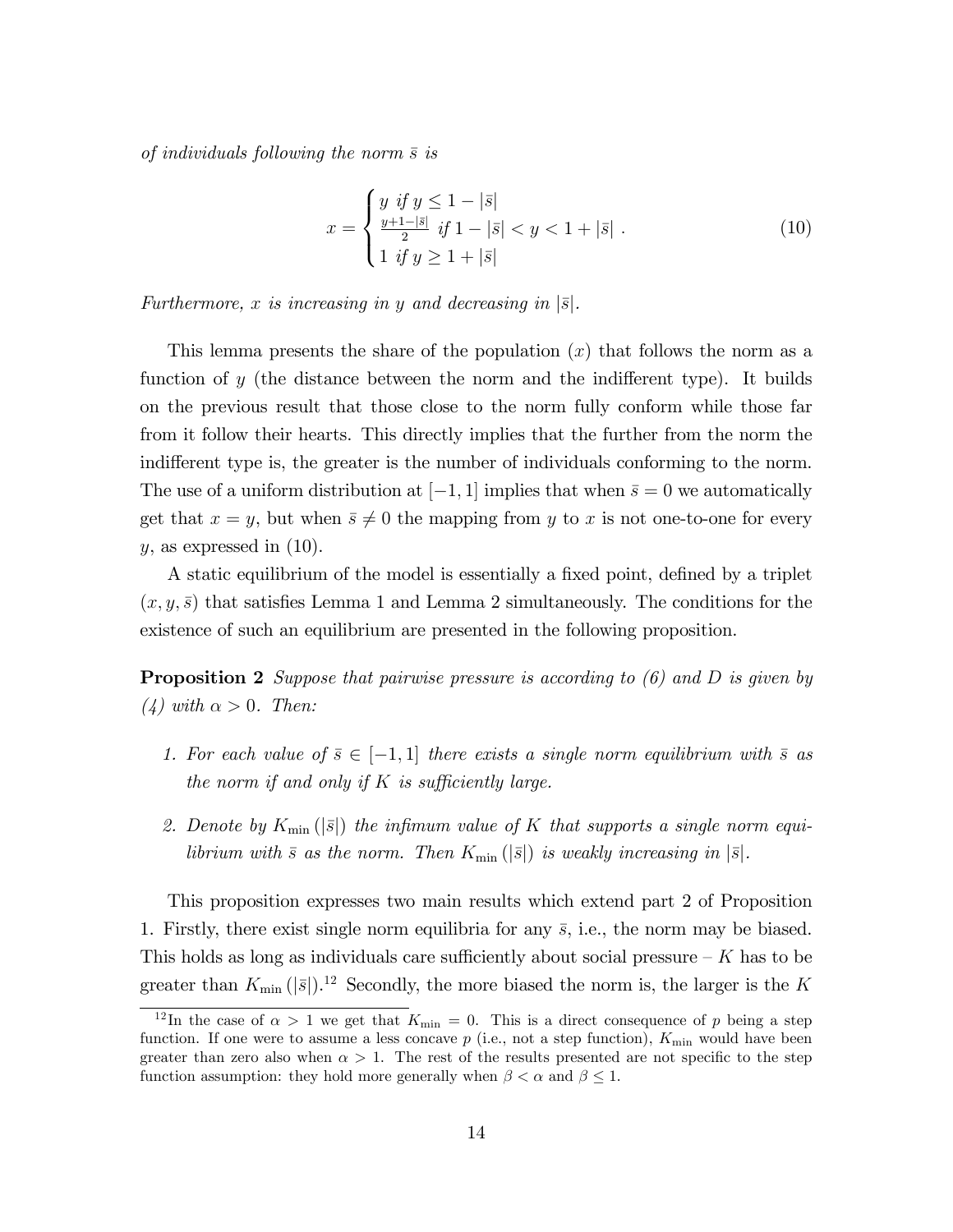of individuals following the norm  $\bar{s}$  is

$$
x = \begin{cases} y & \text{if } y \le 1 - |\bar{s}| \\ \frac{y+1-|\bar{s}|}{2} & \text{if } 1 - |\bar{s}| < y < 1 + |\bar{s}| \\ 1 & \text{if } y \ge 1 + |\bar{s}| \end{cases}
$$
(10)

Furthermore, x is increasing in y and decreasing in  $|\bar{s}|$ .

This lemma presents the share of the population  $(x)$  that follows the norm as a function of y (the distance between the norm and the indifferent type). It builds on the previous result that those close to the norm fully conform while those far from it follow their hearts. This directly implies that the further from the norm the indifferent type is, the greater is the number of individuals conforming to the norm. The use of a uniform distribution at  $[-1, 1]$  implies that when  $\bar{s} = 0$  we automatically get that  $x = y$ , but when  $\bar{s} \neq 0$  the mapping from y to x is not one-to-one for every  $y$ , as expressed in  $(10)$ .

A static equilibrium of the model is essentially a fixed point, defined by a triplet  $(x, y, \overline{s})$  that satisfies Lemma 1 and Lemma 2 simultaneously. The conditions for the existence of such an equilibrium are presented in the following proposition.

**Proposition 2** Suppose that pairwise pressure is according to  $(6)$  and D is given by  $(4)$  with  $\alpha > 0$ . Then:

- 1. For each value of  $\bar{s} \in [-1, 1]$  there exists a single norm equilibrium with  $\bar{s}$  as the norm if and only if K is sufficiently large.
- 2. Denote by  $K_{\min}(|\bar{s}|)$  the infimum value of K that supports a single norm equilibrium with  $\bar{s}$  as the norm. Then  $K_{\min}(|\bar{s}|)$  is weakly increasing in  $|\bar{s}|$ .

This proposition expresses two main results which extend part 2 of Proposition 1. Firstly, there exist single norm equilibria for any  $\bar{s}$ , i.e., the norm may be biased. This holds as long as individuals care sufficiently about social pressure  $-K$  has to be greater than  $K_{\min}$  (| $\bar{s}$ |).<sup>12</sup> Secondly, the more biased the norm is, the larger is the K

<sup>&</sup>lt;sup>12</sup>In the case of  $\alpha > 1$  we get that  $K_{\min} = 0$ . This is a direct consequence of p being a step function. If one were to assume a less concave  $p$  (i.e., not a step function),  $K_{\min}$  would have been greater than zero also when  $\alpha > 1$ . The rest of the results presented are not specific to the step function assumption: they hold more generally when  $\beta < \alpha$  and  $\beta \leq 1$ .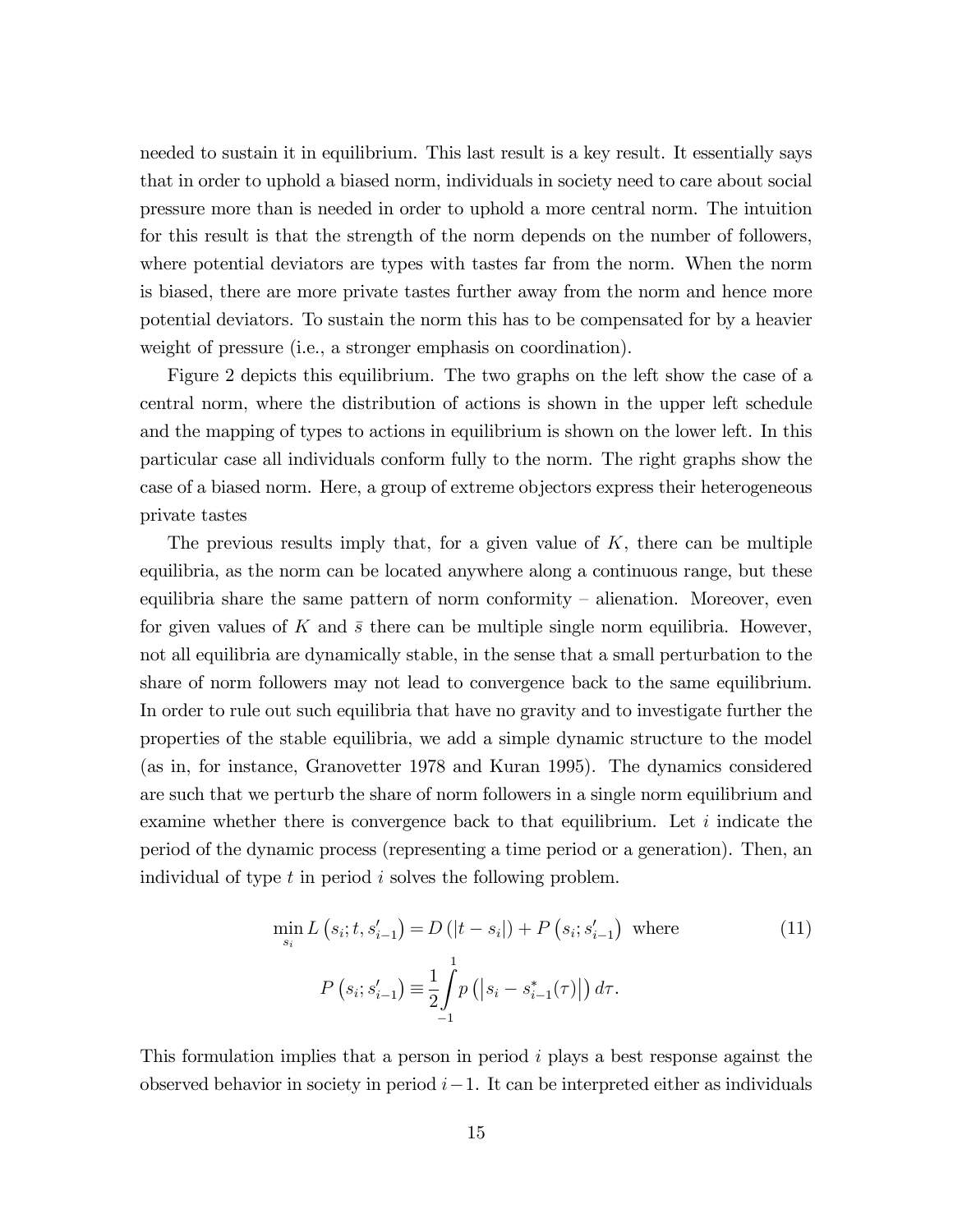needed to sustain it in equilibrium. This last result is a key result. It essentially says that in order to uphold a biased norm, individuals in society need to care about social pressure more than is needed in order to uphold a more central norm. The intuition for this result is that the strength of the norm depends on the number of followers, where potential deviators are types with tastes far from the norm. When the norm is biased, there are more private tastes further away from the norm and hence more potential deviators. To sustain the norm this has to be compensated for by a heavier weight of pressure (i.e., a stronger emphasis on coordination).

Figure 2 depicts this equilibrium. The two graphs on the left show the case of a central norm, where the distribution of actions is shown in the upper left schedule and the mapping of types to actions in equilibrium is shown on the lower left. In this particular case all individuals conform fully to the norm. The right graphs show the case of a biased norm. Here, a group of extreme objectors express their heterogeneous private tastes

The previous results imply that, for a given value of  $K$ , there can be multiple equilibria, as the norm can be located anywhere along a continuous range, but these equilibria share the same pattern of norm conformity  $-$  alienation. Moreover, even for given values of K and  $\bar{s}$  there can be multiple single norm equilibria. However, not all equilibria are dynamically stable, in the sense that a small perturbation to the share of norm followers may not lead to convergence back to the same equilibrium. In order to rule out such equilibria that have no gravity and to investigate further the properties of the stable equilibria, we add a simple dynamic structure to the model (as in, for instance, Granovetter 1978 and Kuran 1995). The dynamics considered are such that we perturb the share of norm followers in a single norm equilibrium and examine whether there is convergence back to that equilibrium. Let  $i$  indicate the period of the dynamic process (representing a time period or a generation). Then, an individual of type  $t$  in period  $i$  solves the following problem.

$$
\min_{s_i} L(s_i; t, s'_{i-1}) = D(|t - s_i|) + P(s_i; s'_{i-1}) \text{ where}
$$
\n
$$
P(s_i; s'_{i-1}) \equiv \frac{1}{2} \int_{-1}^{1} p(|s_i - s^*_{i-1}(\tau)|) d\tau.
$$
\n(11)

This formulation implies that a person in period i plays a best response against the observed behavior in society in period  $i-1$ . It can be interpreted either as individuals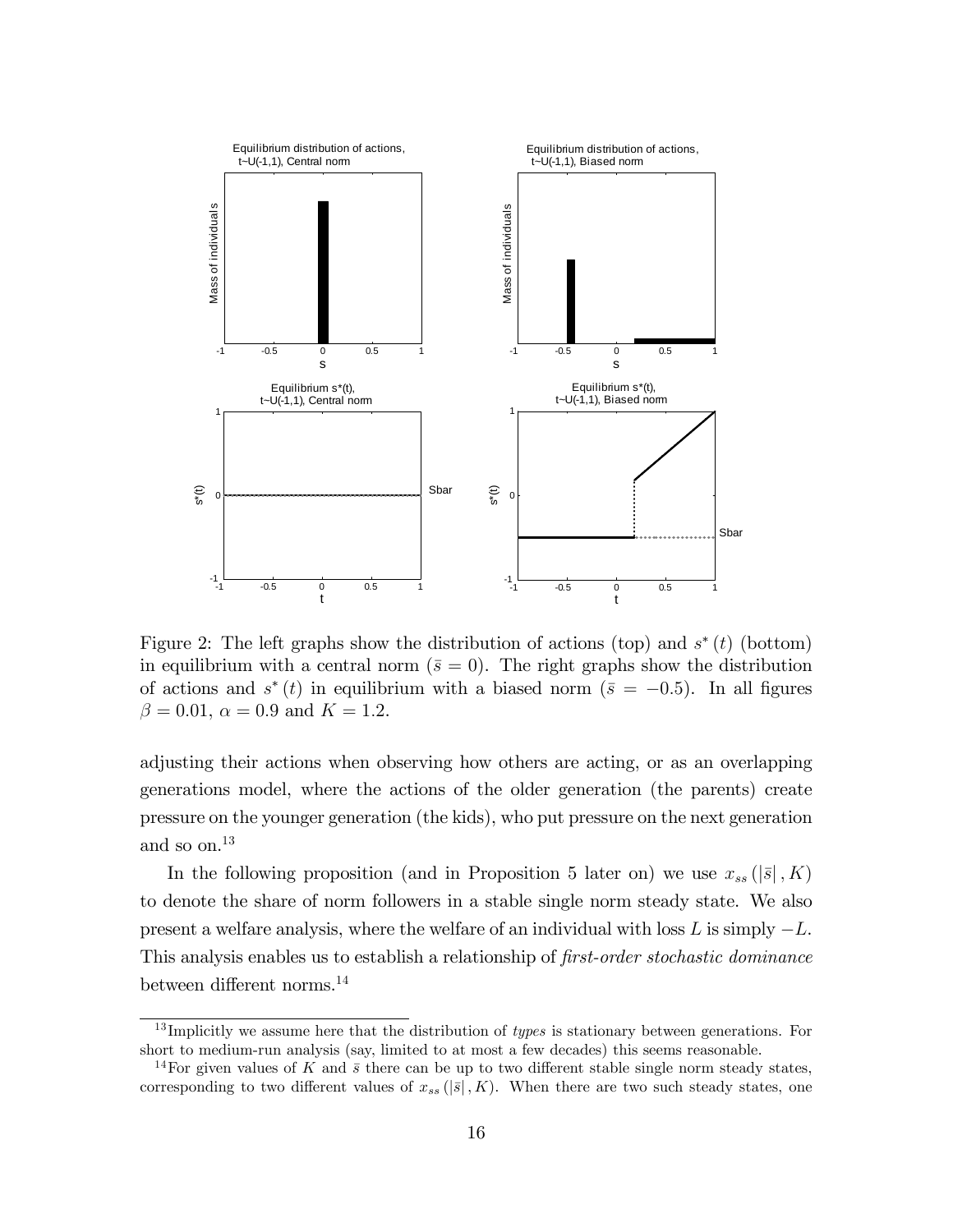

Figure 2: The left graphs show the distribution of actions (top) and  $s^*(t)$  (bottom) in equilibrium with a central norm  $(\bar{s} = 0)$ . The right graphs show the distribution of actions and  $s^*(t)$  in equilibrium with a biased norm  $(\bar{s} = -0.5)$ . In all figures  $\beta = 0.01$ ,  $\alpha = 0.9$  and  $K = 1.2$ .

adjusting their actions when observing how others are acting, or as an overlapping generations model, where the actions of the older generation (the parents) create pressure on the younger generation (the kids), who put pressure on the next generation and so on.<sup>13</sup>

In the following proposition (and in Proposition 5 later on) we use  $x_{ss}$  ( $|\bar{s}|$ , K) to denote the share of norm followers in a stable single norm steady state. We also present a welfare analysis, where the welfare of an individual with loss  $L$  is simply  $-L$ . This analysis enables us to establish a relationship of first-order stochastic dominance between different norms. $^{14}$ 

 $13$  Implicitly we assume here that the distribution of *types* is stationary between generations. For short to medium-run analysis (say, limited to at most a few decades) this seems reasonable.

<sup>&</sup>lt;sup>14</sup>For given values of K and  $\bar{s}$  there can be up to two different stable single norm steady states, corresponding to two different values of  $x_{ss}$  (|s|, K). When there are two such steady states, one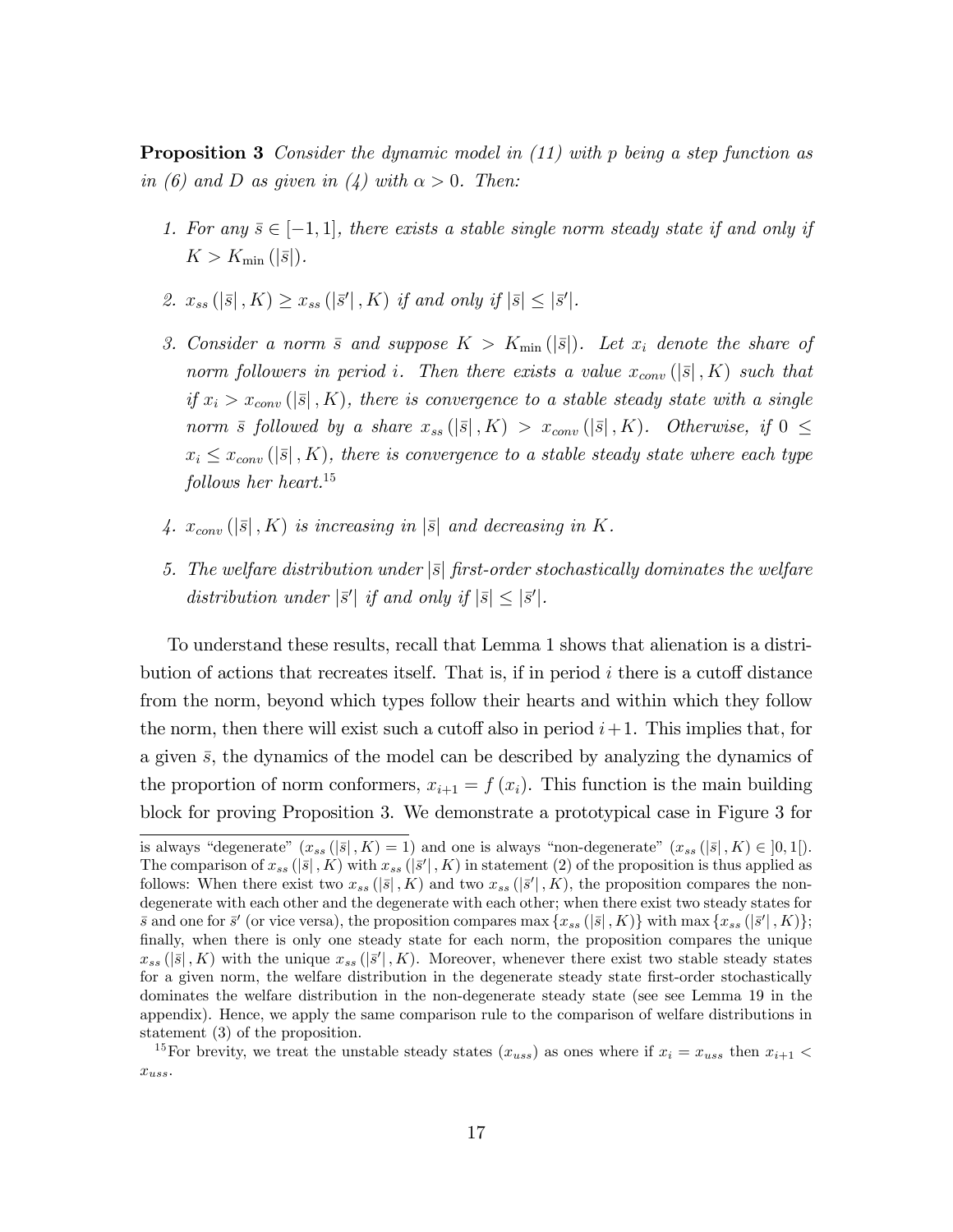**Proposition 3** Consider the dynamic model in  $(11)$  with p being a step function as in (6) and D as given in (4) with  $\alpha > 0$ . Then:

- 1. For any  $\bar{s} \in [-1, 1]$ , there exists a stable single norm steady state if and only if  $K > K_{\min}(|\bar{s}|).$
- 2.  $x_{ss} (|\bar{s}|, K) \ge x_{ss} (|\bar{s}'|, K)$  if and only if  $|\bar{s}| \le |\bar{s}'|$ .
- 3. Consider a norm  $\bar{s}$  and suppose  $K > K_{\min}(|\bar{s}|)$ . Let  $x_i$  denote the share of norm followers in period i. Then there exists a value  $x_{conv}(|\bar{s}|, K)$  such that if  $x_i > x_{conv}$  (| $\bar{s}$ |, K), there is convergence to a stable steady state with a single norm  $\bar{s}$  followed by a share  $x_{ss}$  ( $|\bar{s}|, K$ ) >  $x_{conv}$  ( $|\bar{s}|, K$ ). Otherwise, if  $0 \le$  $x_i \leq x_{conv}$  (| $\bar{s}$ |, K), there is convergence to a stable steady state where each type follows her heart.<sup>15</sup>
- 4.  $x_{conv}(|\bar{s}|, K)$  is increasing in  $|\bar{s}|$  and decreasing in K.
- 5. The welfare distribution under  $|\bar{s}|$  first-order stochastically dominates the welfare distribution under  $|\bar{s}'|$  if and only if  $|\bar{s}| \leq |\bar{s}'|$ .

To understand these results, recall that Lemma 1 shows that alienation is a distribution of actions that recreates itself. That is, if in period  $i$  there is a cutoff distance from the norm, beyond which types follow their hearts and within which they follow the norm, then there will exist such a cutoff also in period  $i+1$ . This implies that, for a given  $\bar{s}$ , the dynamics of the model can be described by analyzing the dynamics of the proportion of norm conformers,  $x_{i+1} = f(x_i)$ . This function is the main building block for proving Proposition 3. We demonstrate a prototypical case in Figure 3 for

is always "degenerate"  $(x_{ss} (|\bar{s}|, K) = 1)$  and one is always "non-degenerate"  $(x_{ss} (|\bar{s}|, K) \in [0, 1])$ . The comparison of  $x_{ss}$  ( $|\bar{s}|$ , K) with  $x_{ss}$  ( $|\bar{s}'|$ , K) in statement (2) of the proposition is thus applied as follows: When there exist two  $x_{ss}$  ( $|\bar{s}|$ , K) and two  $x_{ss}$  ( $|\bar{s}'|$ , K), the proposition compares the nondegenerate with each other and the degenerate with each other; when there exist two steady states for  $\bar{s}$  and one for  $\bar{s}'$  (or vice versa), the proposition compares max  $\{x_{ss}([\bar{s}], K)\}\$  with max  $\{x_{ss}([\bar{s}'], K)\}\$ ; finally, when there is only one steady state for each norm, the proposition compares the unique  $x_{ss}$  (|s|, K) with the unique  $x_{ss}$  (|s'|, K). Moreover, whenever there exist two stable steady states for a given norm, the welfare distribution in the degenerate steady state first-order stochastically dominates the welfare distribution in the non-degenerate steady state (see see Lemma 19 in the appendix). Hence, we apply the same comparison rule to the comparison of welfare distributions in statement (3) of the proposition.

<sup>&</sup>lt;sup>15</sup>For brevity, we treat the unstable steady states  $(x_{uss})$  as ones where if  $x_i = x_{uss}$  then  $x_{i+1}$  <  $x_{uss}.$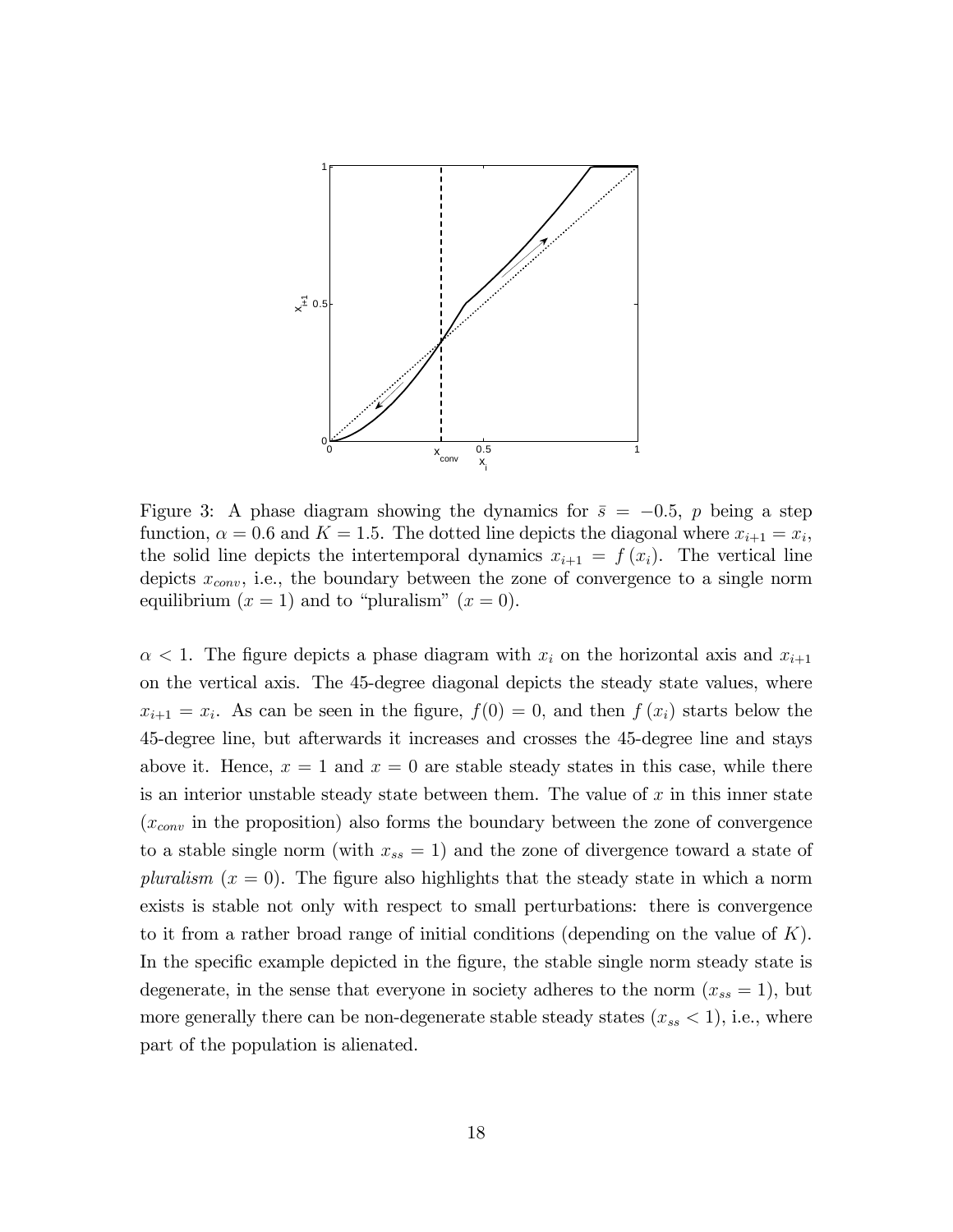

Figure 3: A phase diagram showing the dynamics for  $\bar{s} = -0.5$ , p being a step function,  $\alpha = 0.6$  and  $K = 1.5$ . The dotted line depicts the diagonal where  $x_{i+1} = x_i$ , the solid line depicts the intertemporal dynamics  $x_{i+1} = f(x_i)$ . The vertical line depicts  $x_{conv}$ , i.e., the boundary between the zone of convergence to a single norm equilibrium  $(x = 1)$  and to "pluralism"  $(x = 0)$ .

 $\alpha$  < 1. The figure depicts a phase diagram with  $x_i$  on the horizontal axis and  $x_{i+1}$ on the vertical axis. The 45-degree diagonal depicts the steady state values, where  $x_{i+1} = x_i$ . As can be seen in the figure,  $f(0) = 0$ , and then  $f(x_i)$  starts below the 45-degree line, but afterwards it increases and crosses the 45-degree line and stays above it. Hence,  $x = 1$  and  $x = 0$  are stable steady states in this case, while there is an interior unstable steady state between them. The value of  $x$  in this inner state  $(x_{conv}$  in the proposition) also forms the boundary between the zone of convergence to a stable single norm (with  $x_{ss} = 1$ ) and the zone of divergence toward a state of *pluralism*  $(x = 0)$ . The figure also highlights that the steady state in which a norm exists is stable not only with respect to small perturbations: there is convergence to it from a rather broad range of initial conditions (depending on the value of  $K$ ). In the specific example depicted in the figure, the stable single norm steady state is degenerate, in the sense that everyone in society adheres to the norm  $(x_{ss} = 1)$ , but more generally there can be non-degenerate stable steady states  $(x_{ss} < 1)$ , i.e., where part of the population is alienated.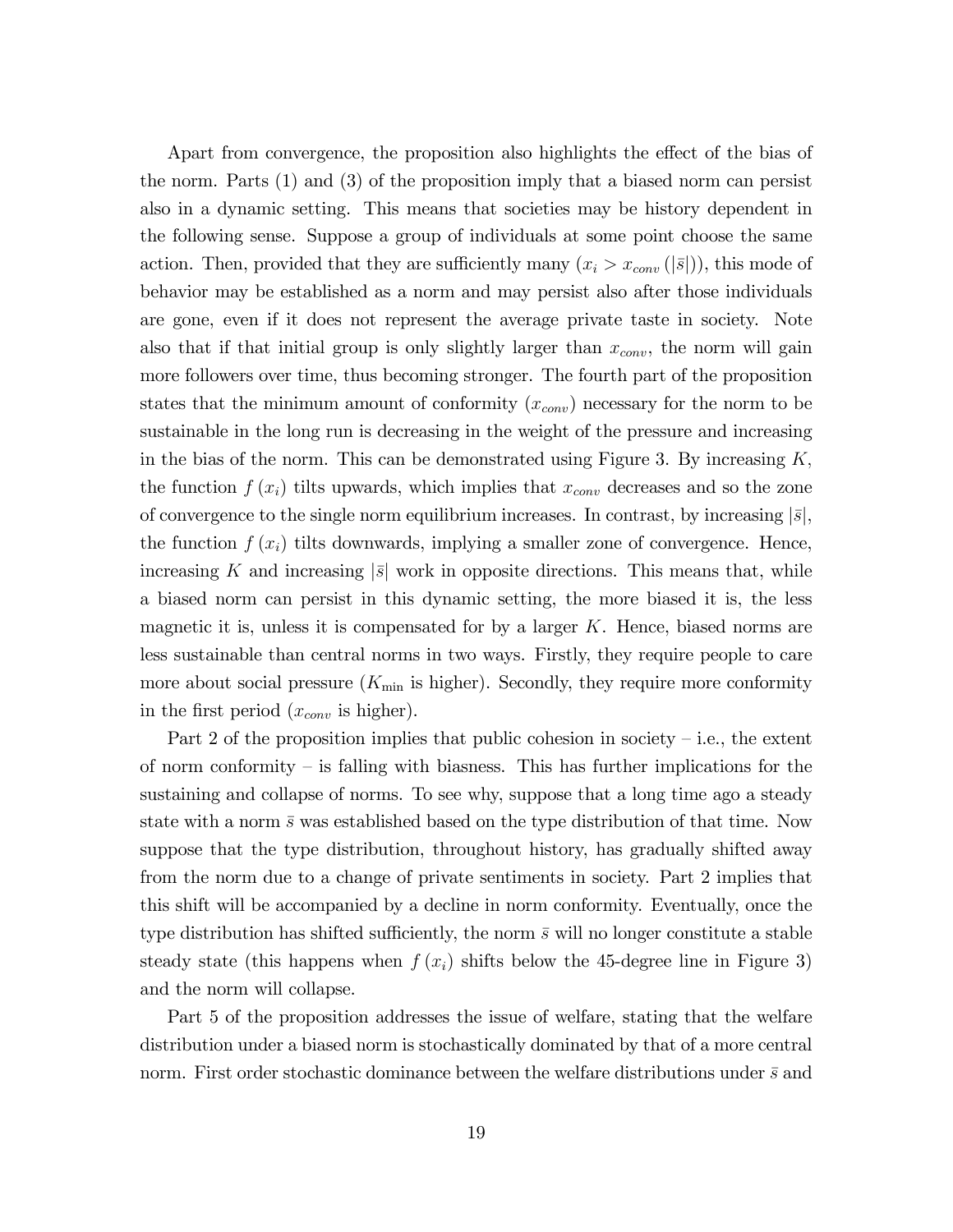Apart from convergence, the proposition also highlights the effect of the bias of the norm. Parts (1) and (3) of the proposition imply that a biased norm can persist also in a dynamic setting. This means that societies may be history dependent in the following sense. Suppose a group of individuals at some point choose the same action. Then, provided that they are sufficiently many  $(x_i > x_{conv}(|\bar{s}|))$ , this mode of behavior may be established as a norm and may persist also after those individuals are gone, even if it does not represent the average private taste in society. Note also that if that initial group is only slightly larger than  $x_{conv}$ , the norm will gain more followers over time, thus becoming stronger. The fourth part of the proposition states that the minimum amount of conformity  $(x_{conv})$  necessary for the norm to be sustainable in the long run is decreasing in the weight of the pressure and increasing in the bias of the norm. This can be demonstrated using Figure 3. By increasing  $K$ , the function  $f(x_i)$  tilts upwards, which implies that  $x_{conv}$  decreases and so the zone of convergence to the single norm equilibrium increases. In contrast, by increasing  $|\bar{s}|$ , the function  $f(x_i)$  tilts downwards, implying a smaller zone of convergence. Hence, increasing K and increasing  $|\bar{s}|$  work in opposite directions. This means that, while a biased norm can persist in this dynamic setting, the more biased it is, the less magnetic it is, unless it is compensated for by a larger  $K$ . Hence, biased norms are less sustainable than central norms in two ways. Firstly, they require people to care more about social pressure  $(K_{\min}$  is higher). Secondly, they require more conformity in the first period  $(x_{conv}$  is higher).

Part 2 of the proposition implies that public cohesion in society  $-$  i.e., the extent of norm conformity  $-$  is falling with biasness. This has further implications for the sustaining and collapse of norms. To see why, suppose that a long time ago a steady state with a norm  $\bar{s}$  was established based on the type distribution of that time. Now suppose that the type distribution, throughout history, has gradually shifted away from the norm due to a change of private sentiments in society. Part 2 implies that this shift will be accompanied by a decline in norm conformity. Eventually, once the type distribution has shifted sufficiently, the norm  $\bar{s}$  will no longer constitute a stable steady state (this happens when  $f(x_i)$  shifts below the 45-degree line in Figure 3) and the norm will collapse.

Part 5 of the proposition addresses the issue of welfare, stating that the welfare distribution under a biased norm is stochastically dominated by that of a more central norm. First order stochastic dominance between the welfare distributions under  $\bar{s}$  and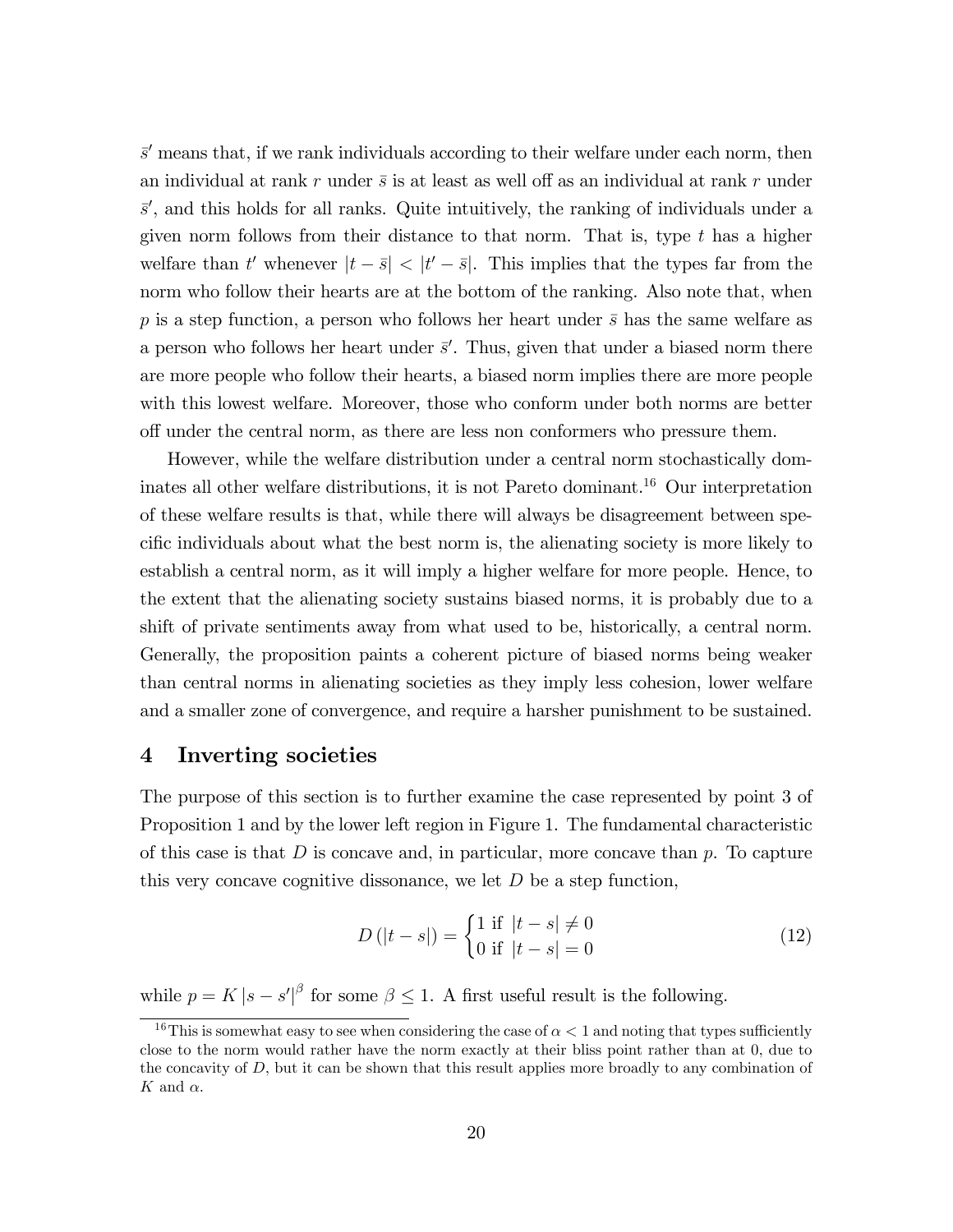$\bar{s}'$  means that, if we rank individuals according to their welfare under each norm, then an individual at rank r under  $\bar{s}$  is at least as well off as an individual at rank r under  $\bar{s}'$ , and this holds for all ranks. Quite intuitively, the ranking of individuals under a given norm follows from their distance to that norm. That is, type t has a higher welfare than t' whenever  $|t - \bar{s}| < |t' - \bar{s}|$ . This implies that the types far from the norm who follow their hearts are at the bottom of the ranking. Also note that, when p is a step function, a person who follows her heart under  $\bar{s}$  has the same welfare as a person who follows her heart under  $\bar{s}'$ . Thus, given that under a biased norm there are more people who follow their hearts, a biased norm implies there are more people with this lowest welfare. Moreover, those who conform under both norms are better off under the central norm, as there are less non conformers who pressure them.

However, while the welfare distribution under a central norm stochastically dominates all other welfare distributions, it is not Pareto dominant.<sup>16</sup> Our interpretation of these welfare results is that, while there will always be disagreement between specific individuals about what the best norm is, the alienating society is more likely to establish a central norm, as it will imply a higher welfare for more people. Hence, to the extent that the alienating society sustains biased norms, it is probably due to a shift of private sentiments away from what used to be, historically, a central norm. Generally, the proposition paints a coherent picture of biased norms being weaker than central norms in alienating societies as they imply less cohesion, lower welfare and a smaller zone of convergence, and require a harsher punishment to be sustained.

### 4 Inverting societies

The purpose of this section is to further examine the case represented by point 3 of Proposition 1 and by the lower left region in Figure 1. The fundamental characteristic of this case is that  $D$  is concave and, in particular, more concave than  $p$ . To capture this very concave cognitive dissonance, we let  $D$  be a step function,

$$
D(|t - s|) = \begin{cases} 1 \text{ if } |t - s| \neq 0 \\ 0 \text{ if } |t - s| = 0 \end{cases}
$$
 (12)

while  $p = K |s - s'|^{\beta}$  for some  $\beta \leq 1$ . A first useful result is the following.

<sup>&</sup>lt;sup>16</sup>This is somewhat easy to see when considering the case of  $\alpha < 1$  and noting that types sufficiently close to the norm would rather have the norm exactly at their bliss point rather than at 0, due to the concavity of  $D$ , but it can be shown that this result applies more broadly to any combination of K and  $\alpha$ .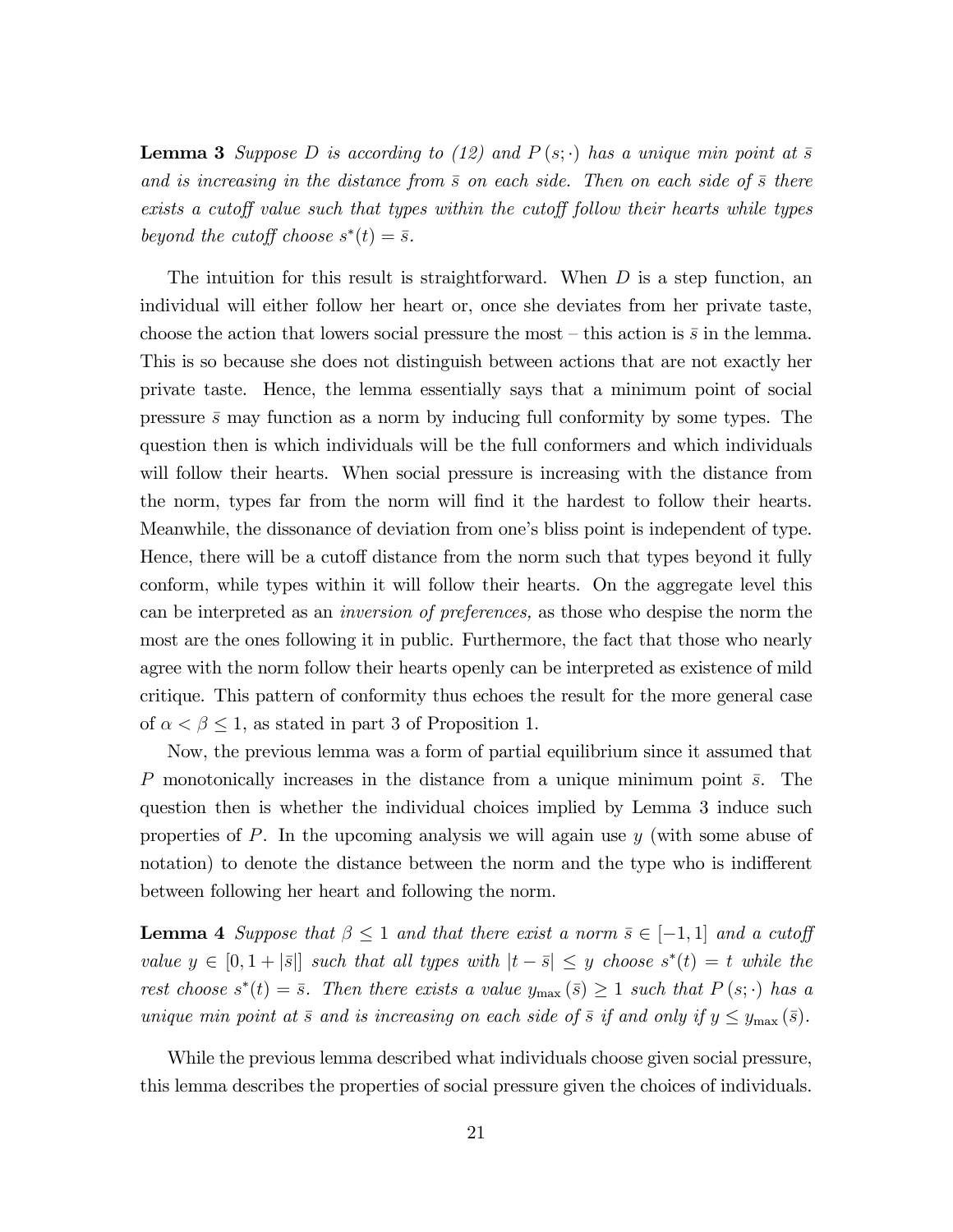**Lemma 3** Suppose D is according to (12) and  $P(s; \cdot)$  has a unique min point at  $\bar{s}$ and is increasing in the distance from  $\bar{s}$  on each side. Then on each side of  $\bar{s}$  there exists a cutoff value such that types within the cutoff follow their hearts while types beyond the cutoff choose  $s^*(t) = \overline{s}$ .

The intuition for this result is straightforward. When  $D$  is a step function, an individual will either follow her heart or, once she deviates from her private taste, choose the action that lowers social pressure the most – this action is  $\bar{s}$  in the lemma. This is so because she does not distinguish between actions that are not exactly her private taste. Hence, the lemma essentially says that a minimum point of social pressure  $\bar{s}$  may function as a norm by inducing full conformity by some types. The question then is which individuals will be the full conformers and which individuals will follow their hearts. When social pressure is increasing with the distance from the norm, types far from the norm will Önd it the hardest to follow their hearts. Meanwhile, the dissonance of deviation from one's bliss point is independent of type. Hence, there will be a cutoff distance from the norm such that types beyond it fully conform, while types within it will follow their hearts. On the aggregate level this can be interpreted as an inversion of preferences, as those who despise the norm the most are the ones following it in public. Furthermore, the fact that those who nearly agree with the norm follow their hearts openly can be interpreted as existence of mild critique. This pattern of conformity thus echoes the result for the more general case of  $\alpha < \beta \leq 1$ , as stated in part 3 of Proposition 1.

Now, the previous lemma was a form of partial equilibrium since it assumed that P monotonically increases in the distance from a unique minimum point  $\bar{s}$ . The question then is whether the individual choices implied by Lemma 3 induce such properties of  $P$ . In the upcoming analysis we will again use  $y$  (with some abuse of notation) to denote the distance between the norm and the type who is indifferent between following her heart and following the norm.

**Lemma 4** Suppose that  $\beta \leq 1$  and that there exist a norm  $\bar{s} \in [-1, 1]$  and a cutoff value  $y \in [0, 1 + |\bar{s}|]$  such that all types with  $|t - \bar{s}| \leq y$  choose  $s^*(t) = t$  while the rest choose  $s^*(t) = \bar{s}$ . Then there exists a value  $y_{\text{max}}(\bar{s}) \ge 1$  such that  $P(s; \cdot)$  has a unique min point at  $\bar{s}$  and is increasing on each side of  $\bar{s}$  if and only if  $y \le y_{\text{max}}(\bar{s})$ .

While the previous lemma described what individuals choose given social pressure, this lemma describes the properties of social pressure given the choices of individuals.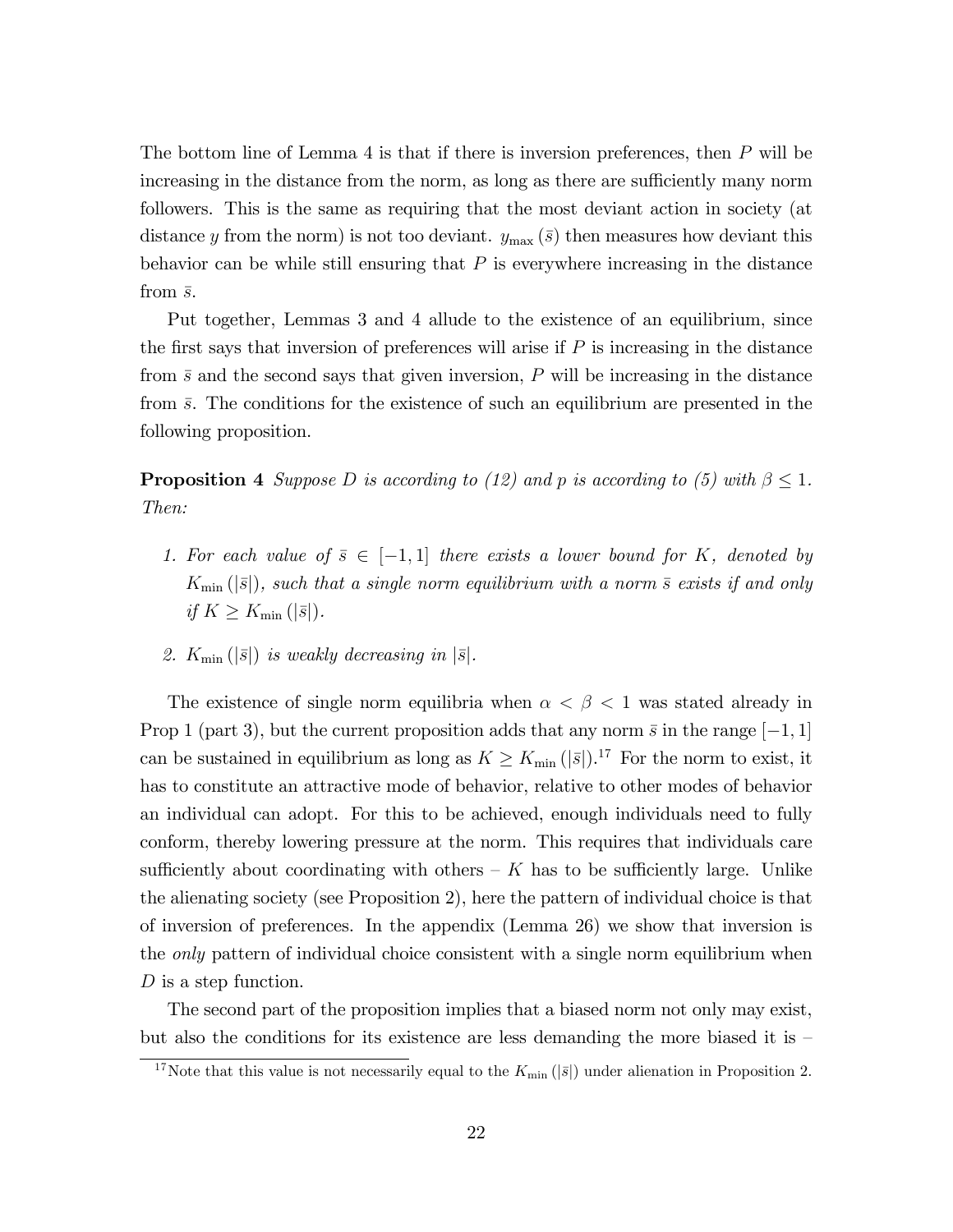The bottom line of Lemma  $4$  is that if there is inversion preferences, then  $P$  will be increasing in the distance from the norm, as long as there are sufficiently many norm followers. This is the same as requiring that the most deviant action in society (at distance y from the norm) is not too deviant.  $y_{\text{max}}(\bar{s})$  then measures how deviant this behavior can be while still ensuring that  $P$  is everywhere increasing in the distance from  $\bar{s}$ .

Put together, Lemmas 3 and 4 allude to the existence of an equilibrium, since the first says that inversion of preferences will arise if  $P$  is increasing in the distance from  $\bar{s}$  and the second says that given inversion, P will be increasing in the distance from  $\bar{s}$ . The conditions for the existence of such an equilibrium are presented in the following proposition.

**Proposition 4** Suppose D is according to (12) and p is according to (5) with  $\beta \leq 1$ . Then:

- 1. For each value of  $\bar{s} \in [-1, 1]$  there exists a lower bound for K, denoted by  $K_{\min}(|\bar{s}|)$ , such that a single norm equilibrium with a norm  $\bar{s}$  exists if and only if  $K \geq K_{\min}(|\bar{s}|).$
- 2.  $K_{\min}(|\bar{s}|)$  is weakly decreasing in  $|\bar{s}|$ .

The existence of single norm equilibria when  $\alpha < \beta < 1$  was stated already in Prop 1 (part 3), but the current proposition adds that any norm  $\bar{s}$  in the range  $[-1, 1]$ can be sustained in equilibrium as long as  $K \geq K_{\min}$  ( $|\bar{s}|$ ).<sup>17</sup> For the norm to exist, it has to constitute an attractive mode of behavior, relative to other modes of behavior an individual can adopt. For this to be achieved, enough individuals need to fully conform, thereby lowering pressure at the norm. This requires that individuals care sufficiently about coordinating with others  $\overline{K}$  has to be sufficiently large. Unlike the alienating society (see Proposition 2), here the pattern of individual choice is that of inversion of preferences. In the appendix (Lemma 26) we show that inversion is the *only* pattern of individual choice consistent with a single norm equilibrium when D is a step function.

The second part of the proposition implies that a biased norm not only may exist, but also the conditions for its existence are less demanding the more biased it is  $-$ 

<sup>&</sup>lt;sup>17</sup>Note that this value is not necessarily equal to the  $K_{\min}(|\bar{s}|)$  under alienation in Proposition 2.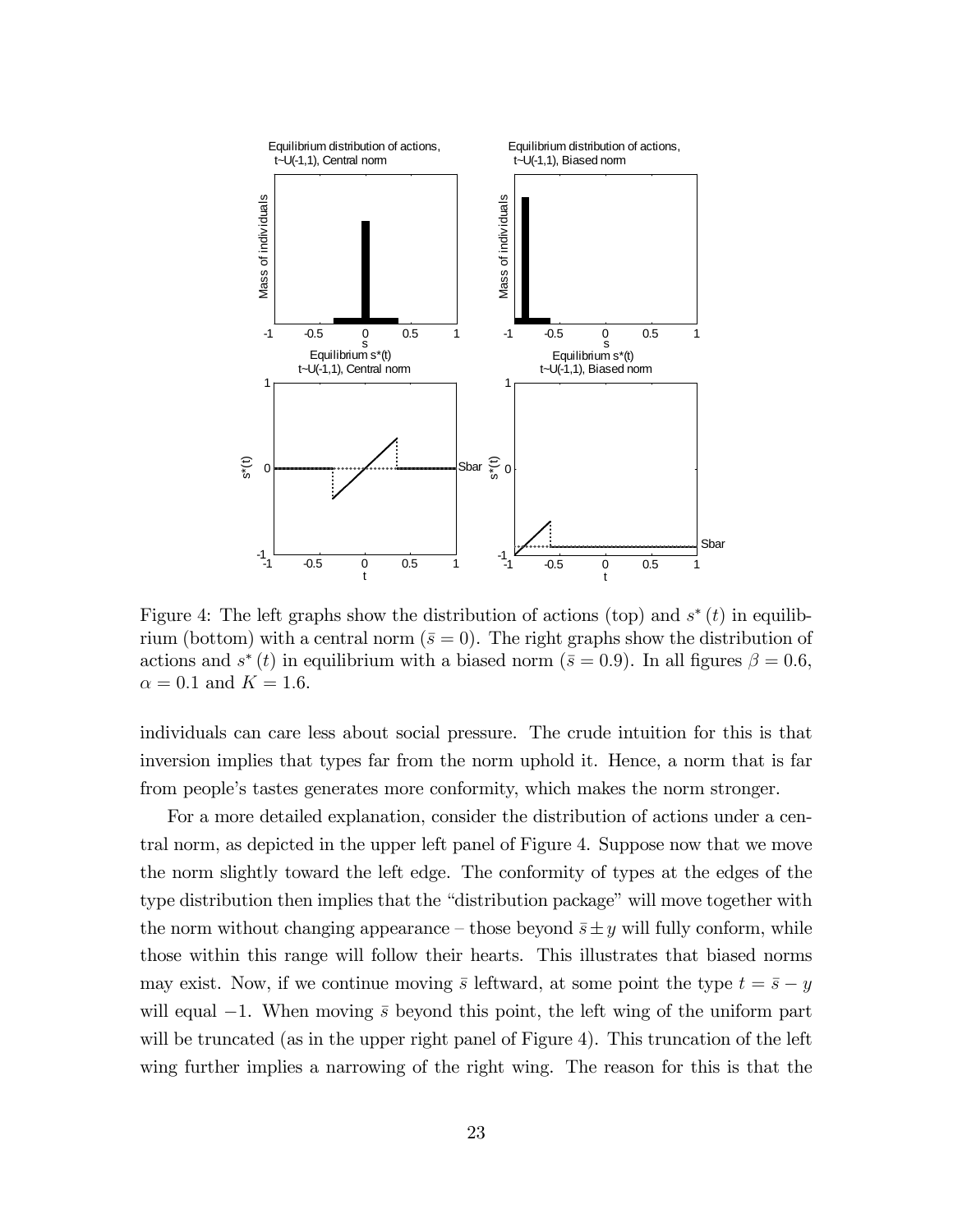

Figure 4: The left graphs show the distribution of actions (top) and  $s^*(t)$  in equilibrium (bottom) with a central norm  $(\bar{s} = 0)$ . The right graphs show the distribution of actions and  $s^*(t)$  in equilibrium with a biased norm ( $\bar{s} = 0.9$ ). In all figures  $\beta = 0.6$ ,  $\alpha = 0.1$  and  $K = 1.6$ .

individuals can care less about social pressure. The crude intuition for this is that inversion implies that types far from the norm uphold it. Hence, a norm that is far from people's tastes generates more conformity, which makes the norm stronger.

For a more detailed explanation, consider the distribution of actions under a central norm, as depicted in the upper left panel of Figure 4. Suppose now that we move the norm slightly toward the left edge. The conformity of types at the edges of the type distribution then implies that the "distribution package" will move together with the norm without changing appearance – those beyond  $\bar{s} \pm y$  will fully conform, while those within this range will follow their hearts. This illustrates that biased norms may exist. Now, if we continue moving  $\bar{s}$  leftward, at some point the type  $t = \bar{s} - y$ will equal  $-1$ . When moving  $\bar{s}$  beyond this point, the left wing of the uniform part will be truncated (as in the upper right panel of Figure 4). This truncation of the left wing further implies a narrowing of the right wing. The reason for this is that the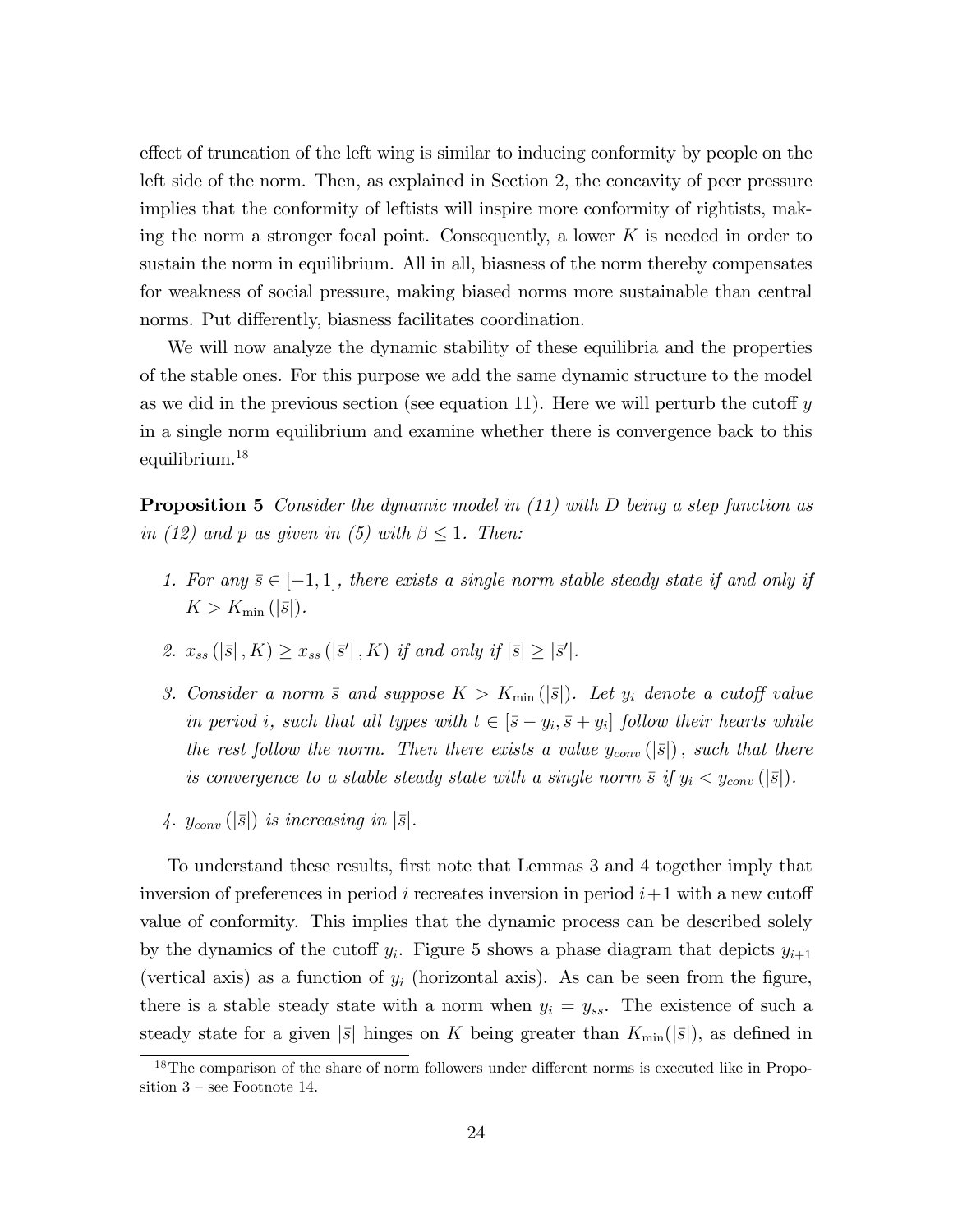effect of truncation of the left wing is similar to inducing conformity by people on the left side of the norm. Then, as explained in Section 2, the concavity of peer pressure implies that the conformity of leftists will inspire more conformity of rightists, making the norm a stronger focal point. Consequently, a lower  $K$  is needed in order to sustain the norm in equilibrium. All in all, biasness of the norm thereby compensates for weakness of social pressure, making biased norms more sustainable than central norms. Put differently, biasness facilitates coordination.

We will now analyze the dynamic stability of these equilibria and the properties of the stable ones. For this purpose we add the same dynamic structure to the model as we did in the previous section (see equation 11). Here we will perturb the cutoff  $y$ in a single norm equilibrium and examine whether there is convergence back to this equilibrium.<sup>18</sup>

**Proposition 5** Consider the dynamic model in  $(11)$  with D being a step function as in (12) and p as given in (5) with  $\beta \leq 1$ . Then:

- 1. For any  $\bar{s} \in [-1, 1]$ , there exists a single norm stable steady state if and only if  $K > K_{\min} (|\bar{s}|).$
- 2.  $x_{ss}$  ( $|\bar{s}|$ ,  $K$ )  $\geq x_{ss}$  ( $|\bar{s}'|$ ,  $K$ ) if and only if  $|\bar{s}| \geq |\bar{s}'|$ .
- 3. Consider a norm  $\bar{s}$  and suppose  $K > K_{\min}(|\bar{s}|)$ . Let  $y_i$  denote a cutoff value in period *i*, such that all types with  $t \in [\bar{s} - y_i, \bar{s} + y_i]$  follow their hearts while the rest follow the norm. Then there exists a value  $y_{conv}(|\bar{s}|)$ , such that there is convergence to a stable steady state with a single norm  $\bar{s}$  if  $y_i < y_{conv}(|\bar{s}|)$ .
- 4.  $y_{conv}$  (| $\bar{s}$ |) is increasing in  $|\bar{s}|$ .

To understand these results, first note that Lemmas 3 and 4 together imply that inversion of preferences in period i recreates inversion in period  $i+1$  with a new cutoff value of conformity. This implies that the dynamic process can be described solely by the dynamics of the cutoff  $y_i$ . Figure 5 shows a phase diagram that depicts  $y_{i+1}$ (vertical axis) as a function of  $y_i$  (horizontal axis). As can be seen from the figure, there is a stable steady state with a norm when  $y_i = y_{ss}$ . The existence of such a steady state for a given  $|\bar{s}|$  hinges on K being greater than  $K_{\min}(|\bar{s}|)$ , as defined in

 $18$ The comparison of the share of norm followers under different norms is executed like in Proposition  $3$  – see Footnote 14.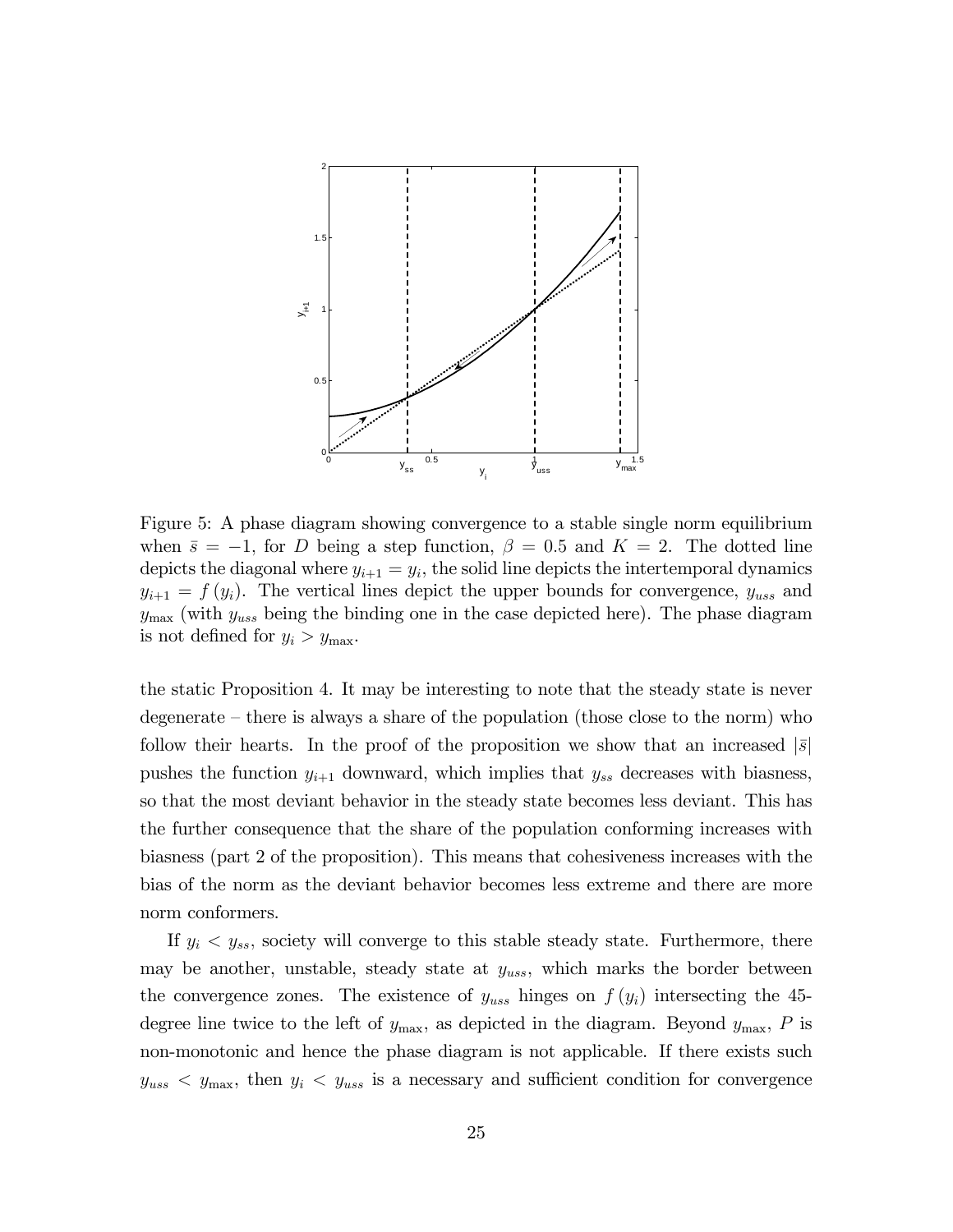

Figure 5: A phase diagram showing convergence to a stable single norm equilibrium when  $\bar{s} = -1$ , for D being a step function,  $\beta = 0.5$  and  $K = 2$ . The dotted line depicts the diagonal where  $y_{i+1} = y_i$ , the solid line depicts the intertemporal dynamics  $y_{i+1} = f(y_i)$ . The vertical lines depict the upper bounds for convergence,  $y_{uss}$  and  $y_{\text{max}}$  (with  $y_{uss}$  being the binding one in the case depicted here). The phase diagram is not defined for  $y_i > y_{\text{max}}$ .

the static Proposition 4. It may be interesting to note that the steady state is never degenerate  $-\theta$  there is always a share of the population (those close to the norm) who follow their hearts. In the proof of the proposition we show that an increased  $|\bar{s}|$ pushes the function  $y_{i+1}$  downward, which implies that  $y_{ss}$  decreases with biasness, so that the most deviant behavior in the steady state becomes less deviant. This has the further consequence that the share of the population conforming increases with biasness (part 2 of the proposition). This means that cohesiveness increases with the bias of the norm as the deviant behavior becomes less extreme and there are more norm conformers.

If  $y_i \leq y_{ss}$ , society will converge to this stable steady state. Furthermore, there may be another, unstable, steady state at  $y_{uss}$ , which marks the border between the convergence zones. The existence of  $y_{uss}$  hinges on  $f(y_i)$  intersecting the 45degree line twice to the left of  $y_{\text{max}}$ , as depicted in the diagram. Beyond  $y_{\text{max}}$ , P is non-monotonic and hence the phase diagram is not applicable. If there exists such  $y_{uss}$   $\lt y_{max}$ , then  $y_i$   $\lt y_{uss}$  is a necessary and sufficient condition for convergence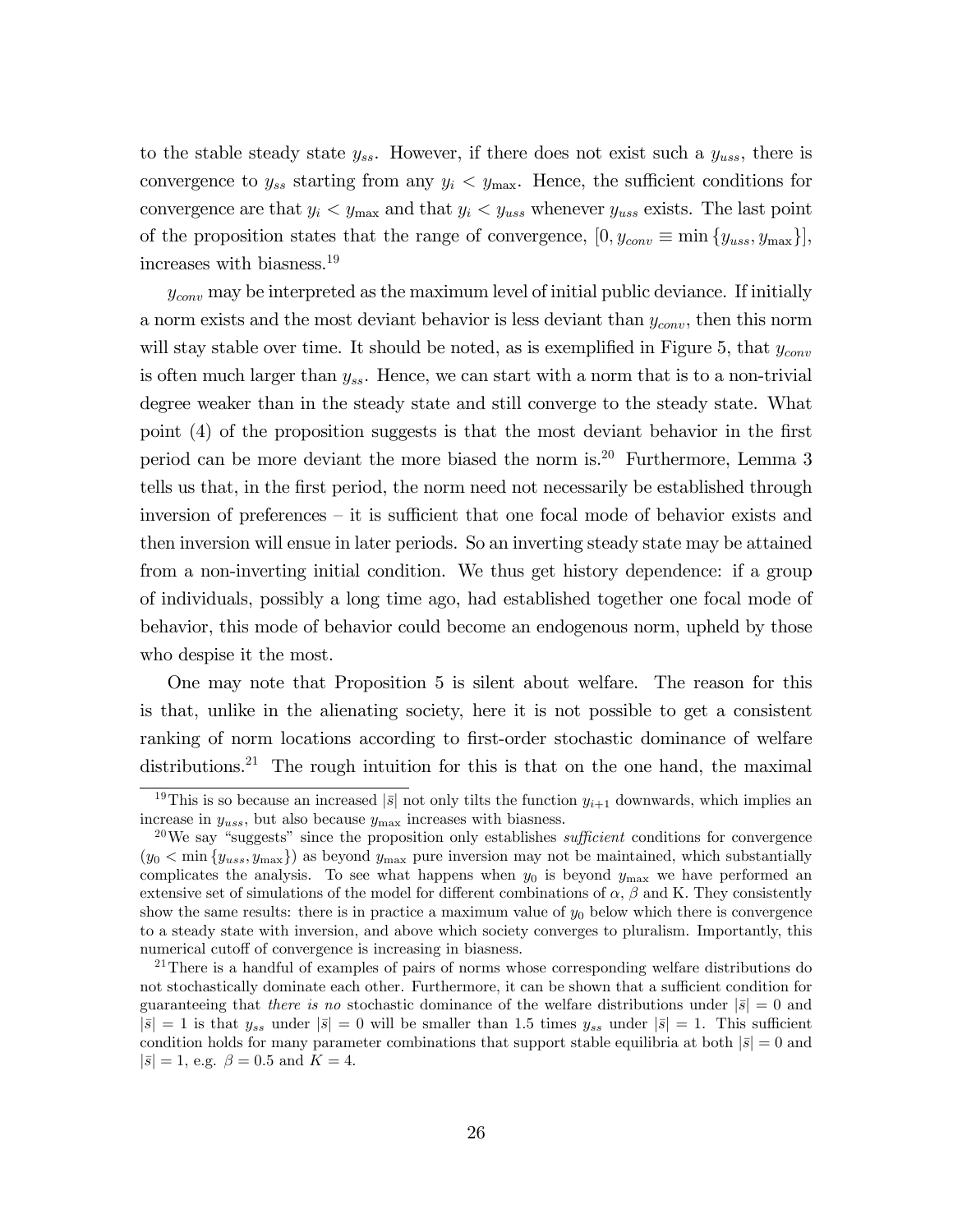to the stable steady state  $y_{ss}$ . However, if there does not exist such a  $y_{uss}$ , there is convergence to  $y_{ss}$  starting from any  $y_i < y_{\text{max}}$ . Hence, the sufficient conditions for convergence are that  $y_i < y_{\text{max}}$  and that  $y_i < y_{\text{uss}}$  whenever  $y_{\text{uss}}$  exists. The last point of the proposition states that the range of convergence,  $[0, y_{conv} \equiv \min \{y_{uss}, y_{max}\}],$ increases with biasness.<sup>19</sup>

 $y_{conv}$  may be interpreted as the maximum level of initial public deviance. If initially a norm exists and the most deviant behavior is less deviant than  $y_{conv}$ , then this norm will stay stable over time. It should be noted, as is exemplified in Figure 5, that  $y_{conv}$ is often much larger than  $y_{ss}$ . Hence, we can start with a norm that is to a non-trivial degree weaker than in the steady state and still converge to the steady state. What point (4) of the proposition suggests is that the most deviant behavior in the first period can be more deviant the more biased the norm is.<sup>20</sup> Furthermore, Lemma 3 tells us that, in the first period, the norm need not necessarily be established through inversion of preferences  $-$  it is sufficient that one focal mode of behavior exists and then inversion will ensue in later periods. So an inverting steady state may be attained from a non-inverting initial condition. We thus get history dependence: if a group of individuals, possibly a long time ago, had established together one focal mode of behavior, this mode of behavior could become an endogenous norm, upheld by those who despise it the most.

One may note that Proposition 5 is silent about welfare. The reason for this is that, unlike in the alienating society, here it is not possible to get a consistent ranking of norm locations according to first-order stochastic dominance of welfare distributions.<sup>21</sup> The rough intuition for this is that on the one hand, the maximal

<sup>&</sup>lt;sup>19</sup>This is so because an increased  $|\bar{s}|$  not only tilts the function  $y_{i+1}$  downwards, which implies an increase in  $y_{uss}$ , but also because  $y_{max}$  increases with biasness.

<sup>&</sup>lt;sup>20</sup>We say "suggests" since the proposition only establishes *sufficient* conditions for convergence  $(y_0 < \min\{y_{uss}, y_{max}\})$  as beyond  $y_{max}$  pure inversion may not be maintained, which substantially complicates the analysis. To see what happens when  $y_0$  is beyond  $y_{\text{max}}$  we have performed an extensive set of simulations of the model for different combinations of  $\alpha$ ,  $\beta$  and K. They consistently show the same results: there is in practice a maximum value of  $y_0$  below which there is convergence to a steady state with inversion, and above which society converges to pluralism. Importantly, this numerical cutoff of convergence is increasing in biasness.

 $21$ There is a handful of examples of pairs of norms whose corresponding welfare distributions do not stochastically dominate each other. Furthermore, it can be shown that a sufficient condition for guaranteeing that there is no stochastic dominance of the welfare distributions under  $|\bar{s}| = 0$  and  $|\bar{s}| = 1$  is that  $y_{ss}$  under  $|\bar{s}| = 0$  will be smaller than 1.5 times  $y_{ss}$  under  $|\bar{s}| = 1$ . This sufficient condition holds for many parameter combinations that support stable equilibria at both  $|\bar{s}| = 0$  and  $|\bar{s}| = 1$ , e.g.  $\beta = 0.5$  and  $K = 4$ .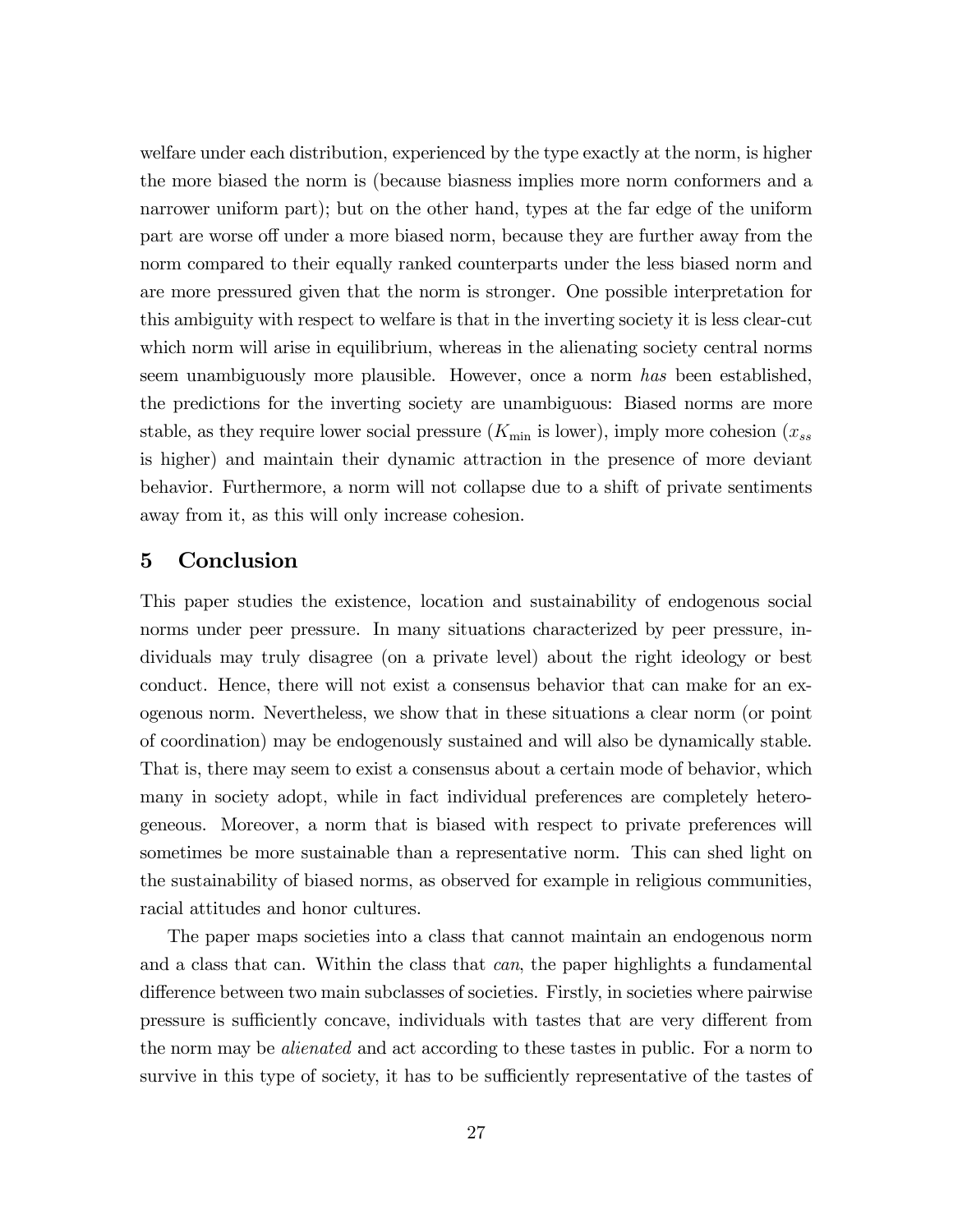welfare under each distribution, experienced by the type exactly at the norm, is higher the more biased the norm is (because biasness implies more norm conformers and a narrower uniform part); but on the other hand, types at the far edge of the uniform part are worse off under a more biased norm, because they are further away from the norm compared to their equally ranked counterparts under the less biased norm and are more pressured given that the norm is stronger. One possible interpretation for this ambiguity with respect to welfare is that in the inverting society it is less clear-cut which norm will arise in equilibrium, whereas in the alienating society central norms seem unambiguously more plausible. However, once a norm has been established, the predictions for the inverting society are unambiguous: Biased norms are more stable, as they require lower social pressure  $(K_{\min}$  is lower), imply more cohesion  $(x_{ss}$ is higher) and maintain their dynamic attraction in the presence of more deviant behavior. Furthermore, a norm will not collapse due to a shift of private sentiments away from it, as this will only increase cohesion.

# 5 Conclusion

This paper studies the existence, location and sustainability of endogenous social norms under peer pressure. In many situations characterized by peer pressure, individuals may truly disagree (on a private level) about the right ideology or best conduct. Hence, there will not exist a consensus behavior that can make for an exogenous norm. Nevertheless, we show that in these situations a clear norm (or point of coordination) may be endogenously sustained and will also be dynamically stable. That is, there may seem to exist a consensus about a certain mode of behavior, which many in society adopt, while in fact individual preferences are completely heterogeneous. Moreover, a norm that is biased with respect to private preferences will sometimes be more sustainable than a representative norm. This can shed light on the sustainability of biased norms, as observed for example in religious communities, racial attitudes and honor cultures.

The paper maps societies into a class that cannot maintain an endogenous norm and a class that can. Within the class that can, the paper highlights a fundamental difference between two main subclasses of societies. Firstly, in societies where pairwise pressure is sufficiently concave, individuals with tastes that are very different from the norm may be alienated and act according to these tastes in public. For a norm to survive in this type of society, it has to be sufficiently representative of the tastes of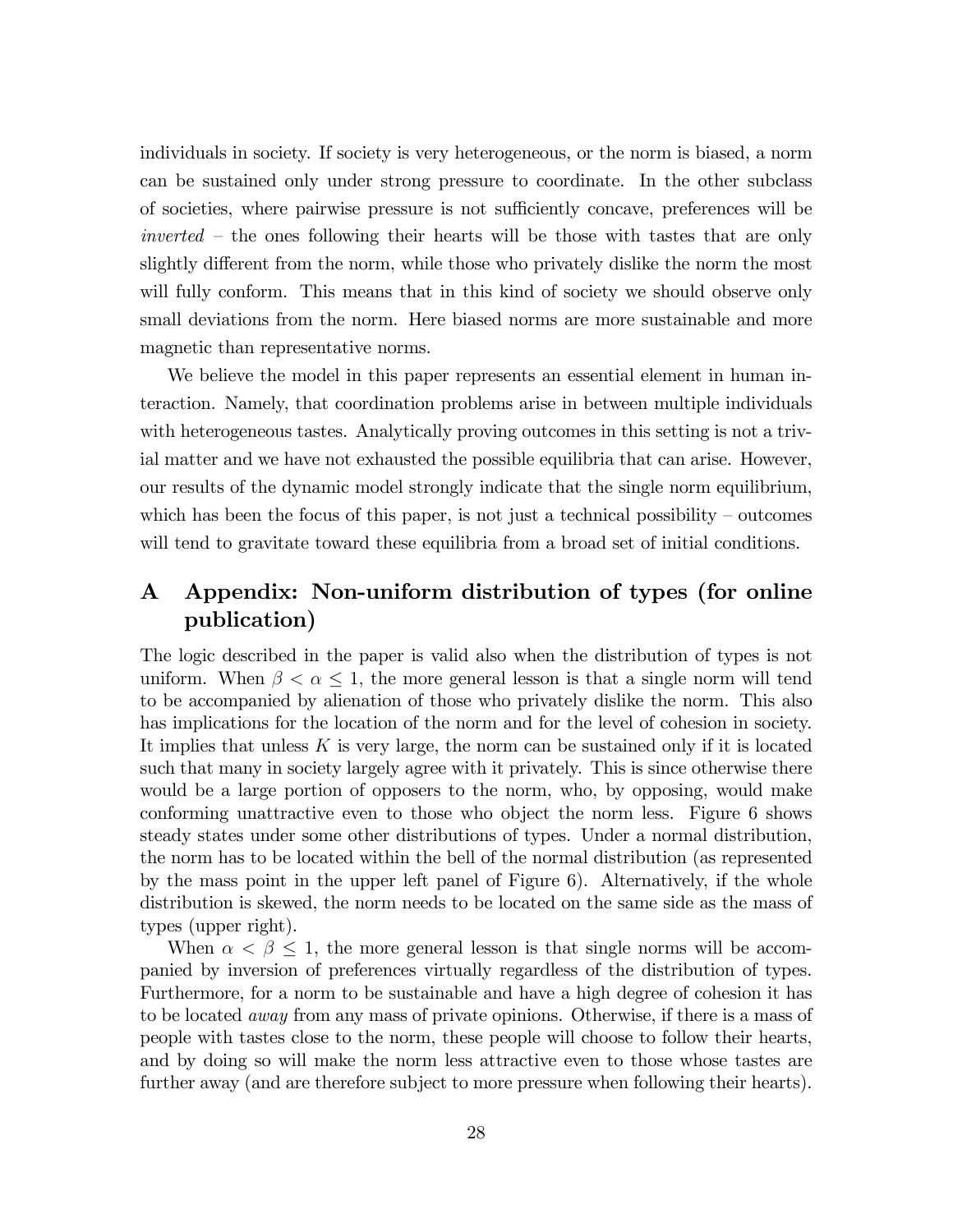individuals in society. If society is very heterogeneous, or the norm is biased, a norm can be sustained only under strong pressure to coordinate. In the other subclass of societies, where pairwise pressure is not sufficiently concave, preferences will be  $inverted - the ones following their hearts will be those with tastes that are only$ slightly different from the norm, while those who privately dislike the norm the most will fully conform. This means that in this kind of society we should observe only small deviations from the norm. Here biased norms are more sustainable and more magnetic than representative norms.

We believe the model in this paper represents an essential element in human interaction. Namely, that coordination problems arise in between multiple individuals with heterogeneous tastes. Analytically proving outcomes in this setting is not a trivial matter and we have not exhausted the possible equilibria that can arise. However, our results of the dynamic model strongly indicate that the single norm equilibrium, which has been the focus of this paper, is not just a technical possibility  $\sim$  outcomes will tend to gravitate toward these equilibria from a broad set of initial conditions.

# A Appendix: Non-uniform distribution of types (for online publication)

The logic described in the paper is valid also when the distribution of types is not uniform. When  $\beta < \alpha \leq 1$ , the more general lesson is that a single norm will tend to be accompanied by alienation of those who privately dislike the norm. This also has implications for the location of the norm and for the level of cohesion in society. It implies that unless  $K$  is very large, the norm can be sustained only if it is located such that many in society largely agree with it privately. This is since otherwise there would be a large portion of opposers to the norm, who, by opposing, would make conforming unattractive even to those who object the norm less. Figure 6 shows steady states under some other distributions of types. Under a normal distribution, the norm has to be located within the bell of the normal distribution (as represented by the mass point in the upper left panel of Figure 6). Alternatively, if the whole distribution is skewed, the norm needs to be located on the same side as the mass of types (upper right).

When  $\alpha < \beta \leq 1$ , the more general lesson is that single norms will be accompanied by inversion of preferences virtually regardless of the distribution of types. Furthermore, for a norm to be sustainable and have a high degree of cohesion it has to be located *away* from any mass of private opinions. Otherwise, if there is a mass of people with tastes close to the norm, these people will choose to follow their hearts, and by doing so will make the norm less attractive even to those whose tastes are further away (and are therefore subject to more pressure when following their hearts).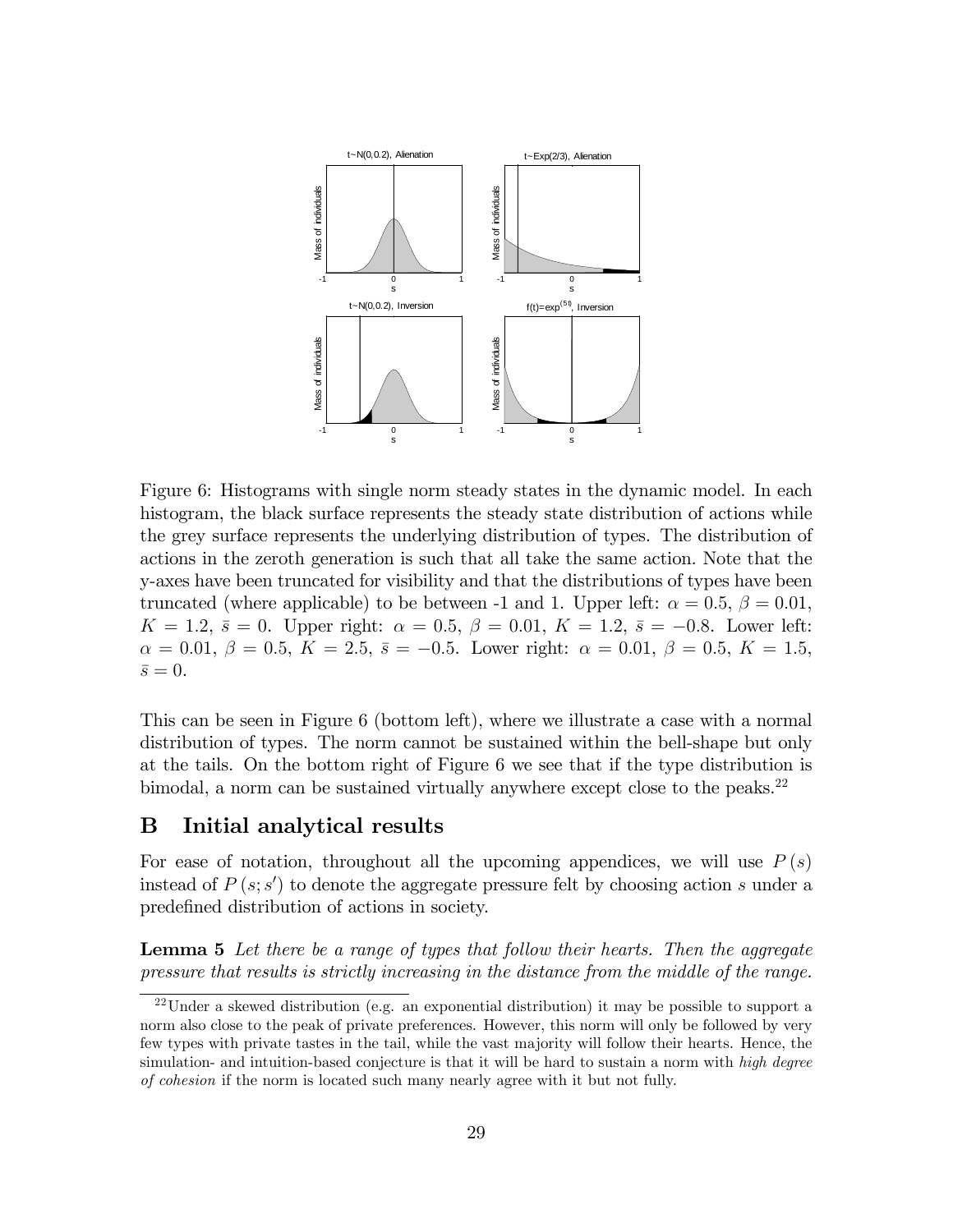

Figure 6: Histograms with single norm steady states in the dynamic model. In each histogram, the black surface represents the steady state distribution of actions while the grey surface represents the underlying distribution of types. The distribution of actions in the zeroth generation is such that all take the same action. Note that the y-axes have been truncated for visibility and that the distributions of types have been truncated (where applicable) to be between -1 and 1. Upper left:  $\alpha = 0.5$ ,  $\beta = 0.01$ ,  $K = 1.2, \bar{s} = 0$ . Upper right:  $\alpha = 0.5, \beta = 0.01, K = 1.2, \bar{s} = -0.8$ . Lower left:  $\alpha = 0.01, \beta = 0.5, K = 2.5, \bar{s} = -0.5.$  Lower right:  $\alpha = 0.01, \beta = 0.5, K = 1.5,$  $\bar{s}=0.$ 

This can be seen in Figure 6 (bottom left), where we illustrate a case with a normal distribution of types. The norm cannot be sustained within the bell-shape but only at the tails. On the bottom right of Figure 6 we see that if the type distribution is bimodal, a norm can be sustained virtually anywhere except close to the peaks.<sup>22</sup>

### B Initial analytical results

For ease of notation, throughout all the upcoming appendices, we will use  $P(s)$ instead of  $P(s; s')$  to denote the aggregate pressure felt by choosing action s under a predeÖned distribution of actions in society.

**Lemma 5** Let there be a range of types that follow their hearts. Then the aggregate pressure that results is strictly increasing in the distance from the middle of the range.

<sup>22</sup>Under a skewed distribution (e.g. an exponential distribution) it may be possible to support a norm also close to the peak of private preferences. However, this norm will only be followed by very few types with private tastes in the tail, while the vast majority will follow their hearts. Hence, the simulation- and intuition-based conjecture is that it will be hard to sustain a norm with *high degree* of cohesion if the norm is located such many nearly agree with it but not fully.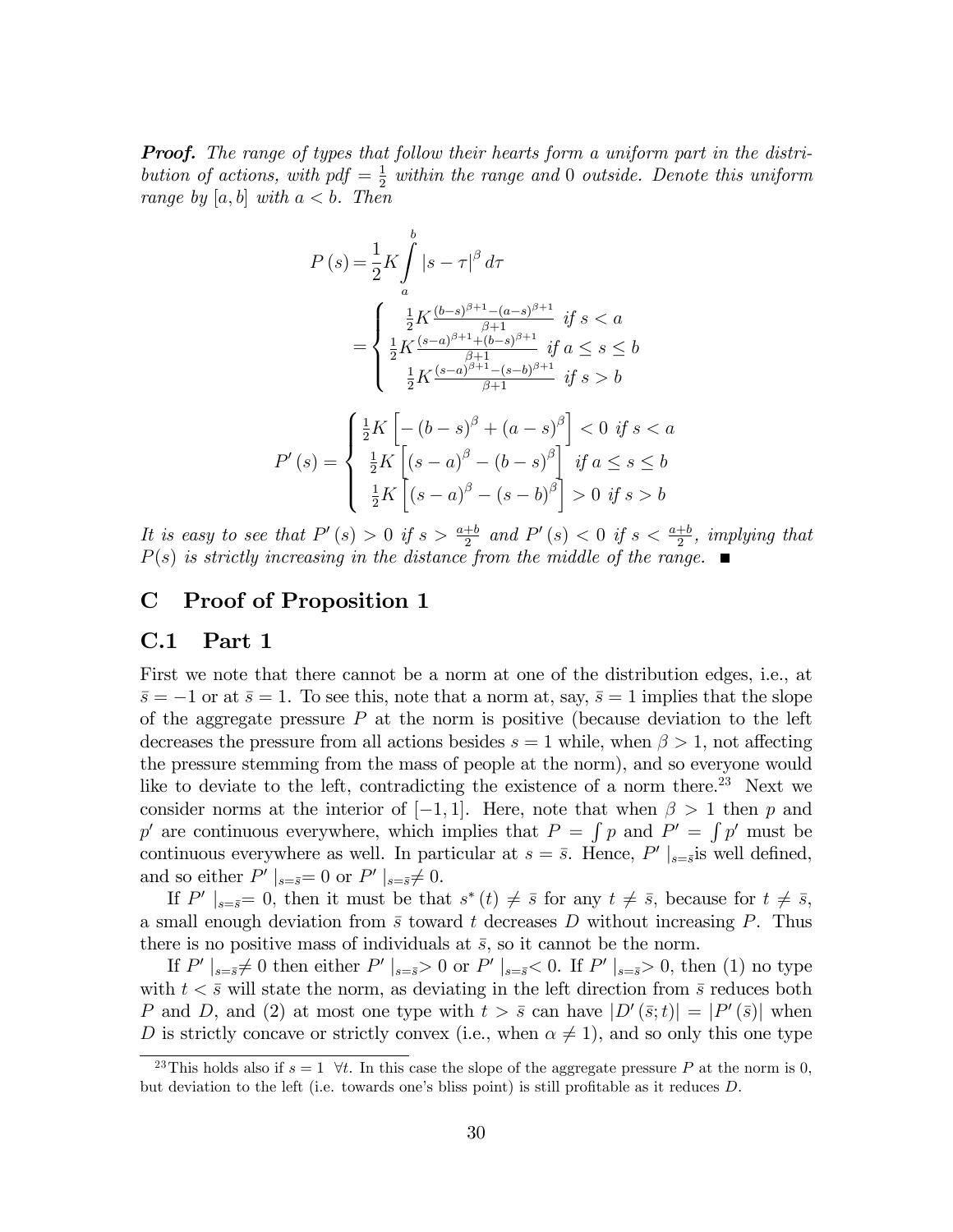**Proof.** The range of types that follow their hearts form a uniform part in the distribution of actions, with  $pdf = \frac{1}{2}$  $\frac{1}{2}$  within the range and 0 outside. Denote this uniform range by  $[a, b]$  with  $a < b$ . Then

$$
P(s) = \frac{1}{2}K \int_{a}^{b} |s - \tau|^{\beta} d\tau
$$
  
\n
$$
= \begin{cases} \frac{1}{2}K \frac{(b-s)^{\beta+1} - (a-s)^{\beta+1}}{\beta+1} & \text{if } s < a \\ \frac{1}{2}K \frac{(s-a)^{\beta+1} + (b-s)^{\beta+1}}{\beta+1} & \text{if } a \le s \le b \end{cases}
$$
  
\n
$$
P'(s) = \begin{cases} \frac{1}{2}K \left[ -(b-s)^{\beta} + (a-s)^{\beta} \right] & \text{if } s > b \\ \frac{1}{2}K \left[ -(b-s)^{\beta} + (a-s)^{\beta} \right] & \text{if } a \le s \le b \\ \frac{1}{2}K \left[ (s-a)^{\beta} - (b-s)^{\beta} \right] & \text{if } a \le s \le b \\ \frac{1}{2}K \left[ (s-a)^{\beta} - (s-b)^{\beta} \right] > 0 & \text{if } s > b \end{cases}
$$

It is easy to see that  $P'(s) > 0$  if  $s > \frac{a+b}{2}$  and  $P'(s) < 0$  if  $s < \frac{a+b}{2}$ , implying that  $P(s)$  is strictly increasing in the distance from the middle of the range.  $\blacksquare$ 

# C Proof of Proposition 1

### C.1 Part 1

First we note that there cannot be a norm at one of the distribution edges, i.e., at  $\bar{s} = -1$  or at  $\bar{s} = 1$ . To see this, note that a norm at, say,  $\bar{s} = 1$  implies that the slope of the aggregate pressure  $P$  at the norm is positive (because deviation to the left decreases the pressure from all actions besides  $s = 1$  while, when  $\beta > 1$ , not affecting the pressure stemming from the mass of people at the norm), and so everyone would like to deviate to the left, contradicting the existence of a norm there.<sup>23</sup> Next we consider norms at the interior of  $[-1, 1]$ . Here, note that when  $\beta > 1$  then p and p' are continuous everywhere, which implies that  $P = \int p$  and  $P' = \int p'$  must be continuous everywhere as well. In particular at  $s = \bar{s}$ . Hence, P'  $|_{s=\bar{s}}$  is well defined, and so either  $P' \mid_{s=\bar{s}}=0$  or  $P' \mid_{s=\bar{s}}\neq 0$ .

If P'  $|_{s=\bar{s}}= 0$ , then it must be that  $s^*(t) \neq \bar{s}$  for any  $t \neq \bar{s}$ , because for  $t \neq \bar{s}$ , a small enough deviation from  $\bar{s}$  toward t decreases D without increasing P. Thus there is no positive mass of individuals at  $\bar{s}$ , so it cannot be the norm.

If  $P' \mid_{s=\bar{s}} \neq 0$  then either  $P' \mid_{s=\bar{s}} > 0$  or  $P' \mid_{s=\bar{s}} < 0$ . If  $P' \mid_{s=\bar{s}} > 0$ , then (1) no type with  $t < \bar{s}$  will state the norm, as deviating in the left direction from  $\bar{s}$  reduces both P and D, and (2) at most one type with  $t > \bar{s}$  can have  $|D'(\bar{s};t)| = |P'(\bar{s})|$  when D is strictly concave or strictly convex (i.e., when  $\alpha \neq 1$ ), and so only this one type

<sup>&</sup>lt;sup>23</sup>This holds also if  $s = 1 \forall t$ . In this case the slope of the aggregate pressure P at the norm is 0, but deviation to the left (i.e. towards one's bliss point) is still profitable as it reduces  $D$ .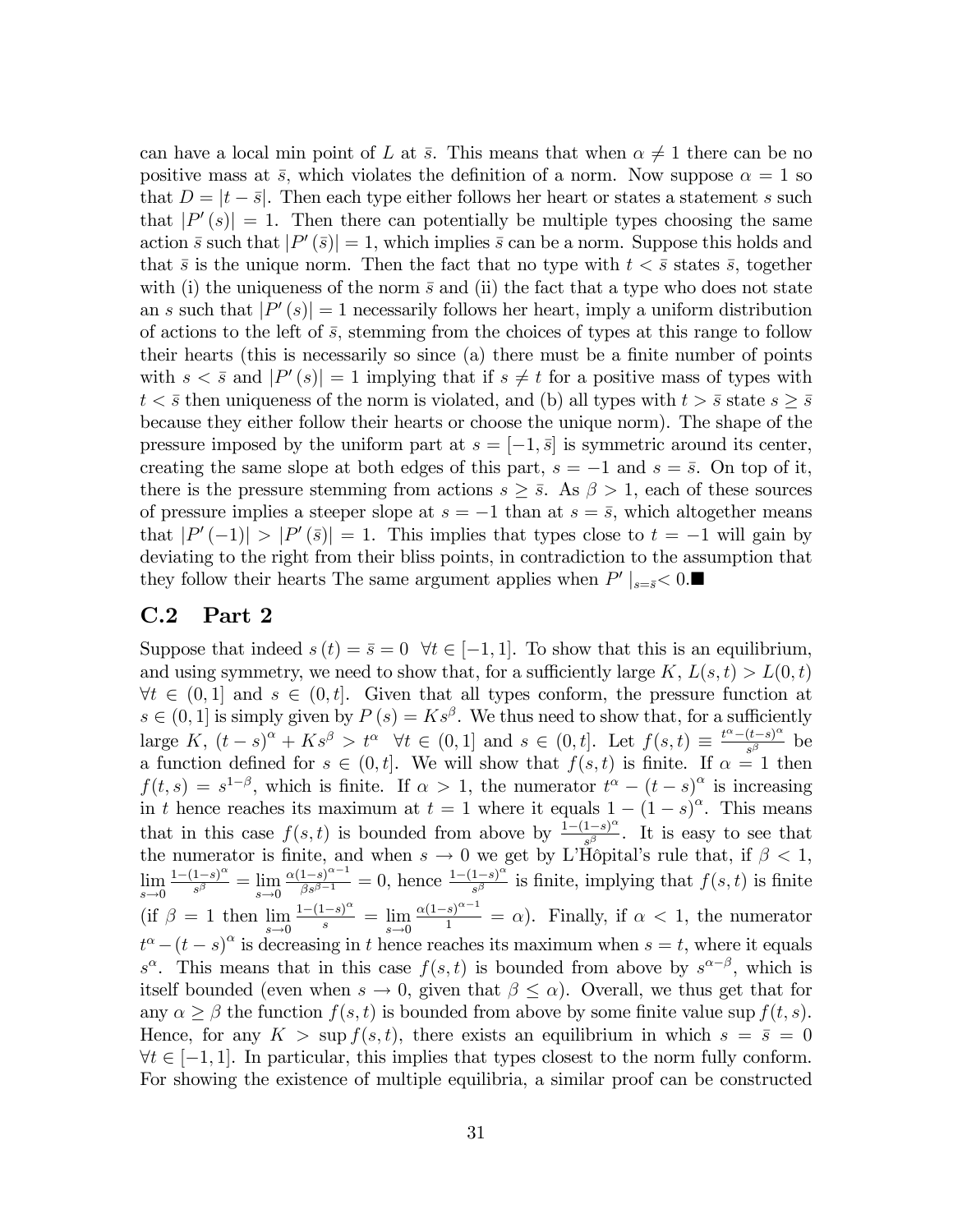can have a local min point of L at  $\bar{s}$ . This means that when  $\alpha \neq 1$  there can be no positive mass at  $\bar{s}$ , which violates the definition of a norm. Now suppose  $\alpha = 1$  so that  $D = |t - \bar{s}|$ . Then each type either follows her heart or states a statement s such that  $|P'(s)| = 1$ . Then there can potentially be multiple types choosing the same action  $\bar{s}$  such that  $|P'(\bar{s})| = 1$ , which implies  $\bar{s}$  can be a norm. Suppose this holds and that  $\bar{s}$  is the unique norm. Then the fact that no type with  $t < \bar{s}$  states  $\bar{s}$ , together with (i) the uniqueness of the norm  $\bar{s}$  and (ii) the fact that a type who does not state an s such that  $|P'(s)| = 1$  necessarily follows her heart, imply a uniform distribution of actions to the left of  $\bar{s}$ , stemming from the choices of types at this range to follow their hearts (this is necessarily so since  $(a)$ ) there must be a finite number of points with  $s < \bar{s}$  and  $|P'(s)| = 1$  implying that if  $s \neq t$  for a positive mass of types with  $t < \bar{s}$  then uniqueness of the norm is violated, and (b) all types with  $t > \bar{s}$  state  $s \geq \bar{s}$ because they either follow their hearts or choose the unique norm). The shape of the pressure imposed by the uniform part at  $s = [-1, \bar{s}]$  is symmetric around its center, creating the same slope at both edges of this part,  $s = -1$  and  $s = \overline{s}$ . On top of it, there is the pressure stemming from actions  $s \geq \overline{s}$ . As  $\beta > 1$ , each of these sources of pressure implies a steeper slope at  $s = -1$  than at  $s = \overline{s}$ , which altogether means that  $|P'(-1)| > |P'(\bar{s})| = 1$ . This implies that types close to  $t = -1$  will gain by deviating to the right from their bliss points, in contradiction to the assumption that they follow their hearts The same argument applies when  $P' \mid_{s=\bar{s}} < 0$ .

# C.2 Part 2

Suppose that indeed  $s(t) = \bar{s} = 0 \quad \forall t \in [-1, 1]$ . To show that this is an equilibrium, and using symmetry, we need to show that, for a sufficiently large  $K, L(s, t) > L(0, t)$  $\forall t \in (0,1]$  and  $s \in (0,t]$ . Given that all types conform, the pressure function at  $s \in (0,1]$  is simply given by  $P(s) = Ks^{\beta}$ . We thus need to show that, for a sufficiently large K,  $(t-s)^{\alpha} + Ks^{\beta} > t^{\alpha}$   $\forall t \in (0,1]$  and  $s \in (0,t]$ . Let  $f(s,t) \equiv \frac{t^{\alpha} - (t-s)^{\alpha}}{s^{\beta}}$  $\frac{(t-s)}{s^{\beta}}$  be a function defined for  $s \in (0, t]$ . We will show that  $f(s, t)$  is finite. If  $\alpha = 1$  then  $f(t,s) = s^{1-\beta}$ , which is finite. If  $\alpha > 1$ , the numerator  $t^{\alpha} - (t-s)^{\alpha}$  is increasing in t hence reaches its maximum at  $t = 1$  where it equals  $1 - (1 - s)^{\alpha}$ . This means that in this case  $f(s,t)$  is bounded from above by  $\frac{1-(1-s)^{\alpha}}{s^{\beta}}$  $\frac{1-s}{s^{\beta}}$ . It is easy to see that the numerator is finite, and when  $s \to 0$  we get by L'Hôpital's rule that, if  $\beta < 1$ ,  $\lim_{s\to 0} \frac{1-(1-s)^{\alpha}}{s^{\beta}}$  $\frac{(1-s)^{\alpha}}{s^{\beta}} = \lim_{s \to 0} \frac{\alpha (1-s)^{\alpha-1}}{\beta s^{\beta-1}} = 0$ , hence  $\frac{1-(1-s)^{\alpha}}{s^{\beta}}$  $\frac{1-sj}{s^{\beta}}$  is finite, implying that  $f(s,t)$  is finite (if  $\beta = 1$  then  $\lim_{s \to 0} \frac{1 - (1 - s)^{\alpha}}{s} = \lim_{s \to 0} \frac{\alpha (1 - s)^{\alpha - 1}}{1} = \alpha$ ). Finally, if  $\alpha < 1$ , the numerator  $t^{\alpha} - (t - s)^{\alpha}$  is decreasing in t hence reaches its maximum when  $s = t$ , where it equals  $s^{\alpha}$ . This means that in this case  $f(s,t)$  is bounded from above by  $s^{\alpha-\beta}$ , which is itself bounded (even when  $s \to 0$ , given that  $\beta \leq \alpha$ ). Overall, we thus get that for any  $\alpha \geq \beta$  the function  $f(s, t)$  is bounded from above by some finite value sup  $f(t, s)$ . Hence, for any  $K > \sup f(s,t)$ , there exists an equilibrium in which  $s = \bar{s} = 0$  $\forall t \in [-1, 1].$  In particular, this implies that types closest to the norm fully conform. For showing the existence of multiple equilibria, a similar proof can be constructed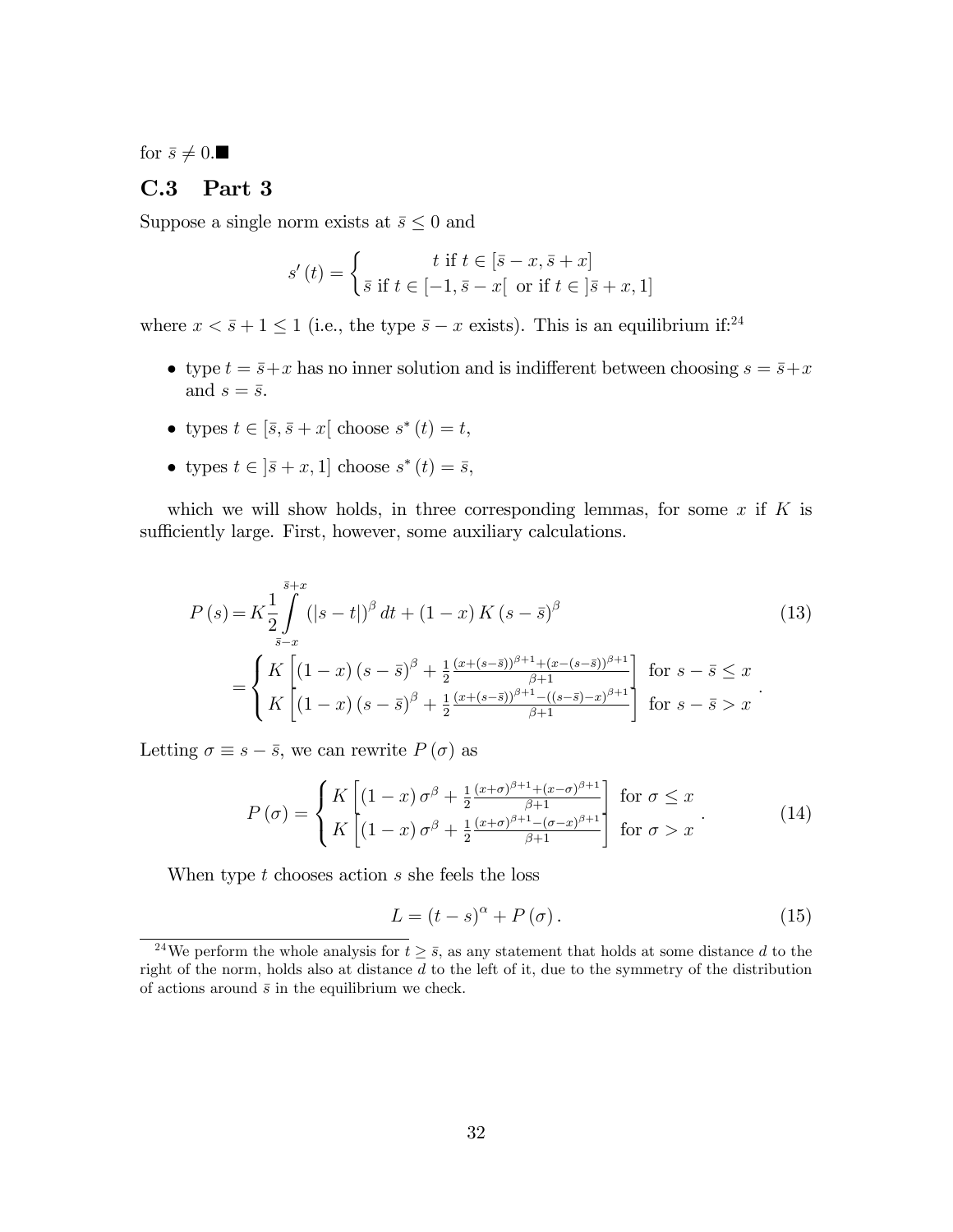for  $\bar{s} \neq 0$ .

# C.3 Part 3

Suppose a single norm exists at  $\bar{s} \leq 0$  and

$$
s'(t) = \begin{cases} t & \text{if } t \in [\bar{s} - x, \bar{s} + x] \\ \bar{s} & \text{if } t \in [-1, \bar{s} - x[ \text{ or if } t \in ]\bar{s} + x, 1] \end{cases}
$$

where  $x < \bar{s} + 1 \le 1$  (i.e., the type  $\bar{s} - x$  exists). This is an equilibrium if:<sup>24</sup>

- type  $t = \bar{s}+x$  has no inner solution and is indifferent between choosing  $s = \bar{s}+x$ and  $s = \overline{s}$ .
- types  $t \in [\bar{s}, \bar{s} + x]$  choose  $s^*(t) = t$ ,
- types  $t \in \left] \bar{s} + x, 1 \right]$  choose  $s^*(t) = \bar{s}$ ,

which we will show holds, in three corresponding lemmas, for some  $x$  if  $K$  is sufficiently large. First, however, some auxiliary calculations.

$$
P(s) = K \frac{1}{2} \int_{\bar{s}-x}^{\bar{s}+x} (|s-t|)^{\beta} dt + (1-x) K (s-\bar{s})^{\beta}
$$
\n
$$
= \begin{cases} K \left[ (1-x) (s-\bar{s})^{\beta} + \frac{1}{2} \frac{(x+(s-\bar{s}))^{\beta+1} + (x-(s-\bar{s}))^{\beta+1}}{\beta+1} \right] & \text{for } s-\bar{s} \le x\\ K \left[ (1-x) (s-\bar{s})^{\beta} + \frac{1}{2} \frac{(x+(s-\bar{s}))^{\beta+1} - ((s-\bar{s})-x)^{\beta+1}}{\beta+1} \right] & \text{for } s-\bar{s} > x \end{cases} (13)
$$

Letting  $\sigma \equiv s - \bar{s}$ , we can rewrite  $P(\sigma)$  as

$$
P(\sigma) = \begin{cases} K \left[ (1-x)\,\sigma^{\beta} + \frac{1}{2} \frac{(x+\sigma)^{\beta+1} + (x-\sigma)^{\beta+1}}{\beta+1} \right] & \text{for } \sigma \le x \\ K \left[ (1-x)\,\sigma^{\beta} + \frac{1}{2} \frac{(x+\sigma)^{\beta+1} - (\sigma-x)^{\beta+1}}{\beta+1} \right] & \text{for } \sigma > x \end{cases} \tag{14}
$$

When type  $t$  chooses action  $s$  she feels the loss

$$
L = (t - s)^{\alpha} + P(\sigma). \tag{15}
$$

<sup>&</sup>lt;sup>24</sup>We perform the whole analysis for  $t \geq \bar{s}$ , as any statement that holds at some distance d to the right of the norm, holds also at distance  $d$  to the left of it, due to the symmetry of the distribution of actions around  $\bar{s}$  in the equilibrium we check.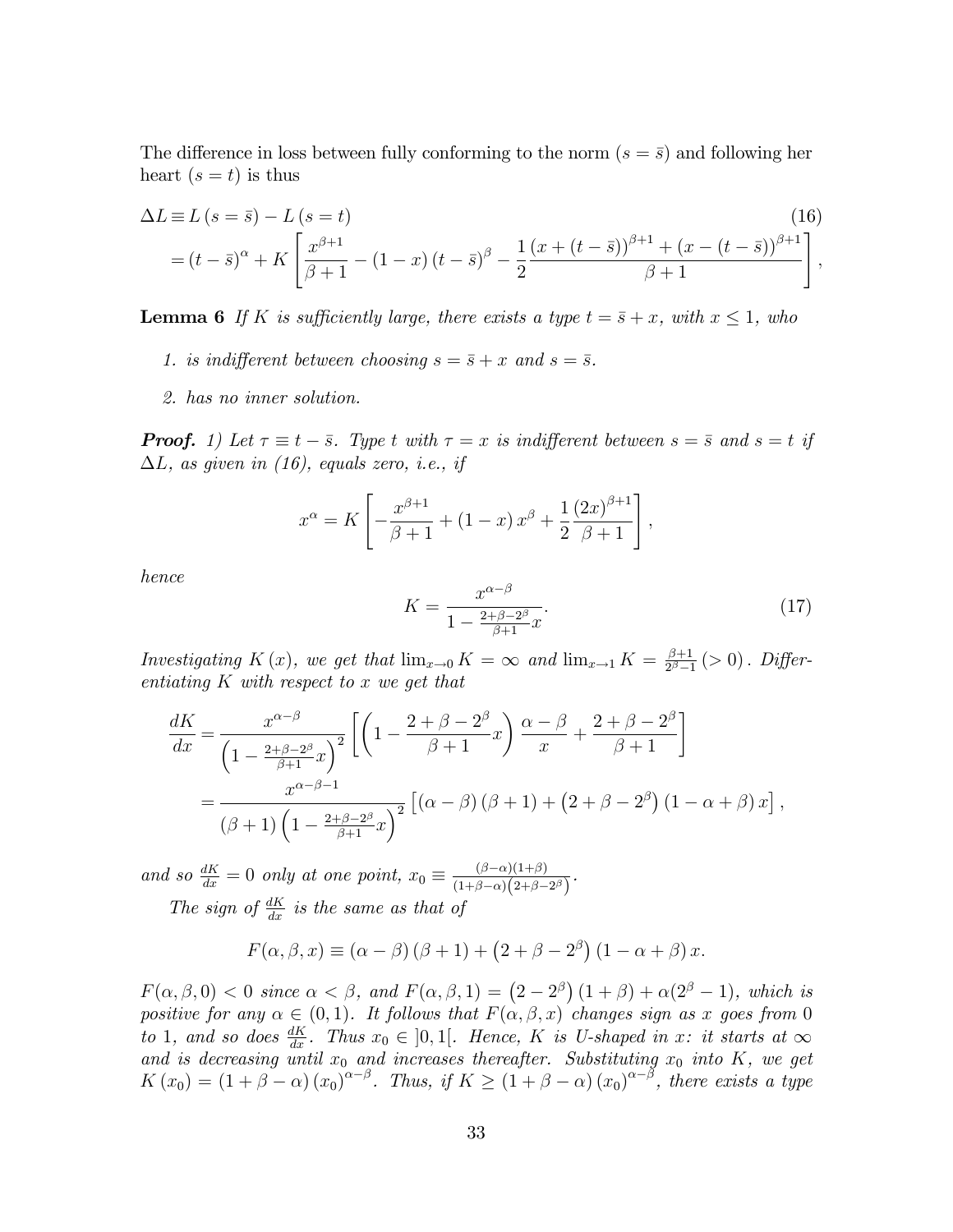The difference in loss between fully conforming to the norm  $(s = \bar{s})$  and following her heart  $(s = t)$  is thus

$$
\Delta L \equiv L (s = \bar{s}) - L (s = t)
$$
\n
$$
= (t - \bar{s})^{\alpha} + K \left[ \frac{x^{\beta+1}}{\beta+1} - (1-x)(t - \bar{s})^{\beta} - \frac{1}{2} \frac{(x + (t - \bar{s}))^{\beta+1} + (x - (t - \bar{s}))^{\beta+1}}{\beta+1} \right],
$$
\n(16)

**Lemma 6** If K is sufficiently large, there exists a type  $t = \overline{s} + x$ , with  $x \le 1$ , who

- 1. is indifferent between choosing  $s = \bar{s} + x$  and  $s = \bar{s}$ .
- 2. has no inner solution.

**Proof.** 1) Let  $\tau \equiv t - \bar{s}$ . Type t with  $\tau = x$  is indifferent between  $s = \bar{s}$  and  $s = t$  if  $\Delta L$ , as given in (16), equals zero, i.e., if

$$
x^{\alpha} = K \left[ -\frac{x^{\beta+1}}{\beta+1} + (1-x) x^{\beta} + \frac{1}{2} \frac{(2x)^{\beta+1}}{\beta+1} \right],
$$

hence

$$
K = \frac{x^{\alpha - \beta}}{1 - \frac{2 + \beta - 2^{\beta}}{\beta + 1} x}.
$$
\n
$$
(17)
$$

Investigating  $K(x)$ , we get that  $\lim_{x\to 0} K = \infty$  and  $\lim_{x\to 1} K = \frac{\beta+1}{2^{\beta}-1}$  $\frac{\beta+1}{2^{\beta}-1}$  (> 0). Differentiating K with respect to x we get that

$$
\frac{dK}{dx} = \frac{x^{\alpha-\beta}}{\left(1 - \frac{2+\beta-2^{\beta}}{\beta+1}x\right)^2} \left[\left(1 - \frac{2+\beta-2^{\beta}}{\beta+1}x\right) \frac{\alpha-\beta}{x} + \frac{2+\beta-2^{\beta}}{\beta+1}\right]
$$

$$
= \frac{x^{\alpha-\beta-1}}{(\beta+1)\left(1 - \frac{2+\beta-2^{\beta}}{\beta+1}x\right)^2} \left[(\alpha-\beta)(\beta+1) + (2+\beta-2^{\beta})(1-\alpha+\beta)x\right],
$$

and so  $\frac{dK}{dx} = 0$  only at one point,  $x_0 \equiv \frac{(\beta - \alpha)(1+\beta)}{(1+\beta - \alpha)(2+\beta - \beta)}$  $\frac{(\beta-\alpha)(1+\beta)}{(1+\beta-\alpha)\left(2+\beta-2^{\beta}\right)}$ . The sign of  $\frac{dK}{dx}$  is the same as that of

$$
F(\alpha, \beta, x) \equiv (\alpha - \beta) (\beta + 1) + (2 + \beta - 2^{\beta}) (1 - \alpha + \beta) x.
$$

 $F(\alpha, \beta, 0) < 0$  since  $\alpha < \beta$ , and  $F(\alpha, \beta, 1) = (2 - 2^{\beta}) (1 + \beta) + \alpha (2^{\beta} - 1)$ , which is positive for any  $\alpha \in (0,1)$ . It follows that  $F(\alpha,\beta,x)$  changes sign as x goes from 0 to 1, and so does  $\frac{dK}{dx}$ . Thus  $x_0 \in ]0,1[$ . Hence, K is U-shaped in x: it starts at  $\infty$ and is decreasing until  $x_0$  and increases thereafter. Substituting  $x_0$  into K, we get  $K(x_0) = (1 + \beta - \alpha) (x_0)^{\alpha - \beta}$ . Thus, if  $K \ge (1 + \beta - \alpha) (x_0)^{\alpha - \beta}$ , there exists a type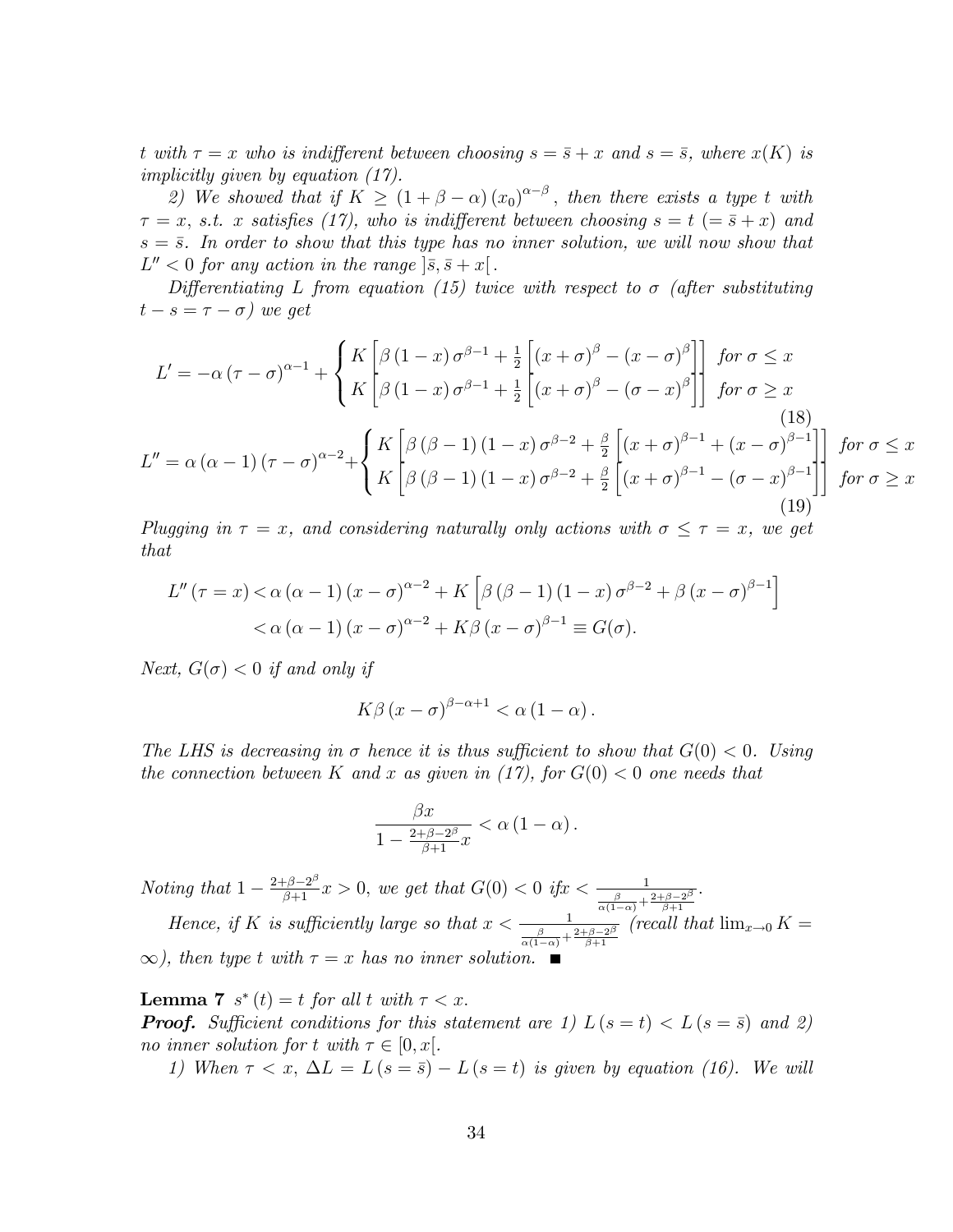t with  $\tau = x$  who is indifferent between choosing  $s = \bar{s} + x$  and  $s = \bar{s}$ , where  $x(K)$  is implicitly given by equation (17).

2) We showed that if  $K \ge (1 + \beta - \alpha) (x_0)^{\alpha - \beta}$ , then there exists a type t with  $\tau = x$ , s.t. x satisfies (17), who is indifferent between choosing  $s = t$  (=  $\overline{s} + x$ ) and  $s = \bar{s}$ . In order to show that this type has no inner solution, we will now show that  $L'' < 0$  for any action in the range  $|\bar{s}, \bar{s} + x|$ .

Differentiating L from equation (15) twice with respect to  $\sigma$  (after substituting  $t - s = \tau - \sigma$ ) we get

$$
L' = -\alpha (\tau - \sigma)^{\alpha - 1} + \begin{cases} K \left[ \beta (1 - x) \sigma^{\beta - 1} + \frac{1}{2} \left[ (x + \sigma)^{\beta} - (x - \sigma)^{\beta} \right] \right] & \text{for } \sigma \le x \\ K \left[ \beta (1 - x) \sigma^{\beta - 1} + \frac{1}{2} \left[ (x + \sigma)^{\beta} - (\sigma - x)^{\beta} \right] \right] & \text{for } \sigma \ge x \end{cases}
$$
\n
$$
L'' = \alpha (\alpha - 1) (\tau - \sigma)^{\alpha - 2} + \begin{cases} K \left[ \beta (\beta - 1) (1 - x) \sigma^{\beta - 2} + \frac{\beta}{2} \left[ (x + \sigma)^{\beta - 1} + (x - \sigma)^{\beta - 1} \right] \right] & \text{for } \sigma \le x \\ K \left[ \beta (\beta - 1) (1 - x) \sigma^{\beta - 2} + \frac{\beta}{2} \left[ (x + \sigma)^{\beta - 1} - (\sigma - x)^{\beta - 1} \right] \right] & \text{for } \sigma \ge x \end{cases}
$$
\n
$$
(19)
$$

Plugging in  $\tau = x$ , and considering naturally only actions with  $\sigma \leq \tau = x$ , we get that

$$
L''(\tau = x) < \alpha (\alpha - 1) (x - \sigma)^{\alpha - 2} + K \left[ \beta (\beta - 1) (1 - x) \sigma^{\beta - 2} + \beta (x - \sigma)^{\beta - 1} \right]
$$
  

$$
< \alpha (\alpha - 1) (x - \sigma)^{\alpha - 2} + K \beta (x - \sigma)^{\beta - 1} \equiv G(\sigma).
$$

Next,  $G(\sigma) < 0$  if and only if

$$
K\beta\left(x-\sigma\right)^{\beta-\alpha+1} < \alpha\left(1-\alpha\right).
$$

The LHS is decreasing in  $\sigma$  hence it is thus sufficient to show that  $G(0) < 0$ . Using the connection between K and x as given in (17), for  $G(0) < 0$  one needs that

$$
\frac{\beta x}{1 - \frac{2 + \beta - 2^{\beta}}{\beta + 1} x} < \alpha \left( 1 - \alpha \right).
$$

Noting that  $1 - \frac{2+\beta-2^{\beta}}{\beta+1}x > 0$ , we get that  $G(0) < 0$  if  $x < \frac{1}{\frac{\beta}{\alpha(1-\alpha)} + \frac{2+\beta-2^{\beta}}{\beta+1}}$ : Hence, if K is sufficiently large so that  $x < \frac{1}{\frac{\beta}{\alpha(1-\alpha)} + \frac{2+\beta-2\beta}{\beta+1}}$  (recall that  $\lim_{x\to 0} K =$  $\infty$ ), then type t with  $\tau = x$  has no inner solution.

**Lemma 7**  $s^*(t) = t$  for all  $t$  with  $\tau < x$ .

**Proof.** Sufficient conditions for this statement are 1)  $L(s = t) < L(s = \overline{s})$  and 2) no inner solution for t with  $\tau \in [0, x]$ .

1) When  $\tau < x$ ,  $\Delta L = L(s = \overline{s}) - L(s = t)$  is given by equation (16). We will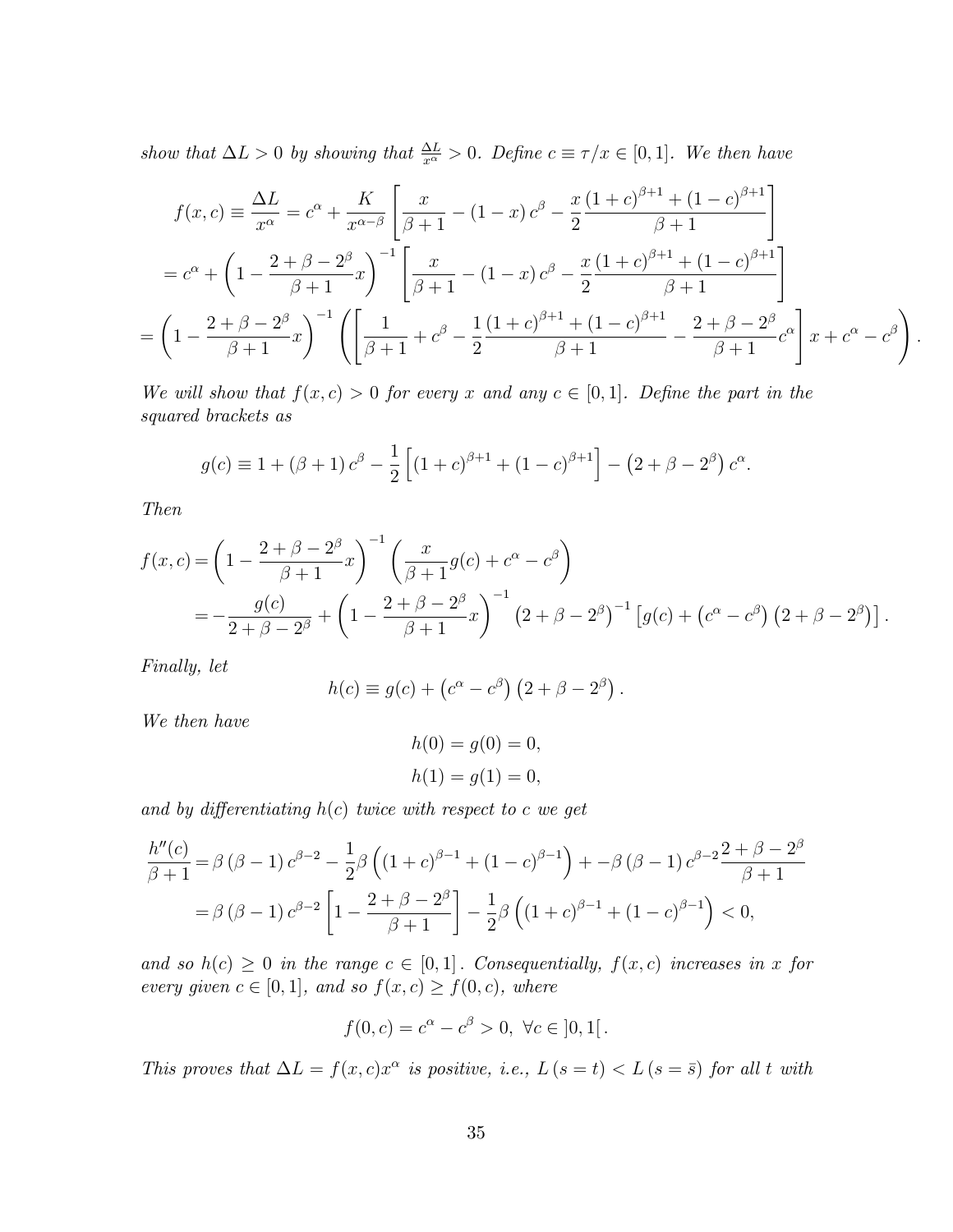show that  $\Delta L > 0$  by showing that  $\frac{\Delta L}{x^{\alpha}} > 0$ . Define  $c \equiv \tau/x \in [0,1]$ . We then have

$$
f(x, c) = \frac{\Delta L}{x^{\alpha}} = c^{\alpha} + \frac{K}{x^{\alpha - \beta}} \left[ \frac{x}{\beta + 1} - (1 - x) c^{\beta} - \frac{x}{2} \frac{(1 + c)^{\beta + 1} + (1 - c)^{\beta + 1}}{\beta + 1} \right]
$$
  
=  $c^{\alpha} + \left( 1 - \frac{2 + \beta - 2^{\beta}}{\beta + 1} x \right)^{-1} \left[ \frac{x}{\beta + 1} - (1 - x) c^{\beta} - \frac{x}{2} \frac{(1 + c)^{\beta + 1} + (1 - c)^{\beta + 1}}{\beta + 1} \right]$   
=  $\left( 1 - \frac{2 + \beta - 2^{\beta}}{\beta + 1} x \right)^{-1} \left( \left[ \frac{1}{\beta + 1} + c^{\beta} - \frac{1}{2} \frac{(1 + c)^{\beta + 1} + (1 - c)^{\beta + 1}}{\beta + 1} - \frac{2 + \beta - 2^{\beta}}{\beta + 1} c^{\alpha} \right] x + c^{\alpha} - c^{\beta} \right).$ 

We will show that  $f(x, c) > 0$  for every x and any  $c \in [0, 1]$ . Define the part in the squared brackets as

$$
g(c) \equiv 1 + (\beta + 1) c^{\beta} - \frac{1}{2} \left[ (1 + c)^{\beta + 1} + (1 - c)^{\beta + 1} \right] - (2 + \beta - 2^{\beta}) c^{\alpha}.
$$

Then

$$
f(x, c) = \left(1 - \frac{2 + \beta - 2^{\beta}}{\beta + 1}x\right)^{-1} \left(\frac{x}{\beta + 1}g(c) + c^{\alpha} - c^{\beta}\right)
$$
  
=  $-\frac{g(c)}{2 + \beta - 2^{\beta}} + \left(1 - \frac{2 + \beta - 2^{\beta}}{\beta + 1}x\right)^{-1} \left(2 + \beta - 2^{\beta}\right)^{-1} \left[g(c) + \left(c^{\alpha} - c^{\beta}\right)\left(2 + \beta - 2^{\beta}\right)\right].$ 

Finally, let

$$
h(c) \equiv g(c) + (c^{\alpha} - c^{\beta}) (2 + \beta - 2^{\beta}).
$$

We then have

$$
h(0) = g(0) = 0,
$$
  

$$
h(1) = g(1) = 0,
$$

and by differentiating  $h(c)$  twice with respect to c we get

$$
\frac{h''(c)}{\beta+1} = \beta (\beta-1) c^{\beta-2} - \frac{1}{2} \beta \left( (1+c)^{\beta-1} + (1-c)^{\beta-1} \right) + -\beta (\beta-1) c^{\beta-2} \frac{2+\beta-2^{\beta}}{\beta+1}
$$

$$
= \beta (\beta-1) c^{\beta-2} \left[ 1 - \frac{2+\beta-2^{\beta}}{\beta+1} \right] - \frac{1}{2} \beta \left( (1+c)^{\beta-1} + (1-c)^{\beta-1} \right) < 0,
$$

and so  $h(c) \geq 0$  in the range  $c \in [0, 1]$ . Consequentially,  $f(x, c)$  increases in x for every given  $c \in [0, 1]$ , and so  $f(x, c) \ge f(0, c)$ , where

$$
f(0, c) = c^{\alpha} - c^{\beta} > 0, \ \forall c \in [0, 1[.
$$

This proves that  $\Delta L = f(x, c)x^{\alpha}$  is positive, i.e.,  $L(s = t) < L(s = \overline{s})$  for all t with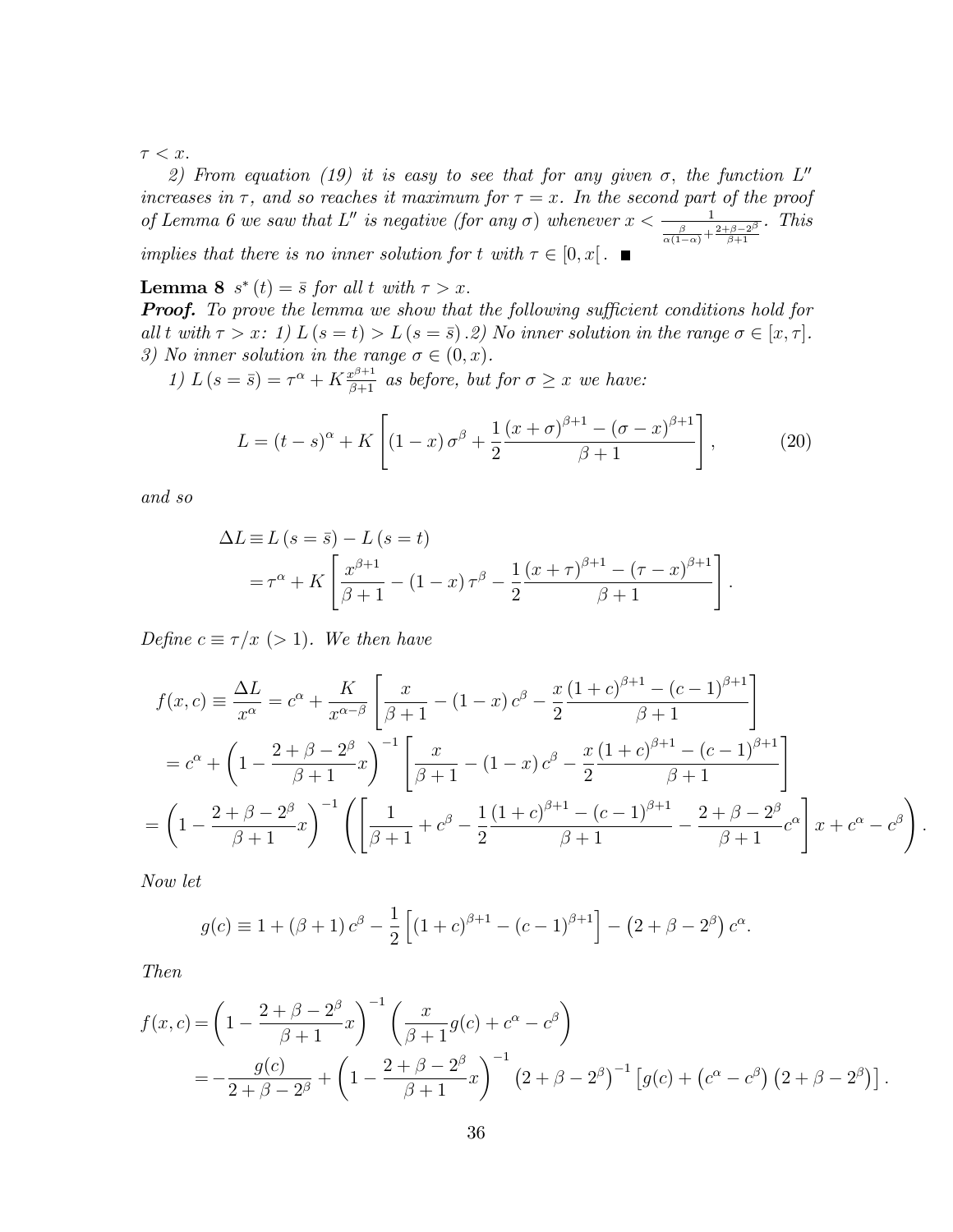$\tau < x$ .

2) From equation (19) it is easy to see that for any given  $\sigma$ , the function  $L''$ increases in  $\tau$ , and so reaches it maximum for  $\tau = x$ . In the second part of the proof of Lemma 6 we saw that L'' is negative (for any  $\sigma$ ) whenever  $x < \frac{1}{\frac{\beta}{\alpha(1-\alpha)} + \frac{2+\beta-2\beta}{\beta+1}}$ . This implies that there is no inner solution for t with  $\tau \in [0, x[$ .

**Lemma 8**  $s^*(t) = \bar{s}$  for all t with  $\tau > x$ .

**Proof.** To prove the lemma we show that the following sufficient conditions hold for all t with  $\tau > x$ : 1)  $L(s = t) > L(s = \overline{s})$ . 2) No inner solution in the range  $\sigma \in [x, \tau]$ . 3) No inner solution in the range  $\sigma \in (0, x)$ .

1)  $L(s = \bar{s}) = \tau^{\alpha} + K \frac{x^{\beta+1}}{\beta+1}$  as before, but for  $\sigma \geq x$  we have:

$$
L = (t - s)^{\alpha} + K \left[ (1 - x) \sigma^{\beta} + \frac{1}{2} \frac{(x + \sigma)^{\beta + 1} - (\sigma - x)^{\beta + 1}}{\beta + 1} \right],
$$
 (20)

and so

$$
\Delta L \equiv L (s = \bar{s}) - L (s = t) \n= \tau^{\alpha} + K \left[ \frac{x^{\beta+1}}{\beta+1} - (1-x) \tau^{\beta} - \frac{1}{2} \frac{(x+\tau)^{\beta+1} - (\tau - x)^{\beta+1}}{\beta+1} \right].
$$

Define  $c \equiv \tau/x$  (> 1). We then have

$$
f(x,c) \equiv \frac{\Delta L}{x^{\alpha}} = c^{\alpha} + \frac{K}{x^{\alpha-\beta}} \left[ \frac{x}{\beta+1} - (1-x) c^{\beta} - \frac{x}{2} \frac{(1+c)^{\beta+1} - (c-1)^{\beta+1}}{\beta+1} \right]
$$
  
=  $c^{\alpha} + \left( 1 - \frac{2+\beta-2^{\beta}}{\beta+1} x \right)^{-1} \left[ \frac{x}{\beta+1} - (1-x) c^{\beta} - \frac{x}{2} \frac{(1+c)^{\beta+1} - (c-1)^{\beta+1}}{\beta+1} \right]$   
=  $\left( 1 - \frac{2+\beta-2^{\beta}}{\beta+1} x \right)^{-1} \left( \left[ \frac{1}{\beta+1} + c^{\beta} - \frac{1}{2} \frac{(1+c)^{\beta+1} - (c-1)^{\beta+1}}{\beta+1} - \frac{2+\beta-2^{\beta}}{\beta+1} c^{\alpha} \right] x + c^{\alpha} - c^{\beta} \right)$ 

:

Now let

$$
g(c) \equiv 1 + (\beta + 1) c^{\beta} - \frac{1}{2} \left[ (1 + c)^{\beta + 1} - (c - 1)^{\beta + 1} \right] - (2 + \beta - 2^{\beta}) c^{\alpha}.
$$

Then

$$
f(x, c) = \left(1 - \frac{2 + \beta - 2^{\beta}}{\beta + 1}x\right)^{-1} \left(\frac{x}{\beta + 1}g(c) + c^{\alpha} - c^{\beta}\right)
$$
  
=  $-\frac{g(c)}{2 + \beta - 2^{\beta}} + \left(1 - \frac{2 + \beta - 2^{\beta}}{\beta + 1}x\right)^{-1} \left(2 + \beta - 2^{\beta}\right)^{-1} \left[g(c) + (c^{\alpha} - c^{\beta})\left(2 + \beta - 2^{\beta}\right)\right].$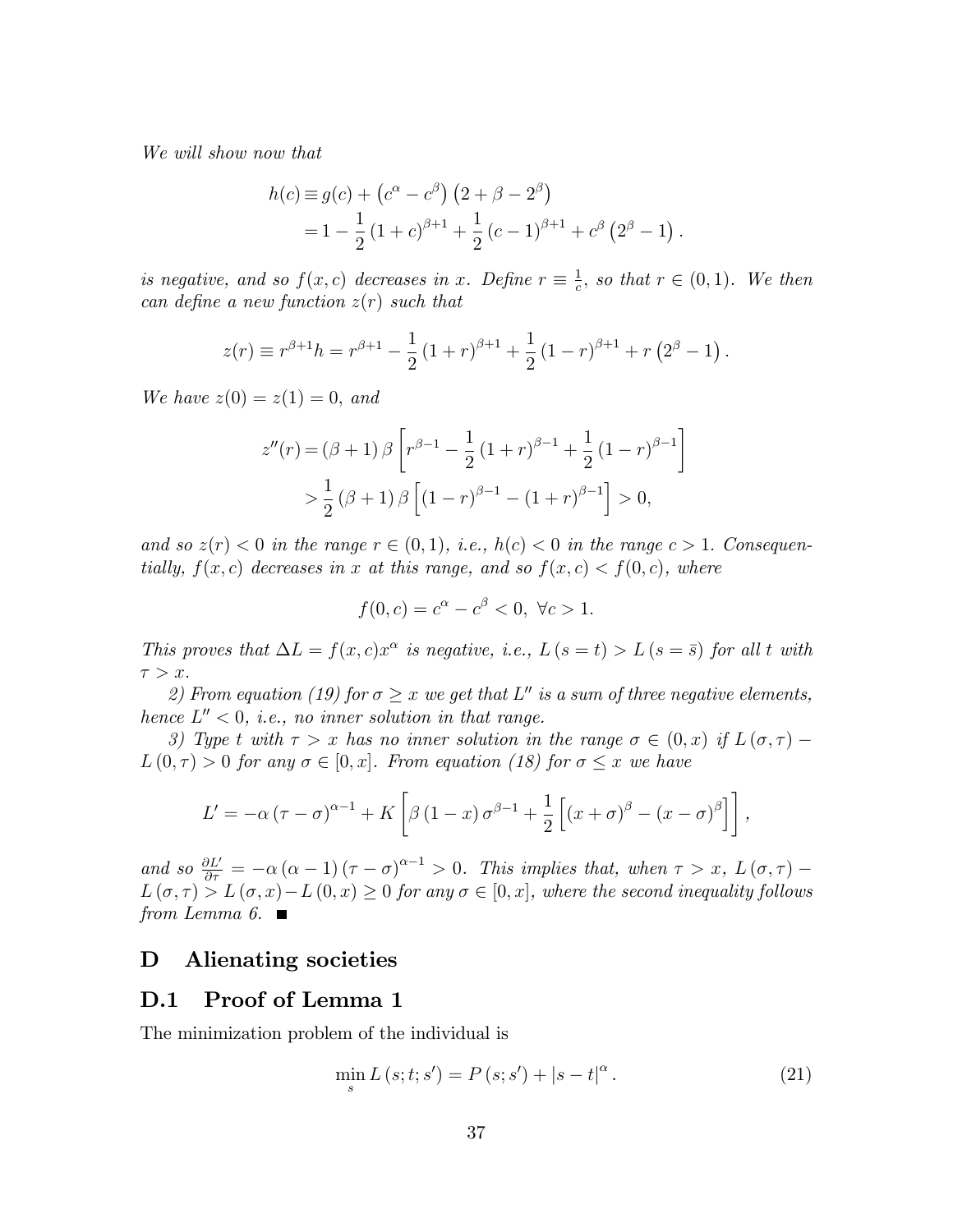We will show now that

$$
h(c) \equiv g(c) + (c^{\alpha} - c^{\beta}) (2 + \beta - 2^{\beta})
$$
  
=  $1 - \frac{1}{2} (1 + c)^{\beta + 1} + \frac{1}{2} (c - 1)^{\beta + 1} + c^{\beta} (2^{\beta} - 1).$ 

is negative, and so  $f(x, c)$  decreases in x. Define  $r \equiv \frac{1}{c}$  $\frac{1}{c}$ , so that  $r \in (0,1)$ . We then can define a new function  $z(r)$  such that

$$
z(r) \equiv r^{\beta+1}h = r^{\beta+1} - \frac{1}{2}(1+r)^{\beta+1} + \frac{1}{2}(1-r)^{\beta+1} + r(2^{\beta}-1).
$$

We have  $z(0) = z(1) = 0$ , and

$$
z''(r) = (\beta + 1)\beta \left[ r^{\beta - 1} - \frac{1}{2} (1 + r)^{\beta - 1} + \frac{1}{2} (1 - r)^{\beta - 1} \right]
$$
  
>  $\frac{1}{2} (\beta + 1)\beta \left[ (1 - r)^{\beta - 1} - (1 + r)^{\beta - 1} \right] > 0,$ 

and so  $z(r) < 0$  in the range  $r \in (0, 1)$ , i.e.,  $h(c) < 0$  in the range  $c > 1$ . Consequentially,  $f(x, c)$  decreases in x at this range, and so  $f(x, c) < f(0, c)$ , where

$$
f(0, c) = c^{\alpha} - c^{\beta} < 0, \ \forall c > 1.
$$

This proves that  $\Delta L = f(x, c)x^{\alpha}$  is negative, i.e.,  $L(s = t) > L(s = \overline{s})$  for all t with  $\tau > x.$ 

2) From equation (19) for  $\sigma \geq x$  we get that  $L''$  is a sum of three negative elements, hence  $L'' < 0$ , i.e., no inner solution in that range.

3) Type t with  $\tau > x$  has no inner solution in the range  $\sigma \in (0, x)$  if  $L(\sigma, \tau)$  $L(0, \tau) > 0$  for any  $\sigma \in [0, x]$ . From equation (18) for  $\sigma \leq x$  we have

$$
L' = -\alpha (\tau - \sigma)^{\alpha - 1} + K \left[ \beta (1 - x) \sigma^{\beta - 1} + \frac{1}{2} \left[ (x + \sigma)^{\beta} - (x - \sigma)^{\beta} \right] \right],
$$

and so  $\frac{\partial L'}{\partial \tau} = -\alpha (\alpha - 1) (\tau - \sigma)^{\alpha - 1} > 0$ . This implies that, when  $\tau > x$ ,  $L(\sigma, \tau)$  –  $L(\sigma, \tau) > L(\sigma, x) - L(0, x) \ge 0$  for any  $\sigma \in [0, x]$ , where the second inequality follows from Lemma 6.  $\blacksquare$ 

# D Alienating societies

# D.1 Proof of Lemma 1

The minimization problem of the individual is

$$
\min_{s} L(s; t; s') = P(s; s') + |s - t|^{\alpha}.
$$
\n(21)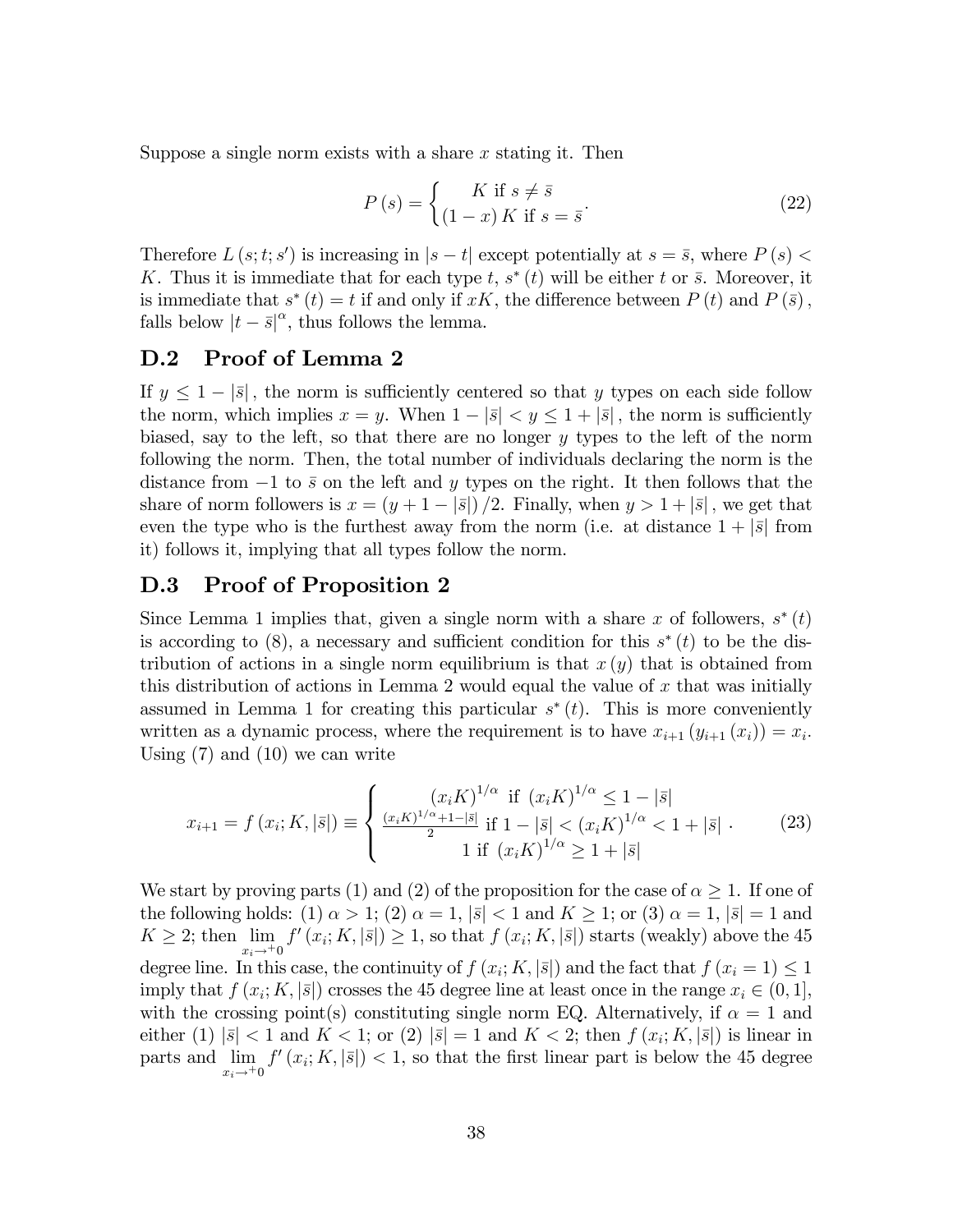Suppose a single norm exists with a share  $x$  stating it. Then

$$
P(s) = \begin{cases} K \text{ if } s \neq \overline{s} \\ (1-x) K \text{ if } s = \overline{s} \end{cases}
$$
 (22)

Therefore  $L(s; t; s')$  is increasing in  $|s - t|$  except potentially at  $s = \overline{s}$ , where  $P(s) <$ K. Thus it is immediate that for each type t,  $s^*(t)$  will be either t or  $\bar{s}$ . Moreover, it is immediate that  $s^*(t) = t$  if and only if xK, the difference between  $P(t)$  and  $P(\bar{s})$ , falls below  $|t - \bar{s}|^{\alpha}$ , thus follows the lemma.

# D.2 Proof of Lemma 2

If  $y \leq 1 - |\bar{s}|$ , the norm is sufficiently centered so that y types on each side follow the norm, which implies  $x = y$ . When  $1 - |\bar{s}| < y \leq 1 + |\bar{s}|$ , the norm is sufficiently biased, say to the left, so that there are no longer  $y$  types to the left of the norm following the norm. Then, the total number of individuals declaring the norm is the distance from  $-1$  to  $\bar{s}$  on the left and y types on the right. It then follows that the share of norm followers is  $x = (y + 1 - |\bar{s}|)/2$ . Finally, when  $y > 1 + |\bar{s}|$ , we get that even the type who is the furthest away from the norm (i.e. at distance  $1 + |\bar{s}|$  from it) follows it, implying that all types follow the norm.

# D.3 Proof of Proposition 2

Since Lemma 1 implies that, given a single norm with a share x of followers,  $s^*(t)$ is according to  $(8)$ , a necessary and sufficient condition for this  $s^*(t)$  to be the distribution of actions in a single norm equilibrium is that  $x(y)$  that is obtained from this distribution of actions in Lemma 2 would equal the value of x that was initially assumed in Lemma 1 for creating this particular  $s^*(t)$ . This is more conveniently written as a dynamic process, where the requirement is to have  $x_{i+1}(y_{i+1}(x_i)) = x_i$ . Using (7) and (10) we can write

$$
x_{i+1} = f(x_i; K, |\bar{s}|) \equiv \begin{cases} (x_i K)^{1/\alpha} & \text{if } (x_i K)^{1/\alpha} \le 1 - |\bar{s}| \\ \frac{(x_i K)^{1/\alpha} + 1 - |\bar{s}|}{2} & \text{if } 1 - |\bar{s}| < (x_i K)^{1/\alpha} < 1 + |\bar{s}| \\ 1 & \text{if } (x_i K)^{1/\alpha} \ge 1 + |\bar{s}| \end{cases} \tag{23}
$$

We start by proving parts (1) and (2) of the proposition for the case of  $\alpha \geq 1$ . If one of the following holds: (1)  $\alpha > 1$ ; (2)  $\alpha = 1$ ,  $|\bar{s}| < 1$  and  $K \ge 1$ ; or (3)  $\alpha = 1$ ,  $|\bar{s}| = 1$  and  $K \geq 2$ ; then  $\lim_{x_i \to +0}$  $f'(x_i; K, |\bar{s}|) \geq 1$ , so that  $f(x_i; K, |\bar{s}|)$  starts (weakly) above the 45 degree line. In this case, the continuity of  $f(x_i; K, |\bar{s}|)$  and the fact that  $f(x_i = 1) \leq 1$ imply that  $f(x_i; K, |\bar{s}|)$  crosses the 45 degree line at least once in the range  $x_i \in (0, 1]$ , with the crossing point(s) constituting single norm EQ. Alternatively, if  $\alpha = 1$  and either (1)  $|\bar{s}| < 1$  and  $K < 1$ ; or (2)  $|\bar{s}| = 1$  and  $K < 2$ ; then  $f(x_i; K, |\bar{s}|)$  is linear in parts and lim  $x_i \rightarrow^+ 0$  $f'(x_i; K, |\bar{s}|) < 1$ , so that the first linear part is below the 45 degree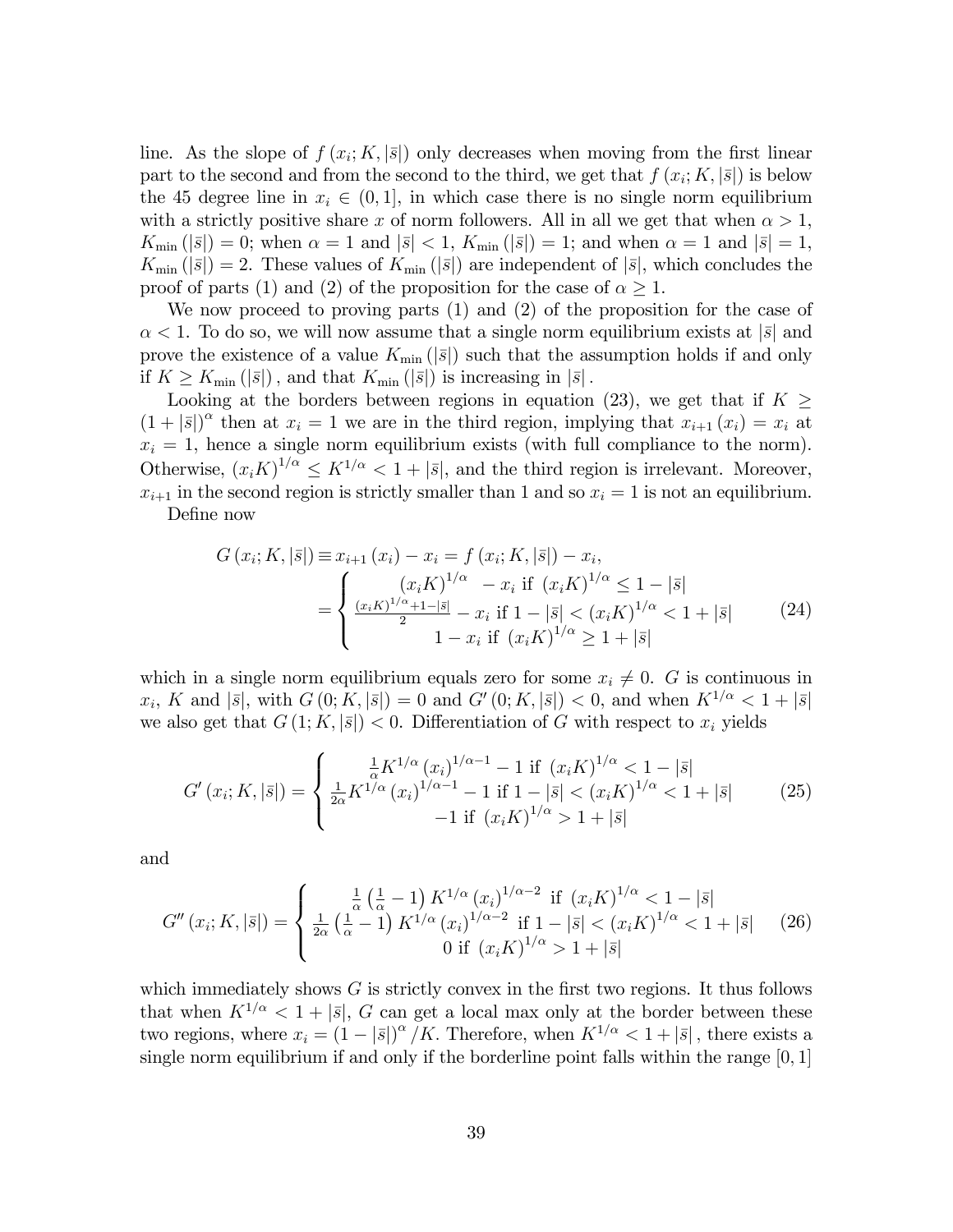line. As the slope of  $f(x_i; K, |\bar{s}|)$  only decreases when moving from the first linear part to the second and from the second to the third, we get that  $f(x_i; K, |\bar{s}|)$  is below the 45 degree line in  $x_i \in (0, 1]$ , in which case there is no single norm equilibrium with a strictly positive share x of norm followers. All in all we get that when  $\alpha > 1$ ,  $K_{\min}(|\bar{s}|) = 0$ ; when  $\alpha = 1$  and  $|\bar{s}| < 1$ ,  $K_{\min}(|\bar{s}|) = 1$ ; and when  $\alpha = 1$  and  $|\bar{s}| = 1$ ,  $K_{\min}(|\bar{s}|) = 2$ . These values of  $K_{\min}(|\bar{s}|)$  are independent of  $|\bar{s}|$ , which concludes the proof of parts (1) and (2) of the proposition for the case of  $\alpha \geq 1$ .

We now proceed to proving parts (1) and (2) of the proposition for the case of  $\alpha$  < 1. To do so, we will now assume that a single norm equilibrium exists at  $|\bar{s}|$  and prove the existence of a value  $K_{\min}(|\bar{s}|)$  such that the assumption holds if and only if  $K \geq K_{\min}(|\bar{s}|)$ , and that  $K_{\min}(|\bar{s}|)$  is increasing in  $|\bar{s}|$ .

Looking at the borders between regions in equation (23), we get that if  $K \geq$  $(1+|\bar{s}|)^{\alpha}$  then at  $x_i = 1$  we are in the third region, implying that  $x_{i+1}(x_i) = x_i$  at  $x_i = 1$ , hence a single norm equilibrium exists (with full compliance to the norm). Otherwise,  $(x_i K)^{1/\alpha} \leq K^{1/\alpha} < 1 + |\bar{s}|$ , and the third region is irrelevant. Moreover,  $x_{i+1}$  in the second region is strictly smaller than 1 and so  $x_i = 1$  is not an equilibrium.

Define now

$$
G(x_i; K, |\bar{s}|) \equiv x_{i+1}(x_i) - x_i = f(x_i; K, |\bar{s}|) - x_i,
$$
  
= 
$$
\begin{cases} (x_i K)^{1/\alpha} - x_i \text{ if } (x_i K)^{1/\alpha} \le 1 - |\bar{s}|\\ \frac{(x_i K)^{1/\alpha} + 1 - |\bar{s}|}{2} - x_i \text{ if } 1 - |\bar{s}| < (x_i K)^{1/\alpha} < 1 + |\bar{s}|\\ 1 - x_i \text{ if } (x_i K)^{1/\alpha} \ge 1 + |\bar{s}| \end{cases}
$$
(24)

which in a single norm equilibrium equals zero for some  $x_i \neq 0$ . G is continuous in  $x_i, K$  and  $|\bar{s}|$ , with  $G(0; K, |\bar{s}|) = 0$  and  $G'(0; K, |\bar{s}|) < 0$ , and when  $K^{1/\alpha} < 1 + |\bar{s}|$ we also get that  $G(1; K, |\bar{s}|) < 0$ . Differentiation of G with respect to  $x_i$  yields

$$
G'(x_i; K, |\bar{s}|) = \begin{cases} \frac{1}{\alpha} K^{1/\alpha} (x_i)^{1/\alpha - 1} - 1 & \text{if } (x_i K)^{1/\alpha} < 1 - |\bar{s}|\\ \frac{1}{2\alpha} K^{1/\alpha} (x_i)^{1/\alpha - 1} - 1 & \text{if } 1 - |\bar{s}| < (x_i K)^{1/\alpha} < 1 + |\bar{s}|\\ -1 & \text{if } (x_i K)^{1/\alpha} > 1 + |\bar{s}| \end{cases}
$$
(25)

and

$$
G''(x_i; K, |\bar{s}|) = \begin{cases} \frac{1}{\alpha} \left(\frac{1}{\alpha} - 1\right) K^{1/\alpha} (x_i)^{1/\alpha - 2} & \text{if } (x_i K)^{1/\alpha} < 1 - |\bar{s}|\\ \frac{1}{2\alpha} \left(\frac{1}{\alpha} - 1\right) K^{1/\alpha} (x_i)^{1/\alpha - 2} & \text{if } 1 - |\bar{s}| < (x_i K)^{1/\alpha} < 1 + |\bar{s}|\\ 0 & \text{if } (x_i K)^{1/\alpha} > 1 + |\bar{s}| \end{cases} \tag{26}
$$

which immediately shows  $G$  is strictly convex in the first two regions. It thus follows that when  $K^{1/\alpha} < 1 + |\bar{s}|$ , G can get a local max only at the border between these two regions, where  $x_i = (1 - |\bar{s}|)^{\alpha}/K$ . Therefore, when  $K^{1/\alpha} < 1 + |\bar{s}|$ , there exists a single norm equilibrium if and only if the borderline point falls within the range  $[0,1]$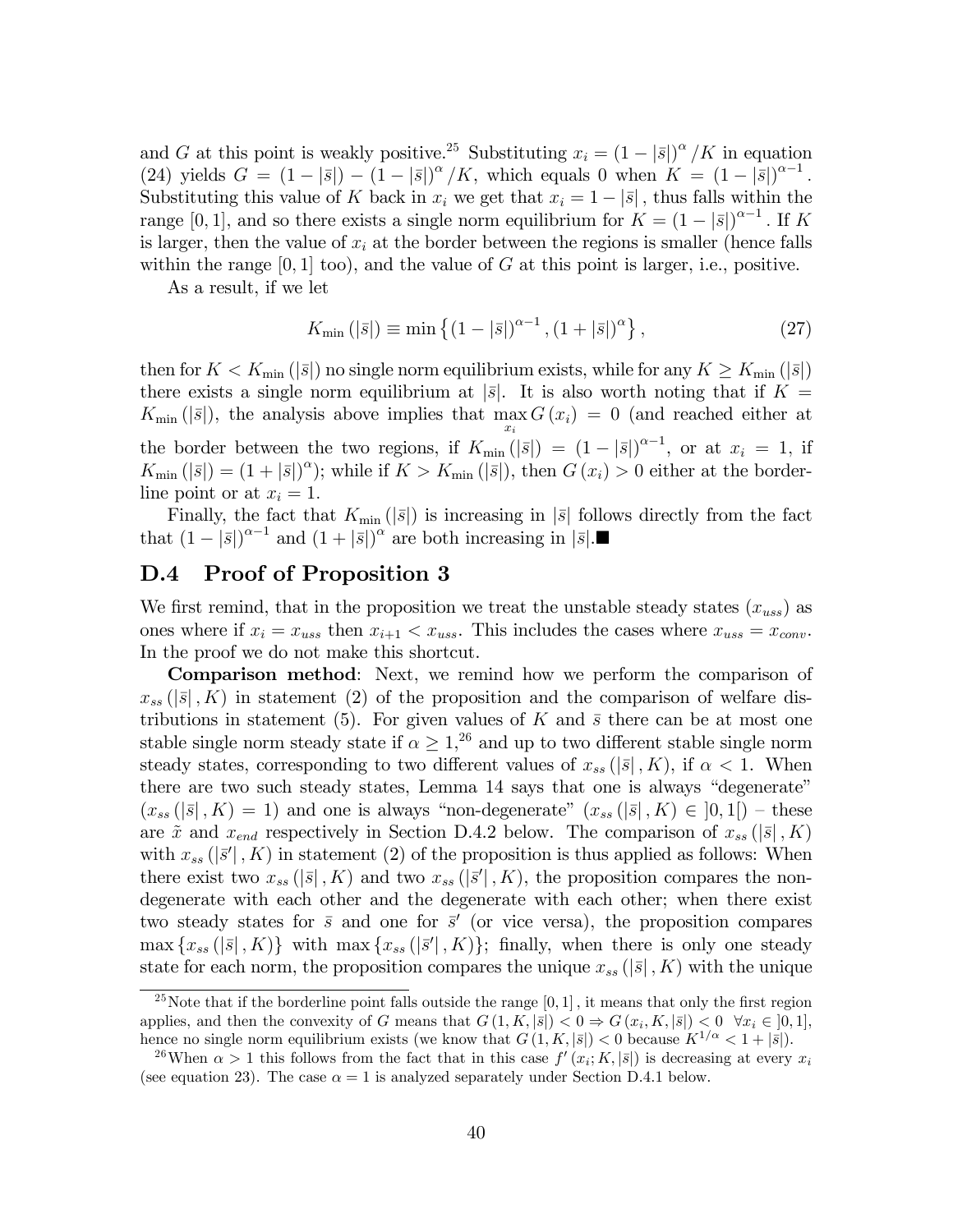and G at this point is weakly positive.<sup>25</sup> Substituting  $x_i = (1 - |\bar{s}|)^{\alpha}/K$  in equation (24) yields  $G = (1 - |\bar{s}|) - (1 - |\bar{s}|)^{\alpha}/K$ , which equals 0 when  $K = (1 - |\bar{s}|)^{\alpha - 1}$ . Substituting this value of K back in  $x_i$  we get that  $x_i = 1 - |\bar{s}|$ , thus falls within the range [0, 1], and so there exists a single norm equilibrium for  $K = (1 - |\bar{s}|)^{\alpha - 1}$ . If K is larger, then the value of  $x_i$  at the border between the regions is smaller (hence falls within the range  $[0, 1]$  too), and the value of G at this point is larger, i.e., positive.

As a result, if we let

$$
K_{\min}(|\bar{s}|) \equiv \min\left\{ (1 - |\bar{s}|)^{\alpha - 1}, (1 + |\bar{s}|)^{\alpha} \right\},\tag{27}
$$

then for  $K < K_{\min} (|\bar{s}|)$  no single norm equilibrium exists, while for any  $K \geq K_{\min} (|\bar{s}|)$ there exists a single norm equilibrium at  $|\bar{s}|$ . It is also worth noting that if  $K =$  $K_{\min}(|\bar{s}|)$ , the analysis above implies that  $\max_{x_i} G(x_i) = 0$  (and reached either at xi the border between the two regions, if  $K_{\min}(|\bar{s}|) = (1-|\bar{s}|)^{\alpha-1}$ , or at  $x_i = 1$ , if  $K_{\min}(|\bar{s}|) = (1+|\bar{s}|)^{\alpha}$ ; while if  $K > K_{\min}(|\bar{s}|)$ , then  $G(x_i) > 0$  either at the borderline point or at  $x_i = 1$ .

Finally, the fact that  $K_{\min}(|\bar{s}|)$  is increasing in  $|\bar{s}|$  follows directly from the fact that  $(1 - |\bar{s}|)^{\alpha - 1}$  and  $(1 + |\bar{s}|)^{\alpha}$  are both increasing in  $|\bar{s}|$ .

# D.4 Proof of Proposition 3

We first remind, that in the proposition we treat the unstable steady states  $(x_{uss})$  as ones where if  $x_i = x_{uss}$  then  $x_{i+1} < x_{uss}$ . This includes the cases where  $x_{uss} = x_{conv}$ . In the proof we do not make this shortcut.

Comparison method: Next, we remind how we perform the comparison of  $x_{ss}$  ( $|\bar{s}|$ , K) in statement (2) of the proposition and the comparison of welfare distributions in statement (5). For given values of K and  $\bar{s}$  there can be at most one stable single norm steady state if  $\alpha \geq 1$ , <sup>26</sup> and up to two different stable single norm steady states, corresponding to two different values of  $x_{ss}$  ( $|\bar{s}|$ , K), if  $\alpha < 1$ . When there are two such steady states, Lemma 14 says that one is always "degenerate"  $(x_{ss}(|\bar{s}|, K) = 1)$  and one is always "non-degenerate"  $(x_{ss}(|\bar{s}|, K) \in ]0,1[)$  – these are  $\tilde{x}$  and  $x_{end}$  respectively in Section D.4.2 below. The comparison of  $x_{ss}$  ( $|\bar{s}|$ , K) with  $x_{ss}$  ( $|\bar{s}'|$ , K) in statement (2) of the proposition is thus applied as follows: When there exist two  $x_{ss}$  ( $|\bar{s}|$ , K) and two  $x_{ss}$  ( $|\bar{s}'|$ , K), the proposition compares the nondegenerate with each other and the degenerate with each other; when there exist two steady states for  $\bar{s}$  and one for  $\bar{s}'$  (or vice versa), the proposition compares  $\max\{x_{ss}(|\bar{s}|,K)\}\$  with  $\max\{x_{ss}(|\bar{s}'|,K)\}\$ ; finally, when there is only one steady state for each norm, the proposition compares the unique  $x_{ss}$  ( $|\bar{s}|$ , K) with the unique

<sup>&</sup>lt;sup>25</sup>Note that if the borderline point falls outside the range  $[0, 1]$ , it means that only the first region applies, and then the convexity of G means that  $G(1, K, |\bar{s}|) < 0 \Rightarrow G(x_i, K, |\bar{s}|) < 0 \quad \forall x_i \in [0, 1],$ hence no single norm equilibrium exists (we know that  $G(1, K, |\bar{s}|) < 0$  because  $K^{1/\alpha} < 1 + |\bar{s}|$ ).

<sup>&</sup>lt;sup>26</sup>When  $\alpha > 1$  this follows from the fact that in this case  $f'(x_i; K, |\bar{s}|)$  is decreasing at every  $x_i$ (see equation 23). The case  $\alpha = 1$  is analyzed separately under Section D.4.1 below.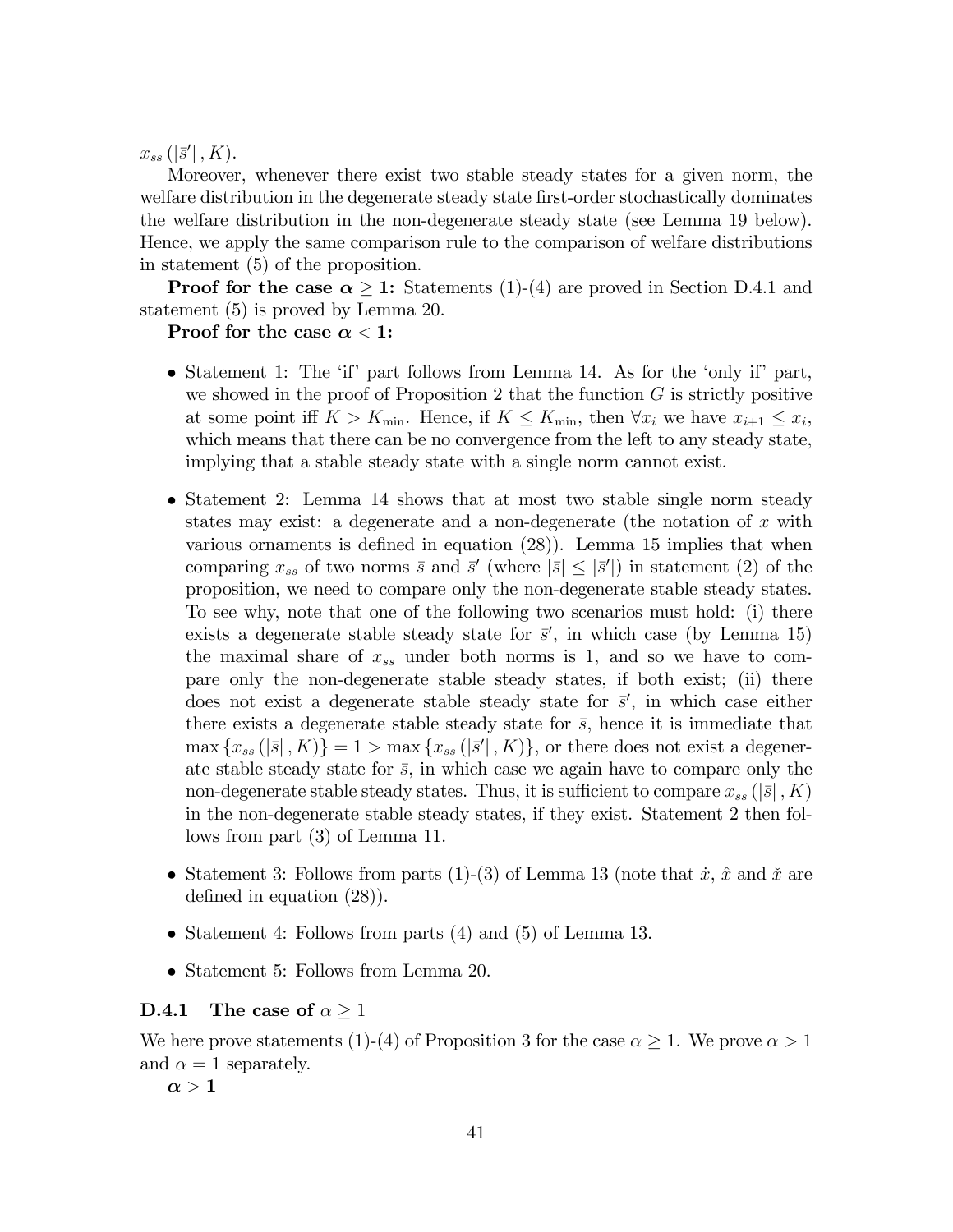$x_{ss}\left(\left|\bar{s}'\right|,K\right).$ 

Moreover, whenever there exist two stable steady states for a given norm, the welfare distribution in the degenerate steady state first-order stochastically dominates the welfare distribution in the non-degenerate steady state (see Lemma 19 below). Hence, we apply the same comparison rule to the comparison of welfare distributions in statement (5) of the proposition.

**Proof for the case**  $\alpha \geq 1$ **:** Statements (1)-(4) are proved in Section D.4.1 and statement (5) is proved by Lemma 20.

Proof for the case  $\alpha < 1$ :

- $\bullet$  Statement 1: The 'if' part follows from Lemma 14. As for the 'only if' part, we showed in the proof of Proposition 2 that the function  $G$  is strictly positive at some point iff  $K > K_{\min}$ . Hence, if  $K \leq K_{\min}$ , then  $\forall x_i$  we have  $x_{i+1} \leq x_i$ , which means that there can be no convergence from the left to any steady state, implying that a stable steady state with a single norm cannot exist.
- Statement 2: Lemma 14 shows that at most two stable single norm steady states may exist: a degenerate and a non-degenerate (the notation of  $x$  with various ornaments is defined in equation  $(28)$ ). Lemma 15 implies that when comparing  $x_{ss}$  of two norms  $\bar{s}$  and  $\bar{s}'$  (where  $|\bar{s}| \leq |\bar{s}'|$ ) in statement (2) of the proposition, we need to compare only the non-degenerate stable steady states. To see why, note that one of the following two scenarios must hold: (i) there exists a degenerate stable steady state for  $\bar{s}'$ , in which case (by Lemma 15) the maximal share of  $x_{ss}$  under both norms is 1, and so we have to compare only the non-degenerate stable steady states, if both exist; (ii) there does not exist a degenerate stable steady state for  $\bar{s}'$ , in which case either there exists a degenerate stable steady state for  $\bar{s}$ , hence it is immediate that  $\max\left\{x_{ss}\left(\left|\bar{s}\right|, K\right)\right\} = 1 > \max\left\{x_{ss}\left(\left|\bar{s}'\right|, K\right)\right\}$ , or there does not exist a degenerate stable steady state for  $\bar{s}$ , in which case we again have to compare only the non-degenerate stable steady states. Thus, it is sufficient to compare  $x_{ss}$  ( $|\bar{s}|$ , K) in the non-degenerate stable steady states, if they exist. Statement 2 then follows from part (3) of Lemma 11.
- Statement 3: Follows from parts (1)-(3) of Lemma 13 (note that  $\dot{x}$ ,  $\hat{x}$  and  $\check{x}$  are defined in equation  $(28)$ ).
- Statement 4: Follows from parts (4) and (5) of Lemma 13.
- Statement 5: Follows from Lemma 20.

### **D.4.1** The case of  $\alpha > 1$

We here prove statements (1)-(4) of Proposition 3 for the case  $\alpha \geq 1$ . We prove  $\alpha > 1$ and  $\alpha = 1$  separately.

 $\alpha > 1$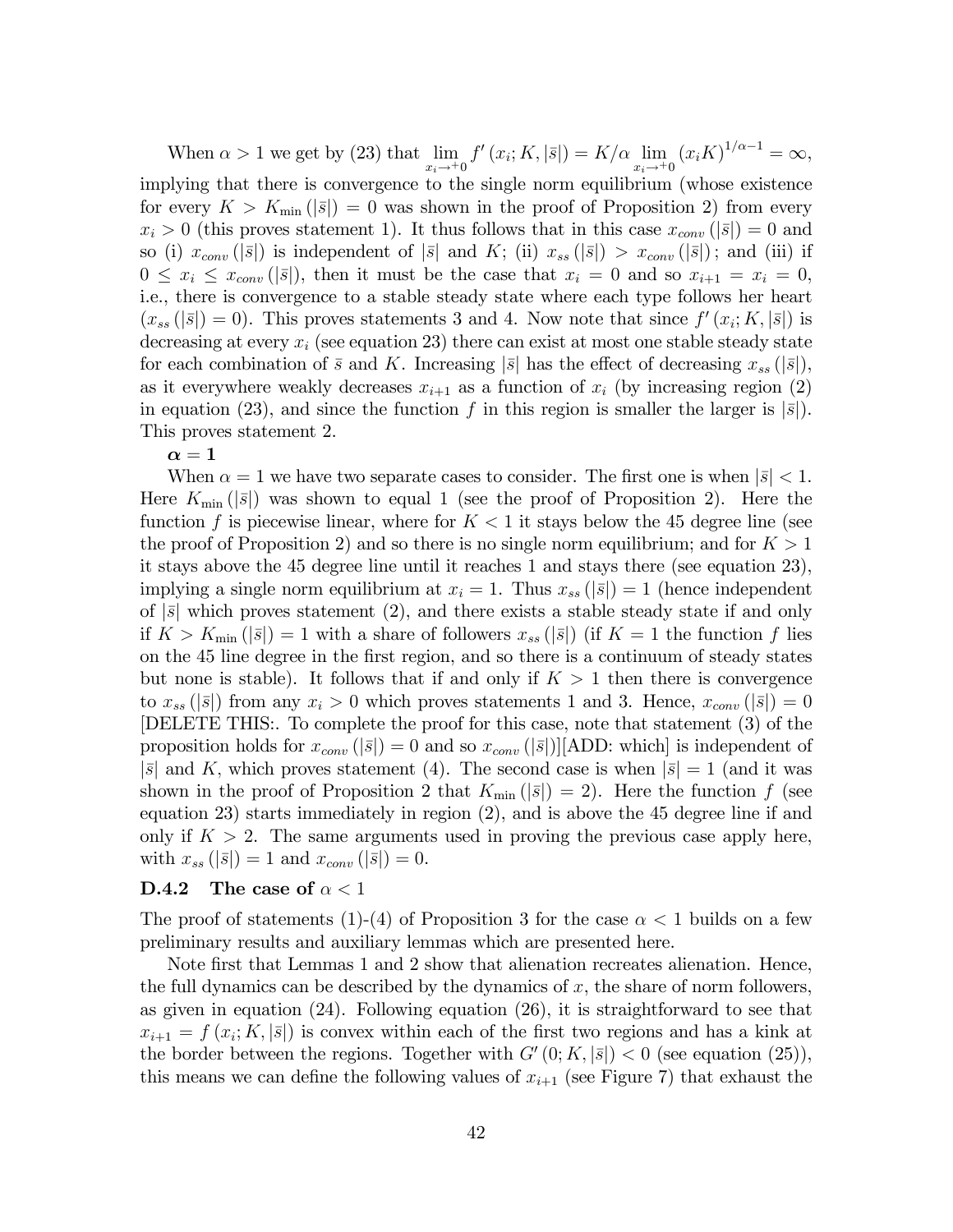When  $\alpha > 1$  we get by (23) that  $\lim_{\alpha \to 1}$  $x_i \rightarrow^+ 0$  $f'(x_i; K, |\bar{s}|) = K/\alpha \lim_{x_i \to +0}$  $(x_i K)^{1/\alpha - 1} = \infty,$ implying that there is convergence to the single norm equilibrium (whose existence for every  $K > K_{\min}(|\bar{s}|) = 0$  was shown in the proof of Proposition 2) from every  $x_i > 0$  (this proves statement 1). It thus follows that in this case  $x_{conv}(|\bar{s}|) = 0$  and so (i)  $x_{conv}(|\bar{s}|)$  is independent of  $|\bar{s}|$  and K; (ii)  $x_{ss}(|\bar{s}|) > x_{conv}(|\bar{s}|)$ ; and (iii) if  $0 \leq x_i \leq x_{conv}(|\bar{s}|)$ , then it must be the case that  $x_i = 0$  and so  $x_{i+1} = x_i = 0$ , i.e., there is convergence to a stable steady state where each type follows her heart  $(x_{ss}(|\bar{s}|) = 0)$ . This proves statements 3 and 4. Now note that since  $f'(x_i; K, |\bar{s}|)$  is decreasing at every  $x_i$  (see equation 23) there can exist at most one stable steady state for each combination of  $\bar{s}$  and K. Increasing  $|\bar{s}|$  has the effect of decreasing  $x_{ss}$  ( $|\bar{s}|$ ), as it everywhere weakly decreases  $x_{i+1}$  as a function of  $x_i$  (by increasing region (2) in equation (23), and since the function f in this region is smaller the larger is  $|\bar{s}|$ ). This proves statement 2.

 $\alpha = 1$ 

When  $\alpha = 1$  we have two separate cases to consider. The first one is when  $|\bar{s}| < 1$ . Here  $K_{\min}(|\bar{s}|)$  was shown to equal 1 (see the proof of Proposition 2). Here the function f is piecewise linear, where for  $K < 1$  it stays below the 45 degree line (see the proof of Proposition 2) and so there is no single norm equilibrium; and for  $K > 1$ it stays above the 45 degree line until it reaches 1 and stays there (see equation 23), implying a single norm equilibrium at  $x_i = 1$ . Thus  $x_{ss}$  ( $|\bar{s}|$ ) = 1 (hence independent of  $|\bar{s}|$  which proves statement (2), and there exists a stable steady state if and only if  $K > K_{\min}(|\bar{s}|) = 1$  with a share of followers  $x_{ss}(|\bar{s}|)$  (if  $K = 1$  the function f lies on the 45 line degree in the Örst region, and so there is a continuum of steady states but none is stable). It follows that if and only if  $K > 1$  then there is convergence to  $x_{ss}$  ( $|\bar{s}|$ ) from any  $x_i > 0$  which proves statements 1 and 3. Hence,  $x_{conv}$  ( $|\bar{s}|$ ) = 0 [DELETE THIS:. To complete the proof for this case, note that statement (3) of the proposition holds for  $x_{conv}$  ( $|\bar{s}|$ ) = 0 and so  $x_{conv}$  ( $|\bar{s}|$ )][ADD: which] is independent of  $|\bar{s}|$  and K, which proves statement (4). The second case is when  $|\bar{s}| = 1$  (and it was shown in the proof of Proposition 2 that  $K_{\min}(|\bar{s}|) = 2$ ). Here the function f (see equation 23) starts immediately in region (2), and is above the 45 degree line if and only if  $K > 2$ . The same arguments used in proving the previous case apply here, with  $x_{ss} (|\bar{s}|) = 1$  and  $x_{conv} (|\bar{s}|) = 0$ .

### D.4.2 The case of  $\alpha < 1$

The proof of statements (1)-(4) of Proposition 3 for the case  $\alpha < 1$  builds on a few preliminary results and auxiliary lemmas which are presented here.

Note first that Lemmas 1 and 2 show that alienation recreates alienation. Hence, the full dynamics can be described by the dynamics of  $x$ , the share of norm followers, as given in equation  $(24)$ . Following equation  $(26)$ , it is straightforward to see that  $x_{i+1} = f(x_i; K, |\bar{s}|)$  is convex within each of the first two regions and has a kink at the border between the regions. Together with  $G'(0; K, |\bar{s}|) < 0$  (see equation (25)), this means we can define the following values of  $x_{i+1}$  (see Figure 7) that exhaust the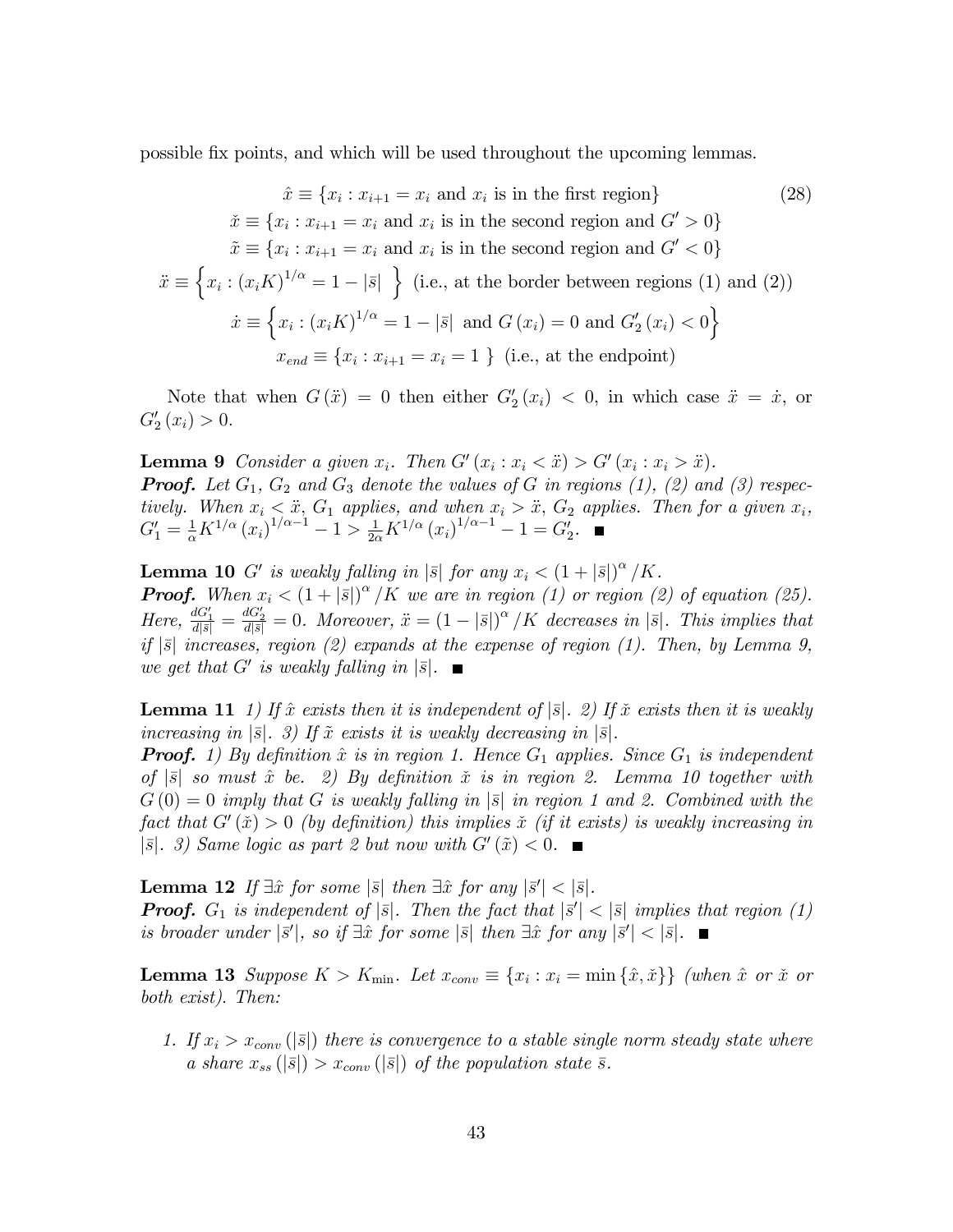possible Öx points, and which will be used throughout the upcoming lemmas.

$$
\hat{x} \equiv \{x_i : x_{i+1} = x_i \text{ and } x_i \text{ is in the first region}\}\
$$
\n
$$
\check{x} \equiv \{x_i : x_{i+1} = x_i \text{ and } x_i \text{ is in the second region and } G' > 0\}
$$
\n
$$
\tilde{x} \equiv \{x_i : x_{i+1} = x_i \text{ and } x_i \text{ is in the second region and } G' < 0\}
$$
\n
$$
\ddot{x} \equiv \left\{x_i : (x_i K)^{1/\alpha} = 1 - |\bar{s}| \right\} \text{ (i.e., at the border between regions (1) and (2))}
$$
\n
$$
\dot{x} \equiv \left\{x_i : (x_i K)^{1/\alpha} = 1 - |\bar{s}| \text{ and } G(x_i) = 0 \text{ and } G'_2(x_i) < 0\right\}
$$
\n
$$
x_{end} \equiv \{x_i : x_{i+1} = x_i = 1 \} \text{ (i.e., at the endpoint)}
$$
\n(28)

Note that when  $G(\ddot{x}) = 0$  then either  $G_2'(x_i) < 0$ , in which case  $\ddot{x} = \dot{x}$ , or  $G'_{2}(x_{i}) > 0.$ 

**Lemma 9** Consider a given  $x_i$ . Then  $G'(x_i : x_i < \ddot{x}) > G'(x_i : x_i > \ddot{x})$ . **Proof.** Let  $G_1$ ,  $G_2$  and  $G_3$  denote the values of G in regions (1), (2) and (3) respectively. When  $x_i \leq \ddot{x}$ ,  $G_1$  applies, and when  $x_i > \ddot{x}$ ,  $G_2$  applies. Then for a given  $x_i$ ,  $G_1' = \frac{1}{\alpha} K^{1/\alpha} (x_i)^{1/\alpha - 1} - 1 > \frac{1}{2\alpha} K^{1/\alpha} (x_i)^{1/\alpha - 1} - 1 = G_2'.$ 

**Lemma 10** G' is weakly falling in  $|\bar{s}|$  for any  $x_i < (1 + |\bar{s}|)^{\alpha}/K$ . **Proof.** When  $x_i < (1 + |\bar{s}|)^{\alpha}/K$  we are in region (1) or region (2) of equation (25). Here,  $\frac{dG_1'}{d|\bar{s}|} = \frac{dG_2'}{d|\bar{s}|} = 0$ . Moreover,  $\ddot{x} = (1 - |\bar{s}|)^{\alpha}/K$  decreases in  $|\bar{s}|$ . This implies that if  $|\bar{s}|$  increases, region (2) expands at the expense of region (1). Then, by Lemma 9, we get that  $G'$  is weakly falling in  $|\bar{s}|$ .

**Lemma 11** 1) If  $\hat{x}$  exists then it is independent of  $|\bar{s}|$ . 2) If  $\check{x}$  exists then it is weakly increasing in  $|\bar{s}|$ . 3) If  $\tilde{x}$  exists it is weakly decreasing in  $|\bar{s}|$ .

**Proof.** 1) By definition  $\hat{x}$  is in region 1. Hence  $G_1$  applies. Since  $G_1$  is independent of  $|\bar{s}|$  so must  $\hat{x}$  be. 2) By definition  $\check{x}$  is in region 2. Lemma 10 together with  $G(0) = 0$  imply that G is weakly falling in  $|\bar{s}|$  in region 1 and 2. Combined with the fact that  $G'(\check{x}) > 0$  (by definition) this implies  $\check{x}$  (if it exists) is weakly increasing in  $|\bar{s}|$ . 3) Same logic as part 2 but now with  $G'(\tilde{x}) < 0$ .

**Lemma 12** If  $\exists \hat{x}$  for some  $|\bar{s}|$  then  $\exists \hat{x}$  for any  $|\bar{s}'| < |\bar{s}|$ . **Proof.**  $G_1$  is independent of  $|\bar{s}|$ . Then the fact that  $|\bar{s}'| < |\bar{s}|$  implies that region (1) is broader under  $|\bar{s}'|$ , so if  $\exists \hat{x}$  for some  $|\bar{s}|$  then  $\exists \hat{x}$  for any  $|\bar{s}'| < |\bar{s}|$ .

**Lemma 13** Suppose  $K > K_{\min}$ . Let  $x_{conv} \equiv \{x_i : x_i = \min \{\hat{x}, \check{x}\}\}\$  (when  $\hat{x}$  or  $\check{x}$  or both exist): Then:

1. If  $x_i > x_{conv}$  (|5|) there is convergence to a stable single norm steady state where a share  $x_{ss}$  ( $|\bar{s}|$ ) >  $x_{conv}$  ( $|\bar{s}|$ ) of the population state  $\bar{s}$ .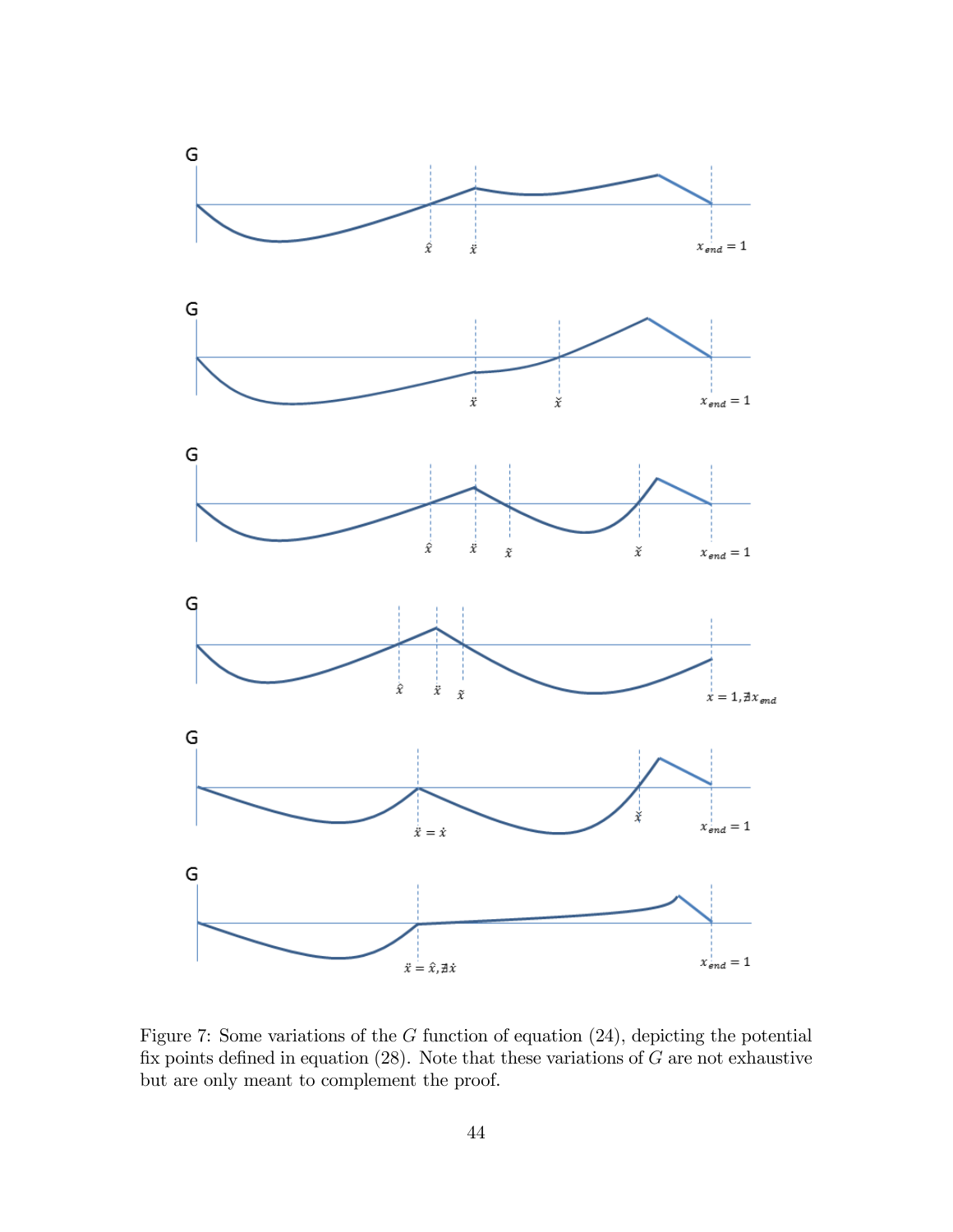

Figure 7: Some variations of the  $G$  function of equation  $(24)$ , depicting the potential fix points defined in equation  $(28)$ . Note that these variations of G are not exhaustive but are only meant to complement the proof.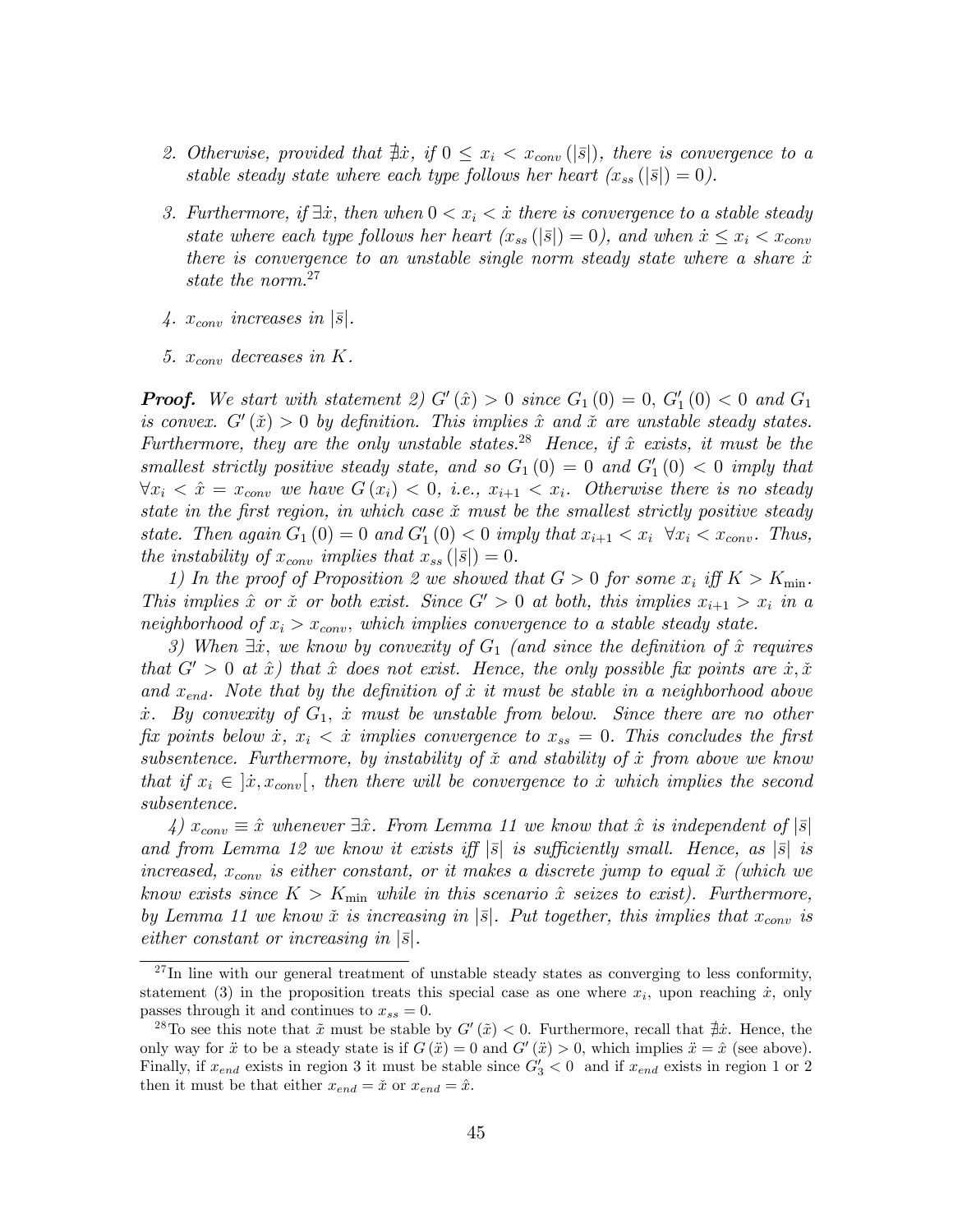- 2. Otherwise, provided that  $\exists x, if 0 \leq x_i < x_{conv} (|\bar{s}|)$ , there is convergence to a stable steady state where each type follows her heart  $(x_{ss}(|\bar{s}|) = 0)$ .
- 3. Furthermore, if  $\exists \dot{x}$ , then when  $0 < x_i < \dot{x}$  there is convergence to a stable steady state where each type follows her heart  $(x_{ss}(|\bar{s}|) = 0)$ , and when  $\dot{x} \le x_i < x_{conv}$ there is convergence to an unstable single norm steady state where a share  $\dot{x}$ state the norm.<sup>27</sup>
- 4.  $x_{conv}$  increases in  $|\bar{s}|$ .
- 5.  $x_{conv}$  decreases in K.

**Proof.** We start with statement 2)  $G'(\hat{x}) > 0$  since  $G_1(0) = 0, G'_1(0) < 0$  and  $G_1$ is convex.  $G'(\check{x}) > 0$  by definition. This implies  $\hat{x}$  and  $\check{x}$  are unstable steady states. Furthermore, they are the only unstable states.<sup>28</sup> Hence, if  $\hat{x}$  exists, it must be the smallest strictly positive steady state, and so  $G_1(0) = 0$  and  $G'_1(0) < 0$  imply that  $\forall x_i \leq \hat{x} = x_{conv}$  we have  $G(x_i) < 0$ , i.e.,  $x_{i+1} < x_i$ . Otherwise there is no steady state in the first region, in which case  $\check{x}$  must be the smallest strictly positive steady state. Then again  $G_1(0) = 0$  and  $G'_1(0) < 0$  imply that  $x_{i+1} < x_i$ ,  $\forall x_i < x_{conv}$ . Thus, the instability of  $x_{conv}$  implies that  $x_{ss}$  ( $|\bar{s}|$ ) = 0.

1) In the proof of Proposition 2 we showed that  $G > 0$  for some  $x_i$  iff  $K > K_{\min}$ . This implies  $\hat{x}$  or  $\check{x}$  or both exist. Since  $G' > 0$  at both, this implies  $x_{i+1} > x_i$  in a neighborhood of  $x_i > x_{conv}$ , which implies convergence to a stable steady state.

3) When  $\exists \dot{x}$ , we know by convexity of  $G_1$  (and since the definition of  $\hat{x}$  requires that  $G' > 0$  at  $\hat{x}$ ) that  $\hat{x}$  does not exist. Hence, the only possible fix points are  $\dot{x}, \check{x}$ and  $x_{end}$ . Note that by the definition of  $\dot{x}$  it must be stable in a neighborhood above  $\dot{x}$ . By convexity of  $G_1$ ,  $\dot{x}$  must be unstable from below. Since there are no other fix points below  $\dot{x}, x_i < \dot{x}$  implies convergence to  $x_{ss} = 0$ . This concludes the first subsentence. Furthermore, by instability of  $\check{x}$  and stability of  $\check{x}$  from above we know that if  $x_i \in [x, x_{conv}]$ , then there will be convergence to x which implies the second subsentence.

4)  $x_{conv} \equiv \hat{x}$  whenever  $\exists \hat{x}$ . From Lemma 11 we know that  $\hat{x}$  is independent of  $|\bar{s}|$ and from Lemma 12 we know it exists iff  $|\bar{s}|$  is sufficiently small. Hence, as  $|\bar{s}|$  is increased,  $x_{conv}$  is either constant, or it makes a discrete jump to equal  $\check{x}$  (which we know exists since  $K > K_{\min}$  while in this scenario  $\hat{x}$  seizes to exist). Furthermore, by Lemma 11 we know  $\check{x}$  is increasing in  $|\bar{s}|$ . Put together, this implies that  $x_{conv}$  is either constant or increasing in  $|\bar{s}|$ .

 $27$ In line with our general treatment of unstable steady states as converging to less conformity, statement (3) in the proposition treats this special case as one where  $x_i$ , upon reaching  $\dot{x}$ , only passes through it and continues to  $x_{ss} = 0$ .

<sup>&</sup>lt;sup>28</sup>To see this note that  $\tilde{x}$  must be stable by  $G'(\tilde{x}) < 0$ . Furthermore, recall that  $\sharp \tilde{x}$ . Hence, the only way for  $\ddot{x}$  to be a steady state is if  $G(\ddot{x}) = 0$  and  $G'(\ddot{x}) > 0$ , which implies  $\ddot{x} = \dot{x}$  (see above). Finally, if  $x_{end}$  exists in region 3 it must be stable since  $G_3' < 0$  and if  $x_{end}$  exists in region 1 or 2 then it must be that either  $x_{end} = \tilde{x}$  or  $x_{end} = \hat{x}$ .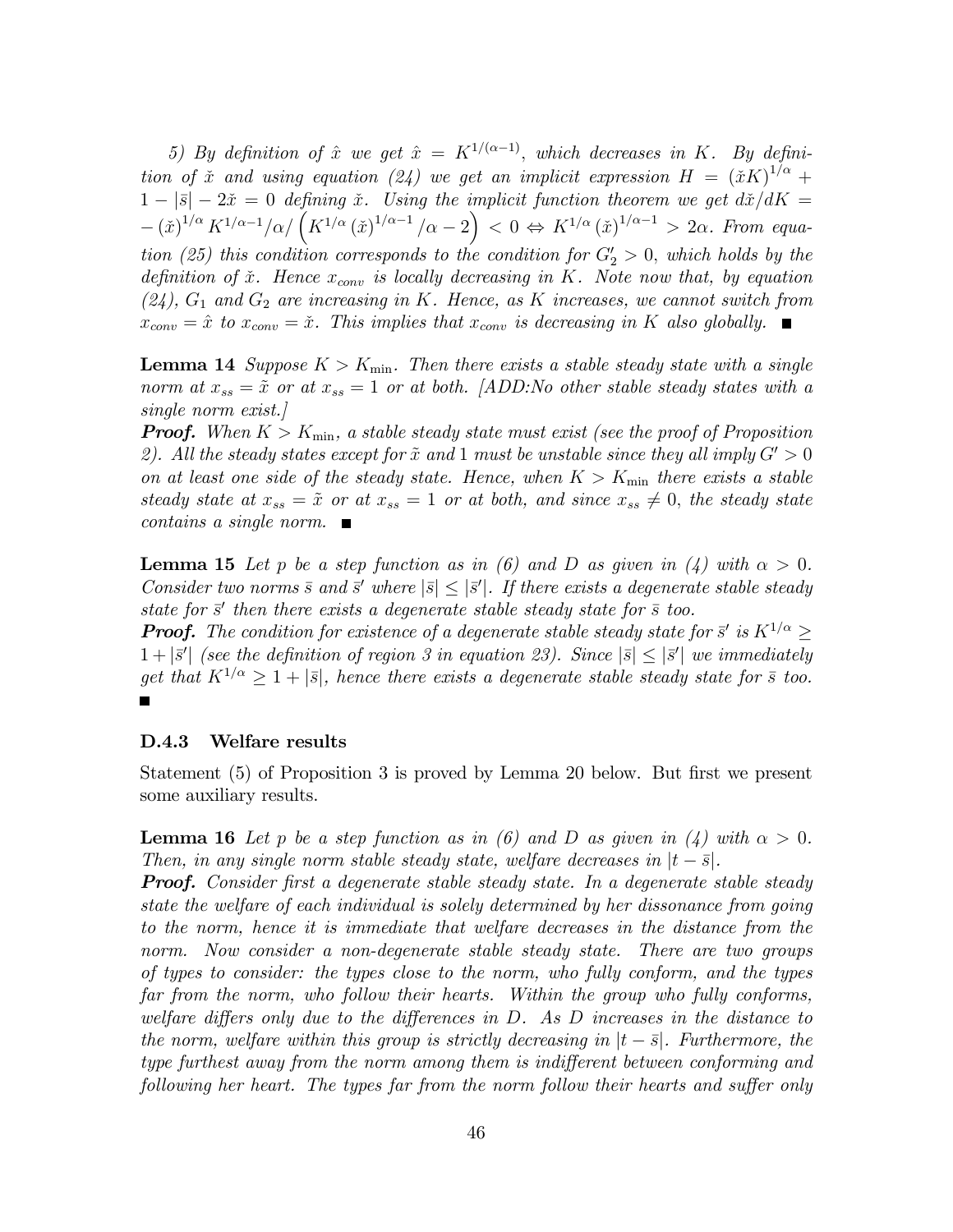5) By definition of  $\hat{x}$  we get  $\hat{x} = K^{1/(\alpha-1)}$ , which decreases in K. By definition of  $\check{x}$  and using equation (24) we get an implicit expression  $H = (\check{x}K)^{1/\alpha} +$  $1 - |\bar{s}| - 2\tilde{x} = 0$  defining  $\tilde{x}$ . Using the implicit function theorem we get  $d\tilde{x}/dK =$  $-(\check{x})^{1/\alpha} K^{1/\alpha-1}/\alpha / (K^{1/\alpha} (\check{x})^{1/\alpha-1}/\alpha - 2) < 0 \Leftrightarrow K^{1/\alpha} (\check{x})^{1/\alpha-1} > 2\alpha$ . From equation (25) this condition corresponds to the condition for  $G_2' > 0$ , which holds by the definition of  $\check{x}$ . Hence  $x_{conv}$  is locally decreasing in K. Note now that, by equation  $(24)$ ,  $G_1$  and  $G_2$  are increasing in K. Hence, as K increases, we cannot switch from  $x_{conv} = \hat{x}$  to  $x_{conv} = \check{x}$ . This implies that  $x_{conv}$  is decreasing in K also globally.

**Lemma 14** Suppose  $K > K_{\min}$ . Then there exists a stable steady state with a single norm at  $x_{ss} = \tilde{x}$  or at  $x_{ss} = 1$  or at both. [ADD:No other stable steady states with a single norm exist.]

**Proof.** When  $K > K_{\min}$ , a stable steady state must exist (see the proof of Proposition 2). All the steady states except for  $\tilde{x}$  and 1 must be unstable since they all imply  $G' > 0$ on at least one side of the steady state. Hence, when  $K > K_{\min}$  there exists a stable steady state at  $x_{ss} = \tilde{x}$  or at  $x_{ss} = 1$  or at both, and since  $x_{ss} \neq 0$ , the steady state contains a single norm.  $\blacksquare$ 

**Lemma 15** Let p be a step function as in (6) and D as given in (4) with  $\alpha > 0$ . Consider two norms  $\bar{s}$  and  $\bar{s}'$  where  $|\bar{s}| \leq |\bar{s}'|$ . If there exists a degenerate stable steady state for  $\bar{s}'$  then there exists a degenerate stable steady state for  $\bar{s}$  too.

**Proof.** The condition for existence of a degenerate stable steady state for  $\bar{s}'$  is  $K^{1/\alpha} \geq$  $1+|\bar{s}'|$  (see the definition of region 3 in equation 23). Since  $|\bar{s}| \leq |\bar{s}'|$  we immediately get that  $K^{1/\alpha} \geq 1 + |\bar{s}|$ , hence there exists a degenerate stable steady state for  $\bar{s}$  too.

#### D.4.3 Welfare results

Statement (5) of Proposition 3 is proved by Lemma 20 below. But first we present some auxiliary results.

**Lemma 16** Let p be a step function as in (6) and D as given in (4) with  $\alpha > 0$ . Then, in any single norm stable steady state, welfare decreases in  $|t - \bar{s}|$ .

**Proof.** Consider first a degenerate stable steady state. In a degenerate stable steady state the welfare of each individual is solely determined by her dissonance from going to the norm, hence it is immediate that welfare decreases in the distance from the norm. Now consider a non-degenerate stable steady state. There are two groups of types to consider: the types close to the norm, who fully conform, and the types far from the norm, who follow their hearts. Within the group who fully conforms, welfare differs only due to the differences in  $D$ . As  $D$  increases in the distance to the norm, welfare within this group is strictly decreasing in  $|t - \bar{s}|$ . Furthermore, the type furthest away from the norm among them is indifferent between conforming and following her heart. The types far from the norm follow their hearts and suffer only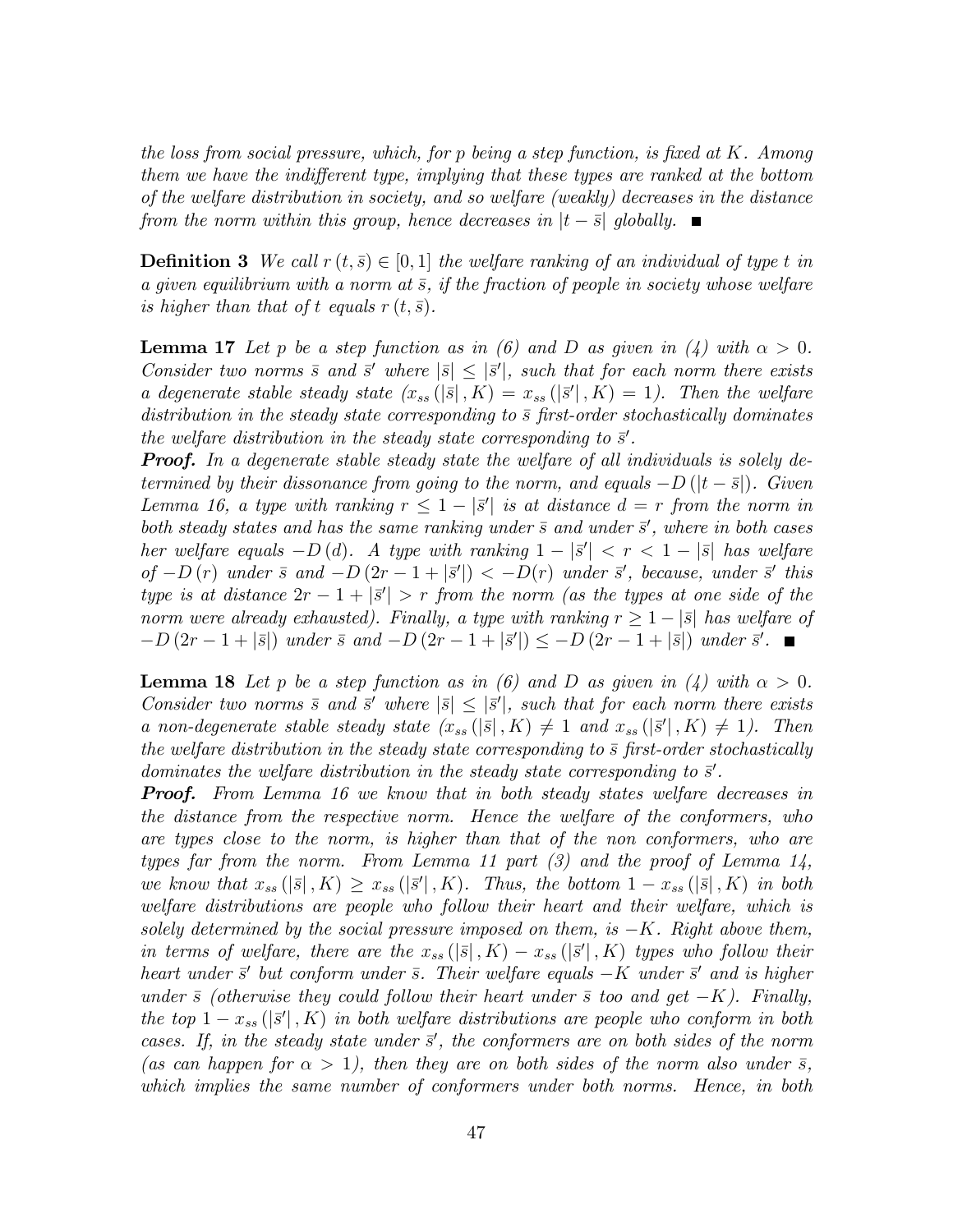the loss from social pressure, which, for p being a step function, is fixed at  $K$ . Among them we have the indifferent type, implying that these types are ranked at the bottom of the welfare distribution in society, and so welfare (weakly) decreases in the distance from the norm within this group, hence decreases in  $|t - \bar{s}|$  globally.

**Definition 3** We call  $r(t, \bar{s}) \in [0, 1]$  the welfare ranking of an individual of type t in a given equilibrium with a norm at  $\bar{s}$ , if the fraction of people in society whose welfare is higher than that of t equals  $r(t, \bar{s})$ .

**Lemma 17** Let p be a step function as in (6) and D as given in (4) with  $\alpha > 0$ . Consider two norms  $\bar{s}$  and  $\bar{s}'$  where  $|\bar{s}| \leq |\bar{s}'|$ , such that for each norm there exists a degenerate stable steady state  $(x_{ss}(|\bar{s}|, K) = x_{ss}(|\bar{s}'|, K) = 1)$ . Then the welfare distribution in the steady state corresponding to  $\bar{s}$  first-order stochastically dominates the welfare distribution in the steady state corresponding to  $\bar{s}'$ .

**Proof.** In a degenerate stable steady state the welfare of all individuals is solely determined by their dissonance from going to the norm, and equals  $-D(|t-\bar{s}|)$ . Given Lemma 16, a type with ranking  $r \leq 1 - |\bar{s}'|$  is at distance  $d = r$  from the norm in both steady states and has the same ranking under  $\bar{s}$  and under  $\bar{s}'$ , where in both cases her welfare equals  $-D(d)$ . A type with ranking  $1-|\bar{s}'| < r < 1-|\bar{s}|$  has welfare of  $-D(r)$  under  $\bar{s}$  and  $-D(2r-1+|\bar{s}'|) < -D(r)$  under  $\bar{s}'$ , because, under  $\bar{s}'$  this type is at distance  $2r - 1 + |\bar{s}'| > r$  from the norm (as the types at one side of the norm were already exhausted). Finally, a type with ranking  $r > 1 - |\bar{s}|$  has welfare of  $-D(2r-1+|\bar{s}|)$  under  $\bar{s}$  and  $-D(2r-1+|\bar{s}|) \le -D(2r-1+|\bar{s}|)$  under  $\bar{s}'$ .

**Lemma 18** Let p be a step function as in (6) and D as given in (4) with  $\alpha > 0$ . Consider two norms  $\bar{s}$  and  $\bar{s}'$  where  $|\bar{s}| \leq |\bar{s}'|$ , such that for each norm there exists a non-degenerate stable steady state  $(x_{ss}(|\bar{s}|, K) \neq 1$  and  $x_{ss}(|\bar{s}'|, K) \neq 1$ ). Then the welfare distribution in the steady state corresponding to  $\bar{s}$  first-order stochastically dominates the welfare distribution in the steady state corresponding to  $\vec{s}'$ .

**Proof.** From Lemma 16 we know that in both steady states welfare decreases in the distance from the respective norm. Hence the welfare of the conformers, who are types close to the norm, is higher than that of the non conformers, who are types far from the norm. From Lemma 11 part  $(3)$  and the proof of Lemma 14, we know that  $x_{ss}$   $(|\bar{s}|, K) \ge x_{ss}$   $(|\bar{s}'|, K)$ . Thus, the bottom  $1 - x_{ss}$   $(|\bar{s}|, K)$  in both welfare distributions are people who follow their heart and their welfare, which is solely determined by the social pressure imposed on them, is  $-K$ . Right above them, in terms of welfare, there are the  $x_{ss}(|\bar{s}|, K) - x_{ss}(|\bar{s}'|, K)$  types who follow their heart under  $\bar{s}'$  but conform under  $\bar{s}$ . Their welfare equals  $-K$  under  $\bar{s}'$  and is higher under  $\bar{s}$  (otherwise they could follow their heart under  $\bar{s}$  too and get  $-K$ ). Finally, the top  $1 - x_{ss}(|\bar{s}'|, K)$  in both welfare distributions are people who conform in both cases. If, in the steady state under  $\bar{s}'$ , the conformers are on both sides of the norm (as can happen for  $\alpha > 1$ ), then they are on both sides of the norm also under  $\bar{s}$ , which implies the same number of conformers under both norms. Hence, in both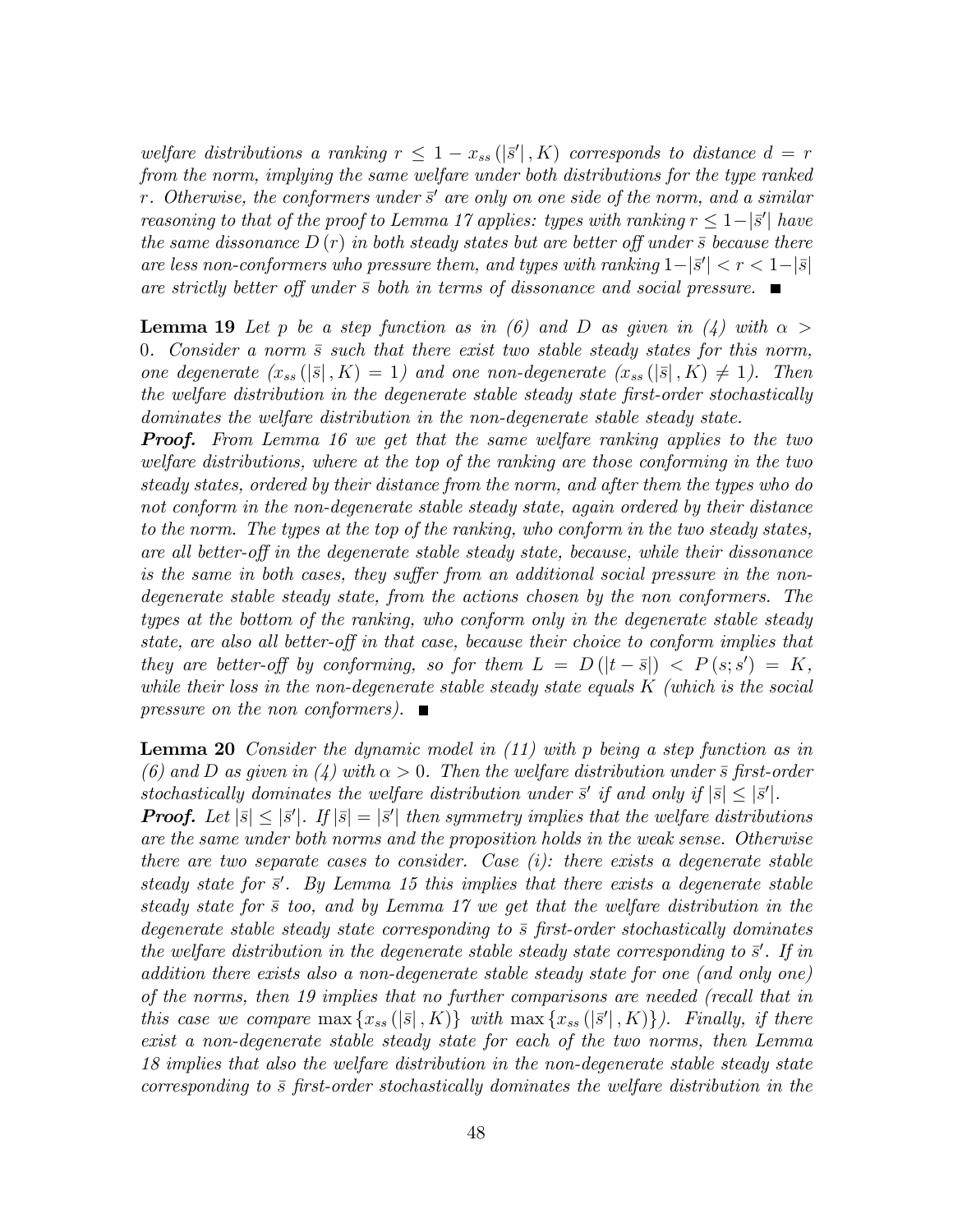welfare distributions a ranking  $r \leq 1 - x_{ss}$  ( $|\bar{s}'|, K$ ) corresponds to distance  $d = r$ from the norm, implying the same welfare under both distributions for the type ranked r. Otherwise, the conformers under  $\bar{s}'$  are only on one side of the norm, and a similar reasoning to that of the proof to Lemma 17 applies: types with ranking  $r \leq 1 - |\bar{s}'|$  have the same dissonance  $D(r)$  in both steady states but are better off under  $\bar{s}$  because there are less non-conformers who pressure them, and types with ranking  $1-|\bar{s}'| < r < 1-|\bar{s}|$ are strictly better of funder  $\bar{s}$  both in terms of dissonance and social pressure.

**Lemma 19** Let p be a step function as in (6) and D as given in (4) with  $\alpha >$ 0. Consider a norm  $\bar{s}$  such that there exist two stable steady states for this norm, one degenerate  $(x_{ss}(|\bar{s}|, K) = 1)$  and one non-degenerate  $(x_{ss}(|\bar{s}|, K) \neq 1)$ . Then the welfare distribution in the degenerate stable steady state first-order stochastically dominates the welfare distribution in the non-degenerate stable steady state.

**Proof.** From Lemma 16 we get that the same welfare ranking applies to the two welfare distributions, where at the top of the ranking are those conforming in the two steady states, ordered by their distance from the norm, and after them the types who do not conform in the non-degenerate stable steady state, again ordered by their distance to the norm. The types at the top of the ranking, who conform in the two steady states, are all better-off in the degenerate stable steady state, because, while their dissonance is the same in both cases, they suffer from an additional social pressure in the nondegenerate stable steady state, from the actions chosen by the non conformers. The types at the bottom of the ranking, who conform only in the degenerate stable steady state, are also all better-off in that case, because their choice to conform implies that they are better-off by conforming, so for them  $L = D(|t - \bar{s}|) < P(s; s') = K$ , while their loss in the non-degenerate stable steady state equals  $K$  (which is the social pressure on the non conformers).  $\blacksquare$ 

**Lemma 20** Consider the dynamic model in  $(11)$  with p being a step function as in (6) and D as given in (4) with  $\alpha > 0$ . Then the welfare distribution under  $\bar{s}$  first-order stochastically dominates the welfare distribution under  $\vec{s}'$  if and only if  $|\vec{s}| \leq |\vec{s}'|$ .

**Proof.** Let  $|\bar{s}| \leq |\bar{s}'|$ . If  $|\bar{s}| = |\bar{s}'|$  then symmetry implies that the welfare distributions are the same under both norms and the proposition holds in the weak sense. Otherwise there are two separate cases to consider. Case  $(i)$ : there exists a degenerate stable steady state for  $\bar{s}'$ . By Lemma 15 this implies that there exists a degenerate stable steady state for  $\bar{s}$  too, and by Lemma 17 we get that the welfare distribution in the degenerate stable steady state corresponding to  $\bar{s}$  first-order stochastically dominates the welfare distribution in the degenerate stable steady state corresponding to  $\bar{s}'$ . If in addition there exists also a non-degenerate stable steady state for one (and only one) of the norms, then 19 implies that no further comparisons are needed (recall that in this case we compare  $\max\{x_{ss}(|\bar{s}|, K)\}\$  with  $\max\{x_{ss}(|\bar{s}'|, K)\}\)$ . Finally, if there exist a non-degenerate stable steady state for each of the two norms, then Lemma 18 implies that also the welfare distribution in the non-degenerate stable steady state corresponding to  $\bar{s}$  first-order stochastically dominates the welfare distribution in the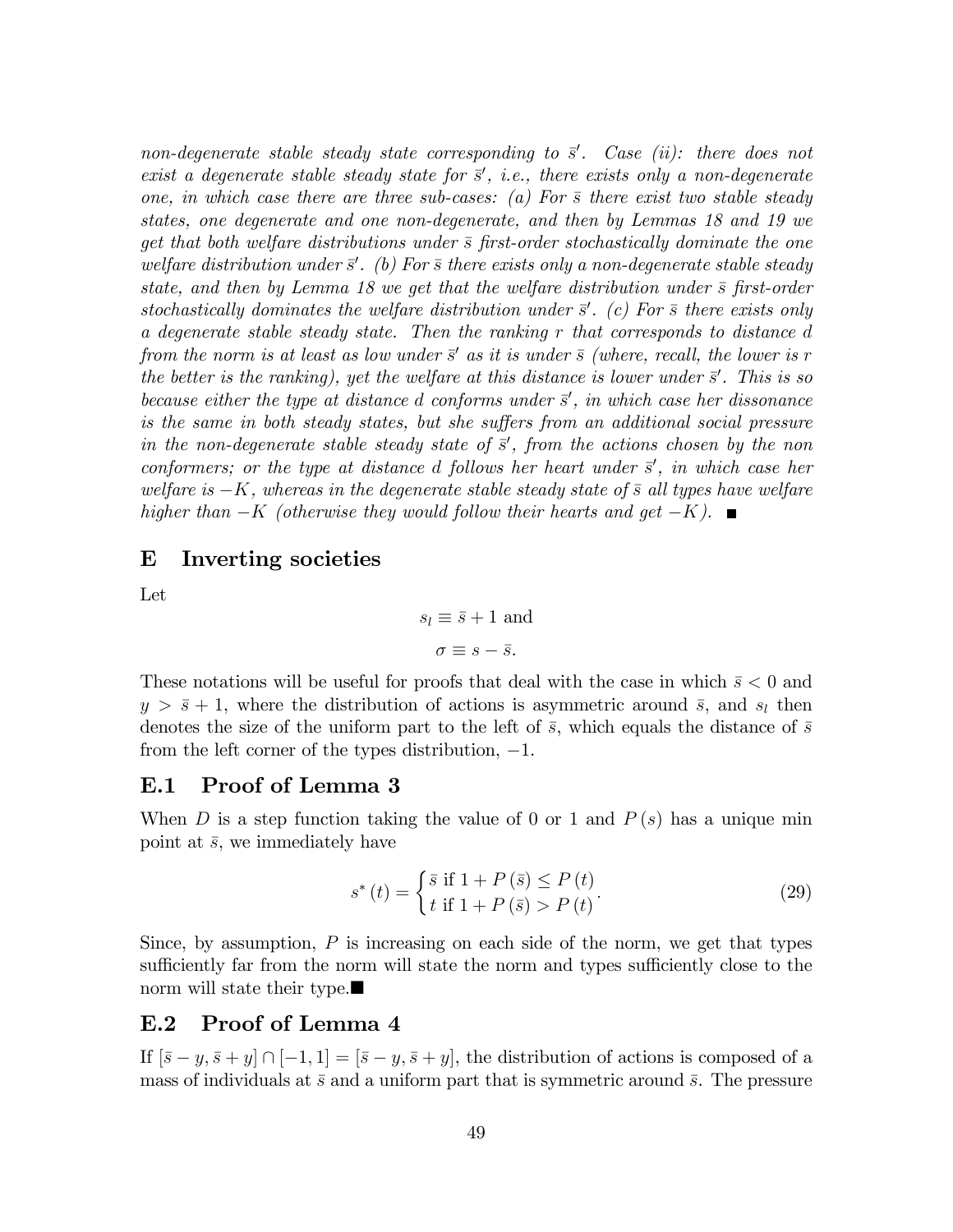non-degenerate stable steady state corresponding to  $\vec{s}'$ . Case (ii): there does not exist a degenerate stable steady state for  $\bar{s}'$ , i.e., there exists only a non-degenerate one, in which case there are three sub-cases: (a) For  $\bar{s}$  there exist two stable steady states, one degenerate and one non-degenerate, and then by Lemmas 18 and 19 we get that both welfare distributions under  $\bar{s}$  first-order stochastically dominate the one welfare distribution under  $\bar{s}'$ . (b) For  $\bar{s}$  there exists only a non-degenerate stable steady state, and then by Lemma 18 we get that the welfare distribution under  $\bar{s}$  first-order stochastically dominates the welfare distribution under  $\vec{s}'$ . (c) For  $\vec{s}$  there exists only a degenerate stable steady state. Then the ranking r that corresponds to distance d from the norm is at least as low under  $\bar{s}'$  as it is under  $\bar{s}$  (where, recall, the lower is r the better is the ranking), yet the welfare at this distance is lower under  $\vec{s}'$ . This is so because either the type at distance  $d$  conforms under  $\bar{s}'$ , in which case her dissonance is the same in both steady states, but she suffers from an additional social pressure in the non-degenerate stable steady state of  $\bar{s}'$ , from the actions chosen by the non conformers; or the type at distance d follows her heart under  $\bar{s}'$ , in which case her welfare is  $-K$ , whereas in the degenerate stable steady state of  $\bar{s}$  all types have welfare higher than  $-K$  (otherwise they would follow their hearts and get  $-K$ ).

# E Inverting societies

Let

$$
s_l \equiv \bar{s} + 1
$$
 and  

$$
\sigma \equiv s - \bar{s}.
$$

These notations will be useful for proofs that deal with the case in which  $\bar{s} < 0$  and  $y > \bar{s} + 1$ , where the distribution of actions is asymmetric around  $\bar{s}$ , and  $s<sub>l</sub>$  then denotes the size of the uniform part to the left of  $\bar{s}$ , which equals the distance of  $\bar{s}$ from the left corner of the types distribution,  $-1$ .

# E.1 Proof of Lemma 3

When D is a step function taking the value of 0 or 1 and  $P(s)$  has a unique min point at  $\bar{s}$ , we immediately have

$$
s^*(t) = \begin{cases} \bar{s} & \text{if } 1 + P(\bar{s}) \le P(t) \\ t & \text{if } 1 + P(\bar{s}) > P(t) \end{cases}
$$
 (29)

Since, by assumption,  $P$  is increasing on each side of the norm, we get that types sufficiently far from the norm will state the norm and types sufficiently close to the norm will state their type.

# E.2 Proof of Lemma 4

If  $[\bar{s} - y, \bar{s} + y] \cap [-1, 1] = [\bar{s} - y, \bar{s} + y]$ , the distribution of actions is composed of a mass of individuals at  $\bar{s}$  and a uniform part that is symmetric around  $\bar{s}$ . The pressure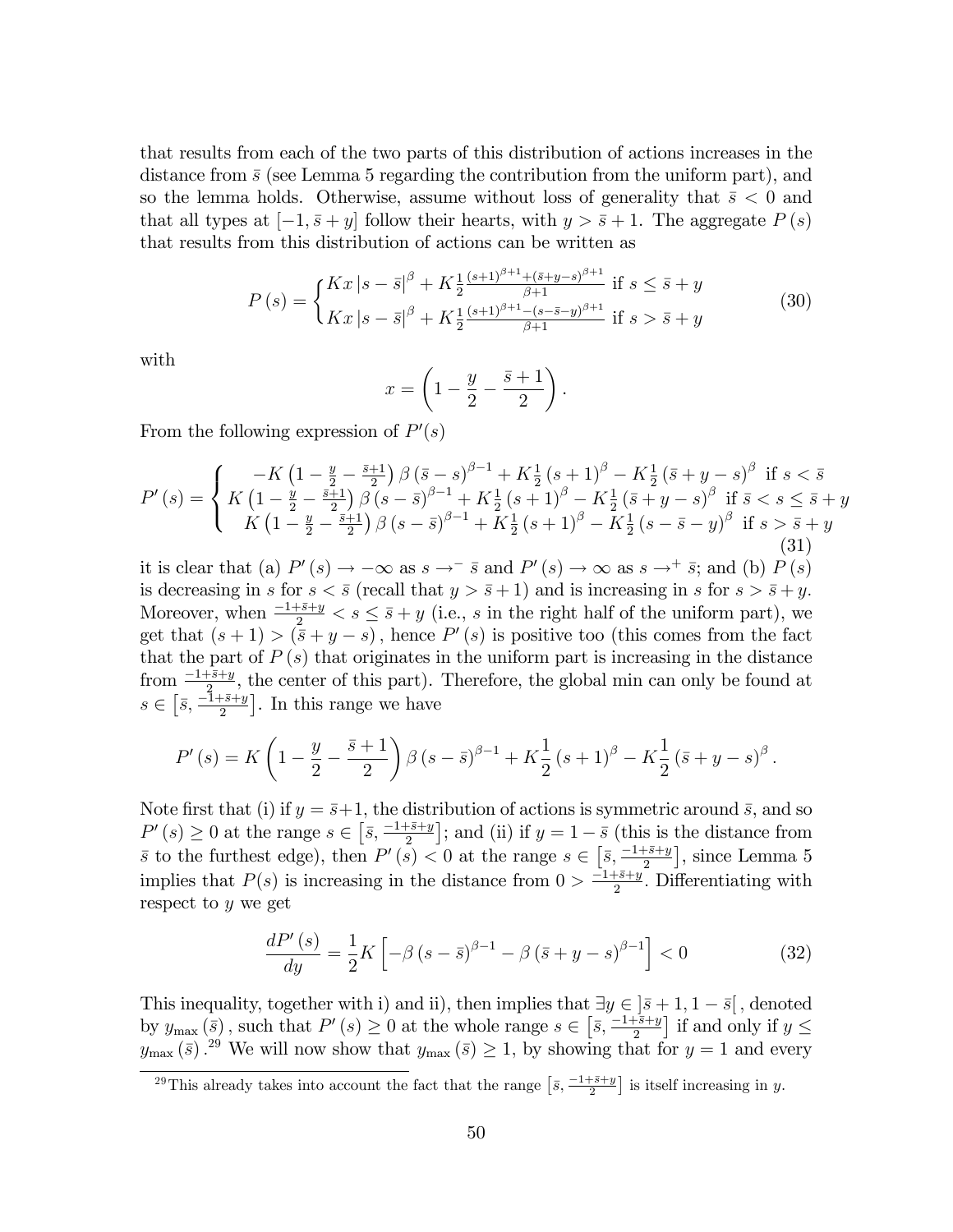that results from each of the two parts of this distribution of actions increases in the distance from  $\bar{s}$  (see Lemma 5 regarding the contribution from the uniform part), and so the lemma holds. Otherwise, assume without loss of generality that  $\bar{s} < 0$  and that all types at  $[-1, \bar{s} + y]$  follow their hearts, with  $y > \bar{s} + 1$ . The aggregate  $P(s)$ that results from this distribution of actions can be written as

$$
P(s) = \begin{cases} Kx \left| s - \bar{s} \right|^\beta + K^{\frac{1}{2}\frac{(s+1)^{\beta+1} + (\bar{s}+y-s)^{\beta+1}}{\beta+1}} \text{ if } s \le \bar{s} + y \\ Kx \left| s - \bar{s} \right|^\beta + K^{\frac{1}{2}\frac{(s+1)^{\beta+1} - (s-\bar{s}-y)^{\beta+1}}{\beta+1}} \text{ if } s > \bar{s} + y \end{cases} \tag{30}
$$

with

$$
x = \left(1 - \frac{y}{2} - \frac{\bar{s} + 1}{2}\right).
$$

From the following expression of  $P'(s)$ 

$$
P'(s) = \begin{cases} -K\left(1 - \frac{y}{2} - \frac{\bar{s}+1}{2}\right)\beta\left(\bar{s} - s\right)^{\beta-1} + K\frac{1}{2}\left(s+1\right)^{\beta} - K\frac{1}{2}\left(\bar{s}+y-s\right)^{\beta} & \text{if } s < \bar{s} \\ K\left(1 - \frac{y}{2} - \frac{\bar{s}+1}{2}\right)\beta\left(s-\bar{s}\right)^{\beta-1} + K\frac{1}{2}\left(s+1\right)^{\beta} - K\frac{1}{2}\left(\bar{s}+y-s\right)^{\beta} & \text{if } \bar{s} < s \le \bar{s}+y \\ K\left(1 - \frac{y}{2} - \frac{\bar{s}+1}{2}\right)\beta\left(s-\bar{s}\right)^{\beta-1} + K\frac{1}{2}\left(s+1\right)^{\beta} - K\frac{1}{2}\left(s-\bar{s}-y\right)^{\beta} & \text{if } s > \bar{s}+y \end{cases} \tag{31}
$$

it is clear that (a)  $P'(s) \to -\infty$  as  $s \to -\bar{s}$  and  $P'(s) \to \infty$  as  $s \to +\bar{s}$ ; and (b)  $P(s)$ is decreasing in s for  $s < \bar{s}$  (recall that  $y > \bar{s} + 1$ ) and is increasing in s for  $s > \bar{s} + y$ . Moreover, when  $\frac{-1+\bar{s}+y}{2} < s \leq \bar{s}+y$  (i.e., s in the right half of the uniform part), we get that  $(s+1) > (s+ y - s)$ , hence P'(s) is positive too (this comes from the fact that the part of  $P(s)$  that originates in the uniform part is increasing in the distance from  $\frac{-1+\bar{s}+y}{2}$ , the center of this part). Therefore, the global min can only be found at  $s \in \left[\overline{s}, \frac{-1+\overline{s}+y}{2}\right]$ . In this range we have

$$
P'(s) = K\left(1 - \frac{y}{2} - \frac{\bar{s} + 1}{2}\right)\beta\left(s - \bar{s}\right)^{\beta - 1} + K\frac{1}{2}\left(s + 1\right)^{\beta} - K\frac{1}{2}\left(\bar{s} + y - s\right)^{\beta}.
$$

Note first that (i) if  $y = \bar{s}+1$ , the distribution of actions is symmetric around  $\bar{s}$ , and so  $P'(s) \geq 0$  at the range  $s \in \left[\overline{s}, \frac{-1+\overline{s}+y}{2}\right]$ ; and (ii) if  $y = 1-\overline{s}$  (this is the distance from  $\bar{s}$  to the furthest edge), then  $P'(s) < 0$  at the range  $s \in \left[\frac{\bar{s}}{s}, \frac{-1+\bar{s}+y}{2}\right]$ , since Lemma 5 implies that  $P(s)$  is increasing in the distance from  $0 > \frac{-1+\bar{s}+y}{2}$ . Differentiating with respect to y we get

$$
\frac{dP'(s)}{dy} = \frac{1}{2}K\left[-\beta\left(s-\bar{s}\right)^{\beta-1} - \beta\left(\bar{s}+y-s\right)^{\beta-1}\right] < 0\tag{32}
$$

This inequality, together with i) and ii), then implies that  $\exists y \in |\bar{s} + 1, 1 - \bar{s}|$ , denoted by  $y_{\text{max}}(\bar{s})$ , such that  $P'(s) \geq 0$  at the whole range  $s \in \left[\bar{s}, \frac{-1+\bar{s}+y}{2}\right]$  if and only if  $y \leq$  $y_{\text{max}}(\bar{s})$ .<sup>29</sup> We will now show that  $y_{\text{max}}(\bar{s}) \ge 1$ , by showing that for  $y = 1$  and every

<sup>&</sup>lt;sup>29</sup>This already takes into account the fact that the range  $\left[\bar{s}, \frac{-1+\bar{s}+y}{2}\right]$  is itself increasing in y.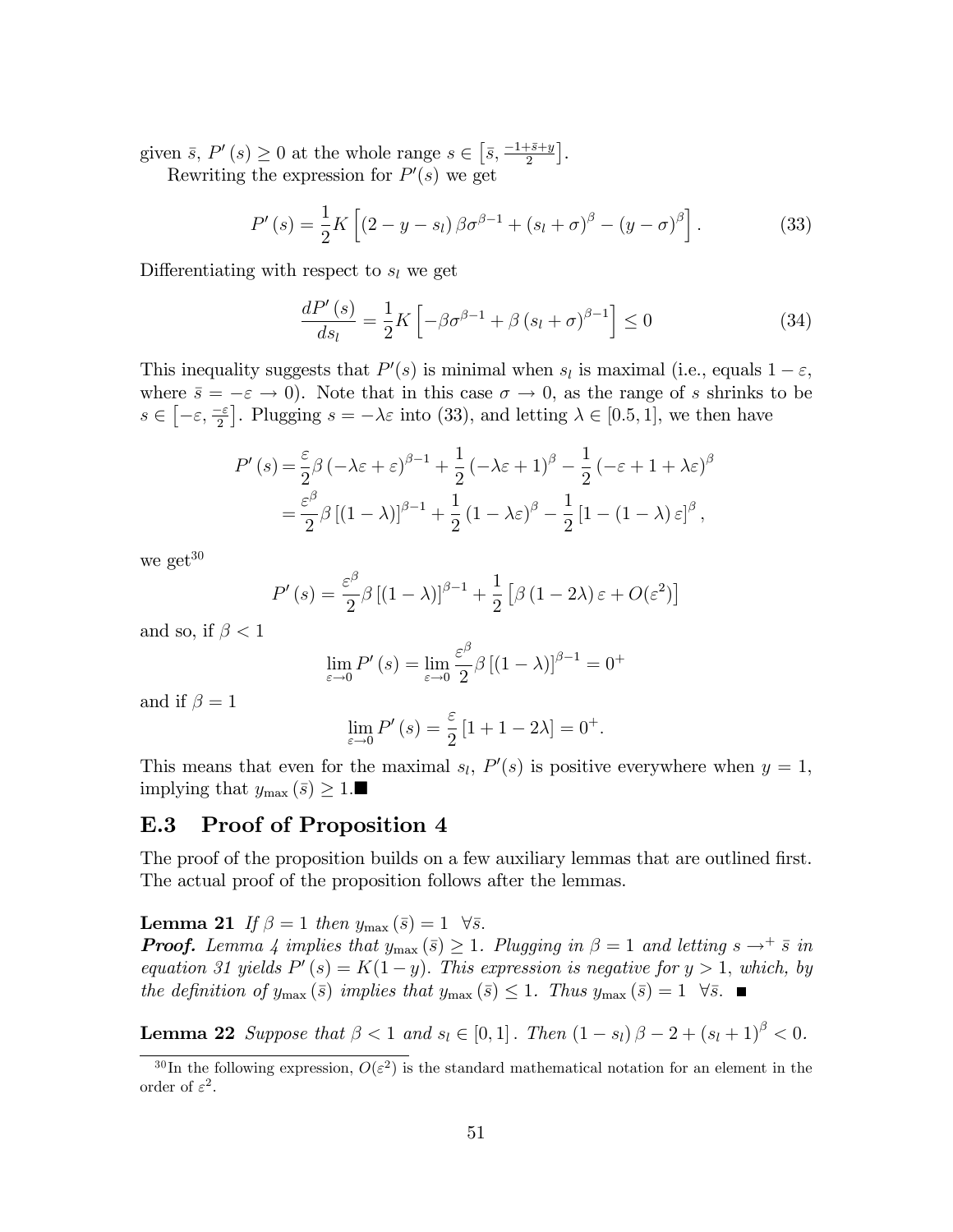given  $\bar{s}$ ,  $P'(s) \geq 0$  at the whole range  $s \in [\bar{s}, \frac{-1+\bar{s}+y}{2}]$ .

Rewriting the expression for  $P'(s)$  we get

$$
P'(s) = \frac{1}{2}K \left[ (2 - y - s_l) \beta \sigma^{\beta - 1} + (s_l + \sigma)^{\beta} - (y - \sigma)^{\beta} \right].
$$
 (33)

Differentiating with respect to  $s_l$  we get

$$
\frac{dP'(s)}{ds_l} = \frac{1}{2}K\left[-\beta\sigma^{\beta-1} + \beta\left(s_l + \sigma\right)^{\beta-1}\right] \le 0\tag{34}
$$

This inequality suggests that  $P'(s)$  is minimal when  $s_l$  is maximal (i.e., equals  $1 - \varepsilon$ , where  $\bar{s} = -\varepsilon \to 0$ ). Note that in this case  $\sigma \to 0$ , as the range of s shrinks to be  $s \in [-\varepsilon, \frac{-\varepsilon}{2}]$ . Plugging  $s = -\lambda \varepsilon$  into (33), and letting  $\lambda \in [0.5, 1]$ , we then have

$$
P'(s) = \frac{\varepsilon}{2}\beta \left(-\lambda\varepsilon + \varepsilon\right)^{\beta - 1} + \frac{1}{2}\left(-\lambda\varepsilon + 1\right)^{\beta} - \frac{1}{2}\left(-\varepsilon + 1 + \lambda\varepsilon\right)^{\beta}
$$
  
=  $\frac{\varepsilon^{\beta}}{2}\beta\left[(1 - \lambda)\right]^{\beta - 1} + \frac{1}{2}\left(1 - \lambda\varepsilon\right)^{\beta} - \frac{1}{2}\left[1 - (1 - \lambda)\varepsilon\right]^{\beta},$ 

we get $30$ 

$$
P'(s) = \frac{\varepsilon^{\beta}}{2} \beta \left[ (1 - \lambda) \right]^{\beta - 1} + \frac{1}{2} \left[ \beta \left( 1 - 2\lambda \right) \varepsilon + O(\varepsilon^2) \right]
$$

and so, if  $\beta$  < 1

$$
\lim_{\varepsilon \to 0} P'(s) = \lim_{\varepsilon \to 0} \frac{\varepsilon^{\beta}}{2} \beta \left[ (1 - \lambda) \right]^{\beta - 1} = 0^+
$$

and if  $\beta = 1$ 

$$
\lim_{\varepsilon \to 0} P'(s) = \frac{\varepsilon}{2} [1 + 1 - 2\lambda] = 0^+.
$$

This means that even for the maximal  $s_l$ ,  $P'(s)$  is positive everywhere when  $y = 1$ , implying that  $y_{\text{max}}(\bar{s}) \geq 1$ .

## E.3 Proof of Proposition 4

The proof of the proposition builds on a few auxiliary lemmas that are outlined first. The actual proof of the proposition follows after the lemmas.

**Lemma 21** If  $\beta = 1$  then  $y_{\text{max}}(\bar{s}) = 1 \ \forall \bar{s}$ .

**Proof.** Lemma 4 implies that  $y_{\text{max}}(\bar{s}) \geq 1$ . Plugging in  $\beta = 1$  and letting  $s \rightarrow^{+} \bar{s}$  in equation 31 yields  $P'(s) = K(1-y)$ . This expression is negative for  $y > 1$ , which, by the definition of  $y_{\text{max}}(\bar{s})$  implies that  $y_{\text{max}}(\bar{s}) \leq 1$ . Thus  $y_{\text{max}}(\bar{s}) = 1 \ \forall \bar{s}$ .

**Lemma 22** Suppose that  $\beta < 1$  and  $s_l \in [0, 1]$ . Then  $(1 - s_l)\beta - 2 + (s_l + 1)^{\beta} < 0$ .

<sup>&</sup>lt;sup>30</sup>In the following expression,  $O(\varepsilon^2)$  is the standard mathematical notation for an element in the order of  $\varepsilon^2$ .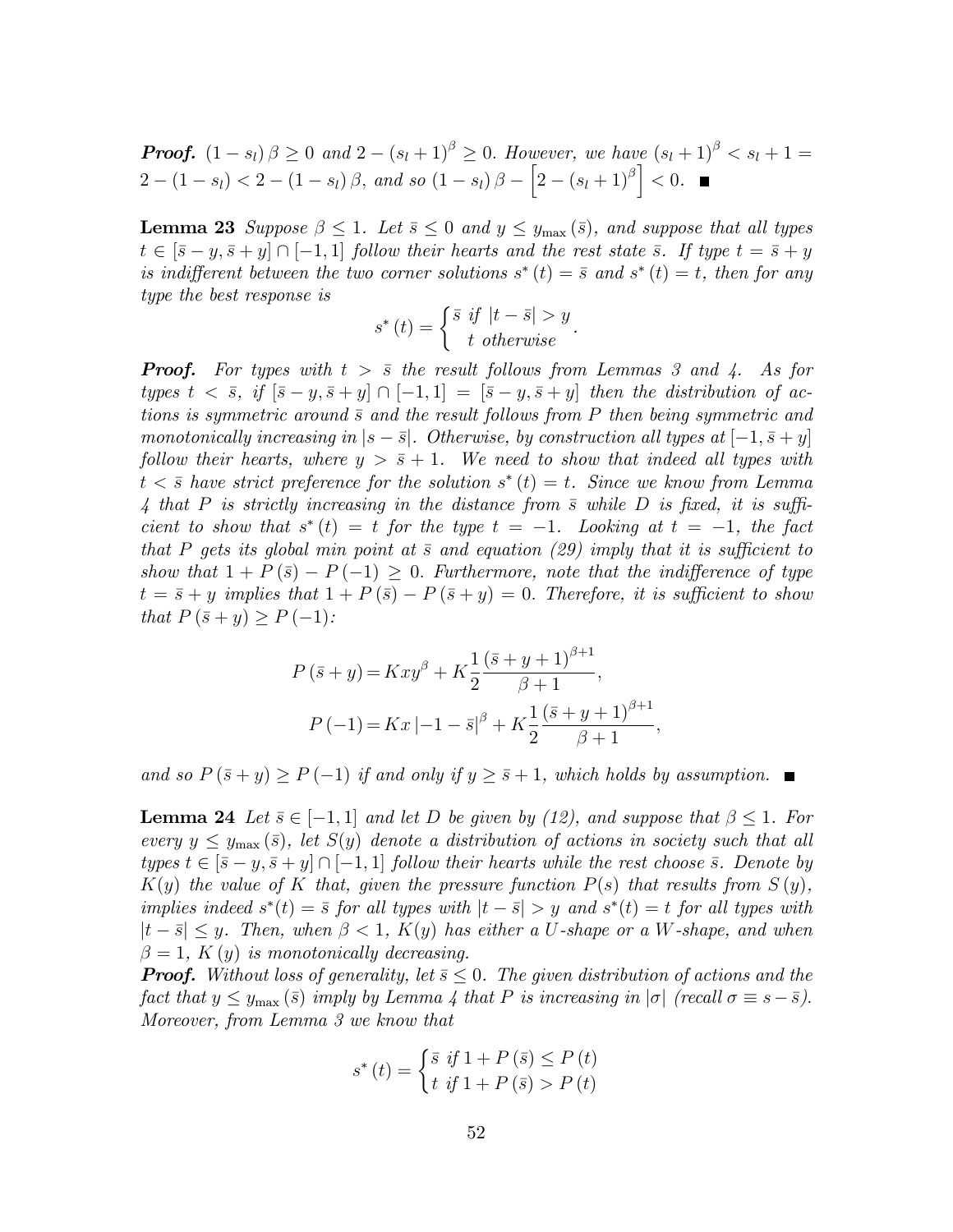**Proof.**  $(1 - s_l)\beta \ge 0$  and  $2 - (s_l + 1)^{\beta} \ge 0$ . However, we have  $(s_l + 1)^{\beta} < s_l + 1 =$  $2 - (1 - s_l) < 2 - (1 - s_l) \beta$ , and so  $(1 - s_l) \beta - \left[2 - (s_l + 1)^\beta\right] < 0$ .

**Lemma 23** Suppose  $\beta \leq 1$ . Let  $\bar{s} \leq 0$  and  $y \leq y_{\text{max}}(\bar{s})$ , and suppose that all types  $t \in [\bar{s} - y, \bar{s} + y] \cap [-1, 1]$  follow their hearts and the rest state  $\bar{s}$ . If type  $t = \bar{s} + y$ is indifferent between the two corner solutions  $s^*(t) = \overline{s}$  and  $s^*(t) = t$ , then for any type the best response is

$$
s^*(t) = \begin{cases} \bar{s} & \text{if } |t - \bar{s}| > y, \\ t & otherwise \end{cases}
$$

**Proof.** For types with  $t > \overline{s}$  the result follows from Lemmas 3 and 4. As for types  $t < \overline{s}$ , if  $[\overline{s} - y, \overline{s} + y] \cap [-1, 1] = [\overline{s} - y, \overline{s} + y]$  then the distribution of actions is symmetric around  $\bar{s}$  and the result follows from P then being symmetric and monotonically increasing in  $|s - \bar{s}|$ . Otherwise, by construction all types at  $[-1, \bar{s} + y]$ follow their hearts, where  $y > \bar{s} + 1$ . We need to show that indeed all types with  $t < \overline{s}$  have strict preference for the solution  $s^*(t) = t$ . Since we know from Lemma 4 that P is strictly increasing in the distance from  $\bar{s}$  while D is fixed, it is sufficient to show that  $s^*(t) = t$  for the type  $t = -1$ . Looking at  $t = -1$ , the fact that P gets its global min point at  $\bar{s}$  and equation (29) imply that it is sufficient to show that  $1 + P(\bar{s}) - P(-1) > 0$ . Furthermore, note that the indifference of type  $t = \bar{s} + y$  implies that  $1 + P(\bar{s}) - P(\bar{s} + y) = 0$ . Therefore, it is sufficient to show that  $P(\bar{s} + y) \ge P(-1)$ :

$$
P(\bar{s} + y) = Kxy^{\beta} + K\frac{1}{2}\frac{(\bar{s} + y + 1)^{\beta + 1}}{\beta + 1},
$$
  

$$
P(-1) = Kx \, | -1 - \bar{s} |^{\beta} + K\frac{1}{2}\frac{(\bar{s} + y + 1)^{\beta + 1}}{\beta + 1},
$$

and so  $P(\bar{s} + y) > P(-1)$  if and only if  $y > \bar{s} + 1$ , which holds by assumption.

**Lemma 24** Let  $\bar{s} \in [-1, 1]$  and let D be given by (12), and suppose that  $\beta \leq 1$ . For every  $y \leq y_{\text{max}}(\bar{s})$ , let  $S(y)$  denote a distribution of actions in society such that all types  $t \in [\bar{s} - y, \bar{s} + y] \cap [-1, 1]$  follow their hearts while the rest choose  $\bar{s}$ . Denote by  $K(y)$  the value of K that, given the pressure function  $P(s)$  that results from  $S(y)$ , implies indeed  $s^*(t) = \bar{s}$  for all types with  $|t - \bar{s}| > y$  and  $s^*(t) = t$  for all types with  $|t-\bar{s}| \leq y$ . Then, when  $\beta < 1$ ,  $K(y)$  has either a U-shape or a W-shape, and when  $\beta = 1, K(y)$  is monotonically decreasing.

**Proof.** Without loss of generality, let  $\bar{s} \leq 0$ . The given distribution of actions and the fact that  $y \le y_{\text{max}}(\bar{s})$  imply by Lemma 4 that P is increasing in  $|\sigma|$  (recall  $\sigma \equiv s - \bar{s}$ ). Moreover, from Lemma 3 we know that

$$
s^*(t) = \begin{cases} \bar{s} & \text{if } 1 + P(\bar{s}) \le P(t) \\ t & \text{if } 1 + P(\bar{s}) > P(t) \end{cases}
$$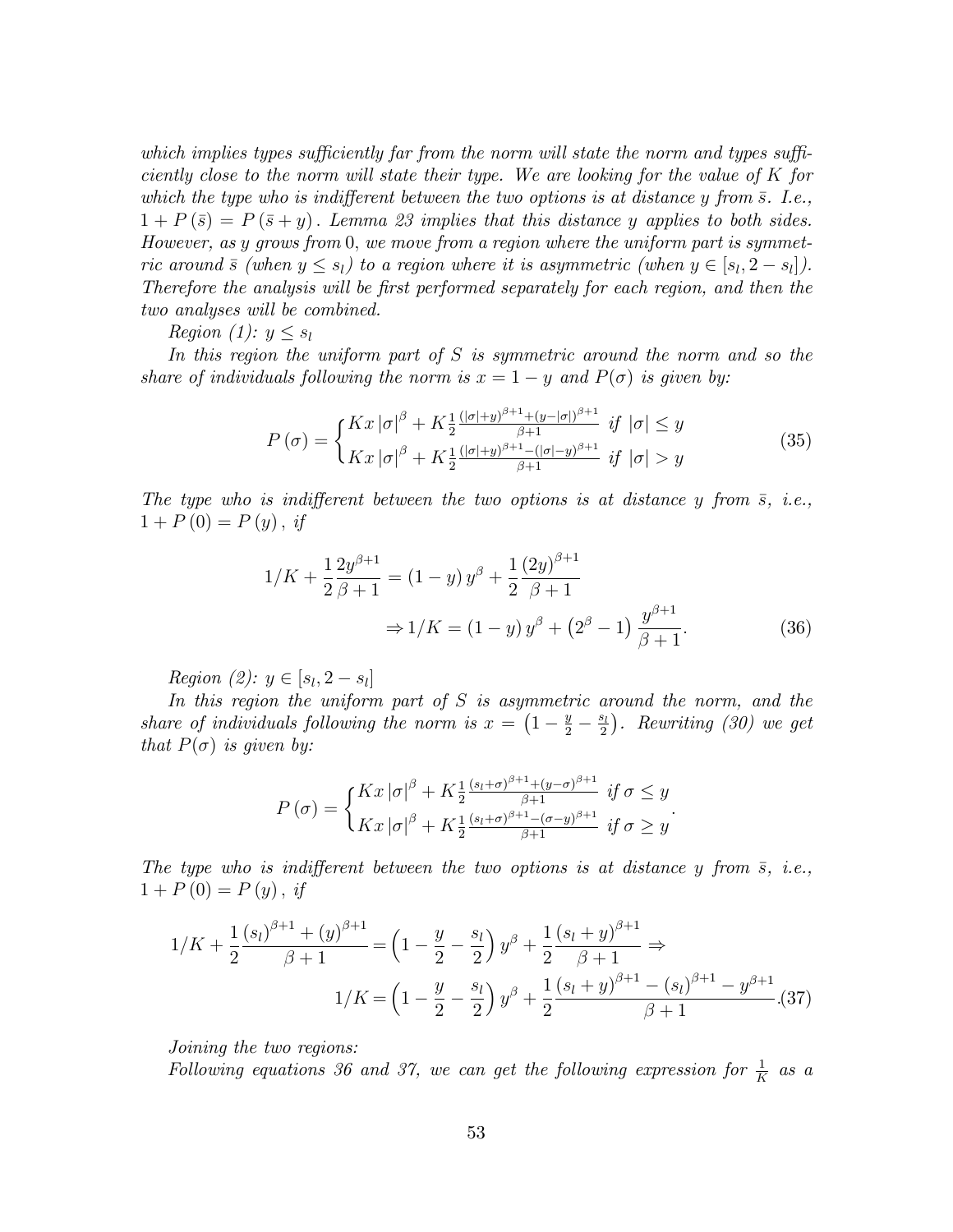which implies types sufficiently far from the norm will state the norm and types sufficiently close to the norm will state their type. We are looking for the value of  $K$  for which the type who is indifferent between the two options is at distance y from  $\bar{s}$ . I.e.,  $1 + P(\bar{s}) = P(\bar{s} + y)$ . Lemma 23 implies that this distance y applies to both sides. However, as y grows from 0, we move from a region where the uniform part is symmetric around  $\bar{s}$  (when  $y \leq s_l$ ) to a region where it is asymmetric (when  $y \in [s_l, 2 - s_l]$ ). Therefore the analysis will be first performed separately for each region, and then the two analyses will be combined.

Region (1):  $y \leq s_l$ 

In this region the uniform part of  $S$  is symmetric around the norm and so the share of individuals following the norm is  $x = 1 - y$  and  $P(\sigma)$  is given by:

$$
P(\sigma) = \begin{cases} Kx |\sigma|^{\beta} + K\frac{1}{2} \frac{(|\sigma|+y)^{\beta+1} + (y-|\sigma|)^{\beta+1}}{\beta+1} & \text{if } |\sigma| \le y \\ Kx |\sigma|^{\beta} + K\frac{1}{2} \frac{(|\sigma|+y)^{\beta+1} - (|\sigma|-y)^{\beta+1}}{\beta+1} & \text{if } |\sigma| > y \end{cases}
$$
(35)

The type who is indifferent between the two options is at distance y from  $\bar{s}$ , i.e.,  $1 + P(0) = P(y), if$ 

$$
1/K + \frac{1}{2} \frac{2y^{\beta+1}}{\beta+1} = (1-y) y^{\beta} + \frac{1}{2} \frac{(2y)^{\beta+1}}{\beta+1}
$$
  
\n
$$
\Rightarrow 1/K = (1-y) y^{\beta} + (2^{\beta} - 1) \frac{y^{\beta+1}}{\beta+1}.
$$
 (36)

Region (2):  $y \in [s_l, 2 - s_l]$ 

In this region the uniform part of  $S$  is asymmetric around the norm, and the share of individuals following the norm is  $x = \left(1 - \frac{y}{2} - \frac{s_y}{2}\right)$  $\binom{s_l}{2}$ . Rewriting (30) we get that  $P(\sigma)$  is given by:

$$
P(\sigma) = \begin{cases} Kx |\sigma|^{\beta} + K\frac{1}{2} \frac{(s_l + \sigma)^{\beta + 1} + (y - \sigma)^{\beta + 1}}{\beta + 1} & \text{if } \sigma \le y \\ Kx |\sigma|^{\beta} + K\frac{1}{2} \frac{(s_l + \sigma)^{\beta + 1} - (\sigma - y)^{\beta + 1}}{\beta + 1} & \text{if } \sigma \ge y \end{cases}.
$$

The type who is indifferent between the two options is at distance y from  $\bar{s}$ , i.e.,  $1 + P(0) = P(y), if$ 

$$
1/K + \frac{1}{2} \frac{(s_l)^{\beta+1} + (y)^{\beta+1}}{\beta+1} = \left(1 - \frac{y}{2} - \frac{s_l}{2}\right) y^{\beta} + \frac{1}{2} \frac{(s_l + y)^{\beta+1}}{\beta+1} \Rightarrow
$$
  

$$
1/K = \left(1 - \frac{y}{2} - \frac{s_l}{2}\right) y^{\beta} + \frac{1}{2} \frac{(s_l + y)^{\beta+1} - (s_l)^{\beta+1} - y^{\beta+1}}{\beta+1}.
$$
(37)

Joining the two regions:

Following equations 36 and 37, we can get the following expression for  $\frac{1}{K}$  as a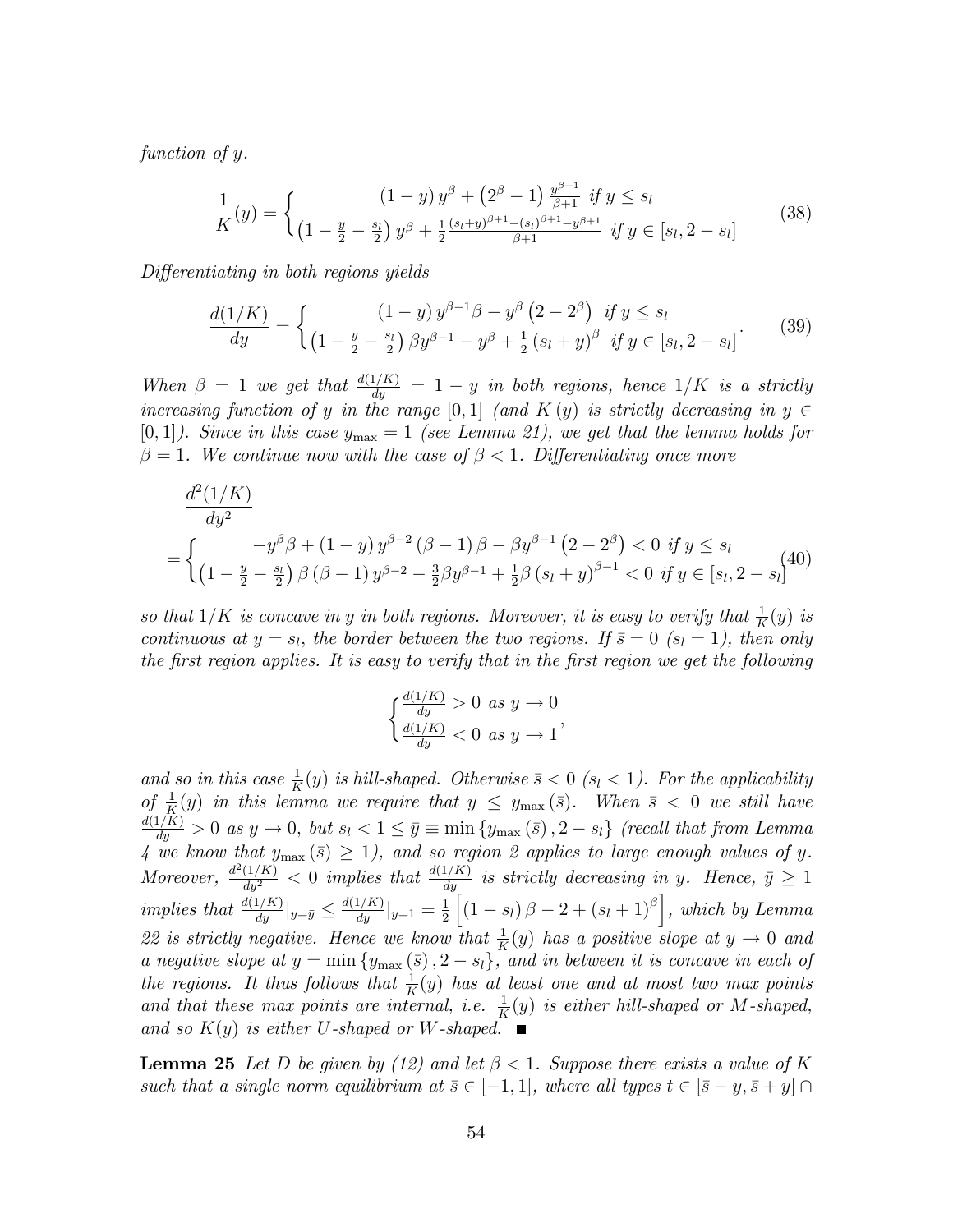function of y.

$$
\frac{1}{K}(y) = \begin{cases}\n(1-y)y^{\beta} + (2^{\beta} - 1) \frac{y^{\beta+1}}{\beta+1} & \text{if } y \le s_l \\
(1 - \frac{y}{2} - \frac{s_l}{2})y^{\beta} + \frac{1}{2} \frac{(s_l + y)^{\beta+1} - (s_l)^{\beta+1} - y^{\beta+1}}{\beta+1} & \text{if } y \in [s_l, 2 - s_l]\n\end{cases}
$$
\n(38)

Differentiating in both regions yields

$$
\frac{d(1/K)}{dy} = \begin{cases}\n(1-y)y^{\beta-1}\beta - y^{\beta}(2-2^{\beta}) & \text{if } y \le s_l \\
(1 - \frac{y}{2} - \frac{s_l}{2})\beta y^{\beta-1} - y^{\beta} + \frac{1}{2}(s_l + y)^{\beta} & \text{if } y \in [s_l, 2 - s_l]\n\end{cases} (39)
$$

When  $\beta = 1$  we get that  $\frac{d(1/K)}{dy} = 1 - y$  in both regions, hence  $1/K$  is a strictly increasing function of y in the range [0,1] (and K (y) is strictly decreasing in  $y \in$  $[0,1]$ ). Since in this case  $y_{\text{max}} = 1$  (see Lemma 21), we get that the lemma holds for  $\beta = 1$ . We continue now with the case of  $\beta < 1$ . Differentiating once more

$$
\frac{d^2(1/K)}{dy^2} = \begin{cases}\n-y^{\beta}\beta + (1-y)y^{\beta-2}(\beta-1)\beta - \beta y^{\beta-1}(2-2^{\beta}) < 0 \text{ if } y \le s_l \\
(1-\frac{y}{2}-\frac{s_l}{2})\beta(\beta-1)y^{\beta-2} - \frac{3}{2}\beta y^{\beta-1} + \frac{1}{2}\beta(s_l+y)^{\beta-1} < 0 \text{ if } y \in [s_l, 2-s_l]\n\end{cases} (40)
$$

so that  $1/K$  is concave in y in both regions. Moreover, it is easy to verify that  $\frac{1}{K}(y)$  is continuous at  $y = s_l$ , the border between the two regions. If  $\bar{s} = 0$  ( $s_l = 1$ ), then only the first region applies. It is easy to verify that in the first region we get the following

$$
\begin{cases} \frac{d(1/K)}{dy} > 0 \text{ as } y \to 0\\ \frac{d(1/K)}{dy} < 0 \text{ as } y \to 1 \end{cases}
$$

and so in this case  $\frac{1}{K}(y)$  is hill-shaped. Otherwise  $\bar{s} < 0$  (s<sub>l</sub> < 1). For the applicability of  $\frac{1}{K}(y)$  in this lemma we require that  $y \leq y_{\text{max}}(\bar{s})$ . When  $\bar{s} < 0$  we still have  $\frac{d(1/K)}{dy} > 0$  as  $y \to 0$ , but  $s_l < 1 \leq \bar{y} \equiv \min\{y_{\text{max}}(\bar{s}), 2 - s_l\}$  (recall that from Lemma 4 we know that  $y_{\text{max}}(\bar{s}) \ge 1$ , and so region 2 applies to large enough values of y. Moreover,  $\frac{d^2(1/K)}{dy^2} < 0$  implies that  $\frac{d(1/K)}{dy}$  is strictly decreasing in y. Hence,  $\bar{y} \ge 1$ implies that  $\frac{d(1/K)}{dy}|_{y=\bar{y}} \leq \frac{d(1/K)}{dy}|_{y=1} = \frac{1}{2}$ 2  $\left[\left(1-s_l\right)\beta-2+\left(s_l+1\right)^{\beta}\right]$ , which by Lemma 22 is strictly negative. Hence we know that  $\frac{1}{K}(y)$  has a positive slope at  $y \to 0$  and a negative slope at  $y = min \{y_{max}(\bar{s}), 2 - s_l\}$ , and in between it is concave in each of the regions. It thus follows that  $\frac{1}{K}(y)$  has at least one and at most two max points and that these max points are internal, i.e.  $\frac{1}{K}(y)$  is either hill-shaped or M-shaped, and so  $K(y)$  is either U-shaped or W-shaped.  $\blacksquare$ 

**Lemma 25** Let D be given by (12) and let  $\beta$  < 1. Suppose there exists a value of K such that a single norm equilibrium at  $\bar{s} \in [-1, 1]$ , where all types  $t \in [\bar{s} - y, \bar{s} + y] \cap$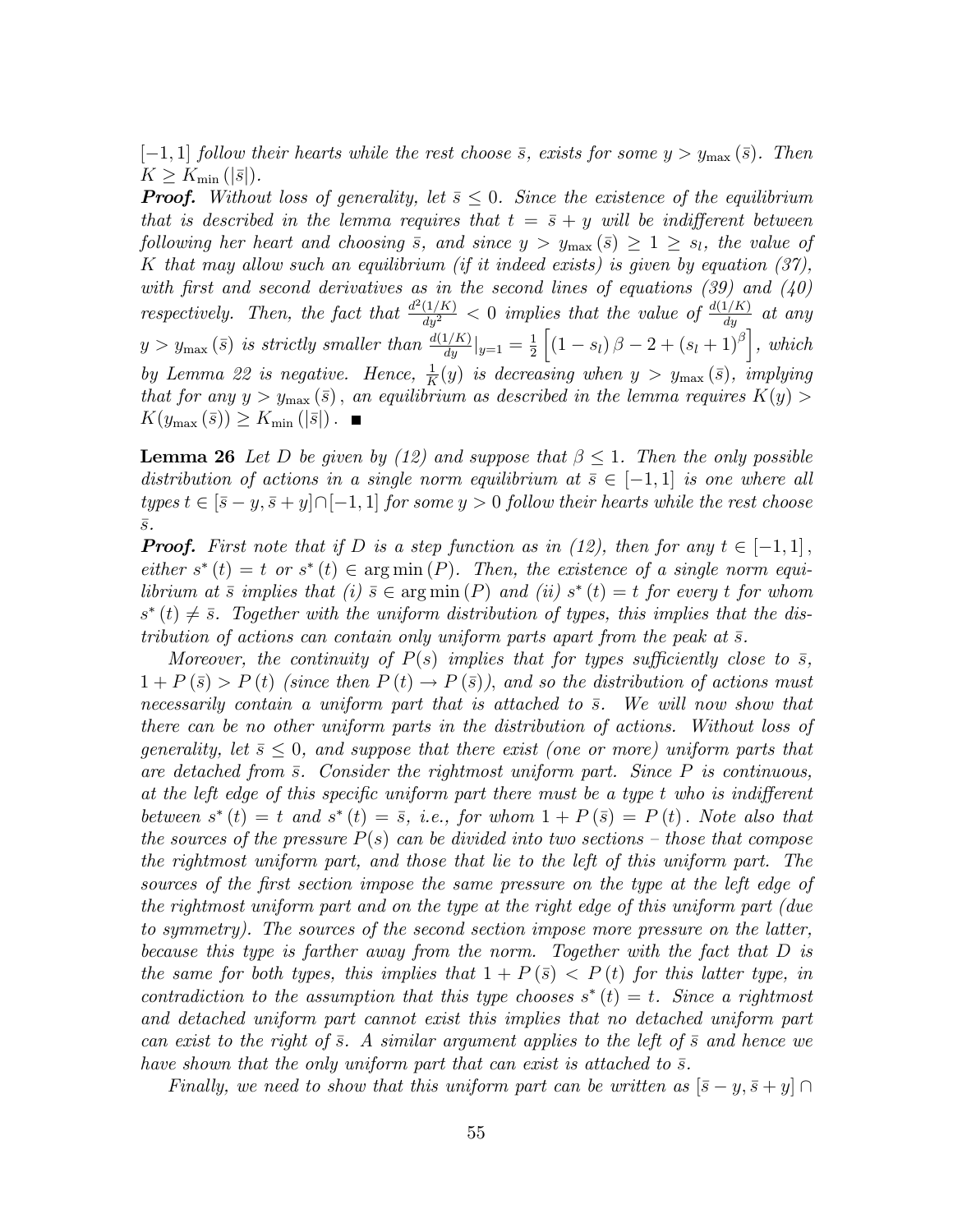$[-1, 1]$  follow their hearts while the rest choose  $\bar{s}$ , exists for some  $y > y_{\text{max}}(\bar{s})$ . Then  $K \geq K_{\min}(|\bar{s}|).$ 

**Proof.** Without loss of generality, let  $\bar{s} \leq 0$ . Since the existence of the equilibrium that is described in the lemma requires that  $t = \bar{s} + y$  will be indifferent between following her heart and choosing  $\bar{s}$ , and since  $y > y_{\text{max}}(\bar{s}) \geq 1 \geq s_l$ , the value of K that may allow such an equilibrium (if it indeed exists) is given by equation  $(37)$ , with first and second derivatives as in the second lines of equations  $(39)$  and  $(40)$ respectively. Then, the fact that  $\frac{d^2(1/K)}{dy^2} < 0$  implies that the value of  $\frac{d(1/K)}{dy}$  at any  $y > y_{\text{max}}(\bar{s})$  is strictly smaller than  $\frac{d(1/K)}{dy}|_{y=1} = \frac{1}{2}$ 2  $\left[\left(1-s_l\right)\beta-2+\left(s_l+1\right)^{\beta}\right]$ , which by Lemma 22 is negative. Hence,  $\frac{1}{K}(y)$  is decreasing when  $y > y_{\text{max}}(\bar{s})$ , implying that for any  $y > y_{\text{max}}(\bar{s})$ , an equilibrium as described in the lemma requires  $K(y)$  $K(y_{\text{max}}(\bar{s})) \geq K_{\text{min}}(|\bar{s}|).$ 

**Lemma 26** Let D be given by (12) and suppose that  $\beta \leq 1$ . Then the only possible distribution of actions in a single norm equilibrium at  $\bar{s} \in [-1, 1]$  is one where all types  $t \in [\bar{s} - y, \bar{s} + y] \cap [-1, 1]$  for some  $y > 0$  follow their hearts while the rest choose  $\overline{s}$ .

**Proof.** First note that if D is a step function as in (12), then for any  $t \in [-1, 1]$ , either  $s^*(t) = t$  or  $s^*(t) \in \argmin(P)$ . Then, the existence of a single norm equilibrium at  $\overline{s}$  implies that (i)  $\overline{s} \in \arg \min (P)$  and (ii)  $s^*(t) = t$  for every t for whom  $s^*(t) \neq \overline{s}$ . Together with the uniform distribution of types, this implies that the distribution of actions can contain only uniform parts apart from the peak at  $\bar{s}$ .

Moreover, the continuity of  $P(s)$  implies that for types sufficiently close to  $\bar{s}$ ,  $1 + P(\bar{s}) > P(t)$  (since then  $P(t) \to P(\bar{s})$ ), and so the distribution of actions must necessarily contain a uniform part that is attached to  $\bar{s}$ . We will now show that there can be no other uniform parts in the distribution of actions. Without loss of generality, let  $\bar{s} \leq 0$ , and suppose that there exist (one or more) uniform parts that are detached from  $\bar{s}$ . Consider the rightmost uniform part. Since P is continuous, at the left edge of this specific uniform part there must be a type  $t$  who is indifferent between  $s^*(t) = t$  and  $s^*(t) = \overline{s}$ , i.e., for whom  $1 + P(\overline{s}) = P(t)$ . Note also that the sources of the pressure  $P(s)$  can be divided into two sections – those that compose the rightmost uniform part, and those that lie to the left of this uniform part. The sources of the first section impose the same pressure on the type at the left edge of the rightmost uniform part and on the type at the right edge of this uniform part (due to symmetry). The sources of the second section impose more pressure on the latter, because this type is farther away from the norm. Together with the fact that D is the same for both types, this implies that  $1 + P(\bar{s}) < P(t)$  for this latter type, in contradiction to the assumption that this type chooses  $s^*(t) = t$ . Since a rightmost and detached uniform part cannot exist this implies that no detached uniform part can exist to the right of  $\bar{s}$ . A similar argument applies to the left of  $\bar{s}$  and hence we have shown that the only uniform part that can exist is attached to  $\bar{s}$ .

Finally, we need to show that this uniform part can be written as  $[\bar{s} - y, \bar{s} + y] \cap$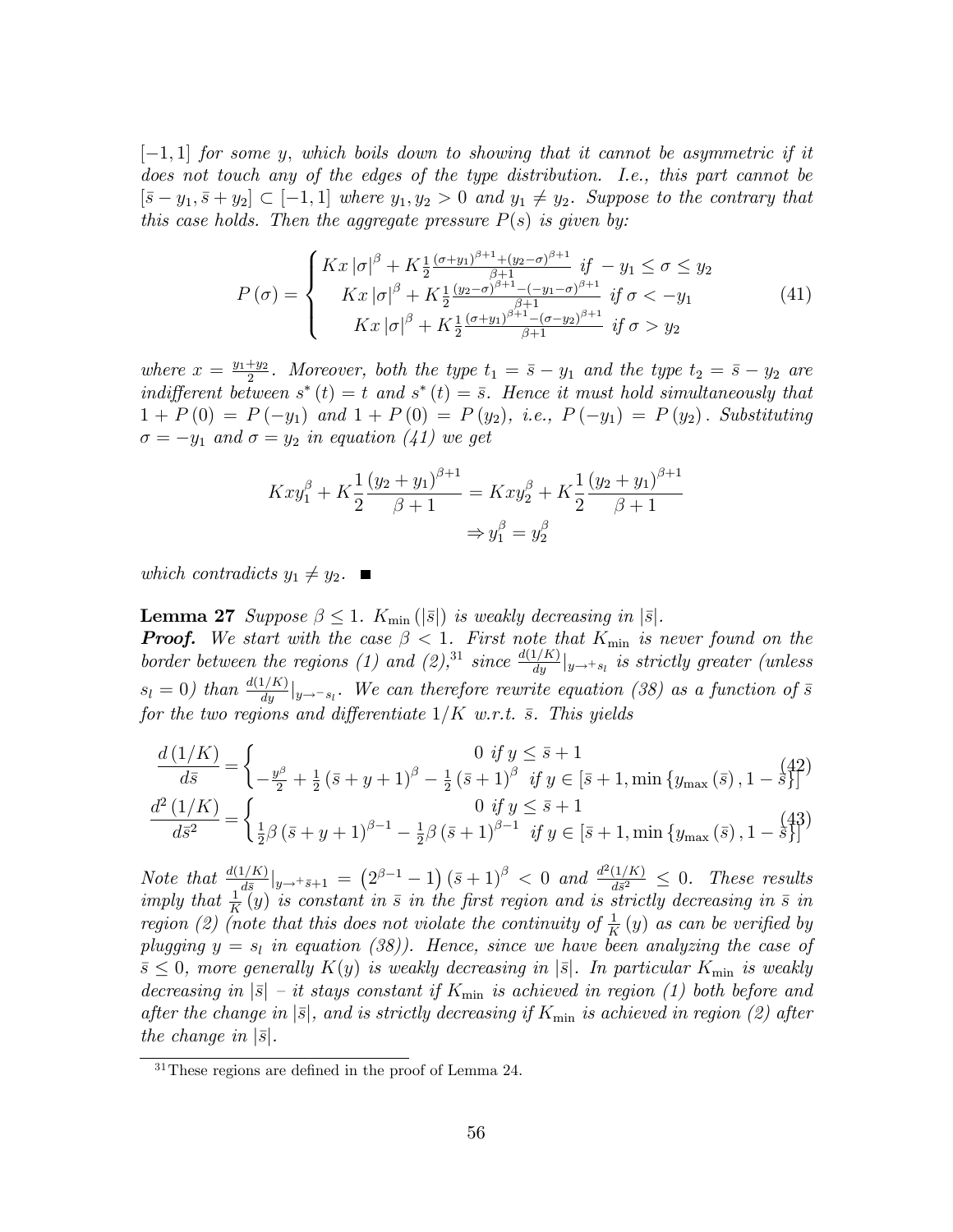$[-1, 1]$  for some y, which boils down to showing that it cannot be asymmetric if it does not touch any of the edges of the type distribution. I.e., this part cannot be  $[\bar{s} - y_1, \bar{s} + y_2] \subset [-1, 1]$  where  $y_1, y_2 > 0$  and  $y_1 \neq y_2$ . Suppose to the contrary that this case holds. Then the aggregate pressure  $P(s)$  is given by:

$$
P(\sigma) = \begin{cases} Kx |\sigma|^{\beta} + K\frac{1}{2} \frac{(\sigma + y_1)^{\beta + 1} + (y_2 - \sigma)^{\beta + 1}}{\beta + 1} & \text{if } -y_1 \le \sigma \le y_2\\ Kx |\sigma|^{\beta} + K\frac{1}{2} \frac{(y_2 - \sigma)^{\beta + 1} - (-y_1 - \sigma)^{\beta + 1}}{\beta + 1} & \text{if } \sigma < -y_1\\ Kx |\sigma|^{\beta} + K\frac{1}{2} \frac{(\sigma + y_1)^{\beta + 1} - (\sigma - y_2)^{\beta + 1}}{\beta + 1} & \text{if } \sigma > y_2 \end{cases} \tag{41}
$$

where  $x = \frac{y_1 + y_2}{2}$  $\frac{y+y_2}{2}$ . Moreover, both the type  $t_1 = \bar{s} - y_1$  and the type  $t_2 = \bar{s} - y_2$  are indifferent between  $s^*(t) = t$  and  $s^*(t) = \overline{s}$ . Hence it must hold simultaneously that  $1 + P(0) = P(-y_1)$  and  $1 + P(0) = P(y_2)$ , i.e.,  $P(-y_1) = P(y_2)$ . Substituting  $\sigma = -y_1$  and  $\sigma = y_2$  in equation (41) we get

$$
Kxy_1^{\beta} + K\frac{1}{2}\frac{(y_2 + y_1)^{\beta + 1}}{\beta + 1} = Kxy_2^{\beta} + K\frac{1}{2}\frac{(y_2 + y_1)^{\beta + 1}}{\beta + 1}
$$

$$
\Rightarrow y_1^{\beta} = y_2^{\beta}
$$

which contradicts  $y_1 \neq y_2$ .

**Lemma 27** Suppose  $\beta \leq 1$ .  $K_{\min}(|\bar{s}|)$  is weakly decreasing in  $|\bar{s}|$ . **Proof.** We start with the case  $\beta$  < 1. First note that  $K_{\min}$  is never found on the border between the regions (1) and (2),<sup>31</sup> since  $\frac{d(1/K)}{dy}|_{y\to +s_l}$  is strictly greater (unless  $s_l = 0$ ) than  $\frac{d(1/K)}{dy}|_{y \to -s_l}$ . We can therefore rewrite equation (38) as a function of  $\bar{s}$ for the two regions and differentiate  $1/K$  w.r.t.  $\bar{s}$ . This yields

$$
\frac{d\left(1/K\right)}{d\bar{s}} = \begin{cases}\n0 & \text{if } y \le \bar{s} + 1 \\
-\frac{y^{\beta}}{2} + \frac{1}{2}\left(\bar{s} + y + 1\right)^{\beta} - \frac{1}{2}\left(\bar{s} + 1\right)^{\beta} & \text{if } y \in \left[\bar{s} + 1, \min\left\{y_{\max}\left(\bar{s}\right), 1 - \bar{s}\right\}\right] \\
\frac{d^{2}\left(1/K\right)}{d\bar{s}^{2}} = \begin{cases}\n0 & \text{if } y \le \bar{s} + 1 \\
\frac{1}{2}\beta\left(\bar{s} + y + 1\right)^{\beta - 1} - \frac{1}{2}\beta\left(\bar{s} + 1\right)^{\beta - 1} & \text{if } y \in \left[\bar{s} + 1, \min\left\{y_{\max}\left(\bar{s}\right), 1 - \bar{s}\right\}\right]\n\end{cases}\n\end{cases}
$$
\n
$$
(43)
$$

Note that  $\frac{d(1/K)}{d\bar{s}}|_{y\to+\bar{s}+1} = (2^{\beta-1}-1)(\bar{s}+1)^{\beta} < 0$  and  $\frac{d^2(1/K)}{d\bar{s}^2}$  $\frac{(1/R)}{d\bar{s}^2} \leq 0$ . These results imply that  $\frac{1}{K}(y)$  is constant in  $\bar{s}$  in the first region and is strictly decreasing in  $\bar{s}$  in region (2) (note that this does not violate the continuity of  $\frac{1}{K}(y)$  as can be verified by plugging  $y = s<sub>l</sub>$  in equation (38)). Hence, since we have been analyzing the case of  $\bar{s} \leq 0$ , more generally  $K(y)$  is weakly decreasing in  $|\bar{s}|$ . In particular  $K_{\min}$  is weakly decreasing in  $|\bar{s}|$  – it stays constant if  $K_{\min}$  is achieved in region (1) both before and after the change in  $|\bar{s}|$ , and is strictly decreasing if  $K_{\min}$  is achieved in region (2) after the change in  $|\bar{s}|$ .

 $31$ These regions are defined in the proof of Lemma 24.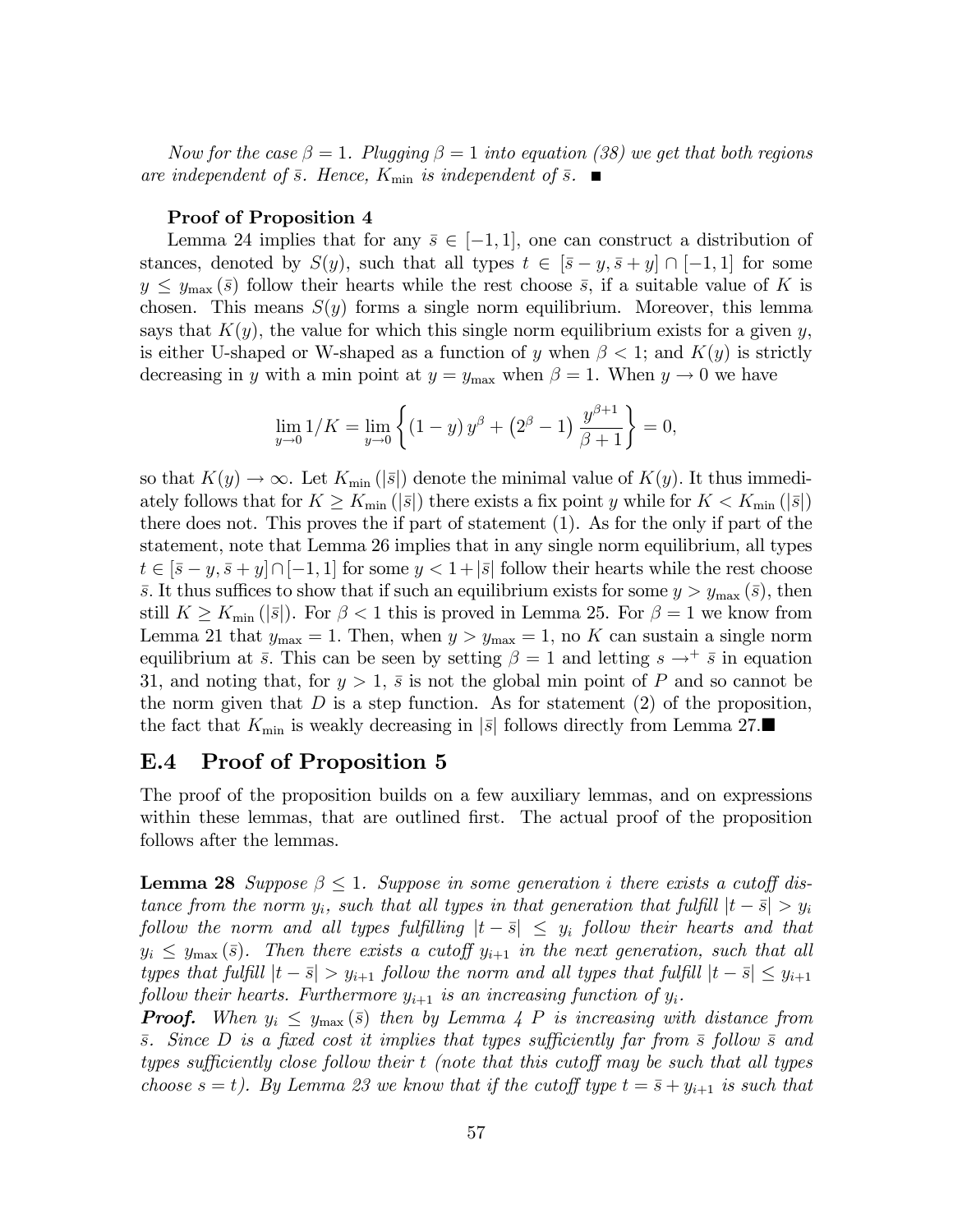Now for the case  $\beta = 1$ . Plugging  $\beta = 1$  into equation (38) we get that both regions are independent of  $\bar{s}$ . Hence,  $K_{\min}$  is independent of  $\bar{s}$ .

#### Proof of Proposition 4

Lemma 24 implies that for any  $\bar{s} \in [-1, 1]$ , one can construct a distribution of stances, denoted by  $S(y)$ , such that all types  $t \in [\bar{s} - y, \bar{s} + y] \cap [-1, 1]$  for some  $y \leq y_{\text{max}}(\bar{s})$  follow their hearts while the rest choose  $\bar{s}$ , if a suitable value of K is chosen. This means  $S(y)$  forms a single norm equilibrium. Moreover, this lemma says that  $K(y)$ , the value for which this single norm equilibrium exists for a given y, is either U-shaped or W-shaped as a function of y when  $\beta < 1$ ; and  $K(y)$  is strictly decreasing in y with a min point at  $y = y_{\text{max}}$  when  $\beta = 1$ . When  $y \to 0$  we have

$$
\lim_{y \to 0} 1/K = \lim_{y \to 0} \left\{ (1 - y) y^{\beta} + (2^{\beta} - 1) \frac{y^{\beta + 1}}{\beta + 1} \right\} = 0,
$$

so that  $K(y) \to \infty$ . Let  $K_{\min}(|\bar{s}|)$  denote the minimal value of  $K(y)$ . It thus immediately follows that for  $K \geq K_{\min}(|\bar{s}|)$  there exists a fix point y while for  $K < K_{\min}(|\bar{s}|)$ there does not. This proves the if part of statement (1). As for the only if part of the statement, note that Lemma 26 implies that in any single norm equilibrium, all types  $t \in [\bar{s} - y, \bar{s} + y] \cap [-1, 1]$  for some  $y < 1 + |\bar{s}|$  follow their hearts while the rest choose  $\bar{s}$ . It thus suffices to show that if such an equilibrium exists for some  $y > y_{\text{max}}(\bar{s})$ , then still  $K \geq K_{\min}(|\bar{s}|)$ . For  $\beta < 1$  this is proved in Lemma 25. For  $\beta = 1$  we know from Lemma 21 that  $y_{\text{max}} = 1$ . Then, when  $y > y_{\text{max}} = 1$ , no K can sustain a single norm equilibrium at  $\bar{s}$ . This can be seen by setting  $\beta = 1$  and letting  $s \rightarrow + \bar{s}$  in equation 31, and noting that, for  $y > 1$ ,  $\bar{s}$  is not the global min point of P and so cannot be the norm given that  $D$  is a step function. As for statement (2) of the proposition, the fact that  $K_{\text{min}}$  is weakly decreasing in  $|\bar{s}|$  follows directly from Lemma 27.

# E.4 Proof of Proposition 5

The proof of the proposition builds on a few auxiliary lemmas, and on expressions within these lemmas, that are outlined first. The actual proof of the proposition follows after the lemmas.

**Lemma 28** Suppose  $\beta \leq 1$ . Suppose in some generation i there exists a cutoff distance from the norm  $y_i$ , such that all types in that generation that fulfill  $|t - \bar{s}| > y_i$ follow the norm and all types fulfilling  $|t - \bar{s}| \leq y_i$  follow their hearts and that  $y_i \le y_{\text{max}}(\bar{s})$ . Then there exists a cutoff  $y_{i+1}$  in the next generation, such that all types that fulfill  $|t - \bar{s}| > y_{i+1}$  follow the norm and all types that fulfill  $|t - \bar{s}| \le y_{i+1}$ follow their hearts. Furthermore  $y_{i+1}$  is an increasing function of  $y_i$ .

**Proof.** When  $y_i \leq y_{\text{max}}(\bar{s})$  then by Lemma 4 P is increasing with distance from  $\bar{s}$ . Since D is a fixed cost it implies that types sufficiently far from  $\bar{s}$  follow  $\bar{s}$  and types sufficiently close follow their  $t$  (note that this cutoff may be such that all types choose  $s = t$ ). By Lemma 23 we know that if the cutoff type  $t = \bar{s} + y_{i+1}$  is such that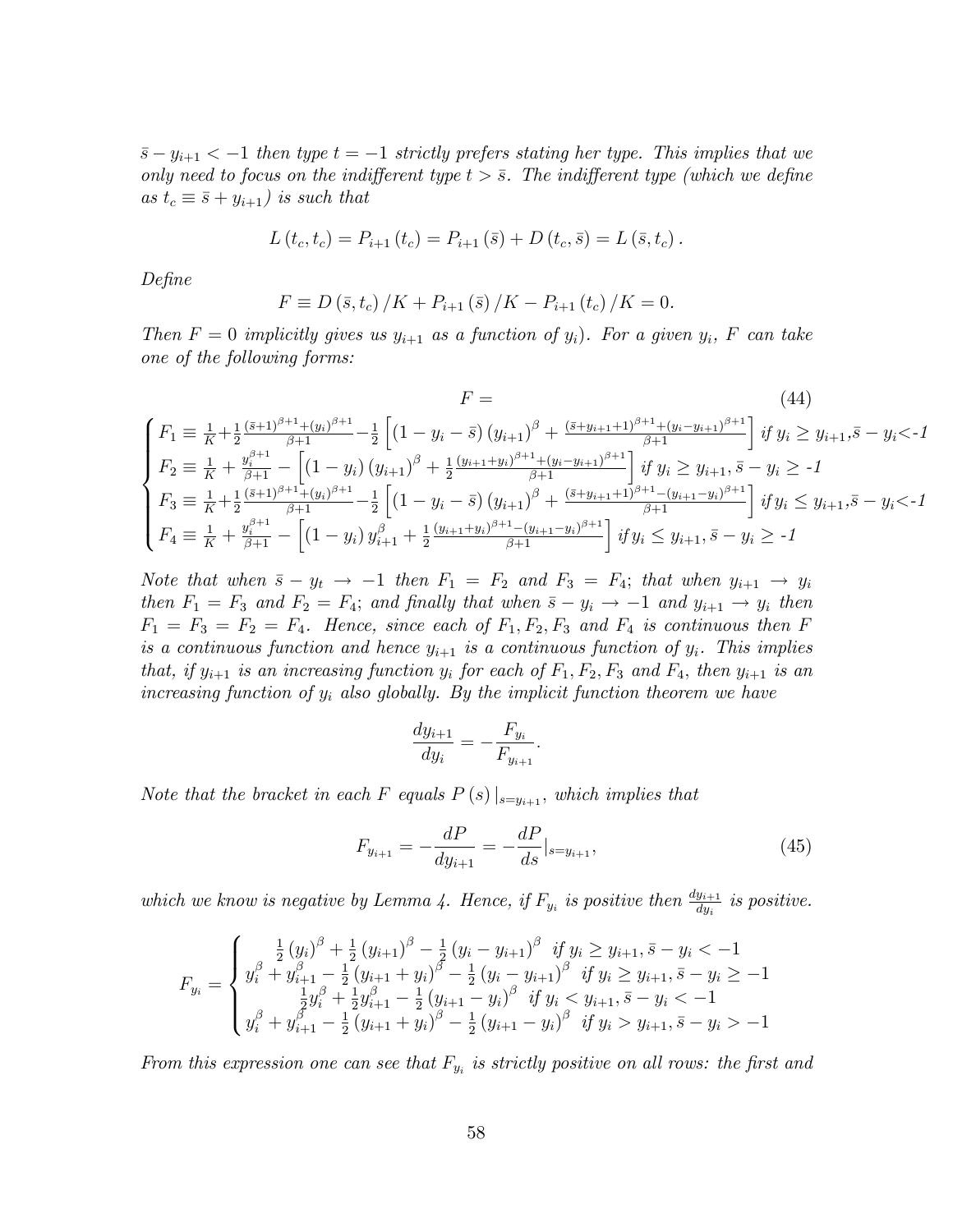$\bar{s} - y_{i+1} < -1$  then type  $t = -1$  strictly prefers stating her type. This implies that we only need to focus on the indifferent type  $t > \bar{s}$ . The indifferent type (which we define as  $t_c \equiv \bar{s} + y_{i+1}$  is such that

$$
L(t_c, t_c) = P_{i+1}(t_c) = P_{i+1}(\bar{s}) + D(t_c, \bar{s}) = L(\bar{s}, t_c).
$$

DeÖne

$$
F \equiv D(\bar{s}, t_c) / K + P_{i+1}(\bar{s}) / K - P_{i+1} (t_c) / K = 0.
$$

Then  $F = 0$  implicitly gives us  $y_{i+1}$  as a function of  $y_i$ ). For a given  $y_i$ , F can take one of the following forms:

$$
F = \qquad (44)
$$
\n
$$
F = \qquad (44)
$$
\n
$$
F_{1} \equiv \frac{1}{K} + \frac{1}{2} \frac{(\bar{s}+1)^{\beta+1} + (y_{i})^{\beta+1}}{\beta+1} - \frac{1}{2} \left[ (1 - y_{i} - \bar{s}) (y_{i+1})^{\beta} + \frac{(\bar{s}+y_{i+1}+1)^{\beta+1} + (y_{i}-y_{i+1})^{\beta+1}}{\beta+1} \right] \text{ if } y_{i} \geq y_{i+1}, \bar{s} - y_{i} < -1
$$
\n
$$
F_{2} \equiv \frac{1}{K} + \frac{y_{i}^{\beta+1}}{\beta+1} - \left[ (1 - y_{i}) (y_{i+1})^{\beta} + \frac{1}{2} \frac{(y_{i+1}+y_{i})^{\beta+1} + (y_{i}-y_{i+1})^{\beta+1}}{\beta+1} \right] \text{ if } y_{i} \geq y_{i+1}, \bar{s} - y_{i} \geq -1
$$
\n
$$
F_{3} \equiv \frac{1}{K} + \frac{1}{2} \frac{(\bar{s}+1)^{\beta+1} + (y_{i})^{\beta+1}}{\beta+1} - \frac{1}{2} \left[ (1 - y_{i} - \bar{s}) (y_{i+1})^{\beta} + \frac{(\bar{s}+y_{i+1}+1)^{\beta+1} - (y_{i+1}-y_{i})^{\beta+1}}{\beta+1} \right] \text{ if } y_{i} \leq y_{i+1}, \bar{s} - y_{i} < -1
$$
\n
$$
F_{4} \equiv \frac{1}{K} + \frac{y_{i}^{\beta+1}}{\beta+1} - \left[ (1 - y_{i}) y_{i+1}^{\beta} + \frac{1}{2} \frac{(y_{i+1}+y_{i})^{\beta+1} - (y_{i+1}-y_{i})^{\beta+1}}{\beta+1} \right] \text{ if } y_{i} \leq y_{i+1}, \bar{s} - y_{i} \geq -1
$$

Note that when  $\bar{s} - y_t \rightarrow -1$  then  $F_1 = F_2$  and  $F_3 = F_4$ ; that when  $y_{i+1} \rightarrow y_i$ then  $F_1 = F_3$  and  $F_2 = F_4$ ; and finally that when  $\bar{s} - y_i \rightarrow -1$  and  $y_{i+1} \rightarrow y_i$  then  $F_1 = F_3 = F_2 = F_4$ . Hence, since each of  $F_1, F_2, F_3$  and  $F_4$  is continuous then F is a continuous function and hence  $y_{i+1}$  is a continuous function of  $y_i$ . This implies that, if  $y_{i+1}$  is an increasing function  $y_i$  for each of  $F_1, F_2, F_3$  and  $F_4$ , then  $y_{i+1}$  is an increasing function of  $y_i$  also globally. By the implicit function theorem we have

$$
\frac{dy_{i+1}}{dy_i} = -\frac{F_{y_i}}{F_{y_{i+1}}}.
$$

Note that the bracket in each F equals  $P(s)|_{s=y_{i+1}}$ , which implies that

$$
F_{y_{i+1}} = -\frac{dP}{dy_{i+1}} = -\frac{dP}{ds}|_{s=y_{i+1}},\tag{45}
$$

which we know is negative by Lemma 4. Hence, if  $F_{y_i}$  is positive then  $\frac{dy_{i+1}}{dy_i}$  is positive.

$$
F_{y_i} = \begin{cases} \frac{1}{2} (y_i)^{\beta} + \frac{1}{2} (y_{i+1})^{\beta} - \frac{1}{2} (y_i - y_{i+1})^{\beta} & \text{if } y_i \ge y_{i+1}, \bar{s} - y_i < -1\\ y_i^{\beta} + y_{i+1}^{\beta} - \frac{1}{2} (y_{i+1} + y_i)^{\beta} - \frac{1}{2} (y_i - y_{i+1})^{\beta} & \text{if } y_i \ge y_{i+1}, \bar{s} - y_i \ge -1\\ \frac{1}{2} y_i^{\beta} + \frac{1}{2} y_{i+1}^{\beta} - \frac{1}{2} (y_{i+1} - y_i)^{\beta} & \text{if } y_i < y_{i+1}, \bar{s} - y_i < -1\\ y_i^{\beta} + y_{i+1}^{\beta} - \frac{1}{2} (y_{i+1} + y_i)^{\beta} - \frac{1}{2} (y_{i+1} - y_i)^{\beta} & \text{if } y_i > y_{i+1}, \bar{s} - y_i > -1 \end{cases}
$$

From this expression one can see that  $F_{y_i}$  is strictly positive on all rows: the first and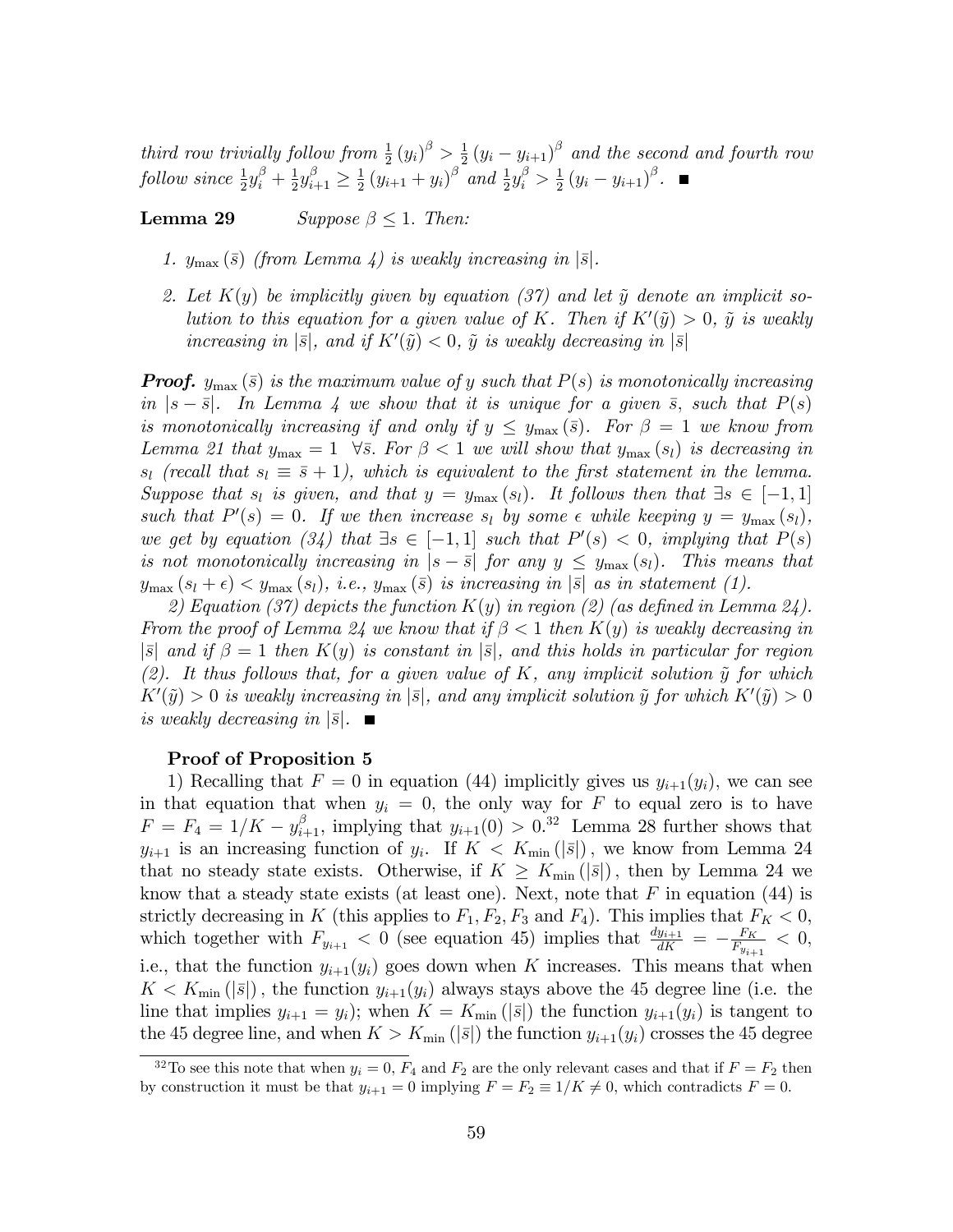third row trivially follow from  $\frac{1}{2}(y_i)^{\beta} > \frac{1}{2}$  $\frac{1}{2}(y_i - y_{i+1})^{\beta}$  and the second and fourth row follow since  $\frac{1}{2}y_i^{\beta} + \frac{1}{2}$  $\frac{1}{2}y_{i+1}^{\beta} \geq \frac{1}{2}$  $\frac{1}{2}(y_{i+1}+y_i)^{\beta}$  and  $\frac{1}{2}y_i^{\beta} > \frac{1}{2}$  $\frac{1}{2}(y_i - y_{i+1})^{\beta}$ .

**Lemma 29** Suppose  $\beta$  < 1. Then:

- 1.  $y_{\text{max}}(\bar{s})$  (from Lemma 4) is weakly increasing in  $|\bar{s}|$ .
- 2. Let  $K(y)$  be implicitly given by equation (37) and let  $\tilde{y}$  denote an implicit solution to this equation for a given value of K. Then if  $K'(\tilde{y}) > 0$ ,  $\tilde{y}$  is weakly increasing in  $|\bar{s}|$ , and if  $K'(\tilde{y}) < 0$ ,  $\tilde{y}$  is weakly decreasing in  $|\bar{s}|$

**Proof.**  $y_{\text{max}}(\bar{s})$  is the maximum value of y such that  $P(s)$  is monotonically increasing in  $|s - \bar{s}|$ . In Lemma 4 we show that it is unique for a given  $\bar{s}$ , such that  $P(s)$ is monotonically increasing if and only if  $y \le y_{\text{max}}(\bar{s})$ . For  $\beta = 1$  we know from Lemma 21 that  $y_{\text{max}} = 1 \quad \forall \bar{s}$ . For  $\beta < 1$  we will show that  $y_{\text{max}}(s_l)$  is decreasing in  $s_l$  (recall that  $s_l \equiv \bar{s} + 1$ ), which is equivalent to the first statement in the lemma. Suppose that  $s_l$  is given, and that  $y = y_{\text{max}}(s_l)$ . It follows then that  $\exists s \in [-1, 1]$ such that  $P'(s) = 0$ . If we then increase  $s<sub>l</sub>$  by some  $\epsilon$  while keeping  $y = y<sub>max</sub>(s<sub>l</sub>)$ , we get by equation (34) that  $\exists s \in [-1,1]$  such that  $P'(s) < 0$ , implying that  $P(s)$ is not monotonically increasing in  $|s-\bar{s}|$  for any  $y \le y_{\text{max}} (s_i)$ . This means that  $y_{\text{max}}(s_l + \epsilon) < y_{\text{max}}(s_l)$ , i.e.,  $y_{\text{max}}(\bar{s})$  is increasing in  $|\bar{s}|$  as in statement (1).

2) Equation (37) depicts the function  $K(y)$  in region (2) (as defined in Lemma 24). From the proof of Lemma 24 we know that if  $\beta < 1$  then  $K(y)$  is weakly decreasing in  $|\bar{s}|$  and if  $\beta = 1$  then  $K(y)$  is constant in  $|\bar{s}|$ , and this holds in particular for region (2). It thus follows that, for a given value of K, any implicit solution  $\tilde{y}$  for which  $K'(\tilde{y}) > 0$  is weakly increasing in  $|\bar{s}|$ , and any implicit solution  $\tilde{y}$  for which  $K'(\tilde{y}) > 0$ is weakly decreasing in  $|\bar{s}|$ .

#### Proof of Proposition 5

1) Recalling that  $F = 0$  in equation (44) implicitly gives us  $y_{i+1}(y_i)$ , we can see in that equation that when  $y_i = 0$ , the only way for F to equal zero is to have  $F = F_4 = 1/K - y_{i+1}^{\beta}$ , implying that  $y_{i+1}(0) > 0.32$  Lemma 28 further shows that  $y_{i+1}$  is an increasing function of  $y_i$ . If  $K < K_{\min}(|\bar{s}|)$ , we know from Lemma 24 that no steady state exists. Otherwise, if  $K \geq K_{\min}(|\bar{s}|)$ , then by Lemma 24 we know that a steady state exists (at least one). Next, note that  $F$  in equation (44) is strictly decreasing in K (this applies to  $F_1, F_2, F_3$  and  $F_4$ ). This implies that  $F_K < 0$ , which together with  $F_{y_{i+1}} < 0$  (see equation 45) implies that  $\frac{dy_{i+1}}{dK} = -\frac{F_K}{F_{y_{i+1}}}$  $\frac{F_{K}}{F_{y_{i+1}}} < 0,$ i.e., that the function  $y_{i+1}(y_i)$  goes down when K increases. This means that when  $K < K_{\min}(|\bar{s}|)$ , the function  $y_{i+1}(y_i)$  always stays above the 45 degree line (i.e. the line that implies  $y_{i+1} = y_i$ ; when  $K = K_{\min}(|\bar{s}|)$  the function  $y_{i+1}(y_i)$  is tangent to the 45 degree line, and when  $K > K_{\min}(|\bar{s}|)$  the function  $y_{i+1}(y_i)$  crosses the 45 degree

<sup>&</sup>lt;sup>32</sup>To see this note that when  $y_i = 0$ ,  $F_4$  and  $F_2$  are the only relevant cases and that if  $F = F_2$  then by construction it must be that  $y_{i+1} = 0$  implying  $F = F_2 \equiv 1/K \neq 0$ , which contradicts  $F = 0$ .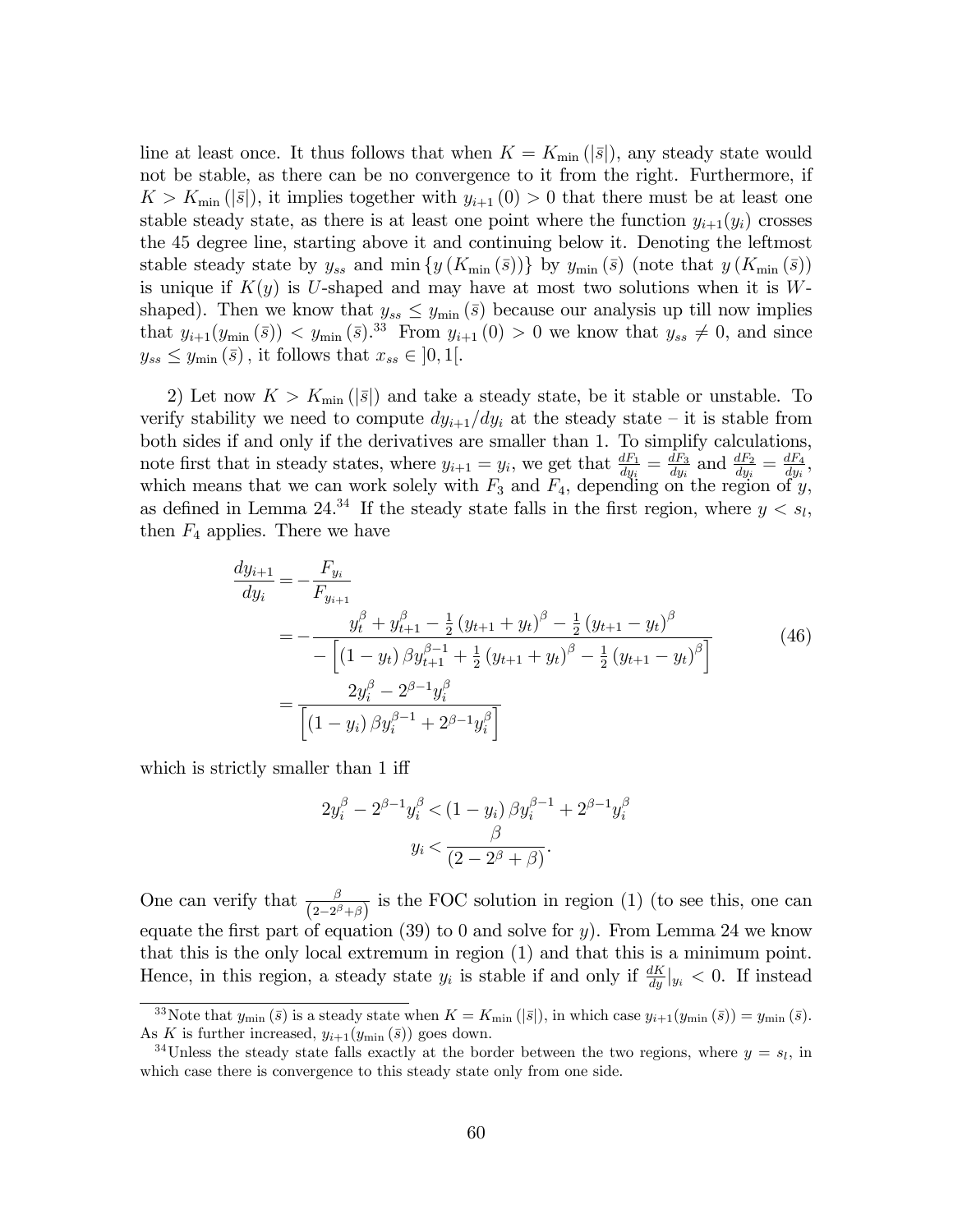line at least once. It thus follows that when  $K = K_{\min}(|\bar{s}|)$ , any steady state would not be stable, as there can be no convergence to it from the right. Furthermore, if  $K > K_{\text{min}}(|\bar{s}|)$ , it implies together with  $y_{i+1}(0) > 0$  that there must be at least one stable steady state, as there is at least one point where the function  $y_{i+1}(y_i)$  crosses the 45 degree line, starting above it and continuing below it. Denoting the leftmost stable steady state by  $y_{ss}$  and min  $\{y(K_{\min}(\bar{s}))\}$  by  $y_{\min}(\bar{s})$  (note that  $y(K_{\min}(\bar{s}))$ ) is unique if  $K(y)$  is U-shaped and may have at most two solutions when it is Wshaped). Then we know that  $y_{ss} \leq y_{\text{min}}(\bar{s})$  because our analysis up till now implies that  $y_{i+1}(y_{\min}(\bar{s})) \le y_{\min}(\bar{s})^{33}$  From  $y_{i+1}(0) > 0$  we know that  $y_{ss} \ne 0$ , and since  $y_{ss} \leq y_{\min} (\bar{s})$ , it follows that  $x_{ss} \in [0, 1]$ .

2) Let now  $K > K_{\min}(|\bar{s}|)$  and take a steady state, be it stable or unstable. To verify stability we need to compute  $dy_{i+1}/dy_i$  at the steady state – it is stable from both sides if and only if the derivatives are smaller than 1. To simplify calculations, note first that in steady states, where  $y_{i+1} = y_i$ , we get that  $\frac{dF_1}{dy_i} = \frac{dF_3}{dy_i}$  $\frac{dF_3}{dy_i}$  and  $\frac{dF_2}{dy_i} = \frac{dF_4}{dy_i}$  $\frac{dF_4}{dy_i},$ which means that we can work solely with  $F_3$  and  $F_4$ , depending on the region of y, as defined in Lemma 24.<sup>34</sup> If the steady state falls in the first region, where  $y < s_l$ , then  $F_4$  applies. There we have

$$
\frac{dy_{i+1}}{dy_i} = -\frac{F_{y_i}}{F_{y_{i+1}}}
$$
\n
$$
= -\frac{y_t^{\beta} + y_{t+1}^{\beta} - \frac{1}{2}(y_{t+1} + y_t)^{\beta} - \frac{1}{2}(y_{t+1} - y_t)^{\beta}}{-\left[(1 - y_t)\beta y_{t+1}^{\beta - 1} + \frac{1}{2}(y_{t+1} + y_t)^{\beta} - \frac{1}{2}(y_{t+1} - y_t)^{\beta}\right]}
$$
\n
$$
= \frac{2y_i^{\beta} - 2^{\beta - 1}y_i^{\beta}}{\left[(1 - y_i)\beta y_i^{\beta - 1} + 2^{\beta - 1}y_i^{\beta}\right]}
$$
\n(46)

which is strictly smaller than 1 iff

$$
2y_i^{\beta} - 2^{\beta - 1}y_i^{\beta} < (1 - y_i) \beta y_i^{\beta - 1} + 2^{\beta - 1}y_i^{\beta}
$$

$$
y_i < \frac{\beta}{(2 - 2^{\beta} + \beta)}.
$$

One can verify that  $\frac{\beta}{(2-2\beta+\beta)}$  is the FOC solution in region (1) (to see this, one can equate the first part of equation  $(39)$  to 0 and solve for y). From Lemma 24 we know that this is the only local extremum in region (1) and that this is a minimum point. Hence, in this region, a steady state  $y_i$  is stable if and only if  $\frac{dK}{dy}|_{y_i} < 0$ . If instead

<sup>&</sup>lt;sup>33</sup>Note that  $y_{\min}(\bar{s})$  is a steady state when  $K = K_{\min}(|\bar{s}|)$ , in which case  $y_{i+1}(y_{\min}(\bar{s})) = y_{\min}(\bar{s})$ . As K is further increased,  $y_{i+1}(y_{\min}(\bar{s}))$  goes down.

<sup>&</sup>lt;sup>34</sup>Unless the steady state falls exactly at the border between the two regions, where  $y = s<sub>l</sub>$ , in which case there is convergence to this steady state only from one side.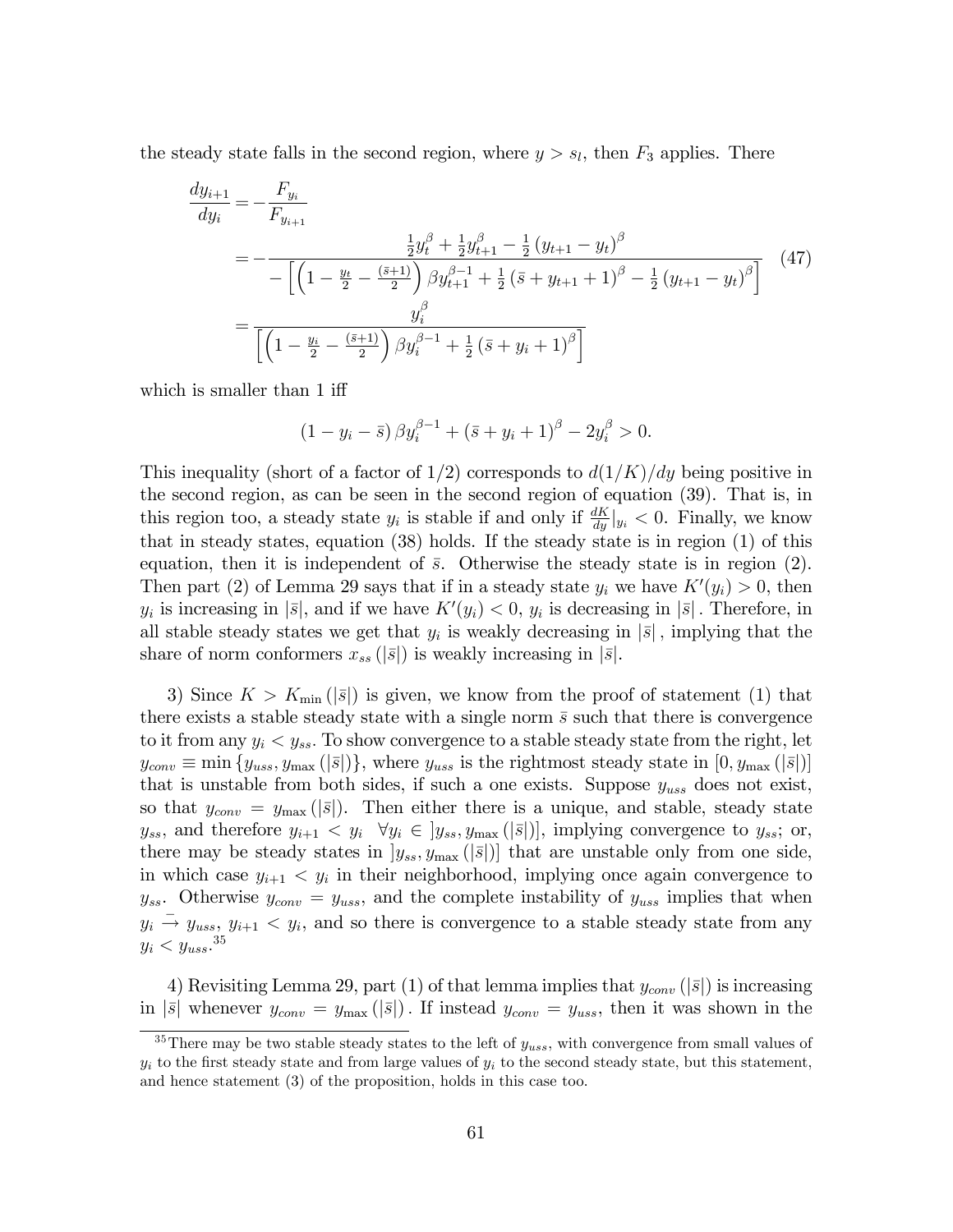the steady state falls in the second region, where  $y > s<sub>l</sub>$ , then  $F<sub>3</sub>$  applies. There

$$
\frac{dy_{i+1}}{dy_i} = -\frac{F_{y_i}}{F_{y_{i+1}}}
$$
\n
$$
= -\frac{\frac{1}{2}y_i^{\beta} + \frac{1}{2}y_{i+1}^{\beta} - \frac{1}{2}(y_{t+1} - y_t)^{\beta}}{-\left[\left(1 - \frac{y_t}{2} - \frac{5+1}{2}\right)\beta y_{t+1}^{\beta - 1} + \frac{1}{2}\left(\bar{s} + y_{t+1} + 1\right)^{\beta} - \frac{1}{2}\left(y_{t+1} - y_t\right)^{\beta}\right]}
$$
\n
$$
= \frac{y_i^{\beta}}{\left[\left(1 - \frac{y_i}{2} - \frac{5+1}{2}\right)\beta y_i^{\beta - 1} + \frac{1}{2}\left(\bar{s} + y_i + 1\right)^{\beta}\right]}
$$
\n
$$
(47)
$$

which is smaller than 1 iff

$$
(1 - y_i - \bar{s}) \beta y_i^{\beta - 1} + (\bar{s} + y_i + 1)_{\beta} - 2y_i^{\beta} > 0.
$$

This inequality (short of a factor of  $1/2$ ) corresponds to  $d(1/K)/dy$  being positive in the second region, as can be seen in the second region of equation (39). That is, in this region too, a steady state  $y_i$  is stable if and only if  $\frac{dK}{dy}|_{y_i} < 0$ . Finally, we know that in steady states, equation (38) holds. If the steady state is in region (1) of this equation, then it is independent of  $\bar{s}$ . Otherwise the steady state is in region (2). Then part (2) of Lemma 29 says that if in a steady state  $y_i$  we have  $K'(y_i) > 0$ , then  $y_i$  is increasing in  $|\bar{s}|$ , and if we have  $K'(y_i) < 0$ ,  $y_i$  is decreasing in  $|\bar{s}|$ . Therefore, in all stable steady states we get that  $y_i$  is weakly decreasing in  $|\bar{s}|$ , implying that the share of norm conformers  $x_{ss}$  (| $\bar{s}$ |) is weakly increasing in | $\bar{s}$ |.

3) Since  $K > K_{\min}(|\bar{s}|)$  is given, we know from the proof of statement (1) that there exists a stable steady state with a single norm  $\bar{s}$  such that there is convergence to it from any  $y_i \leq y_{ss}$ . To show convergence to a stable steady state from the right, let  $y_{conv} \equiv \min \{y_{uss}, y_{max} (|\bar{s}|)\}\text{, where } y_{uss} \text{ is the rightmost steady state in } [0, y_{max} (|\bar{s}|)]\}$ that is unstable from both sides, if such a one exists. Suppose  $y_{uss}$  does not exist, so that  $y_{conv} = y_{max}(|\bar{s}|)$ . Then either there is a unique, and stable, steady state  $y_{ss}$ , and therefore  $y_{i+1} < y_i \quad \forall y_i \in [y_{ss}, y_{\text{max}}([s])]$ , implying convergence to  $y_{ss}$ ; or, there may be steady states in  $[y_{ss}, y_{\text{max}}(|\bar{s}|)]$  that are unstable only from one side, in which case  $y_{i+1} < y_i$  in their neighborhood, implying once again convergence to  $y_{ss}$ . Otherwise  $y_{conv} = y_{uss}$ , and the complete instability of  $y_{uss}$  implies that when  $y_i \stackrel{\sim}{\rightarrow} y_{uss}, y_{i+1} < y_i$ , and so there is convergence to a stable steady state from any  $y_i < y_{uss}.^{35}$ 

4) Revisiting Lemma 29, part (1) of that lemma implies that  $y_{conv}(|\bar{s}|)$  is increasing in  $|\bar{s}|$  whenever  $y_{conv} = y_{max}(|\bar{s}|)$ . If instead  $y_{conv} = y_{uss}$ , then it was shown in the

<sup>&</sup>lt;sup>35</sup>There may be two stable steady states to the left of  $y_{uss}$ , with convergence from small values of  $y_i$  to the first steady state and from large values of  $y_i$  to the second steady state, but this statement, and hence statement (3) of the proposition, holds in this case too.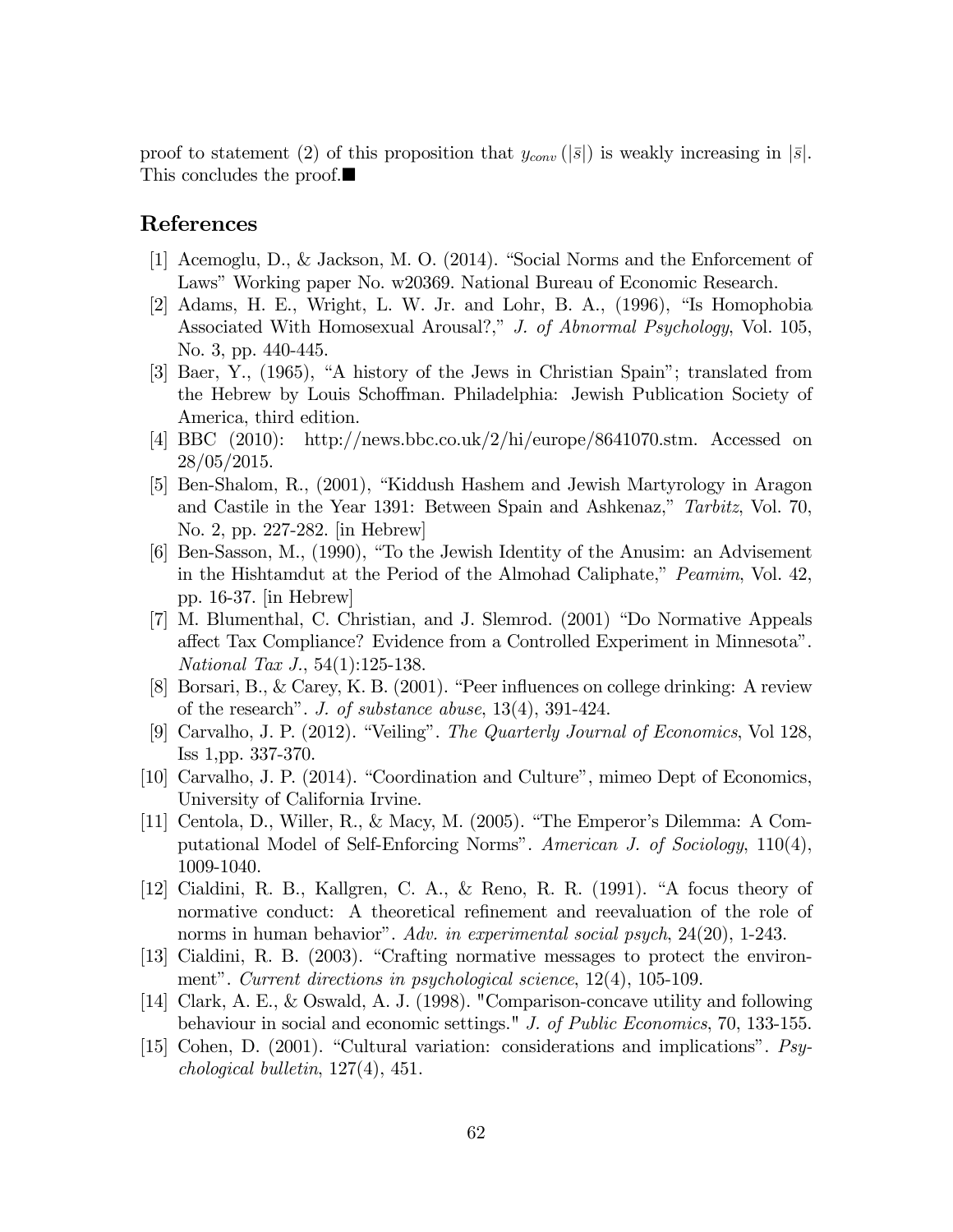proof to statement (2) of this proposition that  $y_{conv}(|\bar{s}|)$  is weakly increasing in  $|\bar{s}|$ . This concludes the proof.

### References

- [1] Acemoglu, D., & Jackson, M. O.  $(2014)$ . "Social Norms and the Enforcement of Laws" Working paper No. w20369. National Bureau of Economic Research.
- [2] Adams, H. E., Wright, L. W. Jr. and Lohr, B. A.,  $(1996)$ , "Is Homophobia Associated With Homosexual Arousal?," J. of Abnormal Psychology, Vol. 105, No. 3, pp. 440-445.
- $[3]$  Baer, Y.,  $(1965)$ , "A history of the Jews in Christian Spain"; translated from the Hebrew by Louis Schoffman. Philadelphia: Jewish Publication Society of America, third edition.
- [4] BBC (2010): http://news.bbc.co.uk/2/hi/europe/8641070.stm. Accessed on 28/05/2015.
- [5] Ben-Shalom, R., (2001), "Kiddush Hashem and Jewish Martyrology in Aragon and Castile in the Year 1391: Between Spain and Ashkenaz," Tarbitz, Vol. 70, No. 2, pp. 227-282. [in Hebrew]
- $[6]$  Ben-Sasson, M.,  $(1990)$ , "To the Jewish Identity of the Anusim: an Advisement in the Hishtamdut at the Period of the Almohad Caliphate,"  $Pearim$ , Vol. 42, pp. 16-37. [in Hebrew]
- [7] M. Blumenthal, C. Christian, and J. Slemrod. (2001) "Do Normative Appeals affect Tax Compliance? Evidence from a Controlled Experiment in Minnesota". National Tax J., 54(1):125-138.
- [8] Borsari, B., & Carey, K. B.  $(2001)$ . "Peer influences on college drinking: A review of the research". J. of substance abuse,  $13(4)$ ,  $391-424$ .
- [9] Carvalho, J. P.  $(2012)$ . "Veiling". The Quarterly Journal of Economics, Vol 128, Iss 1,pp. 337-370.
- [10] Carvalho, J. P. (2014). "Coordination and Culture", mimeo Dept of Economics, University of California Irvine.
- [11] Centola, D., Willer, R., & Macy, M. (2005). "The Emperor's Dilemma: A Computational Model of Self-Enforcing Norms". American J. of Sociology,  $110(4)$ , 1009-1040.
- [12] Cialdini, R. B., Kallgren, C. A., & Reno, R. R. (1991). "A focus theory of normative conduct: A theoretical refinement and reevaluation of the role of norms in human behavior". Adv. in experimental social psych, 24(20), 1-243.
- $[13]$  Cialdini, R. B.  $(2003)$ . "Crafting normative messages to protect the environment". Current directions in psychological science, 12(4), 105-109.
- [14] Clark, A. E., & Oswald, A. J. (1998). "Comparison-concave utility and following behaviour in social and economic settings." J. of Public Economics, 70, 133-155.
- [15] Cohen, D.  $(2001)$ . "Cultural variation: considerations and implications". Psychological bulletin, 127(4), 451.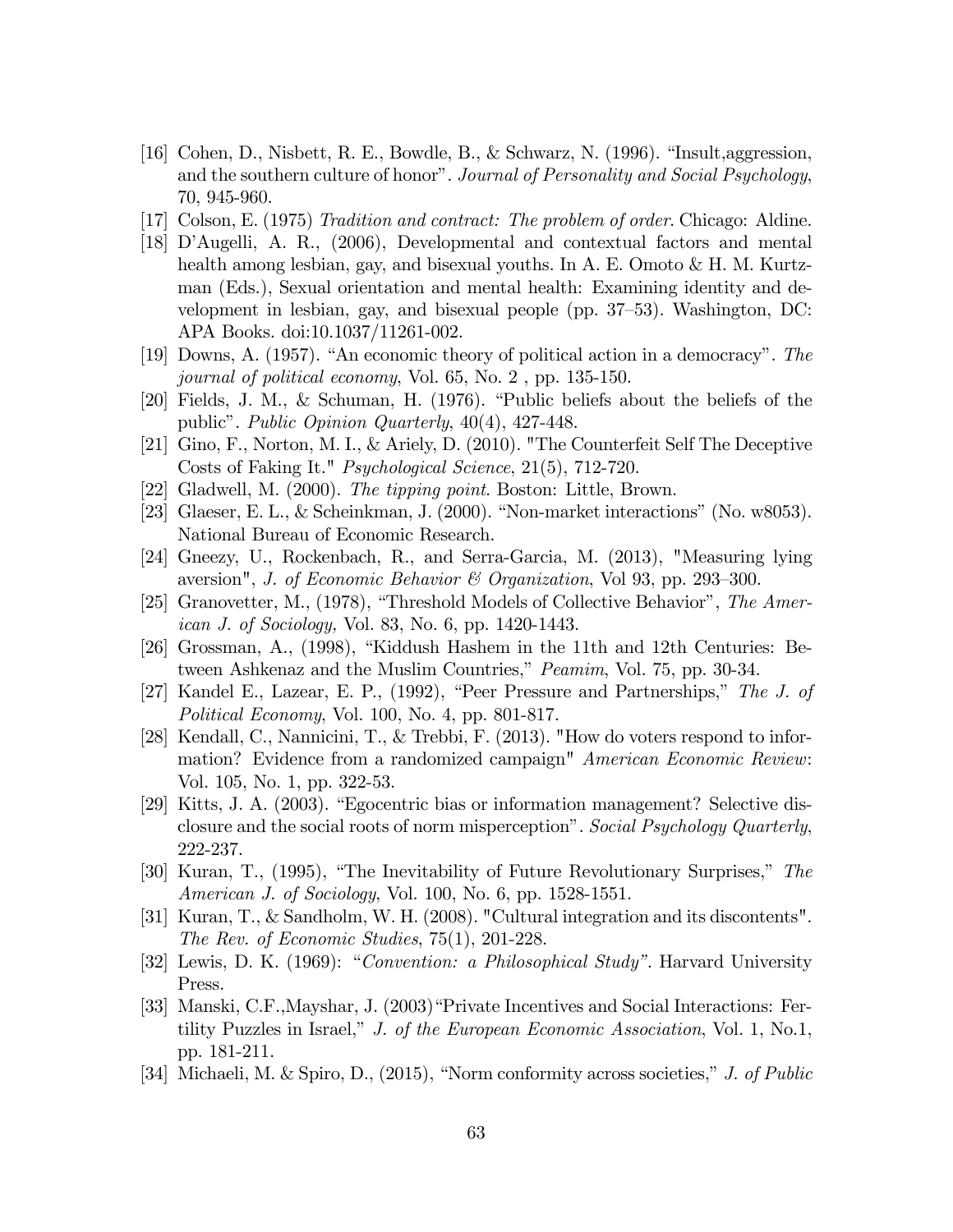- [16] Cohen, D., Nisbett, R. E., Bowdle, B., & Schwarz, N.  $(1996)$ . "Insult,aggression, and the southern culture of honor". Journal of Personality and Social Psychology, 70, 945-960.
- [17] Colson, E. (1975) Tradition and contract: The problem of order. Chicago: Aldine.
- [18] DíAugelli, A. R., (2006), Developmental and contextual factors and mental health among lesbian, gay, and bisexual youths. In A. E. Omoto & H. M. Kurtzman (Eds.), Sexual orientation and mental health: Examining identity and development in lesbian, gay, and bisexual people (pp.  $37-53$ ). Washington, DC: APA Books. doi:10.1037/11261-002.
- [19] Downs, A.  $(1957)$ . "An economic theory of political action in a democracy". The journal of political economy, Vol. 65, No. 2 , pp. 135-150.
- [20] Fields, J. M., & Schuman, H.  $(1976)$ . "Public beliefs about the beliefs of the public". Public Opinion Quarterly, 40(4), 427-448.
- [21] Gino, F., Norton, M. I., & Ariely, D. (2010). "The Counterfeit Self The Deceptive Costs of Faking It." Psychological Science, 21(5), 712-720.
- [22] Gladwell, M. (2000). The tipping point. Boston: Little, Brown.
- [23] Glaeser, E. L., & Scheinkman, J. (2000). "Non-market interactions" (No. w8053). National Bureau of Economic Research.
- [24] Gneezy, U., Rockenbach, R., and Serra-Garcia, M. (2013), "Measuring lying aversion", J. of Economic Behavior & Organization, Vol 93, pp. 293–300.
- [25] Granovetter, M.,  $(1978)$ , "Threshold Models of Collective Behavior", The American J. of Sociology, Vol. 83, No. 6, pp. 1420-1443.
- [26] Grossman, A.,  $(1998)$ , "Kiddush Hashem in the 11th and 12th Centuries: Between Ashkenaz and the Muslim Countries," *Peamim*, Vol. 75, pp. 30-34.
- [27] Kandel E., Lazear, E. P., (1992), "Peer Pressure and Partnerships," The J. of Political Economy, Vol. 100, No. 4, pp. 801-817.
- [28] Kendall, C., Nannicini, T., & Trebbi, F. (2013). "How do voters respond to information? Evidence from a randomized campaign" American Economic Review: Vol. 105, No. 1, pp. 322-53.
- $[29]$  Kitts, J. A.  $(2003)$ . "Egocentric bias or information management? Selective disclosure and the social roots of norm misperceptionî. Social Psychology Quarterly, 222-237.
- [30] Kuran, T., (1995), "The Inevitability of Future Revolutionary Surprises," The American J. of Sociology, Vol. 100, No. 6, pp. 1528-1551.
- [31] Kuran, T., & Sandholm, W. H. (2008). "Cultural integration and its discontents". The Rev. of Economic Studies, 75(1), 201-228.
- [32] Lewis, D. K. (1969): "Convention: a Philosophical Study". Harvard University Press.
- [33] Manski, C.F., Mayshar, J. (2003) "Private Incentives and Social Interactions: Fertility Puzzles in Israel," J. of the European Economic Association, Vol. 1, No.1, pp. 181-211.
- [34] Michaeli, M. & Spiro, D.,  $(2015)$ , "Norm conformity across societies," J. of Public